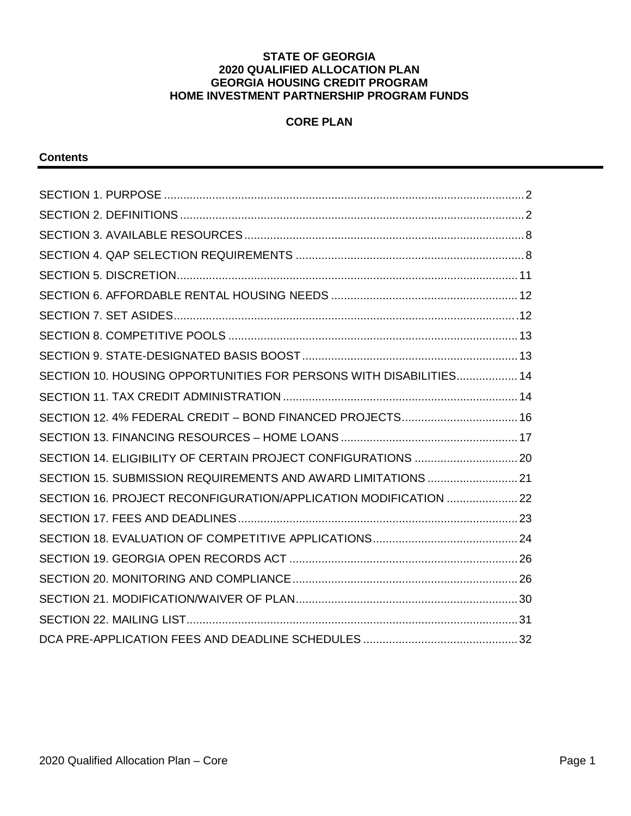#### **STATE OF GEORGIA 2020 QUALIFIED ALLOCATION PLAN GEORGIA HOUSING CREDIT PROGRAM HOME INVESTMENT PARTNERSHIP PROGRAM FUNDS**

## **CORE PLAN**

#### **Contents**

| SECTION 10. HOUSING OPPORTUNITIES FOR PERSONS WITH DISABILITIES 14 |  |
|--------------------------------------------------------------------|--|
|                                                                    |  |
| SECTION 12. 4% FEDERAL CREDIT - BOND FINANCED PROJECTS 16          |  |
|                                                                    |  |
|                                                                    |  |
| SECTION 15, SUBMISSION REQUIREMENTS AND AWARD LIMITATIONS  21      |  |
| SECTION 16. PROJECT RECONFIGURATION/APPLICATION MODIFICATION  22   |  |
|                                                                    |  |
|                                                                    |  |
|                                                                    |  |
|                                                                    |  |
|                                                                    |  |
|                                                                    |  |
|                                                                    |  |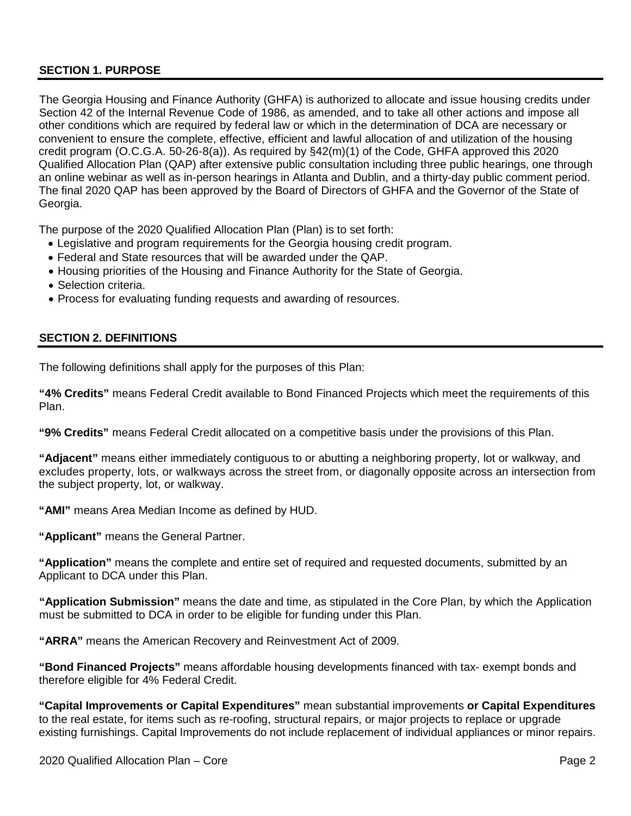## <span id="page-1-0"></span>**SECTION 1. PURPOSE**

The Georgia Housing and Finance Authority (GHFA) is authorized to allocate and issue housing credits under Section 42 of the Internal Revenue Code of 1986, as amended, and to take all other actions and impose all other conditions which are required by federal law or which in the determination of DCA are necessary or convenient to ensure the complete, effective, efficient and lawful allocation of and utilization of the housing credit program (O.C.G.A. 50-26-8(a)). As required by §42(m)(1) of the Code, GHFA approved this 2020 Qualified Allocation Plan (QAP) after extensive public consultation including three public hearings, one through an online webinar as well as in-person hearings in Atlanta and Dublin, and a thirty-day public comment period. The final 2020 QAP has been approved by the Board of Directors of GHFA and the Governor of the State of Georgia.

The purpose of the 2020 Qualified Allocation Plan (Plan) is to set forth:

- Legislative and program requirements for the Georgia housing credit program.
- Federal and State resources that will be awarded under the QAP.
- Housing priorities of the Housing and Finance Authority for the State of Georgia.
- Selection criteria.
- Process for evaluating funding requests and awarding of resources.

#### <span id="page-1-1"></span>**SECTION 2. DEFINITIONS**

The following definitions shall apply for the purposes of this Plan:

**"4% Credits"** means Federal Credit available to Bond Financed Projects which meet the requirements of this Plan.

**"9% Credits"** means Federal Credit allocated on a competitive basis under the provisions of this Plan.

**"Adjacent"** means either immediately contiguous to or abutting a neighboring property, lot or walkway, and excludes property, lots, or walkways across the street from, or diagonally opposite across an intersection from the subject property, lot, or walkway.

**"AMI"** means Area Median Income as defined by HUD.

**"Applicant"** means the General Partner.

**"Application"** means the complete and entire set of required and requested documents, submitted by an Applicant to DCA under this Plan.

**"Application Submission"** means the date and time, as stipulated in the Core Plan, by which the Application must be submitted to DCA in order to be eligible for funding under this Plan.

**"ARRA"** means the American Recovery and Reinvestment Act of 2009.

**"Bond Financed Projects"** means affordable housing developments financed with tax- exempt bonds and therefore eligible for 4% Federal Credit.

**"Capital Improvements or Capital Expenditures"** mean substantial improvements **or Capital Expenditures** to the real estate, for items such as re-roofing, structural repairs, or major projects to replace or upgrade existing furnishings. Capital Improvements do not include replacement of individual appliances or minor repairs.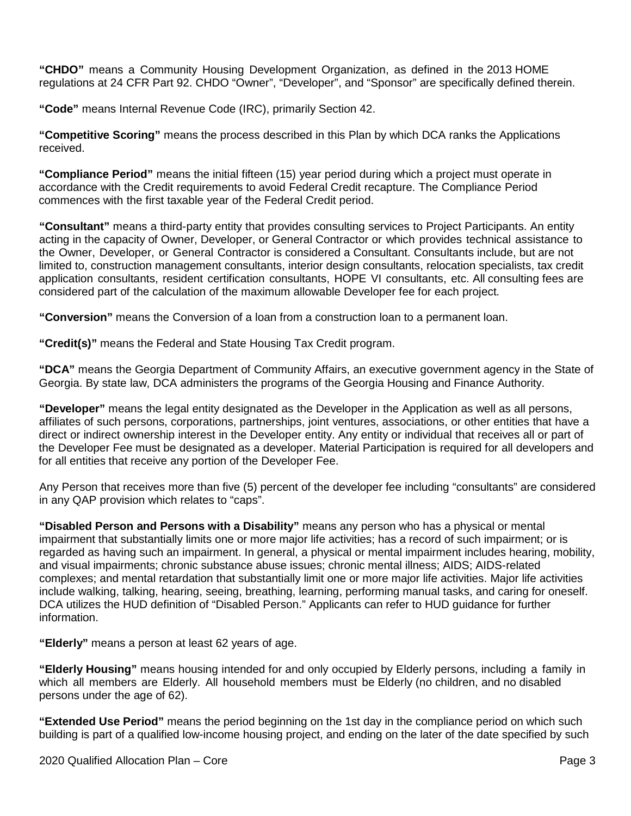**"CHDO"** means a Community Housing Development Organization, as defined in the 2013 HOME regulations at 24 CFR Part 92. CHDO "Owner", "Developer", and "Sponsor" are specifically defined therein.

**"Code"** means Internal Revenue Code (IRC), primarily Section 42.

**"Competitive Scoring"** means the process described in this Plan by which DCA ranks the Applications received.

**"Compliance Period"** means the initial fifteen (15) year period during which a project must operate in accordance with the Credit requirements to avoid Federal Credit recapture. The Compliance Period commences with the first taxable year of the Federal Credit period.

**"Consultant"** means a third-party entity that provides consulting services to Project Participants. An entity acting in the capacity of Owner, Developer, or General Contractor or which provides technical assistance to the Owner, Developer, or General Contractor is considered a Consultant. Consultants include, but are not limited to, construction management consultants, interior design consultants, relocation specialists, tax credit application consultants, resident certification consultants, HOPE VI consultants, etc. All consulting fees are considered part of the calculation of the maximum allowable Developer fee for each project.

**"Conversion"** means the Conversion of a loan from a construction loan to a permanent loan.

**"Credit(s)"** means the Federal and State Housing Tax Credit program.

**"DCA"** means the Georgia Department of Community Affairs, an executive government agency in the State of Georgia. By state law, DCA administers the programs of the Georgia Housing and Finance Authority.

**"Developer"** means the legal entity designated as the Developer in the Application as well as all persons, affiliates of such persons, corporations, partnerships, joint ventures, associations, or other entities that have a direct or indirect ownership interest in the Developer entity. Any entity or individual that receives all or part of the Developer Fee must be designated as a developer. Material Participation is required for all developers and for all entities that receive any portion of the Developer Fee.

Any Person that receives more than five (5) percent of the developer fee including "consultants" are considered in any QAP provision which relates to "caps".

**"Disabled Person and Persons with a Disability"** means any person who has a physical or mental impairment that substantially limits one or more major life activities; has a record of such impairment; or is regarded as having such an impairment. In general, a physical or mental impairment includes hearing, mobility, and visual impairments; chronic substance abuse issues; chronic mental illness; AIDS; AIDS-related complexes; and mental retardation that substantially limit one or more major life activities. Major life activities include walking, talking, hearing, seeing, breathing, learning, performing manual tasks, and caring for oneself. DCA utilizes the HUD definition of "Disabled Person." Applicants can refer to HUD guidance for further information.

**"Elderly"** means a person at least 62 years of age.

**"Elderly Housing"** means housing intended for and only occupied by Elderly persons, including a family in which all members are Elderly. All household members must be Elderly (no children, and no disabled persons under the age of 62).

**"Extended Use Period"** means the period beginning on the 1st day in the compliance period on which such building is part of a qualified low-income housing project, and ending on the later of the date specified by such

2020 Qualified Allocation Plan – Core Page 3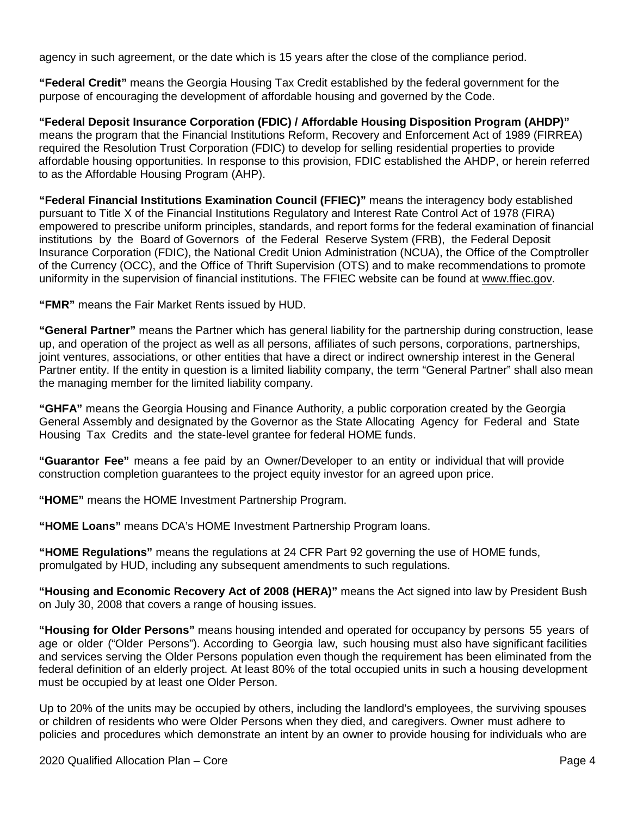agency in such agreement, or the date which is 15 years after the close of the compliance period.

**"Federal Credit"** means the Georgia Housing Tax Credit established by the federal government for the purpose of encouraging the development of affordable housing and governed by the Code.

**"Federal Deposit Insurance Corporation (FDIC) / Affordable Housing Disposition Program (AHDP)"** means the program that the Financial Institutions Reform, Recovery and Enforcement Act of 1989 (FIRREA) required the Resolution Trust Corporation (FDIC) to develop for selling residential properties to provide affordable housing opportunities. In response to this provision, FDIC established the AHDP, or herein referred to as the Affordable Housing Program (AHP).

**"Federal Financial Institutions Examination Council (FFIEC)"** means the interagency body established pursuant to Title X of the Financial Institutions Regulatory and Interest Rate Control Act of 1978 (FIRA) empowered to prescribe uniform principles, standards, and report forms for the federal examination of financial institutions by the Board of Governors of the Federal Reserve System (FRB), the Federal Deposit Insurance Corporation (FDIC), the National Credit Union Administration (NCUA), the Office of the Comptroller of the Currency (OCC), and the Office of Thrift Supervision (OTS) and to make recommendations to promote uniformity in the supervision of financial institutions. The FFIEC website can be found at [www.ffiec.gov.](http://www.ffiec.gov/)

**"FMR"** means the Fair Market Rents issued by HUD.

**"General Partner"** means the Partner which has general liability for the partnership during construction, lease up, and operation of the project as well as all persons, affiliates of such persons, corporations, partnerships, joint ventures, associations, or other entities that have a direct or indirect ownership interest in the General Partner entity. If the entity in question is a limited liability company, the term "General Partner" shall also mean the managing member for the limited liability company.

**"GHFA"** means the Georgia Housing and Finance Authority, a public corporation created by the Georgia General Assembly and designated by the Governor as the State Allocating Agency for Federal and State Housing Tax Credits and the state-level grantee for federal HOME funds.

**"Guarantor Fee"** means a fee paid by an Owner/Developer to an entity or individual that will provide construction completion guarantees to the project equity investor for an agreed upon price.

**"HOME"** means the HOME Investment Partnership Program.

**"HOME Loans"** means DCA's HOME Investment Partnership Program loans.

**"HOME Regulations"** means the regulations at 24 CFR Part 92 governing the use of HOME funds, promulgated by HUD, including any subsequent amendments to such regulations.

**"Housing and Economic Recovery Act of 2008 (HERA)"** means the Act signed into law by President Bush on July 30, 2008 that covers a range of housing issues.

**"Housing for Older Persons"** means housing intended and operated for occupancy by persons 55 years of age or older ("Older Persons"). According to Georgia law, such housing must also have significant facilities and services serving the Older Persons population even though the requirement has been eliminated from the federal definition of an elderly project. At least 80% of the total occupied units in such a housing development must be occupied by at least one Older Person.

Up to 20% of the units may be occupied by others, including the landlord's employees, the surviving spouses or children of residents who were Older Persons when they died, and caregivers. Owner must adhere to policies and procedures which demonstrate an intent by an owner to provide housing for individuals who are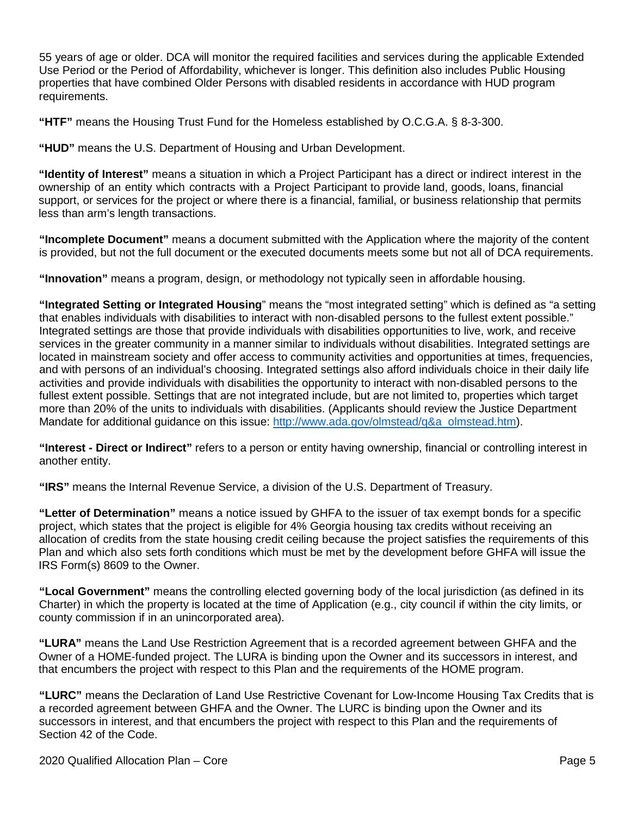55 years of age or older. DCA will monitor the required facilities and services during the applicable Extended Use Period or the Period of Affordability, whichever is longer. This definition also includes Public Housing properties that have combined Older Persons with disabled residents in accordance with HUD program requirements.

**"HTF"** means the Housing Trust Fund for the Homeless established by O.C.G.A. § 8-3-300.

**"HUD"** means the U.S. Department of Housing and Urban Development.

**"Identity of Interest"** means a situation in which a Project Participant has a direct or indirect interest in the ownership of an entity which contracts with a Project Participant to provide land, goods, loans, financial support, or services for the project or where there is a financial, familial, or business relationship that permits less than arm's length transactions.

**"Incomplete Document"** means a document submitted with the Application where the majority of the content is provided, but not the full document or the executed documents meets some but not all of DCA requirements.

**"Innovation"** means a program, design, or methodology not typically seen in affordable housing.

**"Integrated Setting or Integrated Housing**" means the "most integrated setting" which is defined as "a setting that enables individuals with disabilities to interact with non-disabled persons to the fullest extent possible." Integrated settings are those that provide individuals with disabilities opportunities to live, work, and receive services in the greater community in a manner similar to individuals without disabilities. Integrated settings are located in mainstream society and offer access to community activities and opportunities at times, frequencies, and with persons of an individual's choosing. Integrated settings also afford individuals choice in their daily life activities and provide individuals with disabilities the opportunity to interact with non-disabled persons to the fullest extent possible. Settings that are not integrated include, but are not limited to, properties which target more than 20% of the units to individuals with disabilities. (Applicants should review the Justice Department Mandate for additional quidance on this issue: [http://www.ada.gov/olmstead/q&a\\_olmstead.htm\)](http://www.ada.gov/olmstead/q&a_olmstead.htm).

**"Interest - Direct or Indirect"** refers to a person or entity having ownership, financial or controlling interest in another entity.

**"IRS"** means the Internal Revenue Service, a division of the U.S. Department of Treasury.

**"Letter of Determination"** means a notice issued by GHFA to the issuer of tax exempt bonds for a specific project, which states that the project is eligible for 4% Georgia housing tax credits without receiving an allocation of credits from the state housing credit ceiling because the project satisfies the requirements of this Plan and which also sets forth conditions which must be met by the development before GHFA will issue the IRS Form(s) 8609 to the Owner.

**"Local Government"** means the controlling elected governing body of the local jurisdiction (as defined in its Charter) in which the property is located at the time of Application (e.g., city council if within the city limits, or county commission if in an unincorporated area).

**"LURA"** means the Land Use Restriction Agreement that is a recorded agreement between GHFA and the Owner of a HOME-funded project. The LURA is binding upon the Owner and its successors in interest, and that encumbers the project with respect to this Plan and the requirements of the HOME program.

**"LURC"** means the Declaration of Land Use Restrictive Covenant for Low-Income Housing Tax Credits that is a recorded agreement between GHFA and the Owner. The LURC is binding upon the Owner and its successors in interest, and that encumbers the project with respect to this Plan and the requirements of Section 42 of the Code.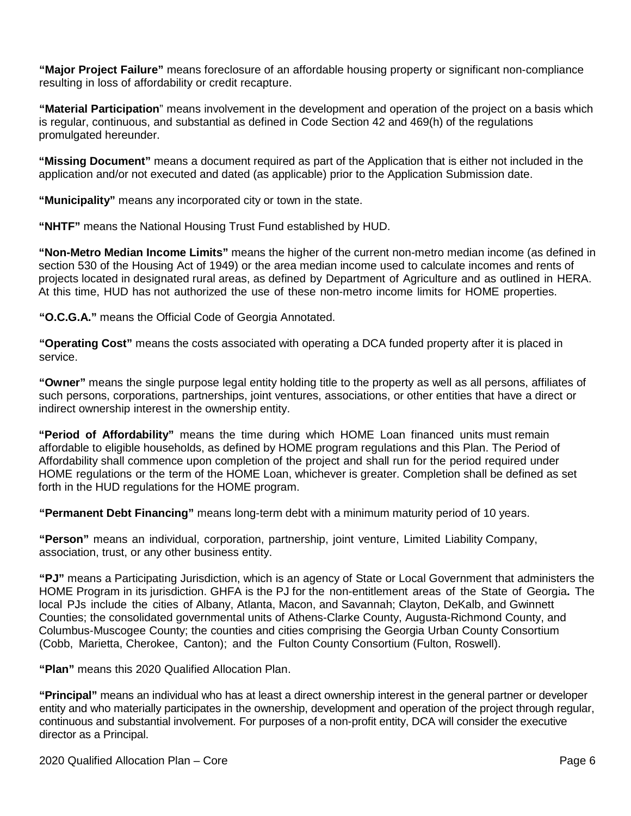**"Major Project Failure"** means foreclosure of an affordable housing property or significant non-compliance resulting in loss of affordability or credit recapture.

**"Material Participation**" means involvement in the development and operation of the project on a basis which is regular, continuous, and substantial as defined in Code Section 42 and 469(h) of the regulations promulgated hereunder.

**"Missing Document"** means a document required as part of the Application that is either not included in the application and/or not executed and dated (as applicable) prior to the Application Submission date.

**"Municipality"** means any incorporated city or town in the state.

**"NHTF"** means the National Housing Trust Fund established by HUD.

**"Non-Metro Median Income Limits"** means the higher of the current non-metro median income (as defined in section 530 of the Housing Act of 1949) or the area median income used to calculate incomes and rents of projects located in designated rural areas, as defined by Department of Agriculture and as outlined in HERA. At this time, HUD has not authorized the use of these non-metro income limits for HOME properties.

**"O.C.G.A."** means the Official Code of Georgia Annotated.

**"Operating Cost"** means the costs associated with operating a DCA funded property after it is placed in service.

**"Owner"** means the single purpose legal entity holding title to the property as well as all persons, affiliates of such persons, corporations, partnerships, joint ventures, associations, or other entities that have a direct or indirect ownership interest in the ownership entity.

**"Period of Affordability"** means the time during which HOME Loan financed units must remain affordable to eligible households, as defined by HOME program regulations and this Plan. The Period of Affordability shall commence upon completion of the project and shall run for the period required under HOME regulations or the term of the HOME Loan, whichever is greater. Completion shall be defined as set forth in the HUD regulations for the HOME program.

**"Permanent Debt Financing"** means long-term debt with a minimum maturity period of 10 years.

**"Person"** means an individual, corporation, partnership, joint venture, Limited Liability Company, association, trust, or any other business entity.

**"PJ"** means a Participating Jurisdiction, which is an agency of State or Local Government that administers the HOME Program in its jurisdiction. GHFA is the PJ for the non-entitlement areas of the State of Georgia**.** The local PJs include the cities of Albany, Atlanta, Macon, and Savannah; Clayton, DeKalb, and Gwinnett Counties; the consolidated governmental units of Athens-Clarke County, Augusta-Richmond County, and Columbus-Muscogee County; the counties and cities comprising the Georgia Urban County Consortium (Cobb, Marietta, Cherokee, Canton); and the Fulton County Consortium (Fulton, Roswell).

**"Plan"** means this 2020 Qualified Allocation Plan.

**"Principal"** means an individual who has at least a direct ownership interest in the general partner or developer entity and who materially participates in the ownership, development and operation of the project through regular, continuous and substantial involvement. For purposes of a non-profit entity, DCA will consider the executive director as a Principal.

2020 Qualified Allocation Plan – Core Page 6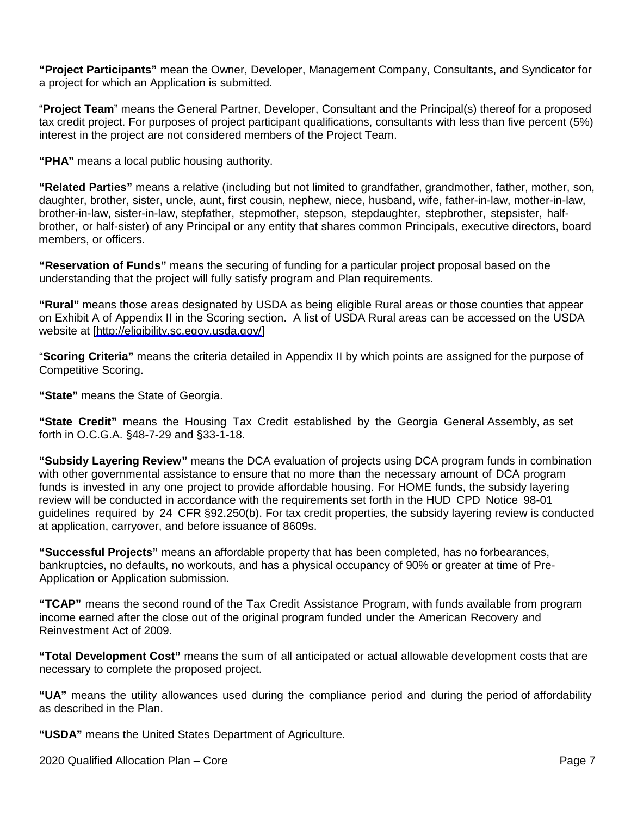**"Project Participants"** mean the Owner, Developer, Management Company, Consultants, and Syndicator for a project for which an Application is submitted.

"**Project Team**" means the General Partner, Developer, Consultant and the Principal(s) thereof for a proposed tax credit project. For purposes of project participant qualifications, consultants with less than five percent (5%) interest in the project are not considered members of the Project Team.

**"PHA"** means a local public housing authority.

**"Related Parties"** means a relative (including but not limited to grandfather, grandmother, father, mother, son, daughter, brother, sister, uncle, aunt, first cousin, nephew, niece, husband, wife, father-in-law, mother-in-law, brother-in-law, sister-in-law, stepfather, stepmother, stepson, stepdaughter, stepbrother, stepsister, halfbrother, or half-sister) of any Principal or any entity that shares common Principals, executive directors, board members, or officers.

**"Reservation of Funds"** means the securing of funding for a particular project proposal based on the understanding that the project will fully satisfy program and Plan requirements.

**"Rural"** means those areas designated by USDA as being eligible Rural areas or those counties that appear on Exhibit A of Appendix II in the Scoring section. A list of USDA Rural areas can be accessed on the USDA website at [\[http://eligibility.sc.egov.usda.gov/\]](http://eligibility.sc.egov.usda.gov/)

"**Scoring Criteria"** means the criteria detailed in Appendix II by which points are assigned for the purpose of Competitive Scoring.

**"State"** means the State of Georgia.

**"State Credit"** means the Housing Tax Credit established by the Georgia General Assembly, as set forth in O.C.G.A. §48-7-29 and §33-1-18.

**"Subsidy Layering Review"** means the DCA evaluation of projects using DCA program funds in combination with other governmental assistance to ensure that no more than the necessary amount of DCA program funds is invested in any one project to provide affordable housing. For HOME funds, the subsidy layering review will be conducted in accordance with the requirements set forth in the HUD CPD Notice 98-01 guidelines required by 24 CFR §92.250(b). For tax credit properties, the subsidy layering review is conducted at application, carryover, and before issuance of 8609s.

**"Successful Projects"** means an affordable property that has been completed, has no forbearances, bankruptcies, no defaults, no workouts, and has a physical occupancy of 90% or greater at time of Pre-Application or Application submission.

**"TCAP"** means the second round of the Tax Credit Assistance Program, with funds available from program income earned after the close out of the original program funded under the American Recovery and Reinvestment Act of 2009.

**"Total Development Cost"** means the sum of all anticipated or actual allowable development costs that are necessary to complete the proposed project.

**"UA"** means the utility allowances used during the compliance period and during the period of affordability as described in the Plan.

**"USDA"** means the United States Department of Agriculture.

2020 Qualified Allocation Plan – Core Page 7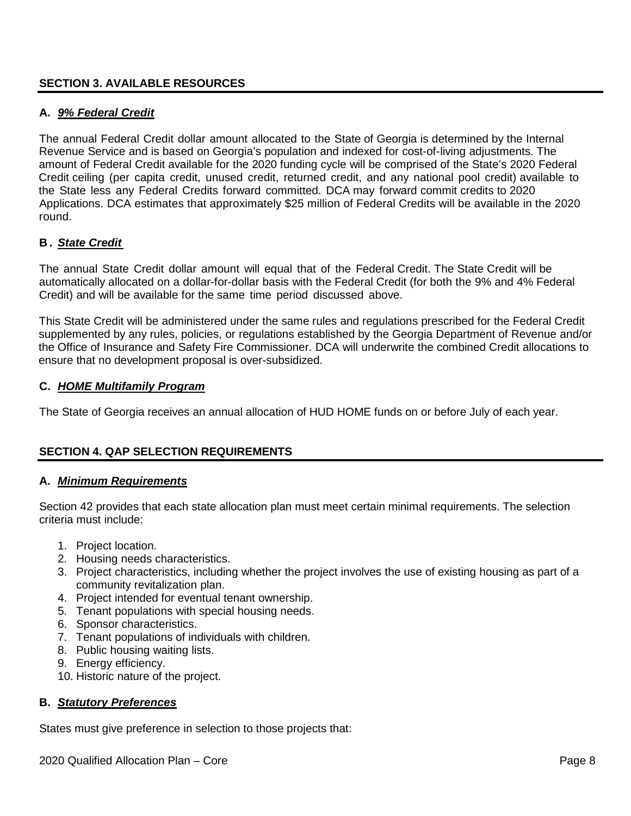#### <span id="page-7-0"></span>**SECTION 3. AVAILABLE RESOURCES**

#### **A.** *9% Federal Credit*

The annual Federal Credit dollar amount allocated to the State of Georgia is determined by the Internal Revenue Service and is based on Georgia's population and indexed for cost-of-living adjustments. The amount of Federal Credit available for the 2020 funding cycle will be comprised of the State's 2020 Federal Credit ceiling (per capita credit, unused credit, returned credit, and any national pool credit) available to the State less any Federal Credits forward committed. DCA may forward commit credits to 2020 Applications. DCA estimates that approximately \$25 million of Federal Credits will be available in the 2020 round.

### **B .** *State Credit*

The annual State Credit dollar amount will equal that of the Federal Credit. The State Credit will be automatically allocated on a dollar-for-dollar basis with the Federal Credit (for both the 9% and 4% Federal Credit) and will be available for the same time period discussed above.

This State Credit will be administered under the same rules and regulations prescribed for the Federal Credit supplemented by any rules, policies, or regulations established by the Georgia Department of Revenue and/or the Office of Insurance and Safety Fire Commissioner. DCA will underwrite the combined Credit allocations to ensure that no development proposal is over-subsidized.

#### **C.** *HOME Multifamily Program*

The State of Georgia receives an annual allocation of HUD HOME funds on or before July of each year.

#### <span id="page-7-1"></span>**SECTION 4. QAP SELECTION REQUIREMENTS**

#### **A.** *Minimum Requirements*

Section 42 provides that each state allocation plan must meet certain minimal requirements. The selection criteria must include:

- 1. Project location.
- 2. Housing needs characteristics.
- 3. Project characteristics, including whether the project involves the use of existing housing as part of a community revitalization plan.
- 4. Project intended for eventual tenant ownership.
- 5. Tenant populations with special housing needs.
- 6. Sponsor characteristics.
- 7. Tenant populations of individuals with children.
- 8. Public housing waiting lists.
- 9. Energy efficiency.
- 10. Historic nature of the project.

#### **B.** *Statutory Preferences*

States must give preference in selection to those projects that: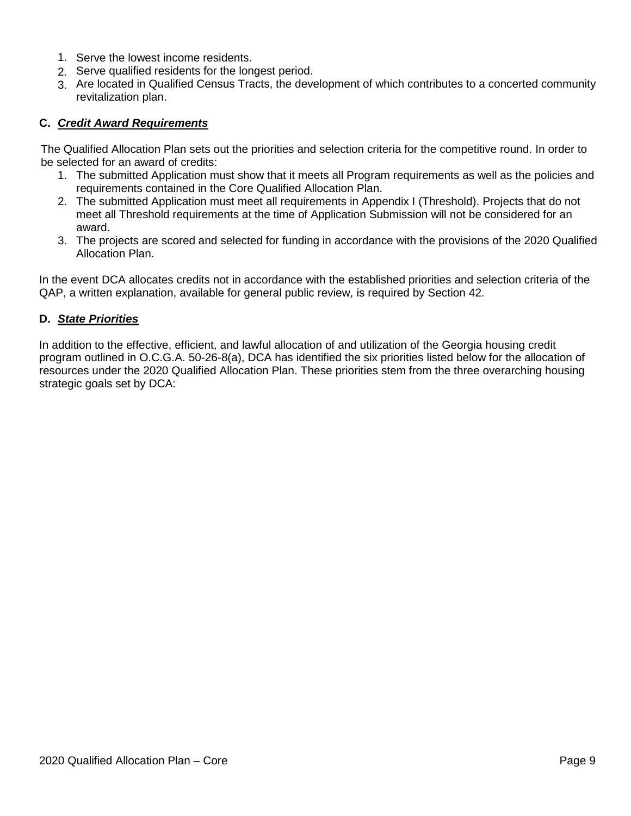- 1. Serve the lowest income residents.
- 2. Serve qualified residents for the longest period.
- 3. Are located in Qualified Census Tracts, the development of which contributes to a concerted community revitalization plan.

## **C.** *Credit Award Requirements*

The Qualified Allocation Plan sets out the priorities and selection criteria for the competitive round. In order to be selected for an award of credits:

- 1. The submitted Application must show that it meets all Program requirements as well as the policies and requirements contained in the Core Qualified Allocation Plan.
- 2. The submitted Application must meet all requirements in Appendix I (Threshold). Projects that do not meet all Threshold requirements at the time of Application Submission will not be considered for an award.
- 3. The projects are scored and selected for funding in accordance with the provisions of the 2020 Qualified Allocation Plan.

In the event DCA allocates credits not in accordance with the established priorities and selection criteria of the QAP, a written explanation, available for general public review, is required by Section 42.

#### **D.** *State Priorities*

In addition to the effective, efficient, and lawful allocation of and utilization of the Georgia housing credit program outlined in O.C.G.A. 50-26-8(a), DCA has identified the six priorities listed below for the allocation of resources under the 2020 Qualified Allocation Plan. These priorities stem from the three overarching housing strategic goals set by DCA: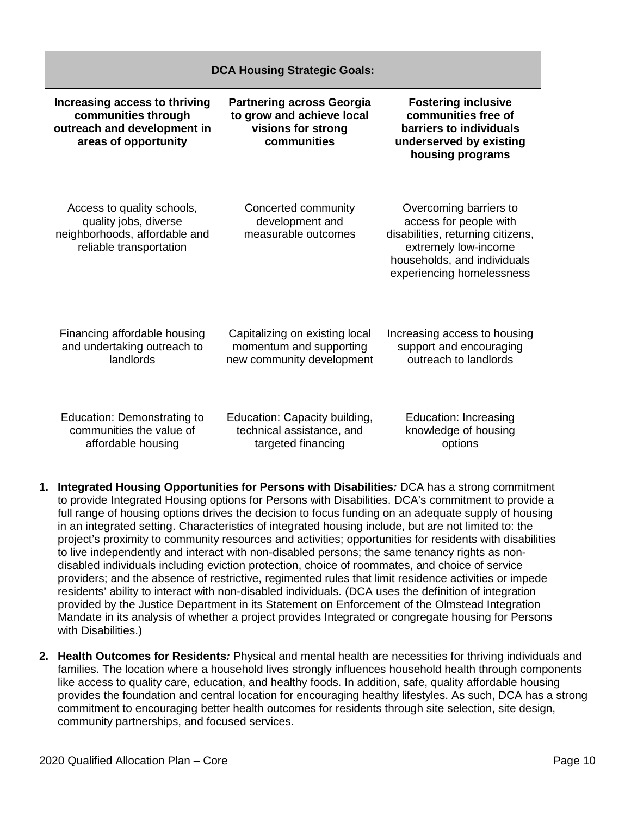| <b>DCA Housing Strategic Goals:</b>                                                                             |                                                                                                    |                                                                                                                                                                           |  |  |
|-----------------------------------------------------------------------------------------------------------------|----------------------------------------------------------------------------------------------------|---------------------------------------------------------------------------------------------------------------------------------------------------------------------------|--|--|
| Increasing access to thriving<br>communities through<br>outreach and development in<br>areas of opportunity     | <b>Partnering across Georgia</b><br>to grow and achieve local<br>visions for strong<br>communities | <b>Fostering inclusive</b><br>communities free of<br>barriers to individuals<br>underserved by existing<br>housing programs                                               |  |  |
| Access to quality schools,<br>quality jobs, diverse<br>neighborhoods, affordable and<br>reliable transportation | Concerted community<br>development and<br>measurable outcomes                                      | Overcoming barriers to<br>access for people with<br>disabilities, returning citizens,<br>extremely low-income<br>households, and individuals<br>experiencing homelessness |  |  |
| Financing affordable housing<br>and undertaking outreach to<br>landlords                                        | Capitalizing on existing local<br>momentum and supporting<br>new community development             | Increasing access to housing<br>support and encouraging<br>outreach to landlords                                                                                          |  |  |
| <b>Education: Demonstrating to</b><br>communities the value of<br>affordable housing                            | Education: Capacity building,<br>technical assistance, and<br>targeted financing                   | <b>Education: Increasing</b><br>knowledge of housing<br>options                                                                                                           |  |  |

- **1. Integrated Housing Opportunities for Persons with Disabilities***:* DCA has a strong commitment to provide Integrated Housing options for Persons with Disabilities. DCA's commitment to provide a full range of housing options drives the decision to focus funding on an adequate supply of housing in an integrated setting. Characteristics of integrated housing include, but are not limited to: the project's proximity to community resources and activities; opportunities for residents with disabilities to live independently and interact with non-disabled persons; the same tenancy rights as nondisabled individuals including eviction protection, choice of roommates, and choice of service providers; and the absence of restrictive, regimented rules that limit residence activities or impede residents' ability to interact with non-disabled individuals. (DCA uses the definition of integration provided by the Justice Department in its Statement on Enforcement of the Olmstead Integration Mandate in its analysis of whether a project provides Integrated or congregate housing for Persons with Disabilities.)
- **2. Health Outcomes for Residents***:* Physical and mental health are necessities for thriving individuals and families. The location where a household lives strongly influences household health through components like access to quality care, education, and healthy foods. In addition, safe, quality affordable housing provides the foundation and central location for encouraging healthy lifestyles. As such, DCA has a strong commitment to encouraging better health outcomes for residents through site selection, site design, community partnerships, and focused services.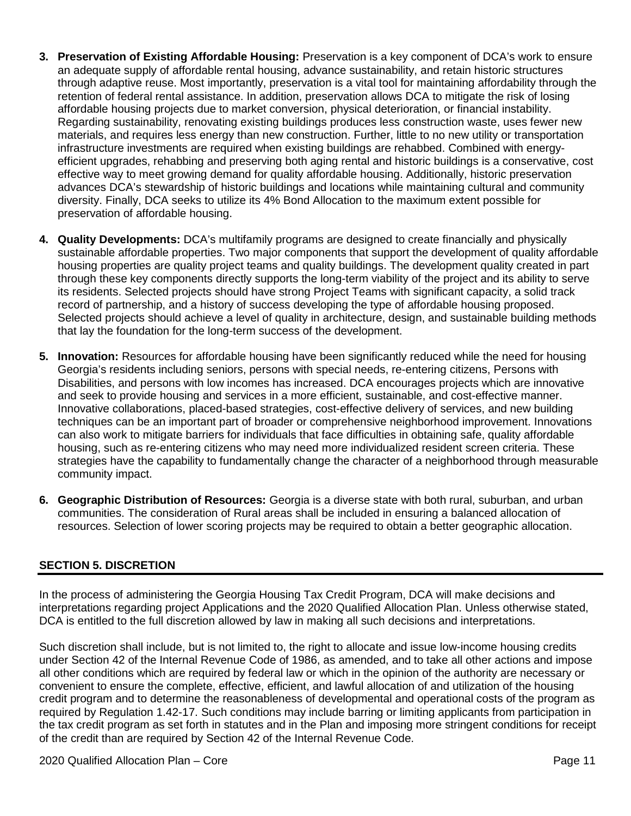- **3. Preservation of Existing Affordable Housing:** Preservation is a key component of DCA's work to ensure an adequate supply of affordable rental housing, advance sustainability, and retain historic structures through adaptive reuse. Most importantly, preservation is a vital tool for maintaining affordability through the retention of federal rental assistance. In addition, preservation allows DCA to mitigate the risk of losing affordable housing projects due to market conversion, physical deterioration, or financial instability. Regarding sustainability, renovating existing buildings produces less construction waste, uses fewer new materials, and requires less energy than new construction. Further, little to no new utility or transportation infrastructure investments are required when existing buildings are rehabbed. Combined with energyefficient upgrades, rehabbing and preserving both aging rental and historic buildings is a conservative, cost effective way to meet growing demand for quality affordable housing. Additionally, historic preservation advances DCA's stewardship of historic buildings and locations while maintaining cultural and community diversity. Finally, DCA seeks to utilize its 4% Bond Allocation to the maximum extent possible for preservation of affordable housing.
- **4. Quality Developments:** DCA's multifamily programs are designed to create financially and physically sustainable affordable properties. Two major components that support the development of quality affordable housing properties are quality project teams and quality buildings. The development quality created in part through these key components directly supports the long-term viability of the project and its ability to serve its residents. Selected projects should have strong Project Teams with significant capacity, a solid track record of partnership, and a history of success developing the type of affordable housing proposed. Selected projects should achieve a level of quality in architecture, design, and sustainable building methods that lay the foundation for the long-term success of the development.
- **5. Innovation:** Resources for affordable housing have been significantly reduced while the need for housing Georgia's residents including seniors, persons with special needs, re-entering citizens, Persons with Disabilities, and persons with low incomes has increased. DCA encourages projects which are innovative and seek to provide housing and services in a more efficient, sustainable, and cost-effective manner. Innovative collaborations, placed-based strategies, cost-effective delivery of services, and new building techniques can be an important part of broader or comprehensive neighborhood improvement. Innovations can also work to mitigate barriers for individuals that face difficulties in obtaining safe, quality affordable housing, such as re-entering citizens who may need more individualized resident screen criteria. These strategies have the capability to fundamentally change the character of a neighborhood through measurable community impact.
- **6. Geographic Distribution of Resources:** Georgia is a diverse state with both rural, suburban, and urban communities. The consideration of Rural areas shall be included in ensuring a balanced allocation of resources. Selection of lower scoring projects may be required to obtain a better geographic allocation.

#### <span id="page-10-0"></span>**SECTION 5. DISCRETION**

In the process of administering the Georgia Housing Tax Credit Program, DCA will make decisions and interpretations regarding project Applications and the 2020 Qualified Allocation Plan. Unless otherwise stated, DCA is entitled to the full discretion allowed by law in making all such decisions and interpretations.

Such discretion shall include, but is not limited to, the right to allocate and issue low-income housing credits under Section 42 of the Internal Revenue Code of 1986, as amended, and to take all other actions and impose all other conditions which are required by federal law or which in the opinion of the authority are necessary or convenient to ensure the complete, effective, efficient, and lawful allocation of and utilization of the housing credit program and to determine the reasonableness of developmental and operational costs of the program as required by Regulation 1.42-17. Such conditions may include barring or limiting applicants from participation in the tax credit program as set forth in statutes and in the Plan and imposing more stringent conditions for receipt of the credit than are required by Section 42 of the Internal Revenue Code.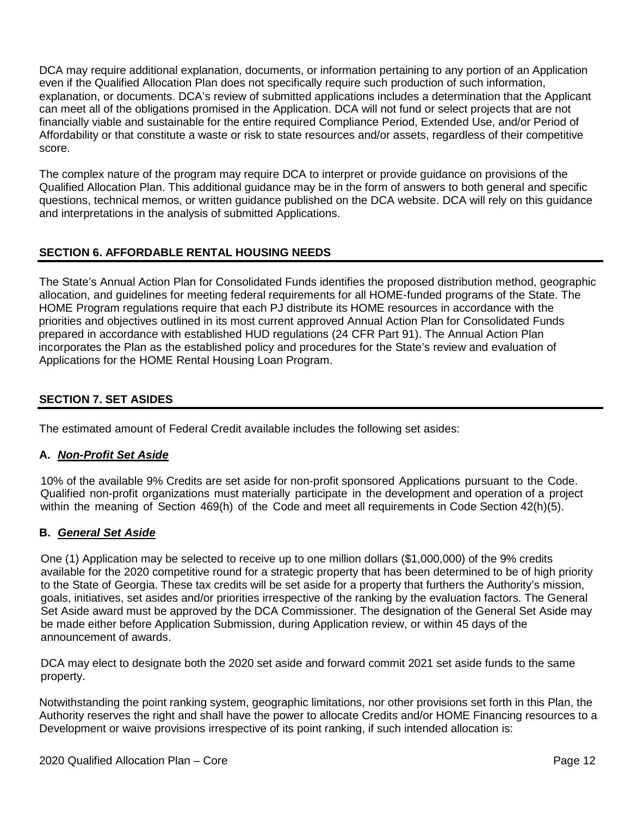DCA may require additional explanation, documents, or information pertaining to any portion of an Application even if the Qualified Allocation Plan does not specifically require such production of such information, explanation, or documents. DCA's review of submitted applications includes a determination that the Applicant can meet all of the obligations promised in the Application. DCA will not fund or select projects that are not financially viable and sustainable for the entire required Compliance Period, Extended Use, and/or Period of Affordability or that constitute a waste or risk to state resources and/or assets, regardless of their competitive score.

The complex nature of the program may require DCA to interpret or provide guidance on provisions of the Qualified Allocation Plan. This additional guidance may be in the form of answers to both general and specific questions, technical memos, or written guidance published on the DCA website. DCA will rely on this guidance and interpretations in the analysis of submitted Applications.

## <span id="page-11-0"></span>**SECTION 6. AFFORDABLE RENTAL HOUSING NEEDS**

The State's Annual Action Plan for Consolidated Funds identifies the proposed distribution method, geographic allocation, and guidelines for meeting federal requirements for all HOME-funded programs of the State. The HOME Program regulations require that each PJ distribute its HOME resources in accordance with the priorities and objectives outlined in its most current approved Annual Action Plan for Consolidated Funds prepared in accordance with established HUD regulations (24 CFR Part 91). The Annual Action Plan incorporates the Plan as the established policy and procedures for the State's review and evaluation of Applications for the HOME Rental Housing Loan Program.

## <span id="page-11-1"></span>**SECTION 7. SET ASIDES**

The estimated amount of Federal Credit available includes the following set asides:

#### **A.** *Non-Profit Set Aside*

10% of the available 9% Credits are set aside for non-profit sponsored Applications pursuant to the Code. Qualified non-profit organizations must materially participate in the development and operation of a project within the meaning of Section 469(h) of the Code and meet all requirements in Code Section 42(h)(5).

#### **B.** *General Set Aside*

One (1) Application may be selected to receive up to one million dollars (\$1,000,000) of the 9% credits available for the 2020 competitive round for a strategic property that has been determined to be of high priority to the State of Georgia. These tax credits will be set aside for a property that furthers the Authority's mission, goals, initiatives, set asides and/or priorities irrespective of the ranking by the evaluation factors. The General Set Aside award must be approved by the DCA Commissioner. The designation of the General Set Aside may be made either before Application Submission, during Application review, or within 45 days of the announcement of awards.

DCA may elect to designate both the 2020 set aside and forward commit 2021 set aside funds to the same property.

Notwithstanding the point ranking system, geographic limitations, nor other provisions set forth in this Plan, the Authority reserves the right and shall have the power to allocate Credits and/or HOME Financing resources to a Development or waive provisions irrespective of its point ranking, if such intended allocation is: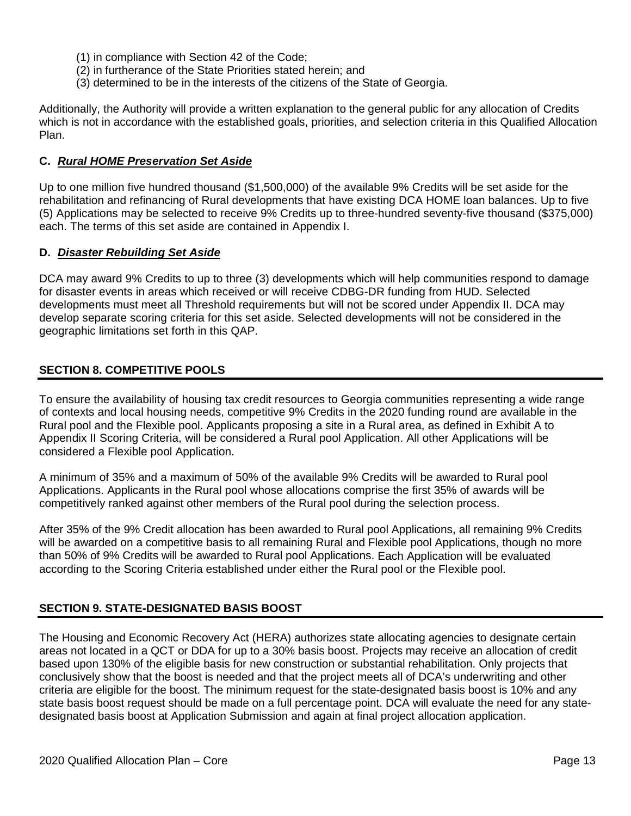- (1) in compliance with Section 42 of the Code;
- (2) in furtherance of the State Priorities stated herein; and
- (3) determined to be in the interests of the citizens of the State of Georgia.

Additionally, the Authority will provide a written explanation to the general public for any allocation of Credits which is not in accordance with the established goals, priorities, and selection criteria in this Qualified Allocation Plan.

### **C.** *Rural HOME Preservation Set Aside*

Up to one million five hundred thousand (\$1,500,000) of the available 9% Credits will be set aside for the rehabilitation and refinancing of Rural developments that have existing DCA HOME loan balances. Up to five (5) Applications may be selected to receive 9% Credits up to three-hundred seventy-five thousand (\$375,000) each. The terms of this set aside are contained in Appendix I.

#### **D.** *Disaster Rebuilding Set Aside*

DCA may award 9% Credits to up to three (3) developments which will help communities respond to damage for disaster events in areas which received or will receive CDBG-DR funding from HUD. Selected developments must meet all Threshold requirements but will not be scored under Appendix II. DCA may develop separate scoring criteria for this set aside. Selected developments will not be considered in the geographic limitations set forth in this QAP.

#### <span id="page-12-0"></span>**SECTION 8. COMPETITIVE POOLS**

To ensure the availability of housing tax credit resources to Georgia communities representing a wide range of contexts and local housing needs, competitive 9% Credits in the 2020 funding round are available in the Rural pool and the Flexible pool. Applicants proposing a site in a Rural area, as defined in Exhibit A to Appendix II Scoring Criteria, will be considered a Rural pool Application. All other Applications will be considered a Flexible pool Application.

A minimum of 35% and a maximum of 50% of the available 9% Credits will be awarded to Rural pool Applications. Applicants in the Rural pool whose allocations comprise the first 35% of awards will be competitively ranked against other members of the Rural pool during the selection process.

After 35% of the 9% Credit allocation has been awarded to Rural pool Applications, all remaining 9% Credits will be awarded on a competitive basis to all remaining Rural and Flexible pool Applications, though no more than 50% of 9% Credits will be awarded to Rural pool Applications. Each Application will be evaluated according to the Scoring Criteria established under either the Rural pool or the Flexible pool.

#### <span id="page-12-1"></span>**SECTION 9. STATE-DESIGNATED BASIS BOOST**

The Housing and Economic Recovery Act (HERA) authorizes state allocating agencies to designate certain areas not located in a QCT or DDA for up to a 30% basis boost. Projects may receive an allocation of credit based upon 130% of the eligible basis for new construction or substantial rehabilitation. Only projects that conclusively show that the boost is needed and that the project meets all of DCA's underwriting and other criteria are eligible for the boost. The minimum request for the state-designated basis boost is 10% and any state basis boost request should be made on a full percentage point. DCA will evaluate the need for any statedesignated basis boost at Application Submission and again at final project allocation application.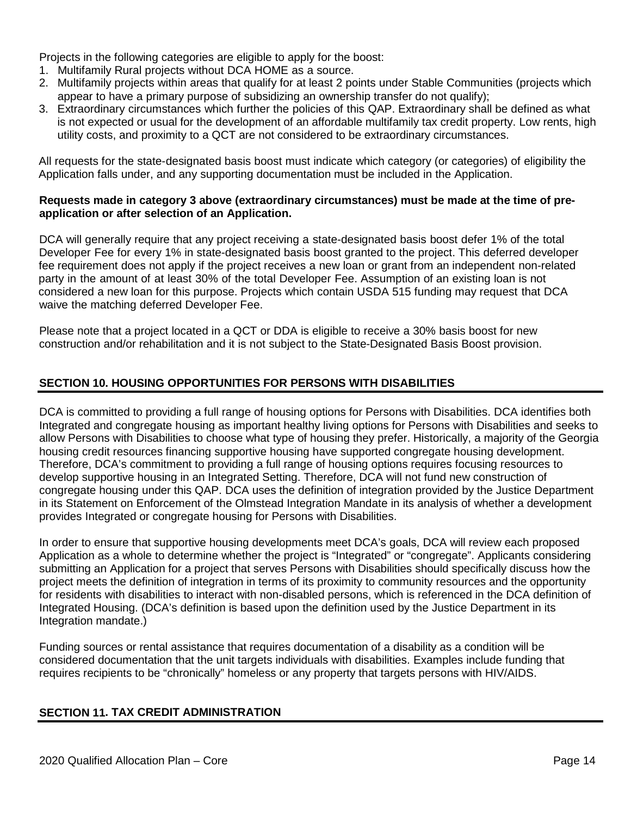Projects in the following categories are eligible to apply for the boost:

- 1. Multifamily Rural projects without DCA HOME as a source.
- 2. Multifamily projects within areas that qualify for at least 2 points under Stable Communities (projects which appear to have a primary purpose of subsidizing an ownership transfer do not qualify);
- 3. Extraordinary circumstances which further the policies of this QAP. Extraordinary shall be defined as what is not expected or usual for the development of an affordable multifamily tax credit property. Low rents, high utility costs, and proximity to a QCT are not considered to be extraordinary circumstances.

All requests for the state-designated basis boost must indicate which category (or categories) of eligibility the Application falls under, and any supporting documentation must be included in the Application.

#### **Requests made in category 3 above (extraordinary circumstances) must be made at the time of preapplication or after selection of an Application.**

DCA will generally require that any project receiving a state-designated basis boost defer 1% of the total Developer Fee for every 1% in state-designated basis boost granted to the project. This deferred developer fee requirement does not apply if the project receives a new loan or grant from an independent non-related party in the amount of at least 30% of the total Developer Fee. Assumption of an existing loan is not considered a new loan for this purpose. Projects which contain USDA 515 funding may request that DCA waive the matching deferred Developer Fee.

Please note that a project located in a QCT or DDA is eligible to receive a 30% basis boost for new construction and/or rehabilitation and it is not subject to the State-Designated Basis Boost provision.

## <span id="page-13-0"></span>**SECTION 10. HOUSING OPPORTUNITIES FOR PERSONS WITH DISABILITIES**

DCA is committed to providing a full range of housing options for Persons with Disabilities. DCA identifies both Integrated and congregate housing as important healthy living options for Persons with Disabilities and seeks to allow Persons with Disabilities to choose what type of housing they prefer. Historically, a majority of the Georgia housing credit resources financing supportive housing have supported congregate housing development. Therefore, DCA's commitment to providing a full range of housing options requires focusing resources to develop supportive housing in an Integrated Setting. Therefore, DCA will not fund new construction of congregate housing under this QAP. DCA uses the definition of integration provided by the Justice Department in its Statement on Enforcement of the Olmstead Integration Mandate in its analysis of whether a development provides Integrated or congregate housing for Persons with Disabilities.

In order to ensure that supportive housing developments meet DCA's goals, DCA will review each proposed Application as a whole to determine whether the project is "Integrated" or "congregate". Applicants considering submitting an Application for a project that serves Persons with Disabilities should specifically discuss how the project meets the definition of integration in terms of its proximity to community resources and the opportunity for residents with disabilities to interact with non-disabled persons, which is referenced in the DCA definition of Integrated Housing. (DCA's definition is based upon the definition used by the Justice Department in its Integration mandate.)

<span id="page-13-1"></span>Funding sources or rental assistance that requires documentation of a disability as a condition will be considered documentation that the unit targets individuals with disabilities. Examples include funding that requires recipients to be "chronically" homeless or any property that targets persons with HIV/AIDS.

#### **SECTION 11. TAX CREDIT ADMINISTRATION**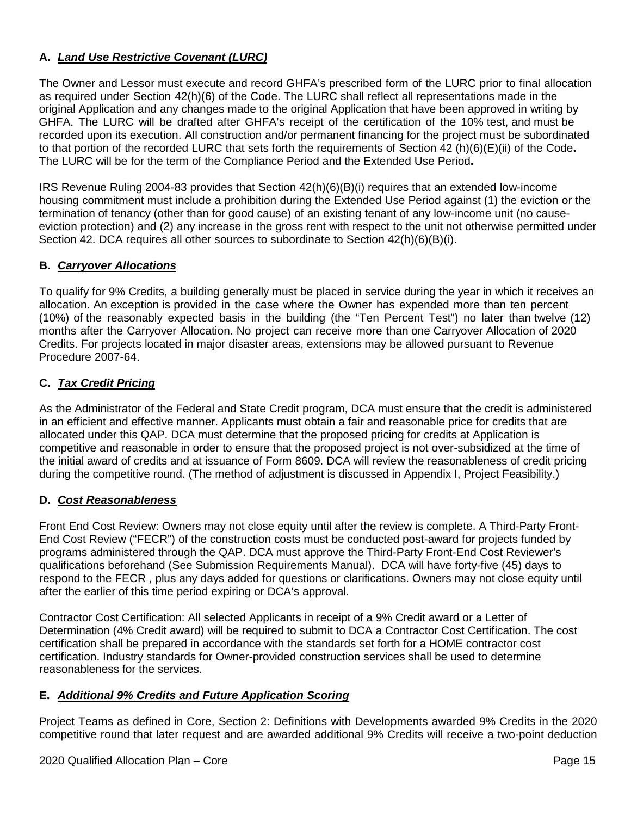## **A.** *Land Use Restrictive Covenant (LURC)*

The Owner and Lessor must execute and record GHFA's prescribed form of the LURC prior to final allocation as required under Section 42(h)(6) of the Code. The LURC shall reflect all representations made in the original Application and any changes made to the original Application that have been approved in writing by GHFA. The LURC will be drafted after GHFA's receipt of the certification of the 10% test, and must be recorded upon its execution. All construction and/or permanent financing for the project must be subordinated to that portion of the recorded LURC that sets forth the requirements of Section 42 (h)(6)(E)(ii) of the Code**.** The LURC will be for the term of the Compliance Period and the Extended Use Period**.**

IRS Revenue Ruling 2004-83 provides that Section 42(h)(6)(B)(i) requires that an extended low-income housing commitment must include a prohibition during the Extended Use Period against (1) the eviction or the termination of tenancy (other than for good cause) of an existing tenant of any low-income unit (no causeeviction protection) and (2) any increase in the gross rent with respect to the unit not otherwise permitted under Section 42. DCA requires all other sources to subordinate to Section 42(h)(6)(B)(i).

### **B.** *Carryover Allocations*

To qualify for 9% Credits, a building generally must be placed in service during the year in which it receives an allocation. An exception is provided in the case where the Owner has expended more than ten percent (10%) of the reasonably expected basis in the building (the "Ten Percent Test") no later than twelve (12) months after the Carryover Allocation. No project can receive more than one Carryover Allocation of 2020 Credits. For projects located in major disaster areas, extensions may be allowed pursuant to Revenue Procedure 2007-64.

### **C.** *Tax Credit Pricing*

As the Administrator of the Federal and State Credit program, DCA must ensure that the credit is administered in an efficient and effective manner. Applicants must obtain a fair and reasonable price for credits that are allocated under this QAP. DCA must determine that the proposed pricing for credits at Application is competitive and reasonable in order to ensure that the proposed project is not over-subsidized at the time of the initial award of credits and at issuance of Form 8609. DCA will review the reasonableness of credit pricing during the competitive round. (The method of adjustment is discussed in Appendix I, Project Feasibility.)

#### **D.** *Cost Reasonableness*

Front End Cost Review: Owners may not close equity until after the review is complete. A Third-Party Front-End Cost Review ("FECR") of the construction costs must be conducted post-award for projects funded by programs administered through the QAP. DCA must approve the Third-Party Front-End Cost Reviewer's qualifications beforehand (See Submission Requirements Manual). DCA will have forty-five (45) days to respond to the FECR , plus any days added for questions or clarifications. Owners may not close equity until after the earlier of this time period expiring or DCA's approval.

Contractor Cost Certification: All selected Applicants in receipt of a 9% Credit award or a Letter of Determination (4% Credit award) will be required to submit to DCA a Contractor Cost Certification. The cost certification shall be prepared in accordance with the standards set forth for a HOME contractor cost certification. Industry standards for Owner-provided construction services shall be used to determine reasonableness for the services.

#### **E.** *Additional 9% Credits and Future Application Scoring*

Project Teams as defined in Core, Section 2: Definitions with Developments awarded 9% Credits in the 2020 competitive round that later request and are awarded additional 9% Credits will receive a two-point deduction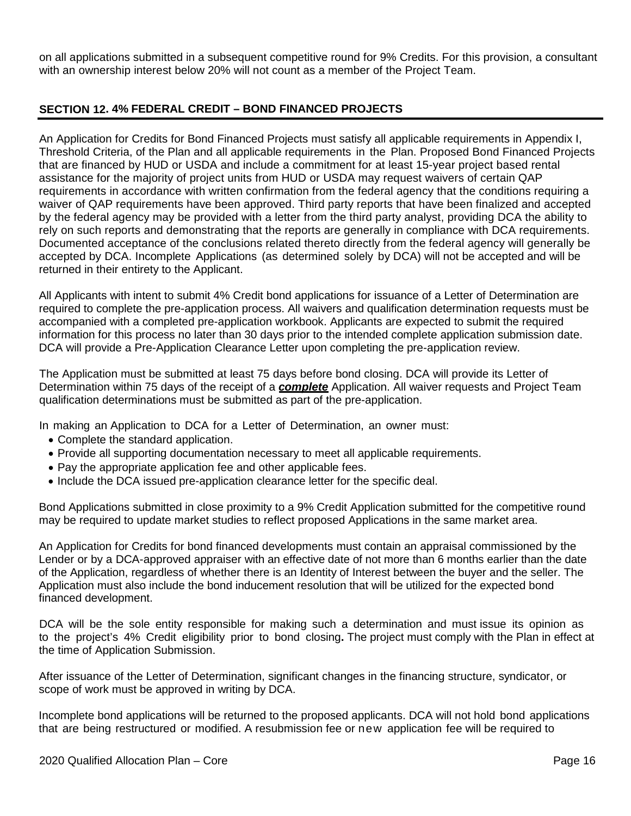on all applications submitted in a subsequent competitive round for 9% Credits. For this provision, a consultant with an ownership interest below 20% will not count as a member of the Project Team.

## <span id="page-15-0"></span>**SECTION 12. 4% FEDERAL CREDIT – BOND FINANCED PROJECTS**

An Application for Credits for Bond Financed Projects must satisfy all applicable requirements in Appendix I, Threshold Criteria, of the Plan and all applicable requirements in the Plan. Proposed Bond Financed Projects that are financed by HUD or USDA and include a commitment for at least 15-year project based rental assistance for the majority of project units from HUD or USDA may request waivers of certain QAP requirements in accordance with written confirmation from the federal agency that the conditions requiring a waiver of QAP requirements have been approved. Third party reports that have been finalized and accepted by the federal agency may be provided with a letter from the third party analyst, providing DCA the ability to rely on such reports and demonstrating that the reports are generally in compliance with DCA requirements. Documented acceptance of the conclusions related thereto directly from the federal agency will generally be accepted by DCA. Incomplete Applications (as determined solely by DCA) will not be accepted and will be returned in their entirety to the Applicant.

All Applicants with intent to submit 4% Credit bond applications for issuance of a Letter of Determination are required to complete the pre-application process. All waivers and qualification determination requests must be accompanied with a completed pre-application workbook. Applicants are expected to submit the required information for this process no later than 30 days prior to the intended complete application submission date. DCA will provide a Pre-Application Clearance Letter upon completing the pre-application review.

The Application must be submitted at least 75 days before bond closing. DCA will provide its Letter of Determination within 75 days of the receipt of a *complete* Application. All waiver requests and Project Team qualification determinations must be submitted as part of the pre-application.

In making an Application to DCA for a Letter of Determination, an owner must:

- Complete the standard application.
- Provide all supporting documentation necessary to meet all applicable requirements.
- Pay the appropriate application fee and other applicable fees.
- Include the DCA issued pre-application clearance letter for the specific deal.

Bond Applications submitted in close proximity to a 9% Credit Application submitted for the competitive round may be required to update market studies to reflect proposed Applications in the same market area.

An Application for Credits for bond financed developments must contain an appraisal commissioned by the Lender or by a DCA-approved appraiser with an effective date of not more than 6 months earlier than the date of the Application, regardless of whether there is an Identity of Interest between the buyer and the seller. The Application must also include the bond inducement resolution that will be utilized for the expected bond financed development.

DCA will be the sole entity responsible for making such a determination and must issue its opinion as to the project's 4% Credit eligibility prior to bond closing**.** The project must comply with the Plan in effect at the time of Application Submission.

After issuance of the Letter of Determination, significant changes in the financing structure, syndicator, or scope of work must be approved in writing by DCA.

Incomplete bond applications will be returned to the proposed applicants. DCA will not hold bond applications that are being restructured or modified. A resubmission fee or new application fee will be required to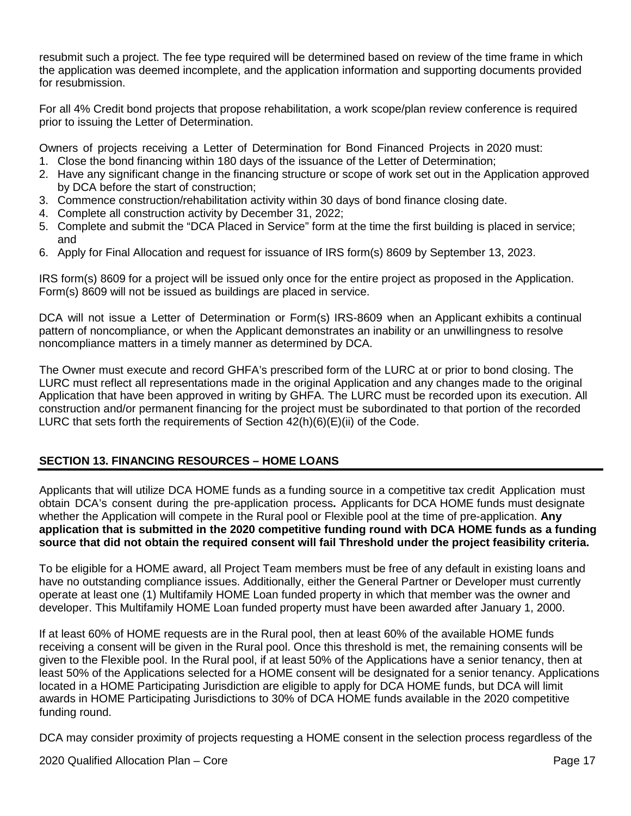resubmit such a project. The fee type required will be determined based on review of the time frame in which the application was deemed incomplete, and the application information and supporting documents provided for resubmission.

For all 4% Credit bond projects that propose rehabilitation, a work scope/plan review conference is required prior to issuing the Letter of Determination.

Owners of projects receiving a Letter of Determination for Bond Financed Projects in 2020 must:

- 1. Close the bond financing within 180 days of the issuance of the Letter of Determination;
- 2. Have any significant change in the financing structure or scope of work set out in the Application approved by DCA before the start of construction;
- 3. Commence construction/rehabilitation activity within 30 days of bond finance closing date.
- 4. Complete all construction activity by December 31, 2022;
- 5. Complete and submit the "DCA Placed in Service" form at the time the first building is placed in service; and
- 6. Apply for Final Allocation and request for issuance of IRS form(s) 8609 by September 13, 2023.

IRS form(s) 8609 for a project will be issued only once for the entire project as proposed in the Application. Form(s) 8609 will not be issued as buildings are placed in service.

DCA will not issue a Letter of Determination or Form(s) IRS-8609 when an Applicant exhibits a continual pattern of noncompliance, or when the Applicant demonstrates an inability or an unwillingness to resolve noncompliance matters in a timely manner as determined by DCA.

The Owner must execute and record GHFA's prescribed form of the LURC at or prior to bond closing. The LURC must reflect all representations made in the original Application and any changes made to the original Application that have been approved in writing by GHFA. The LURC must be recorded upon its execution. All construction and/or permanent financing for the project must be subordinated to that portion of the recorded LURC that sets forth the requirements of Section  $42(h)(6)(E)(ii)$  of the Code.

## <span id="page-16-0"></span>**SECTION 13. FINANCING RESOURCES – HOME LOANS**

Applicants that will utilize DCA HOME funds as a funding source in a competitive tax credit Application must obtain DCA's consent during the pre-application process**.** Applicants for DCA HOME funds must designate whether the Application will compete in the Rural pool or Flexible pool at the time of pre-application. **Any application that is submitted in the 2020 competitive funding round with DCA HOME funds as a funding source that did not obtain the required consent will fail Threshold under the project feasibility criteria.**

To be eligible for a HOME award, all Project Team members must be free of any default in existing loans and have no outstanding compliance issues. Additionally, either the General Partner or Developer must currently operate at least one (1) Multifamily HOME Loan funded property in which that member was the owner and developer. This Multifamily HOME Loan funded property must have been awarded after January 1, 2000.

If at least 60% of HOME requests are in the Rural pool, then at least 60% of the available HOME funds receiving a consent will be given in the Rural pool. Once this threshold is met, the remaining consents will be given to the Flexible pool. In the Rural pool, if at least 50% of the Applications have a senior tenancy, then at least 50% of the Applications selected for a HOME consent will be designated for a senior tenancy. Applications located in a HOME Participating Jurisdiction are eligible to apply for DCA HOME funds, but DCA will limit awards in HOME Participating Jurisdictions to 30% of DCA HOME funds available in the 2020 competitive funding round.

DCA may consider proximity of projects requesting a HOME consent in the selection process regardless of the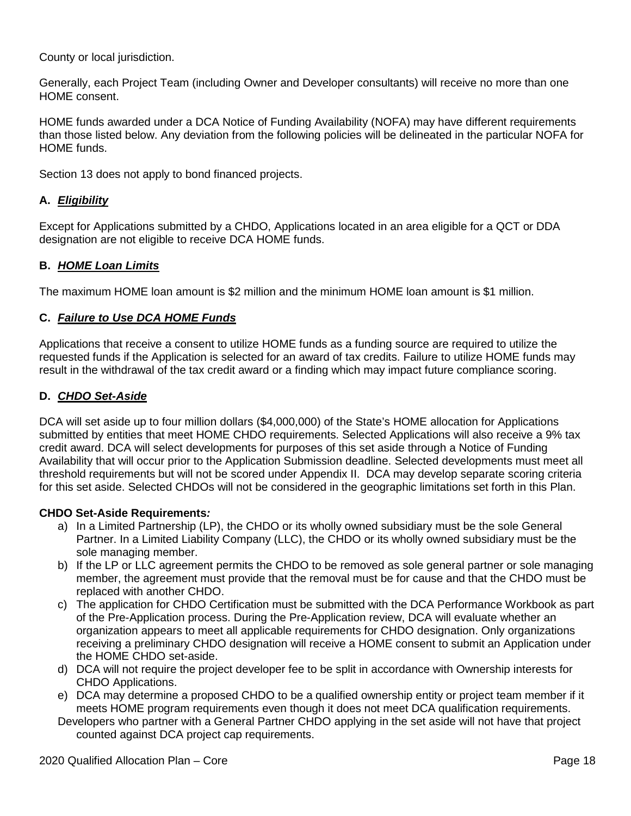County or local jurisdiction.

Generally, each Project Team (including Owner and Developer consultants) will receive no more than one HOME consent.

HOME funds awarded under a DCA Notice of Funding Availability (NOFA) may have different requirements than those listed below. Any deviation from the following policies will be delineated in the particular NOFA for HOME funds.

Section 13 does not apply to bond financed projects.

## **A.** *Eligibility*

Except for Applications submitted by a CHDO, Applications located in an area eligible for a QCT or DDA designation are not eligible to receive DCA HOME funds.

#### **B.** *HOME Loan Limits*

The maximum HOME loan amount is \$2 million and the minimum HOME loan amount is \$1 million.

#### **C.** *Failure to Use DCA HOME Funds*

Applications that receive a consent to utilize HOME funds as a funding source are required to utilize the requested funds if the Application is selected for an award of tax credits. Failure to utilize HOME funds may result in the withdrawal of the tax credit award or a finding which may impact future compliance scoring.

#### **D.** *CHDO Set-Aside*

DCA will set aside up to four million dollars (\$4,000,000) of the State's HOME allocation for Applications submitted by entities that meet HOME CHDO requirements. Selected Applications will also receive a 9% tax credit award. DCA will select developments for purposes of this set aside through a Notice of Funding Availability that will occur prior to the Application Submission deadline. Selected developments must meet all threshold requirements but will not be scored under Appendix II. DCA may develop separate scoring criteria for this set aside. Selected CHDOs will not be considered in the geographic limitations set forth in this Plan.

#### **CHDO Set-Aside Requirements***:*

- a) In a Limited Partnership (LP), the CHDO or its wholly owned subsidiary must be the sole General Partner. In a Limited Liability Company (LLC), the CHDO or its wholly owned subsidiary must be the sole managing member.
- b) If the LP or LLC agreement permits the CHDO to be removed as sole general partner or sole managing member, the agreement must provide that the removal must be for cause and that the CHDO must be replaced with another CHDO.
- c) The application for CHDO Certification must be submitted with the DCA Performance Workbook as part of the Pre-Application process. During the Pre-Application review, DCA will evaluate whether an organization appears to meet all applicable requirements for CHDO designation. Only organizations receiving a preliminary CHDO designation will receive a HOME consent to submit an Application under the HOME CHDO set-aside.
- d) DCA will not require the project developer fee to be split in accordance with Ownership interests for CHDO Applications.
- e) DCA may determine a proposed CHDO to be a qualified ownership entity or project team member if it meets HOME program requirements even though it does not meet DCA qualification requirements.
- Developers who partner with a General Partner CHDO applying in the set aside will not have that project counted against DCA project cap requirements.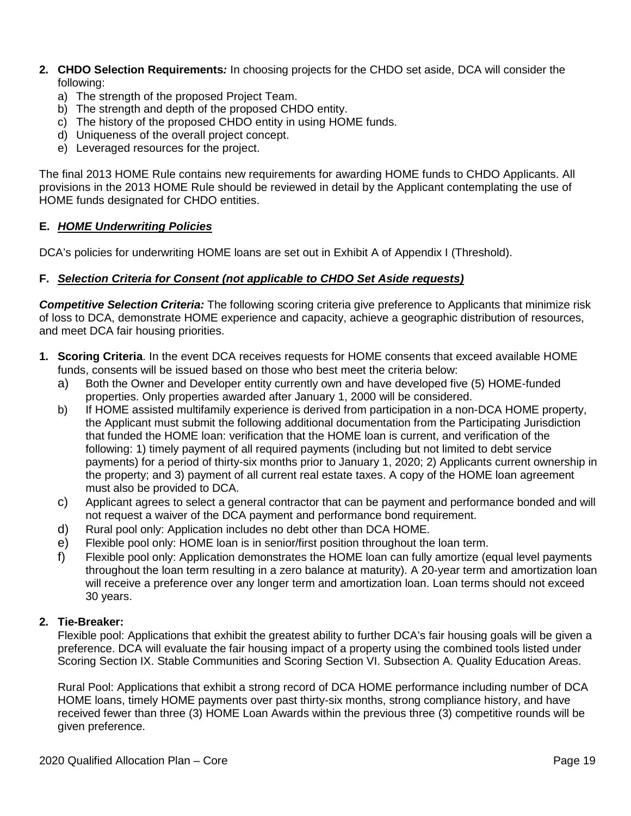- **2. CHDO Selection Requirements***:* In choosing projects for the CHDO set aside, DCA will consider the following:
	- a) The strength of the proposed Project Team.
	- b) The strength and depth of the proposed CHDO entity.
	- c) The history of the proposed CHDO entity in using HOME funds.
	- d) Uniqueness of the overall project concept.
	- e) Leveraged resources for the project.

The final 2013 HOME Rule contains new requirements for awarding HOME funds to CHDO Applicants. All provisions in the 2013 HOME Rule should be reviewed in detail by the Applicant contemplating the use of HOME funds designated for CHDO entities.

### **E.** *HOME Underwriting Policies*

DCA's policies for underwriting HOME loans are set out in Exhibit A of Appendix I (Threshold).

#### **F.** *Selection Criteria for Consent (not applicable to CHDO Set Aside requests)*

*Competitive Selection Criteria:* The following scoring criteria give preference to Applicants that minimize risk of loss to DCA, demonstrate HOME experience and capacity, achieve a geographic distribution of resources, and meet DCA fair housing priorities.

- **1. Scoring Criteria**. In the event DCA receives requests for HOME consents that exceed available HOME funds, consents will be issued based on those who best meet the criteria below:
	- a) Both the Owner and Developer entity currently own and have developed five (5) HOME-funded properties. Only properties awarded after January 1, 2000 will be considered.
	- b) If HOME assisted multifamily experience is derived from participation in a non-DCA HOME property, the Applicant must submit the following additional documentation from the Participating Jurisdiction that funded the HOME loan: verification that the HOME loan is current, and verification of the following: 1) timely payment of all required payments (including but not limited to debt service payments) for a period of thirty-six months prior to January 1, 2020; 2) Applicants current ownership in the property; and 3) payment of all current real estate taxes. A copy of the HOME loan agreement must also be provided to DCA.
	- c) Applicant agrees to select a general contractor that can be payment and performance bonded and will not request a waiver of the DCA payment and performance bond requirement.
	- d) Rural pool only: Application includes no debt other than DCA HOME.
	- e) Flexible pool only: HOME loan is in senior/first position throughout the loan term.
	- f) Flexible pool only: Application demonstrates the HOME loan can fully amortize (equal level payments throughout the loan term resulting in a zero balance at maturity). A 20-year term and amortization loan will receive a preference over any longer term and amortization loan. Loan terms should not exceed 30 years.

#### **2. Tie-Breaker:**

Flexible pool: Applications that exhibit the greatest ability to further DCA's fair housing goals will be given a preference. DCA will evaluate the fair housing impact of a property using the combined tools listed under Scoring Section IX. Stable Communities and Scoring Section VI. Subsection A. Quality Education Areas.

Rural Pool: Applications that exhibit a strong record of DCA HOME performance including number of DCA HOME loans, timely HOME payments over past thirty-six months, strong compliance history, and have received fewer than three (3) HOME Loan Awards within the previous three (3) competitive rounds will be given preference.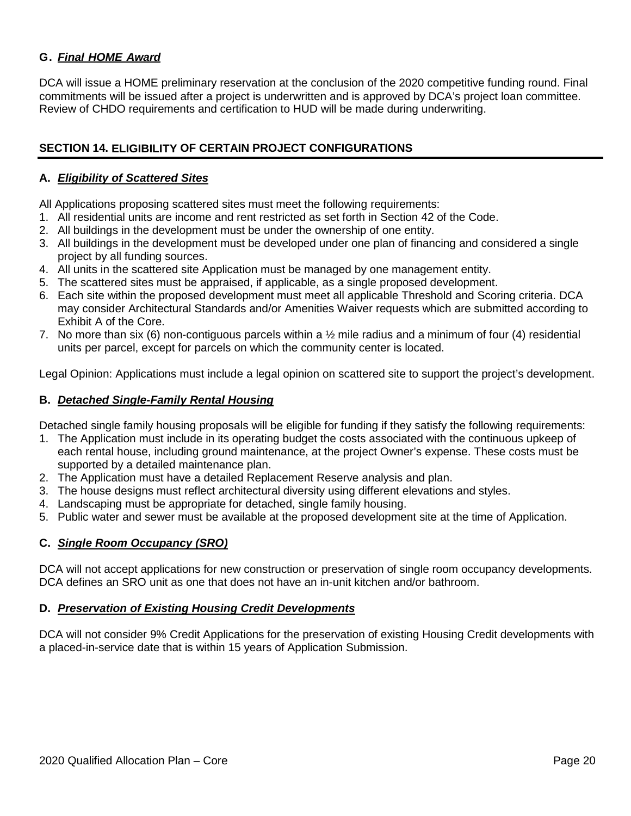## **G.** *Final HOME Award*

DCA will issue a HOME preliminary reservation at the conclusion of the 2020 competitive funding round. Final commitments will be issued after a project is underwritten and is approved by DCA's project loan committee. Review of CHDO requirements and certification to HUD will be made during underwriting.

### <span id="page-19-0"></span>**SECTION 14. ELIGIBILITY OF CERTAIN PROJECT CONFIGURATIONS**

#### **A.** *Eligibility of Scattered Sites*

All Applications proposing scattered sites must meet the following requirements:

- 1. All residential units are income and rent restricted as set forth in Section 42 of the Code.
- 2. All buildings in the development must be under the ownership of one entity.
- 3. All buildings in the development must be developed under one plan of financing and considered a single project by all funding sources.
- 4. All units in the scattered site Application must be managed by one management entity.
- 5. The scattered sites must be appraised, if applicable, as a single proposed development.
- 6. Each site within the proposed development must meet all applicable Threshold and Scoring criteria. DCA may consider Architectural Standards and/or Amenities Waiver requests which are submitted according to Exhibit A of the Core.
- 7. No more than six (6) non-contiguous parcels within a ½ mile radius and a minimum of four (4) residential units per parcel, except for parcels on which the community center is located.

Legal Opinion: Applications must include a legal opinion on scattered site to support the project's development.

#### **B.** *Detached Single-Family Rental Housing*

Detached single family housing proposals will be eligible for funding if they satisfy the following requirements:

- 1. The Application must include in its operating budget the costs associated with the continuous upkeep of each rental house, including ground maintenance, at the project Owner's expense. These costs must be supported by a detailed maintenance plan.
- 2. The Application must have a detailed Replacement Reserve analysis and plan.
- 3. The house designs must reflect architectural diversity using different elevations and styles.
- 4. Landscaping must be appropriate for detached, single family housing.
- 5. Public water and sewer must be available at the proposed development site at the time of Application.

#### **C.** *Single Room Occupancy (SRO)*

DCA will not accept applications for new construction or preservation of single room occupancy developments. DCA defines an SRO unit as one that does not have an in-unit kitchen and/or bathroom.

#### **D.** *Preservation of Existing Housing Credit Developments*

DCA will not consider 9% Credit Applications for the preservation of existing Housing Credit developments with a placed-in-service date that is within 15 years of Application Submission.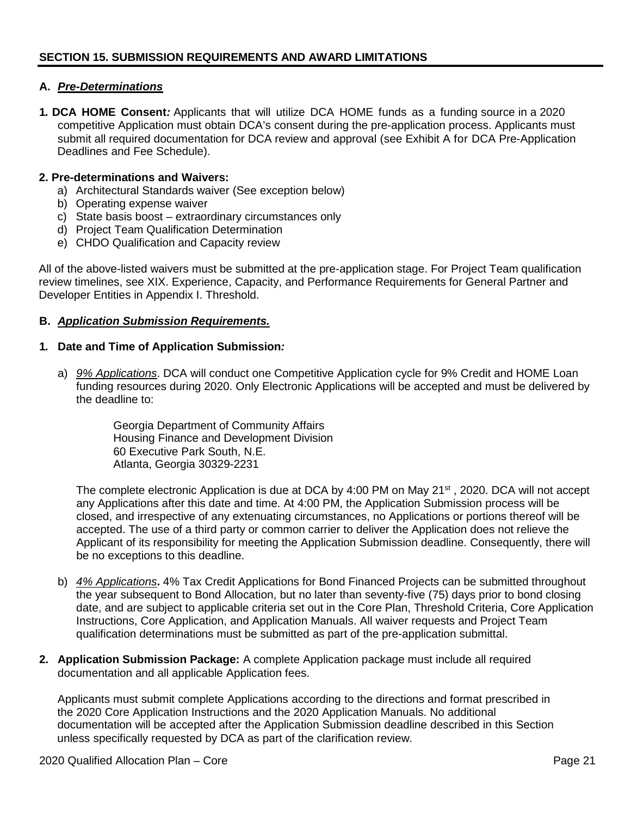#### <span id="page-20-0"></span>**A.** *Pre-Determinations*

**1***.* **DCA HOME Consent***:* Applicants that will utilize DCA HOME funds as a funding source in a 2020 competitive Application must obtain DCA's consent during the pre-application process. Applicants must submit all required documentation for DCA review and approval (see Exhibit A for DCA Pre-Application Deadlines and Fee Schedule).

#### **2. Pre-determinations and Waivers:**

- a) Architectural Standards waiver (See exception below)
- b) Operating expense waiver
- c) State basis boost extraordinary circumstances only
- d) Project Team Qualification Determination
- e) CHDO Qualification and Capacity review

All of the above-listed waivers must be submitted at the pre-application stage. For Project Team qualification review timelines, see XIX. Experience, Capacity, and Performance Requirements for General Partner and Developer Entities in Appendix I. Threshold.

#### **B.** *Application Submission Requirements.*

#### **1***.* **Date and Time of Application Submission***:*

a) *9% Applications*. DCA will conduct one Competitive Application cycle for 9% Credit and HOME Loan funding resources during 2020. Only Electronic Applications will be accepted and must be delivered by the deadline to:

> Georgia Department of Community Affairs Housing Finance and Development Division 60 Executive Park South, N.E. Atlanta, Georgia 30329-2231

The complete electronic Application is due at DCA by 4:00 PM on May 21<sup>st</sup>, 2020. DCA will not accept any Applications after this date and time. At 4:00 PM, the Application Submission process will be closed, and irrespective of any extenuating circumstances, no Applications or portions thereof will be accepted. The use of a third party or common carrier to deliver the Application does not relieve the Applicant of its responsibility for meeting the Application Submission deadline. Consequently, there will be no exceptions to this deadline.

- b) *4% Applications***.** 4% Tax Credit Applications for Bond Financed Projects can be submitted throughout the year subsequent to Bond Allocation, but no later than seventy-five (75) days prior to bond closing date, and are subject to applicable criteria set out in the Core Plan, Threshold Criteria, Core Application Instructions, Core Application, and Application Manuals. All waiver requests and Project Team qualification determinations must be submitted as part of the pre-application submittal.
- **2. Application Submission Package:** A complete Application package must include all required documentation and all applicable Application fees.

Applicants must submit complete Applications according to the directions and format prescribed in the 2020 Core Application Instructions and the 2020 Application Manuals. No additional documentation will be accepted after the Application Submission deadline described in this Section unless specifically requested by DCA as part of the clarification review.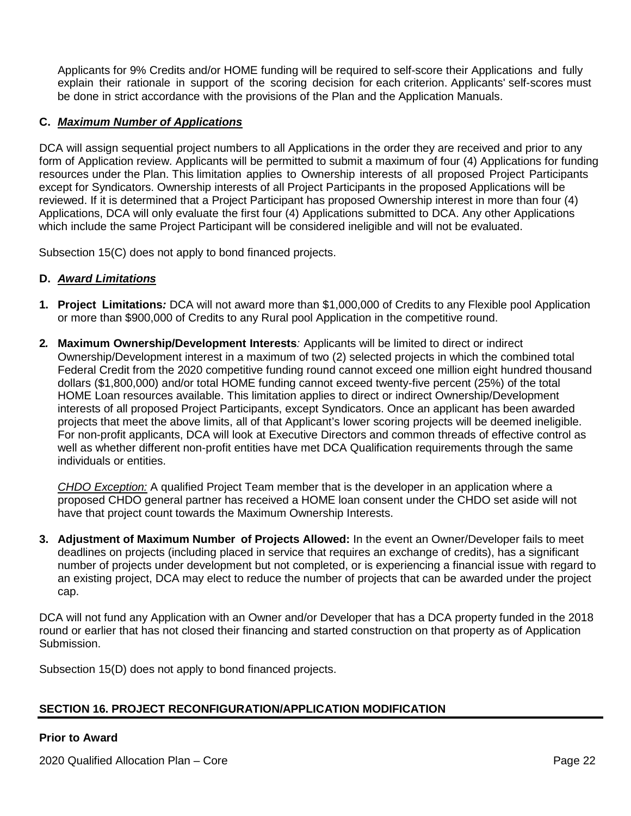Applicants for 9% Credits and/or HOME funding will be required to self-score their Applications and fully explain their rationale in support of the scoring decision for each criterion. Applicants' self-scores must be done in strict accordance with the provisions of the Plan and the Application Manuals.

### **C.** *Maximum Number of Applications*

DCA will assign sequential project numbers to all Applications in the order they are received and prior to any form of Application review. Applicants will be permitted to submit a maximum of four (4) Applications for funding resources under the Plan. This limitation applies to Ownership interests of all proposed Project Participants except for Syndicators. Ownership interests of all Project Participants in the proposed Applications will be reviewed. If it is determined that a Project Participant has proposed Ownership interest in more than four (4) Applications, DCA will only evaluate the first four (4) Applications submitted to DCA. Any other Applications which include the same Project Participant will be considered ineligible and will not be evaluated.

Subsection 15(C) does not apply to bond financed projects.

#### **D.** *Award Limitations*

- **1. Project Limitations***:* DCA will not award more than \$1,000,000 of Credits to any Flexible pool Application or more than \$900,000 of Credits to any Rural pool Application in the competitive round.
- **2***.* **Maximum Ownership/Development Interests***:* Applicants will be limited to direct or indirect Ownership/Development interest in a maximum of two (2) selected projects in which the combined total Federal Credit from the 2020 competitive funding round cannot exceed one million eight hundred thousand dollars (\$1,800,000) and/or total HOME funding cannot exceed twenty-five percent (25%) of the total HOME Loan resources available. This limitation applies to direct or indirect Ownership/Development interests of all proposed Project Participants, except Syndicators. Once an applicant has been awarded projects that meet the above limits, all of that Applicant's lower scoring projects will be deemed ineligible. For non-profit applicants, DCA will look at Executive Directors and common threads of effective control as well as whether different non-profit entities have met DCA Qualification requirements through the same individuals or entities.

*CHDO Exception:* A qualified Project Team member that is the developer in an application where a proposed CHDO general partner has received a HOME loan consent under the CHDO set aside will not have that project count towards the Maximum Ownership Interests.

**3. Adjustment of Maximum Number of Projects Allowed:** In the event an Owner/Developer fails to meet deadlines on projects (including placed in service that requires an exchange of credits), has a significant number of projects under development but not completed, or is experiencing a financial issue with regard to an existing project, DCA may elect to reduce the number of projects that can be awarded under the project cap.

DCA will not fund any Application with an Owner and/or Developer that has a DCA property funded in the 2018 round or earlier that has not closed their financing and started construction on that property as of Application Submission.

Subsection 15(D) does not apply to bond financed projects.

## <span id="page-21-0"></span>**SECTION 16. PROJECT RECONFIGURATION/APPLICATION MODIFICATION**

#### **Prior to Award**

2020 Qualified Allocation Plan – Core Page 22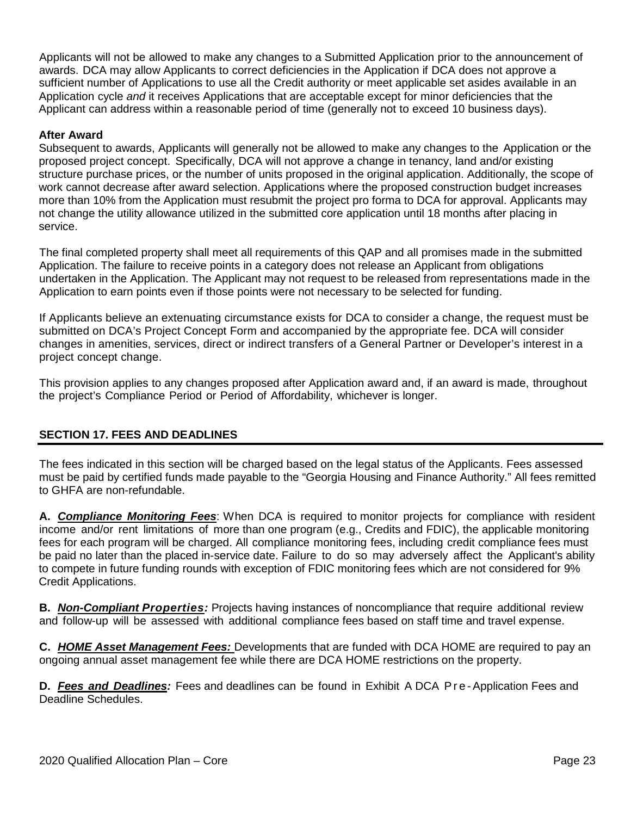Applicants will not be allowed to make any changes to a Submitted Application prior to the announcement of awards. DCA may allow Applicants to correct deficiencies in the Application if DCA does not approve a sufficient number of Applications to use all the Credit authority or meet applicable set asides available in an Application cycle *and* it receives Applications that are acceptable except for minor deficiencies that the Applicant can address within a reasonable period of time (generally not to exceed 10 business days).

#### **After Award**

Subsequent to awards, Applicants will generally not be allowed to make any changes to the Application or the proposed project concept. Specifically, DCA will not approve a change in tenancy, land and/or existing structure purchase prices, or the number of units proposed in the original application. Additionally, the scope of work cannot decrease after award selection. Applications where the proposed construction budget increases more than 10% from the Application must resubmit the project pro forma to DCA for approval. Applicants may not change the utility allowance utilized in the submitted core application until 18 months after placing in service.

The final completed property shall meet all requirements of this QAP and all promises made in the submitted Application. The failure to receive points in a category does not release an Applicant from obligations undertaken in the Application. The Applicant may not request to be released from representations made in the Application to earn points even if those points were not necessary to be selected for funding.

If Applicants believe an extenuating circumstance exists for DCA to consider a change, the request must be submitted on DCA's Project Concept Form and accompanied by the appropriate fee. DCA will consider changes in amenities, services, direct or indirect transfers of a General Partner or Developer's interest in a project concept change.

This provision applies to any changes proposed after Application award and, if an award is made, throughout the project's Compliance Period or Period of Affordability, whichever is longer.

## <span id="page-22-0"></span>**SECTION 17. FEES AND DEADLINES**

The fees indicated in this section will be charged based on the legal status of the Applicants. Fees assessed must be paid by certified funds made payable to the "Georgia Housing and Finance Authority." All fees remitted to GHFA are non-refundable.

**A.** *Compliance Monitoring Fees*: When DCA is required to monitor projects for compliance with resident income and/or rent limitations of more than one program (e.g., Credits and FDIC), the applicable monitoring fees for each program will be charged. All compliance monitoring fees, including credit compliance fees must be paid no later than the placed in-service date. Failure to do so may adversely affect the Applicant's ability to compete in future funding rounds with exception of FDIC monitoring fees which are not considered for 9% Credit Applications.

**B.** *Non-Compliant Properties:* Projects having instances of noncompliance that require additional review and follow-up will be assessed with additional compliance fees based on staff time and travel expense.

**C.** *HOME Asset Management Fees:* Developments that are funded with DCA HOME are required to pay an ongoing annual asset management fee while there are DCA HOME restrictions on the property.

**D.** *Fees and Deadlines:* Fees and deadlines can be found in Exhibit A DCA Pre - Application Fees and Deadline Schedules.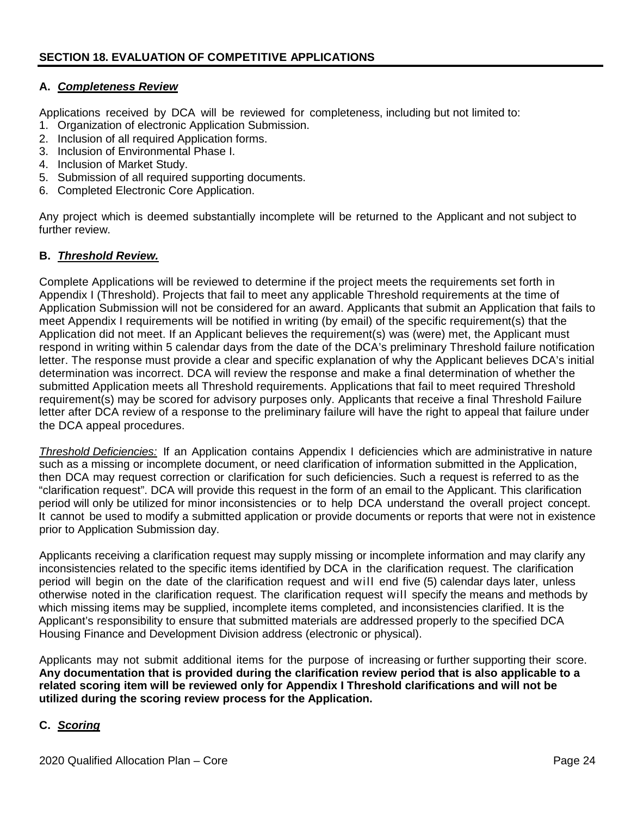#### <span id="page-23-0"></span>**A.** *Completeness Review*

Applications received by DCA will be reviewed for completeness, including but not limited to:

- 1. Organization of electronic Application Submission.
- 2. Inclusion of all required Application forms.
- 3. Inclusion of Environmental Phase I.
- 4. Inclusion of Market Study.
- 5. Submission of all required supporting documents.
- 6. Completed Electronic Core Application.

Any project which is deemed substantially incomplete will be returned to the Applicant and not subject to further review.

#### **B.** *Threshold Review.*

Complete Applications will be reviewed to determine if the project meets the requirements set forth in Appendix I (Threshold). Projects that fail to meet any applicable Threshold requirements at the time of Application Submission will not be considered for an award. Applicants that submit an Application that fails to meet Appendix I requirements will be notified in writing (by email) of the specific requirement(s) that the Application did not meet. If an Applicant believes the requirement(s) was (were) met, the Applicant must respond in writing within 5 calendar days from the date of the DCA's preliminary Threshold failure notification letter. The response must provide a clear and specific explanation of why the Applicant believes DCA's initial determination was incorrect. DCA will review the response and make a final determination of whether the submitted Application meets all Threshold requirements. Applications that fail to meet required Threshold requirement(s) may be scored for advisory purposes only. Applicants that receive a final Threshold Failure letter after DCA review of a response to the preliminary failure will have the right to appeal that failure under the DCA appeal procedures.

*Threshold Deficiencies:* If an Application contains Appendix I deficiencies which are administrative in nature such as a missing or incomplete document, or need clarification of information submitted in the Application, then DCA may request correction or clarification for such deficiencies. Such a request is referred to as the "clarification request". DCA will provide this request in the form of an email to the Applicant. This clarification period will only be utilized for minor inconsistencies or to help DCA understand the overall project concept. It cannot be used to modify a submitted application or provide documents or reports that were not in existence prior to Application Submission day.

Applicants receiving a clarification request may supply missing or incomplete information and may clarify any inconsistencies related to the specific items identified by DCA in the clarification request. The clarification period will begin on the date of the clarification request and will end five (5) calendar days later, unless otherwise noted in the clarification request. The clarification request will specify the means and methods by which missing items may be supplied, incomplete items completed, and inconsistencies clarified. It is the Applicant's responsibility to ensure that submitted materials are addressed properly to the specified DCA Housing Finance and Development Division address (electronic or physical).

Applicants may not submit additional items for the purpose of increasing or further supporting their score. **Any documentation that is provided during the clarification review period that is also applicable to a related scoring item will be reviewed only for Appendix I Threshold clarifications and will not be utilized during the scoring review process for the Application.**

#### **C.** *Scoring*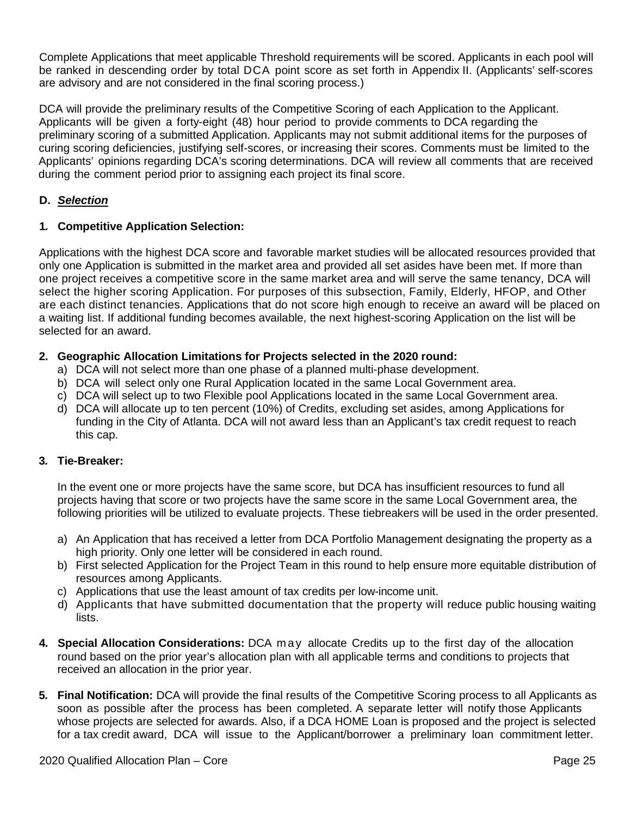Complete Applications that meet applicable Threshold requirements will be scored. Applicants in each pool will be ranked in descending order by total DCA point score as set forth in Appendix II. (Applicants' self-scores are advisory and are not considered in the final scoring process.)

DCA will provide the preliminary results of the Competitive Scoring of each Application to the Applicant. Applicants will be given a forty-eight (48) hour period to provide comments to DCA regarding the preliminary scoring of a submitted Application. Applicants may not submit additional items for the purposes of curing scoring deficiencies, justifying self-scores, or increasing their scores. Comments must be limited to the Applicants' opinions regarding DCA's scoring determinations. DCA will review all comments that are received during the comment period prior to assigning each project its final score.

## **D.** *Selection*

#### **1***.* **Competitive Application Selection:**

Applications with the highest DCA score and favorable market studies will be allocated resources provided that only one Application is submitted in the market area and provided all set asides have been met. If more than one project receives a competitive score in the same market area and will serve the same tenancy, DCA will select the higher scoring Application. For purposes of this subsection, Family, Elderly, HFOP, and Other are each distinct tenancies. Applications that do not score high enough to receive an award will be placed on a waiting list. If additional funding becomes available, the next highest-scoring Application on the list will be selected for an award.

#### **2. Geographic Allocation Limitations for Projects selected in the 2020 round:**

- a) DCA will not select more than one phase of a planned multi-phase development.
- b) DCA will select only one Rural Application located in the same Local Government area.
- c) DCA will select up to two Flexible pool Applications located in the same Local Government area.
- d) DCA will allocate up to ten percent (10%) of Credits, excluding set asides, among Applications for funding in the City of Atlanta. DCA will not award less than an Applicant's tax credit request to reach this cap.

#### **3***.* **Tie-Breaker:**

In the event one or more projects have the same score, but DCA has insufficient resources to fund all projects having that score or two projects have the same score in the same Local Government area, the following priorities will be utilized to evaluate projects. These tiebreakers will be used in the order presented.

- a) An Application that has received a letter from DCA Portfolio Management designating the property as a high priority. Only one letter will be considered in each round.
- b) First selected Application for the Project Team in this round to help ensure more equitable distribution of resources among Applicants.
- c) Applications that use the least amount of tax credits per low-income unit.
- d) Applicants that have submitted documentation that the property will reduce public housing waiting lists.
- **4***.* **Special Allocation Considerations:** DCA may allocate Credits up to the first day of the allocation round based on the prior year's allocation plan with all applicable terms and conditions to projects that received an allocation in the prior year.
- **5***.* **Final Notification:** DCA will provide the final results of the Competitive Scoring process to all Applicants as soon as possible after the process has been completed. A separate letter will notify those Applicants whose projects are selected for awards. Also, if a DCA HOME Loan is proposed and the project is selected for a tax credit award, DCA will issue to the Applicant/borrower a preliminary loan commitment letter.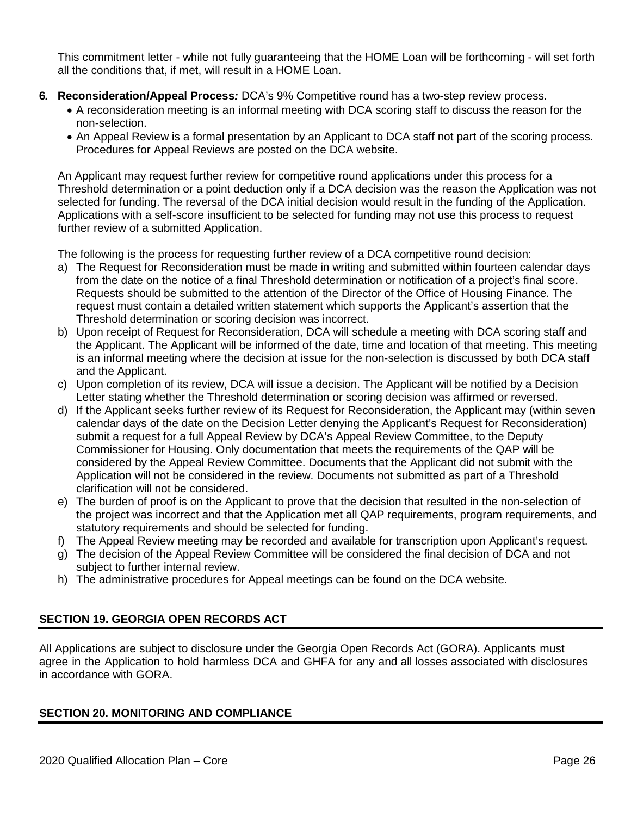This commitment letter - while not fully guaranteeing that the HOME Loan will be forthcoming - will set forth all the conditions that, if met, will result in a HOME Loan.

- **6***.* **Reconsideration/Appeal Process***:* DCA's 9% Competitive round has a two-step review process.
	- A reconsideration meeting is an informal meeting with DCA scoring staff to discuss the reason for the non-selection.
	- An Appeal Review is a formal presentation by an Applicant to DCA staff not part of the scoring process. Procedures for Appeal Reviews are posted on the DCA website.

An Applicant may request further review for competitive round applications under this process for a Threshold determination or a point deduction only if a DCA decision was the reason the Application was not selected for funding. The reversal of the DCA initial decision would result in the funding of the Application. Applications with a self-score insufficient to be selected for funding may not use this process to request further review of a submitted Application.

The following is the process for requesting further review of a DCA competitive round decision:

- a) The Request for Reconsideration must be made in writing and submitted within fourteen calendar days from the date on the notice of a final Threshold determination or notification of a project's final score. Requests should be submitted to the attention of the Director of the Office of Housing Finance. The request must contain a detailed written statement which supports the Applicant's assertion that the Threshold determination or scoring decision was incorrect.
- b) Upon receipt of Request for Reconsideration, DCA will schedule a meeting with DCA scoring staff and the Applicant. The Applicant will be informed of the date, time and location of that meeting. This meeting is an informal meeting where the decision at issue for the non-selection is discussed by both DCA staff and the Applicant.
- c) Upon completion of its review, DCA will issue a decision. The Applicant will be notified by a Decision Letter stating whether the Threshold determination or scoring decision was affirmed or reversed.
- d) If the Applicant seeks further review of its Request for Reconsideration, the Applicant may (within seven calendar days of the date on the Decision Letter denying the Applicant's Request for Reconsideration) submit a request for a full Appeal Review by DCA's Appeal Review Committee, to the Deputy Commissioner for Housing. Only documentation that meets the requirements of the QAP will be considered by the Appeal Review Committee. Documents that the Applicant did not submit with the Application will not be considered in the review. Documents not submitted as part of a Threshold clarification will not be considered.
- e) The burden of proof is on the Applicant to prove that the decision that resulted in the non-selection of the project was incorrect and that the Application met all QAP requirements, program requirements, and statutory requirements and should be selected for funding.
- f) The Appeal Review meeting may be recorded and available for transcription upon Applicant's request.
- g) The decision of the Appeal Review Committee will be considered the final decision of DCA and not subject to further internal review.
- h) The administrative procedures for Appeal meetings can be found on the DCA website.

## <span id="page-25-0"></span>**SECTION 19. GEORGIA OPEN RECORDS ACT**

All Applications are subject to disclosure under the Georgia Open Records Act (GORA). Applicants must agree in the Application to hold harmless DCA and GHFA for any and all losses associated with disclosures in accordance with GORA.

#### <span id="page-25-1"></span>**SECTION 20. MONITORING AND COMPLIANCE**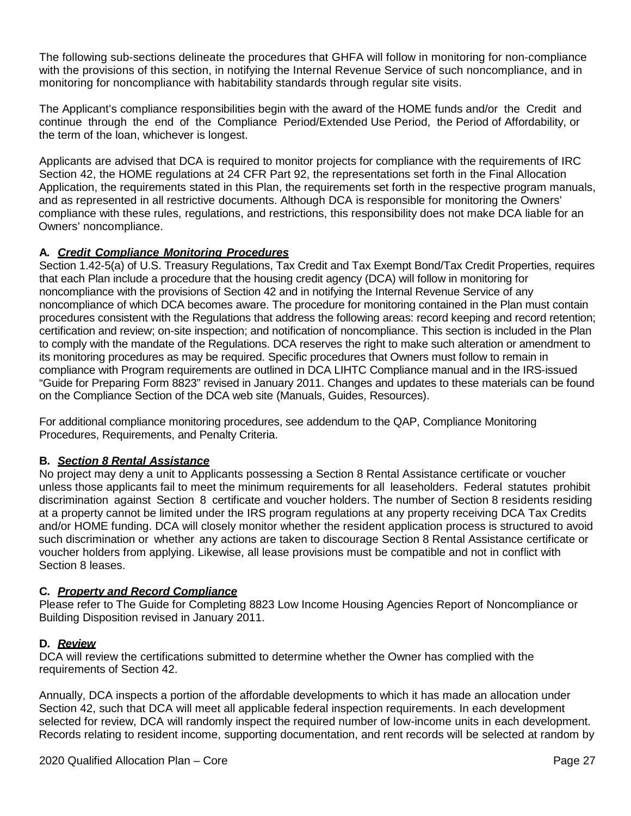The following sub-sections delineate the procedures that GHFA will follow in monitoring for non-compliance with the provisions of this section, in notifying the Internal Revenue Service of such noncompliance, and in monitoring for noncompliance with habitability standards through regular site visits.

The Applicant's compliance responsibilities begin with the award of the HOME funds and/or the Credit and continue through the end of the Compliance Period/Extended Use Period, the Period of Affordability, or the term of the loan, whichever is longest.

Applicants are advised that DCA is required to monitor projects for compliance with the requirements of IRC Section 42, the HOME regulations at 24 CFR Part 92, the representations set forth in the Final Allocation Application, the requirements stated in this Plan, the requirements set forth in the respective program manuals, and as represented in all restrictive documents. Although DCA is responsible for monitoring the Owners' compliance with these rules, regulations, and restrictions, this responsibility does not make DCA liable for an Owners' noncompliance.

## **A***. Credit Compliance Monitoring Procedures*

Section 1.42-5(a) of U.S. Treasury Regulations, Tax Credit and Tax Exempt Bond/Tax Credit Properties, requires that each Plan include a procedure that the housing credit agency (DCA) will follow in monitoring for noncompliance with the provisions of Section 42 and in notifying the Internal Revenue Service of any noncompliance of which DCA becomes aware. The procedure for monitoring contained in the Plan must contain procedures consistent with the Regulations that address the following areas: record keeping and record retention; certification and review; on-site inspection; and notification of noncompliance. This section is included in the Plan to comply with the mandate of the Regulations. DCA reserves the right to make such alteration or amendment to its monitoring procedures as may be required. Specific procedures that Owners must follow to remain in compliance with Program requirements are outlined in DCA LIHTC Compliance manual and in the IRS-issued "Guide for Preparing Form 8823" revised in January 2011. Changes and updates to these materials can be found on the Compliance Section of the DCA web site [\(Manuals, Guides, Resources\).](http://www.tinyurl.com/dcacompliance)

For additional compliance monitoring procedures, see addendum to the QAP, Compliance Monitoring Procedures, Requirements, and Penalty Criteria.

#### **B***. Section 8 Rental Assistance*

No project may deny a unit to Applicants possessing a Section 8 Rental Assistance certificate or voucher unless those applicants fail to meet the minimum requirements for all leaseholders. Federal statutes prohibit discrimination against Section 8 certificate and voucher holders. The number of Section 8 residents residing at a property cannot be limited under the IRS program regulations at any property receiving DCA Tax Credits and/or HOME funding. DCA will closely monitor whether the resident application process is structured to avoid such discrimination or whether any actions are taken to discourage Section 8 Rental Assistance certificate or voucher holders from applying. Likewise, all lease provisions must be compatible and not in conflict with Section 8 leases.

#### **C***. Property and Record Compliance*

Please refer to The Guide for Completing 8823 Low Income Housing Agencies Report of Noncompliance or Building Disposition revised in January 2011.

#### **D***. Review*

DCA will review the certifications submitted to determine whether the Owner has complied with the requirements of Section 42.

Annually, DCA inspects a portion of the affordable developments to which it has made an allocation under Section 42, such that DCA will meet all applicable federal inspection requirements. In each development selected for review, DCA will randomly inspect the required number of low-income units in each development. Records relating to resident income, supporting documentation, and rent records will be selected at random by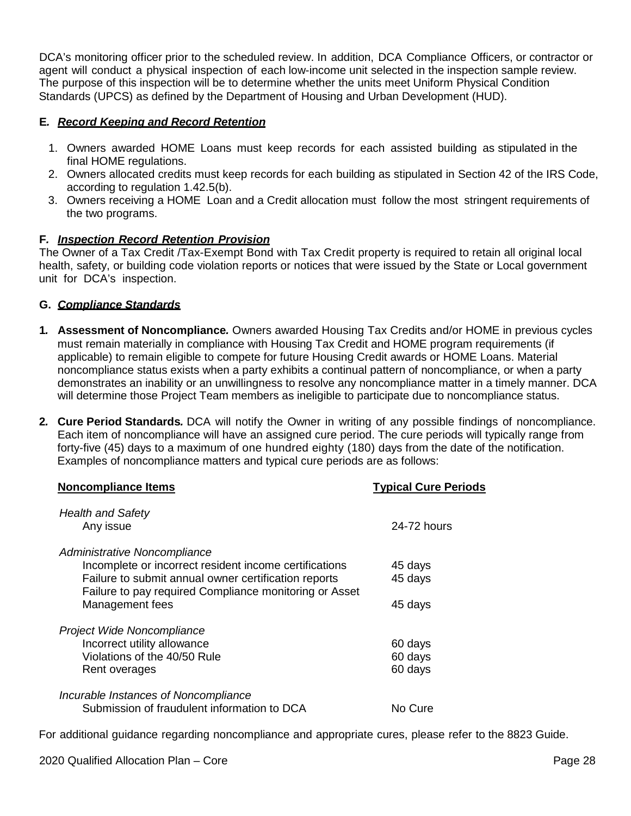DCA's monitoring officer prior to the scheduled review. In addition, DCA Compliance Officers, or contractor or agent will conduct a physical inspection of each low-income unit selected in the inspection sample review. The purpose of this inspection will be to determine whether the units meet Uniform Physical Condition Standards (UPCS) as defined by the Department of Housing and Urban Development (HUD).

## **E***. Record Keeping and Record Retention*

- 1. Owners awarded HOME Loans must keep records for each assisted building as stipulated in the final HOME regulations.
- 2. Owners allocated credits must keep records for each building as stipulated in Section 42 of the IRS Code, according to regulation 1.42.5(b).
- 3. Owners receiving a HOME Loan and a Credit allocation must follow the most stringent requirements of the two programs.

#### **F***. Inspection Record Retention Provision*

The Owner of a Tax Credit /Tax-Exempt Bond with Tax Credit property is required to retain all original local health, safety, or building code violation reports or notices that were issued by the State or Local government unit for DCA's inspection.

### **G.** *Compliance Standards*

- **1***.* **Assessment of Noncompliance***.* Owners awarded Housing Tax Credits and/or HOME in previous cycles must remain materially in compliance with Housing Tax Credit and HOME program requirements (if applicable) to remain eligible to compete for future Housing Credit awards or HOME Loans. Material noncompliance status exists when a party exhibits a continual pattern of noncompliance, or when a party demonstrates an inability or an unwillingness to resolve any noncompliance matter in a timely manner. DCA will determine those Project Team members as ineligible to participate due to noncompliance status.
- **2***.* **Cure Period Standards***.* DCA will notify the Owner in writing of any possible findings of noncompliance. Each item of noncompliance will have an assigned cure period. The cure periods will typically range from forty-five (45) days to a maximum of one hundred eighty (180) days from the date of the notification. Examples of noncompliance matters and typical cure periods are as follows:

| <b>Noncompliance Items</b>                                                                                                                                                                               | <b>Typical Cure Periods</b> |
|----------------------------------------------------------------------------------------------------------------------------------------------------------------------------------------------------------|-----------------------------|
| <b>Health and Safety</b><br>Any issue                                                                                                                                                                    | 24-72 hours                 |
| Administrative Noncompliance<br>Incomplete or incorrect resident income certifications<br>Failure to submit annual owner certification reports<br>Failure to pay required Compliance monitoring or Asset | 45 days<br>45 days          |
| Management fees                                                                                                                                                                                          | 45 days                     |
| Project Wide Noncompliance<br>Incorrect utility allowance                                                                                                                                                | 60 days                     |
| Violations of the 40/50 Rule<br>Rent overages                                                                                                                                                            | 60 days<br>60 days          |
| Incurable Instances of Noncompliance<br>Submission of fraudulent information to DCA                                                                                                                      | No Cure                     |

For additional guidance regarding noncompliance and appropriate cures, please refer to the 8823 Guide.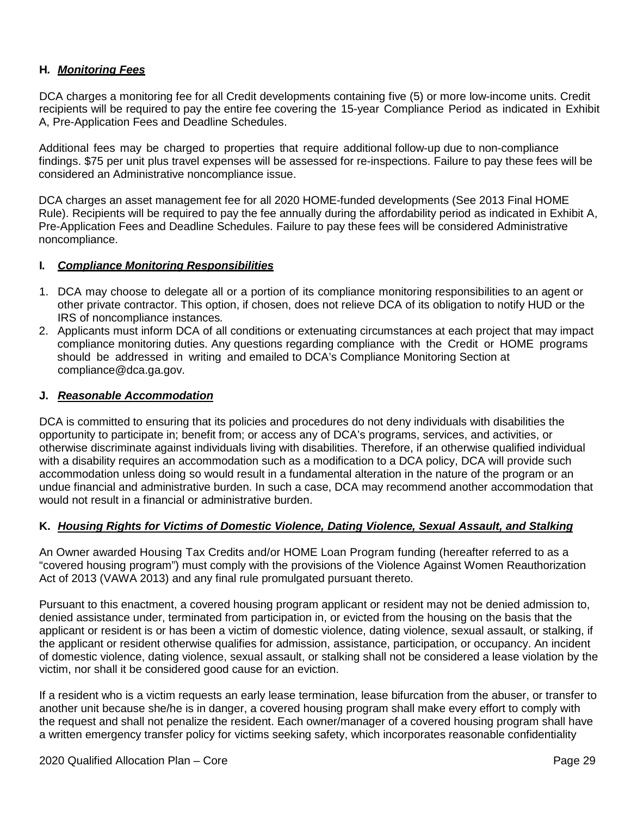#### **H***. Monitoring Fees*

DCA charges a monitoring fee for all Credit developments containing five (5) or more low-income units. Credit recipients will be required to pay the entire fee covering the 15-year Compliance Period as indicated in Exhibit A, Pre-Application Fees and Deadline Schedules.

Additional fees may be charged to properties that require additional follow-up due to non-compliance findings. \$75 per unit plus travel expenses will be assessed for re-inspections. Failure to pay these fees will be considered an Administrative noncompliance issue.

DCA charges an asset management fee for all 2020 HOME-funded developments (See 2013 Final HOME Rule). Recipients will be required to pay the fee annually during the affordability period as indicated in Exhibit A, Pre-Application Fees and Deadline Schedules. Failure to pay these fees will be considered Administrative noncompliance.

#### **I***. Compliance Monitoring Responsibilities*

- 1. DCA may choose to delegate all or a portion of its compliance monitoring responsibilities to an agent or other private contractor. This option, if chosen, does not relieve DCA of its obligation to notify HUD or the IRS of noncompliance instances*.*
- 2. Applicants must inform DCA of all conditions or extenuating circumstances at each project that may impact compliance monitoring duties. Any questions regarding compliance with the Credit or HOME programs should be addressed in writing and emailed to DCA's Compliance Monitoring Section at [compliance@dca.ga.gov.](mailto:compliance@dca.ga.gov)

#### **J.** *Reasonable Accommodation*

DCA is committed to ensuring that its policies and procedures do not deny individuals with disabilities the opportunity to participate in; benefit from; or access any of DCA's programs, services, and activities, or otherwise discriminate against individuals living with disabilities. Therefore, if an otherwise qualified individual with a disability requires an accommodation such as a modification to a DCA policy, DCA will provide such accommodation unless doing so would result in a fundamental alteration in the nature of the program or an undue financial and administrative burden. In such a case, DCA may recommend another accommodation that would not result in a financial or administrative burden.

#### **K.** *Housing Rights for Victims of Domestic Violence, Dating Violence, Sexual Assault, and Stalking*

An Owner awarded Housing Tax Credits and/or HOME Loan Program funding (hereafter referred to as a "covered housing program") must comply with the provisions of the Violence Against Women Reauthorization Act of 2013 (VAWA 2013) and any final rule promulgated pursuant thereto.

Pursuant to this enactment, a covered housing program applicant or resident may not be denied admission to, denied assistance under, terminated from participation in, or evicted from the housing on the basis that the applicant or resident is or has been a victim of domestic violence, dating violence, sexual assault, or stalking, if the applicant or resident otherwise qualifies for admission, assistance, participation, or occupancy. An incident of domestic violence, dating violence, sexual assault, or stalking shall not be considered a lease violation by the victim, nor shall it be considered good cause for an eviction.

If a resident who is a victim requests an early lease termination, lease bifurcation from the abuser, or transfer to another unit because she/he is in danger, a covered housing program shall make every effort to comply with the request and shall not penalize the resident. Each owner/manager of a covered housing program shall have a written emergency transfer policy for victims seeking safety, which incorporates reasonable confidentiality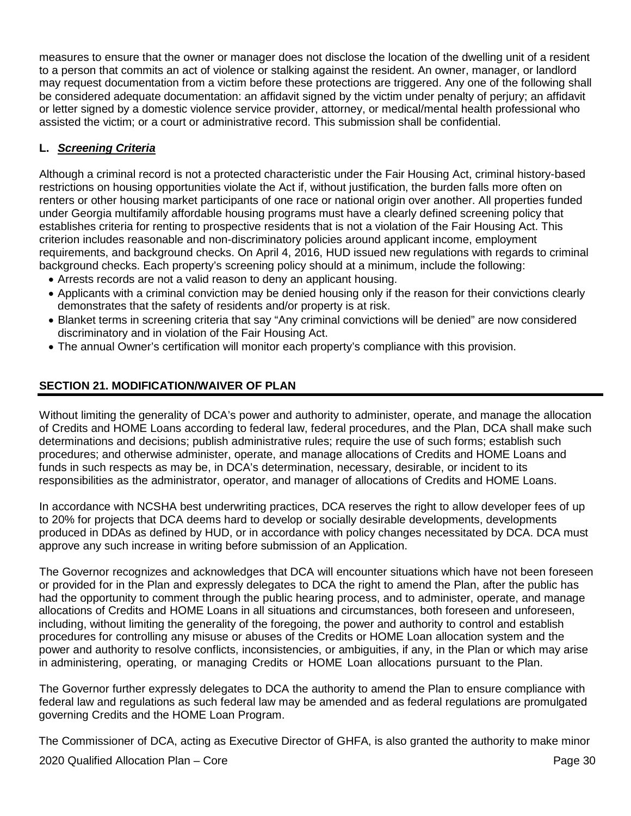measures to ensure that the owner or manager does not disclose the location of the dwelling unit of a resident to a person that commits an act of violence or stalking against the resident. An owner, manager, or landlord may request documentation from a victim before these protections are triggered. Any one of the following shall be considered adequate documentation: an affidavit signed by the victim under penalty of perjury; an affidavit or letter signed by a domestic violence service provider, attorney, or medical/mental health professional who assisted the victim; or a court or administrative record. This submission shall be confidential.

## **L.** *Screening Criteria*

Although a criminal record is not a protected characteristic under the Fair Housing Act, criminal history-based restrictions on housing opportunities violate the Act if, without justification, the burden falls more often on renters or other housing market participants of one race or national origin over another. All properties funded under Georgia multifamily affordable housing programs must have a clearly defined screening policy that establishes criteria for renting to prospective residents that is not a violation of the Fair Housing Act. This criterion includes reasonable and non-discriminatory policies around applicant income, employment requirements, and background checks. On April 4, 2016, HUD issued new regulations with regards to criminal background checks. Each property's screening policy should at a minimum, include the following:

- Arrests records are not a valid reason to deny an applicant housing.
- Applicants with a criminal conviction may be denied housing only if the reason for their convictions clearly demonstrates that the safety of residents and/or property is at risk.
- Blanket terms in screening criteria that say "Any criminal convictions will be denied" are now considered discriminatory and in violation of the Fair Housing Act.
- The annual Owner's certification will monitor each property's compliance with this provision.

## <span id="page-29-0"></span>**SECTION 21. MODIFICATION/WAIVER OF PLAN**

Without limiting the generality of DCA's power and authority to administer, operate, and manage the allocation of Credits and HOME Loans according to federal law, federal procedures, and the Plan, DCA shall make such determinations and decisions; publish administrative rules; require the use of such forms; establish such procedures; and otherwise administer, operate, and manage allocations of Credits and HOME Loans and funds in such respects as may be, in DCA's determination, necessary, desirable, or incident to its responsibilities as the administrator, operator, and manager of allocations of Credits and HOME Loans.

In accordance with NCSHA best underwriting practices, DCA reserves the right to allow developer fees of up to 20% for projects that DCA deems hard to develop or socially desirable developments, developments produced in DDAs as defined by HUD, or in accordance with policy changes necessitated by DCA. DCA must approve any such increase in writing before submission of an Application.

The Governor recognizes and acknowledges that DCA will encounter situations which have not been foreseen or provided for in the Plan and expressly delegates to DCA the right to amend the Plan, after the public has had the opportunity to comment through the public hearing process, and to administer, operate, and manage allocations of Credits and HOME Loans in all situations and circumstances, both foreseen and unforeseen, including, without limiting the generality of the foregoing, the power and authority to control and establish procedures for controlling any misuse or abuses of the Credits or HOME Loan allocation system and the power and authority to resolve conflicts, inconsistencies, or ambiguities, if any, in the Plan or which may arise in administering, operating, or managing Credits or HOME Loan allocations pursuant to the Plan.

The Governor further expressly delegates to DCA the authority to amend the Plan to ensure compliance with federal law and regulations as such federal law may be amended and as federal regulations are promulgated governing Credits and the HOME Loan Program.

The Commissioner of DCA, acting as Executive Director of GHFA, is also granted the authority to make minor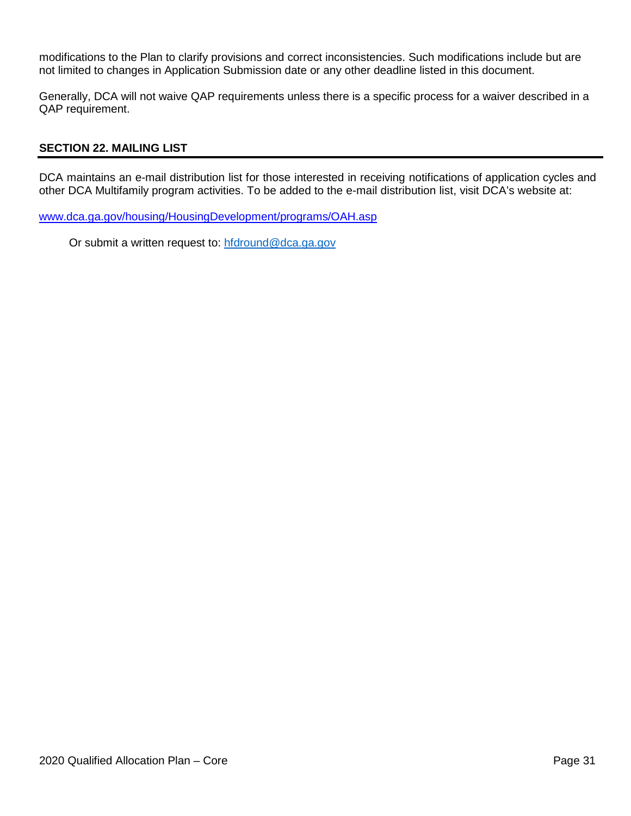modifications to the Plan to clarify provisions and correct inconsistencies. Such modifications include but are not limited to changes in Application Submission date or any other deadline listed in this document.

Generally, DCA will not waive QAP requirements unless there is a specific process for a waiver described in a QAP requirement.

#### <span id="page-30-0"></span>**SECTION 22. MAILING LIST**

DCA maintains an e-mail distribution list for those interested in receiving notifications of application cycles and other DCA Multifamily program activities. To be added to the e-mail distribution list, visit DCA's website at:

[www.dca.ga.gov/housing/HousingDevelopment/programs/OAH.asp](http://www.dca.ga.gov/housing/HousingDevelopment/programs/OAH.asp)

Or submit a written request to: [hfdround@dca.ga.gov](mailto:hfdround@dca.ga.gov)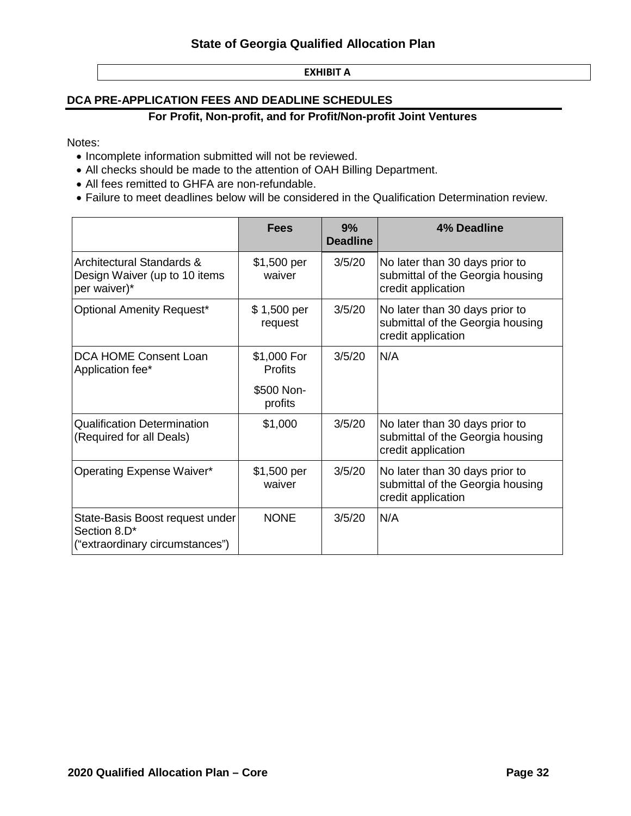#### **EXHIBIT A**

#### <span id="page-31-0"></span>**DCA PRE-APPLICATION FEES AND DEADLINE SCHEDULES**

#### **For Profit, Non-profit, and for Profit/Non-profit Joint Ventures**

Notes:

- Incomplete information submitted will not be reviewed.
- All checks should be made to the attention of OAH Billing Department.
- All fees remitted to GHFA are non-refundable.
- Failure to meet deadlines below will be considered in the Qualification Determination review.

|                                                                                    | <b>Fees</b>                   | 9%<br><b>Deadline</b> | 4% Deadline                                                                              |
|------------------------------------------------------------------------------------|-------------------------------|-----------------------|------------------------------------------------------------------------------------------|
| Architectural Standards &<br>Design Waiver (up to 10 items<br>per waiver)*         | \$1,500 per<br>waiver         | 3/5/20                | No later than 30 days prior to<br>submittal of the Georgia housing<br>credit application |
| <b>Optional Amenity Request*</b>                                                   | \$1,500 per<br>request        | 3/5/20                | No later than 30 days prior to<br>submittal of the Georgia housing<br>credit application |
| DCA HOME Consent Loan<br>Application fee*                                          | \$1,000 For<br><b>Profits</b> | 3/5/20                | N/A                                                                                      |
|                                                                                    | \$500 Non-<br>profits         |                       |                                                                                          |
| <b>Qualification Determination</b><br>(Required for all Deals)                     | \$1,000                       | 3/5/20                | No later than 30 days prior to<br>submittal of the Georgia housing<br>credit application |
| Operating Expense Waiver*                                                          | \$1,500 per<br>waiver         | 3/5/20                | No later than 30 days prior to<br>submittal of the Georgia housing<br>credit application |
| State-Basis Boost request under<br>Section 8.D*<br>("extraordinary circumstances") | <b>NONE</b>                   | 3/5/20                | N/A                                                                                      |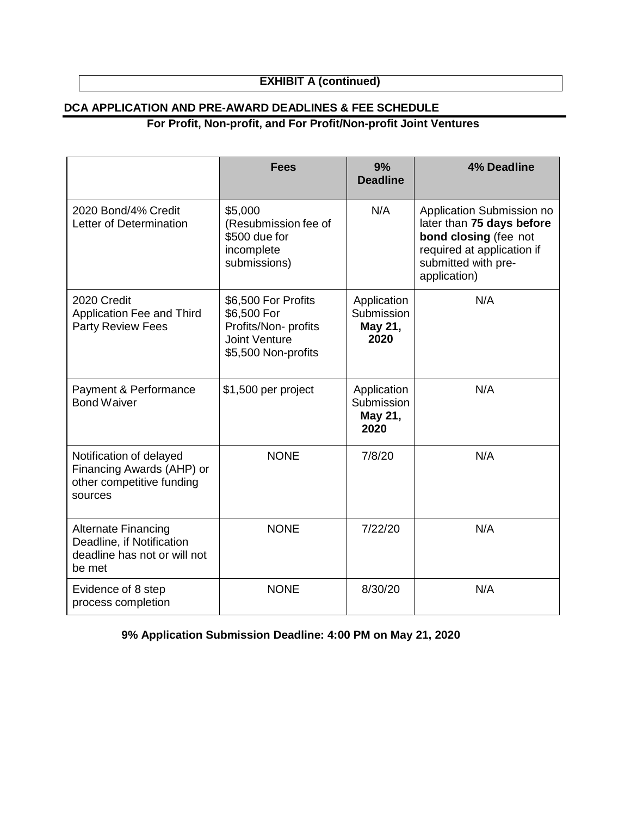## **EXHIBIT A (continued)**

## **DCA APPLICATION AND PRE-AWARD DEADLINES & FEE SCHEDULE**

## **For Profit, Non-profit, and For Profit/Non-profit Joint Ventures**

|                                                                                                   | <b>Fees</b>                                                                                               | 9%<br><b>Deadline</b>                        | <b>4% Deadline</b>                                                                                                                                   |
|---------------------------------------------------------------------------------------------------|-----------------------------------------------------------------------------------------------------------|----------------------------------------------|------------------------------------------------------------------------------------------------------------------------------------------------------|
| 2020 Bond/4% Credit<br>Letter of Determination                                                    | \$5,000<br>(Resubmission fee of<br>\$500 due for<br>incomplete<br>submissions)                            | N/A                                          | Application Submission no<br>later than 75 days before<br>bond closing (fee not<br>required at application if<br>submitted with pre-<br>application) |
| 2020 Credit<br>Application Fee and Third<br><b>Party Review Fees</b>                              | \$6,500 For Profits<br>\$6,500 For<br>Profits/Non- profits<br><b>Joint Venture</b><br>\$5,500 Non-profits | Application<br>Submission<br>May 21,<br>2020 | N/A                                                                                                                                                  |
| Payment & Performance<br><b>Bond Waiver</b>                                                       | \$1,500 per project                                                                                       | Application<br>Submission<br>May 21,<br>2020 | N/A                                                                                                                                                  |
| Notification of delayed<br>Financing Awards (AHP) or<br>other competitive funding<br>sources      | <b>NONE</b>                                                                                               | 7/8/20                                       | N/A                                                                                                                                                  |
| <b>Alternate Financing</b><br>Deadline, if Notification<br>deadline has not or will not<br>be met | <b>NONE</b>                                                                                               | 7/22/20                                      | N/A                                                                                                                                                  |
| Evidence of 8 step<br>process completion                                                          | <b>NONE</b>                                                                                               | 8/30/20                                      | N/A                                                                                                                                                  |

**9% Application Submission Deadline: 4:00 PM on May 21, 2020**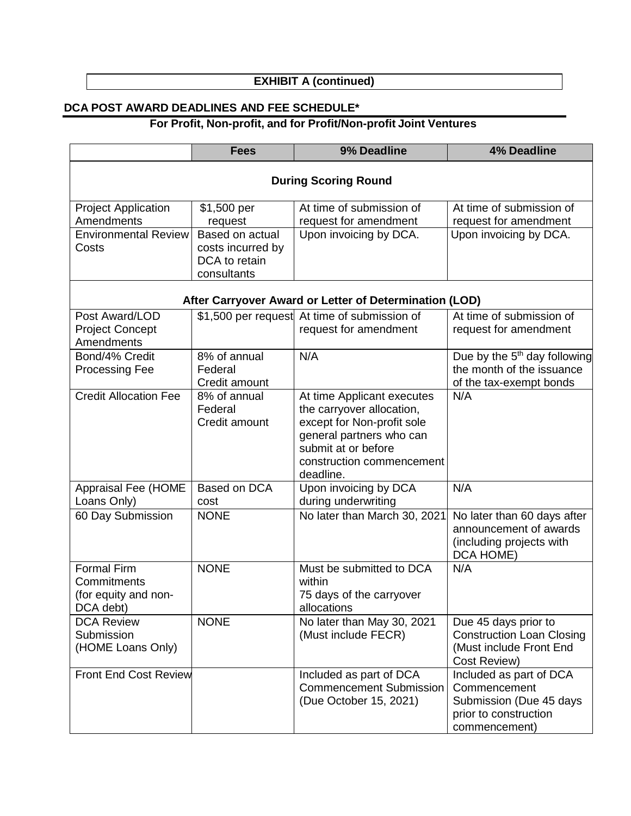## **EXHIBIT A (continued)**

## **DCA POST AWARD DEADLINES AND FEE SCHEDULE\***

# **For Profit, Non-profit, and for Profit/Non-profit Joint Ventures**

|                                                                                  | <b>Fees</b>                                                                                    | 9% Deadline                                                                                                                                                                        | <b>4% Deadline</b>                                                                                           |  |  |
|----------------------------------------------------------------------------------|------------------------------------------------------------------------------------------------|------------------------------------------------------------------------------------------------------------------------------------------------------------------------------------|--------------------------------------------------------------------------------------------------------------|--|--|
| <b>During Scoring Round</b>                                                      |                                                                                                |                                                                                                                                                                                    |                                                                                                              |  |  |
| <b>Project Application</b><br>Amendments<br><b>Environmental Review</b><br>Costs | \$1,500 per<br>request<br>Based on actual<br>costs incurred by<br>DCA to retain<br>consultants | At time of submission of<br>request for amendment<br>Upon invoicing by DCA.                                                                                                        | At time of submission of<br>request for amendment<br>Upon invoicing by DCA.                                  |  |  |
|                                                                                  |                                                                                                | After Carryover Award or Letter of Determination (LOD)                                                                                                                             |                                                                                                              |  |  |
| Post Award/LOD<br><b>Project Concept</b><br>Amendments                           |                                                                                                | \$1,500 per request At time of submission of<br>request for amendment                                                                                                              | At time of submission of<br>request for amendment                                                            |  |  |
| Bond/4% Credit<br><b>Processing Fee</b>                                          | 8% of annual<br>Federal<br>Credit amount                                                       | N/A                                                                                                                                                                                | Due by the $5th$ day following<br>the month of the issuance<br>of the tax-exempt bonds                       |  |  |
| <b>Credit Allocation Fee</b>                                                     | 8% of annual<br>Federal<br>Credit amount                                                       | At time Applicant executes<br>the carryover allocation,<br>except for Non-profit sole<br>general partners who can<br>submit at or before<br>construction commencement<br>deadline. | N/A                                                                                                          |  |  |
| <b>Appraisal Fee (HOME</b><br>Loans Only)                                        | Based on DCA<br>cost                                                                           | Upon invoicing by DCA<br>during underwriting                                                                                                                                       | N/A                                                                                                          |  |  |
| 60 Day Submission                                                                | <b>NONE</b>                                                                                    | No later than March 30, 2021                                                                                                                                                       | No later than 60 days after<br>announcement of awards<br>(including projects with<br>DCA HOME)               |  |  |
| <b>Formal Firm</b><br>Commitments<br>(for equity and non-<br>DCA debt)           | <b>NONE</b>                                                                                    | Must be submitted to DCA<br>within<br>75 days of the carryover<br>allocations                                                                                                      | N/A                                                                                                          |  |  |
| <b>DCA Review</b><br>Submission<br>(HOME Loans Only)                             | <b>NONE</b>                                                                                    | No later than May 30, 2021<br>(Must include FECR)                                                                                                                                  | Due 45 days prior to<br><b>Construction Loan Closing</b><br>(Must include Front End<br>Cost Review)          |  |  |
| <b>Front End Cost Review</b>                                                     |                                                                                                | Included as part of DCA<br><b>Commencement Submission</b><br>(Due October 15, 2021)                                                                                                | Included as part of DCA<br>Commencement<br>Submission (Due 45 days<br>prior to construction<br>commencement) |  |  |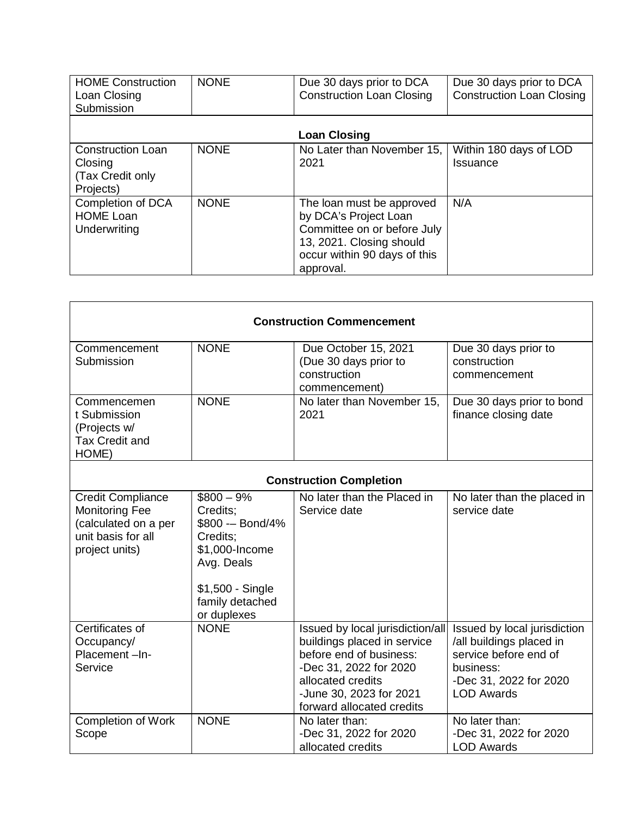| <b>HOME Construction</b><br>Loan Closing<br>Submission               | <b>NONE</b> | Due 30 days prior to DCA<br><b>Construction Loan Closing</b>                                                                                               | Due 30 days prior to DCA<br><b>Construction Loan Closing</b> |
|----------------------------------------------------------------------|-------------|------------------------------------------------------------------------------------------------------------------------------------------------------------|--------------------------------------------------------------|
|                                                                      |             | <b>Loan Closing</b>                                                                                                                                        |                                                              |
| <b>Construction Loan</b><br>Closing<br>(Tax Credit only<br>Projects) | <b>NONE</b> | No Later than November 15,<br>2021                                                                                                                         | Within 180 days of LOD<br>Issuance                           |
| Completion of DCA<br><b>HOME Loan</b><br>Underwriting                | <b>NONE</b> | The loan must be approved<br>by DCA's Project Loan<br>Committee on or before July<br>13, 2021. Closing should<br>occur within 90 days of this<br>approval. | N/A                                                          |

| <b>Construction Commencement</b>                                                                                  |                                                                                                                                                |                                                                                                                                                                                                   |                                                                                                                                               |  |
|-------------------------------------------------------------------------------------------------------------------|------------------------------------------------------------------------------------------------------------------------------------------------|---------------------------------------------------------------------------------------------------------------------------------------------------------------------------------------------------|-----------------------------------------------------------------------------------------------------------------------------------------------|--|
| Commencement<br>Submission                                                                                        | <b>NONE</b>                                                                                                                                    | Due October 15, 2021<br>(Due 30 days prior to<br>construction<br>commencement)                                                                                                                    | Due 30 days prior to<br>construction<br>commencement                                                                                          |  |
| Commencemen<br>t Submission<br>(Projects w/<br><b>Tax Credit and</b><br>HOME)                                     | <b>NONE</b>                                                                                                                                    | No later than November 15,<br>2021                                                                                                                                                                | Due 30 days prior to bond<br>finance closing date                                                                                             |  |
|                                                                                                                   |                                                                                                                                                | <b>Construction Completion</b>                                                                                                                                                                    |                                                                                                                                               |  |
| <b>Credit Compliance</b><br><b>Monitoring Fee</b><br>(calculated on a per<br>unit basis for all<br>project units) | $$800 - 9\%$<br>Credits:<br>\$800 -- Bond/4%<br>Credits:<br>\$1,000-Income<br>Avg. Deals<br>\$1,500 - Single<br>family detached<br>or duplexes | No later than the Placed in<br>Service date                                                                                                                                                       | No later than the placed in<br>service date                                                                                                   |  |
| Certificates of<br>Occupancy/<br>Placement-In-<br>Service                                                         | <b>NONE</b>                                                                                                                                    | Issued by local jurisdiction/all<br>buildings placed in service<br>before end of business:<br>-Dec 31, 2022 for 2020<br>allocated credits<br>-June 30, 2023 for 2021<br>forward allocated credits | Issued by local jurisdiction<br>/all buildings placed in<br>service before end of<br>business:<br>-Dec 31, 2022 for 2020<br><b>LOD Awards</b> |  |
| <b>Completion of Work</b><br>Scope                                                                                | <b>NONE</b>                                                                                                                                    | No later than:<br>-Dec 31, 2022 for 2020<br>allocated credits                                                                                                                                     | No later than:<br>-Dec 31, 2022 for 2020<br><b>LOD Awards</b>                                                                                 |  |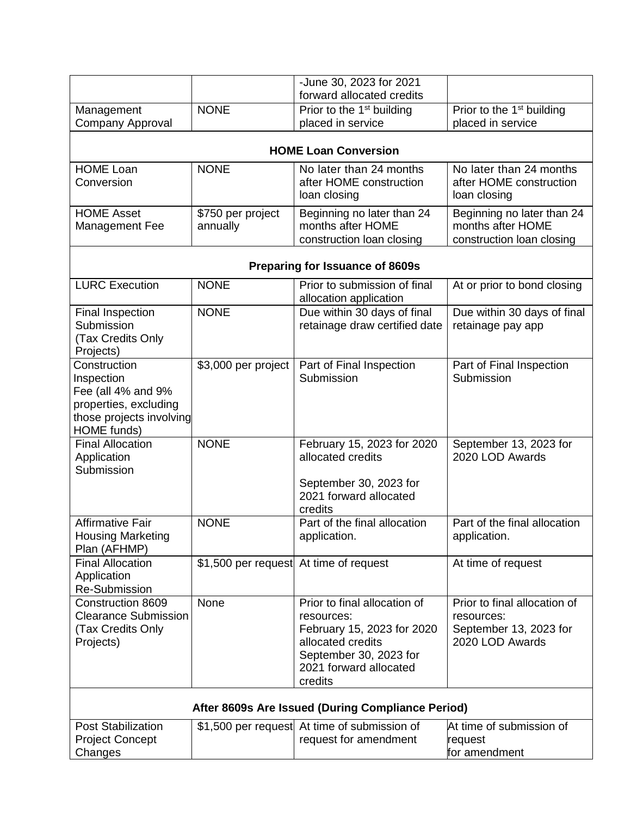|                                                   |                                        | -June 30, 2023 for 2021                                |                                       |  |
|---------------------------------------------------|----------------------------------------|--------------------------------------------------------|---------------------------------------|--|
|                                                   |                                        | forward allocated credits                              |                                       |  |
| Management                                        | <b>NONE</b>                            | Prior to the 1 <sup>st</sup> building                  | Prior to the 1 <sup>st</sup> building |  |
| Company Approval                                  |                                        | placed in service                                      | placed in service                     |  |
|                                                   |                                        | <b>HOME Loan Conversion</b>                            |                                       |  |
| <b>HOME Loan</b>                                  | <b>NONE</b>                            | No later than 24 months                                | No later than 24 months               |  |
| Conversion                                        |                                        | after HOME construction                                | after HOME construction               |  |
|                                                   |                                        | loan closing                                           | loan closing                          |  |
| <b>HOME Asset</b>                                 | \$750 per project                      | Beginning no later than 24                             | Beginning no later than 24            |  |
| Management Fee                                    | annually                               | months after HOME                                      | months after HOME                     |  |
|                                                   |                                        | construction loan closing                              | construction loan closing             |  |
|                                                   |                                        | Preparing for Issuance of 8609s                        |                                       |  |
| <b>LURC Execution</b>                             | <b>NONE</b>                            | Prior to submission of final<br>allocation application | At or prior to bond closing           |  |
| Final Inspection                                  | <b>NONE</b>                            | Due within 30 days of final                            | Due within 30 days of final           |  |
| Submission                                        |                                        | retainage draw certified date                          | retainage pay app                     |  |
| (Tax Credits Only                                 |                                        |                                                        |                                       |  |
| Projects)<br>Construction                         | \$3,000 per project                    | Part of Final Inspection                               | Part of Final Inspection              |  |
| Inspection                                        |                                        | Submission                                             | Submission                            |  |
| Fee (all 4% and 9%                                |                                        |                                                        |                                       |  |
| properties, excluding                             |                                        |                                                        |                                       |  |
| those projects involving                          |                                        |                                                        |                                       |  |
| HOME funds)                                       |                                        |                                                        |                                       |  |
| <b>Final Allocation</b>                           | <b>NONE</b>                            | February 15, 2023 for 2020                             | September 13, 2023 for                |  |
| Application<br>Submission                         |                                        | allocated credits                                      | 2020 LOD Awards                       |  |
|                                                   |                                        | September 30, 2023 for                                 |                                       |  |
|                                                   |                                        | 2021 forward allocated                                 |                                       |  |
|                                                   |                                        | credits                                                |                                       |  |
| Affirmative Fair                                  | <b>NONE</b>                            | Part of the final allocation                           | Part of the final allocation          |  |
| <b>Housing Marketing</b>                          |                                        | application.                                           | application.                          |  |
| Plan (AFHMP)<br><b>Final Allocation</b>           | \$1,500 per request At time of request |                                                        |                                       |  |
| Application                                       |                                        |                                                        | At time of request                    |  |
| <b>Re-Submission</b>                              |                                        |                                                        |                                       |  |
| Construction 8609                                 | None                                   | Prior to final allocation of                           | Prior to final allocation of          |  |
| <b>Clearance Submission</b>                       |                                        | resources:                                             | resources:                            |  |
| (Tax Credits Only                                 |                                        | February 15, 2023 for 2020                             | September 13, 2023 for                |  |
| Projects)                                         |                                        | allocated credits                                      | 2020 LOD Awards                       |  |
|                                                   |                                        | September 30, 2023 for<br>2021 forward allocated       |                                       |  |
|                                                   |                                        | credits                                                |                                       |  |
|                                                   |                                        |                                                        |                                       |  |
| After 8609s Are Issued (During Compliance Period) |                                        |                                                        |                                       |  |
| <b>Post Stabilization</b>                         |                                        | \$1,500 per request At time of submission of           | At time of submission of              |  |
| <b>Project Concept</b>                            |                                        | request for amendment                                  | request                               |  |
| Changes                                           |                                        |                                                        | for amendment                         |  |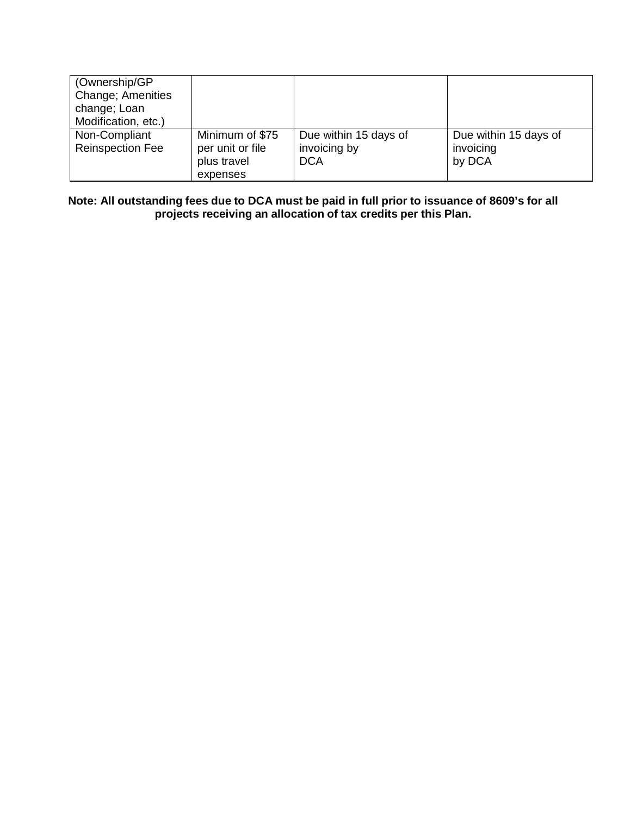| (Ownership/GP)<br>Change; Amenities<br>change; Loan<br>Modification, etc.) |                  |                       |                       |
|----------------------------------------------------------------------------|------------------|-----------------------|-----------------------|
|                                                                            | Minimum of \$75  |                       |                       |
| Non-Compliant                                                              |                  | Due within 15 days of | Due within 15 days of |
| <b>Reinspection Fee</b>                                                    | per unit or file | invoicing by          | invoicing             |
|                                                                            | plus travel      | <b>DCA</b>            | by DCA                |
|                                                                            | expenses         |                       |                       |

**Note: All outstanding fees due to DCA must be paid in full prior to issuance of 8609's for all projects receiving an allocation of tax credits per this Plan.**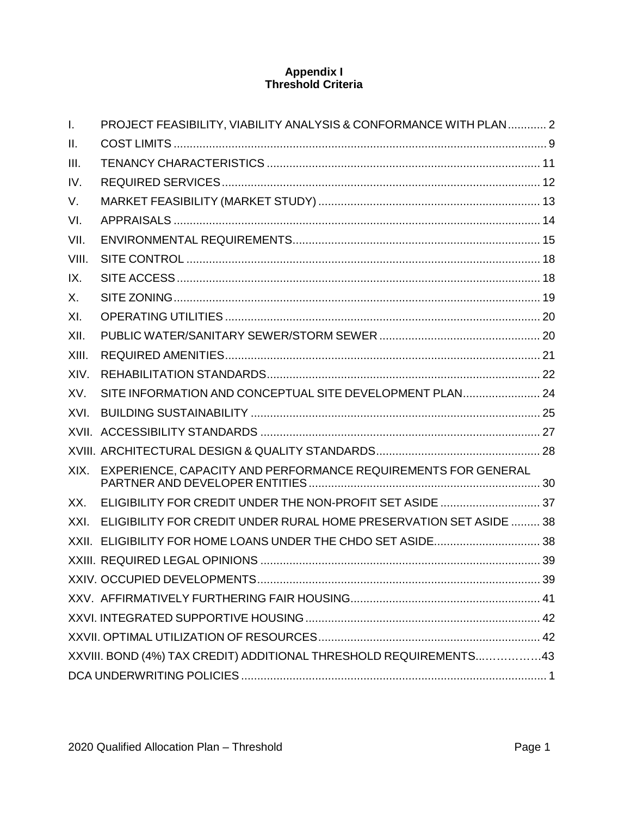## **Appendix I Threshold Criteria**

| $\mathbf{I}$ . | PROJECT FEASIBILITY, VIABILITY ANALYSIS & CONFORMANCE WITH PLAN 2  |  |
|----------------|--------------------------------------------------------------------|--|
| Ш.             |                                                                    |  |
| III.           |                                                                    |  |
| IV.            |                                                                    |  |
| V.             |                                                                    |  |
| VI.            |                                                                    |  |
| VII.           |                                                                    |  |
| VIII.          |                                                                    |  |
| IX.            |                                                                    |  |
| X.             |                                                                    |  |
| XI.            |                                                                    |  |
| XII.           |                                                                    |  |
| XIII.          |                                                                    |  |
| XIV.           |                                                                    |  |
| XV.            | SITE INFORMATION AND CONCEPTUAL SITE DEVELOPMENT PLAN 24           |  |
| XVI.           |                                                                    |  |
|                |                                                                    |  |
|                |                                                                    |  |
| XIX.           | EXPERIENCE, CAPACITY AND PERFORMANCE REQUIREMENTS FOR GENERAL      |  |
| XX.            | ELIGIBILITY FOR CREDIT UNDER THE NON-PROFIT SET ASIDE  37          |  |
| XXI.           | ELIGIBILITY FOR CREDIT UNDER RURAL HOME PRESERVATION SET ASIDE  38 |  |
|                | XXII. ELIGIBILITY FOR HOME LOANS UNDER THE CHDO SET ASIDE 38       |  |
|                |                                                                    |  |
|                |                                                                    |  |
|                |                                                                    |  |
|                |                                                                    |  |
|                |                                                                    |  |
|                | XXVIII. BOND (4%) TAX CREDIT) ADDITIONAL THRESHOLD REQUIREMENTS43  |  |
|                |                                                                    |  |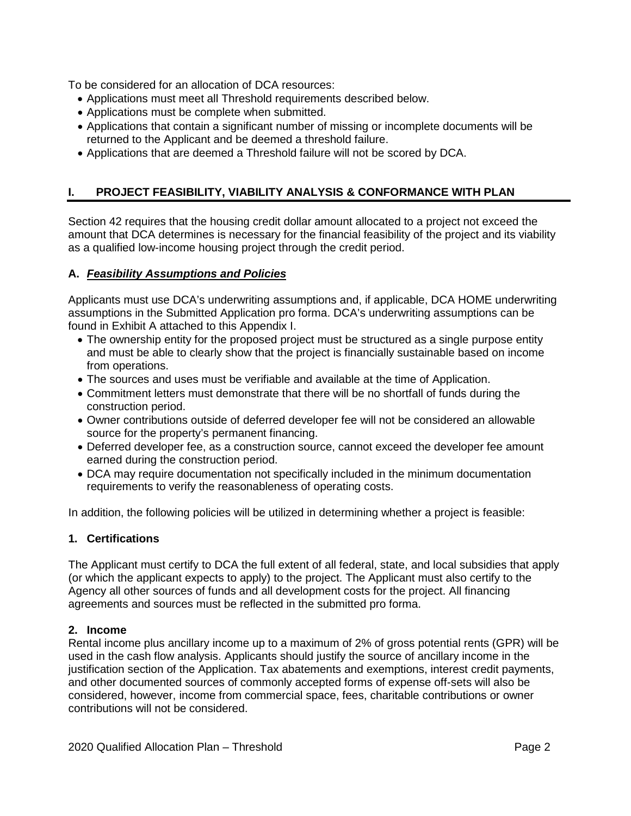To be considered for an allocation of DCA resources:

- Applications must meet all Threshold requirements described below.
- Applications must be complete when submitted.
- Applications that contain a significant number of missing or incomplete documents will be returned to the Applicant and be deemed a threshold failure.
- Applications that are deemed a Threshold failure will not be scored by DCA.

# <span id="page-38-0"></span>**I. PROJECT FEASIBILITY, VIABILITY ANALYSIS & CONFORMANCE WITH PLAN**

Section 42 requires that the housing credit dollar amount allocated to a project not exceed the amount that DCA determines is necessary for the financial feasibility of the project and its viability as a qualified low-income housing project through the credit period.

## **A.** *Feasibility Assumptions and Policies*

Applicants must use DCA's underwriting assumptions and, if applicable, DCA HOME underwriting assumptions in the Submitted Application pro forma. DCA's underwriting assumptions can be found in Exhibit A attached to this Appendix I.

- The ownership entity for the proposed project must be structured as a single purpose entity and must be able to clearly show that the project is financially sustainable based on income from operations.
- The sources and uses must be verifiable and available at the time of Application.
- Commitment letters must demonstrate that there will be no shortfall of funds during the construction period.
- Owner contributions outside of deferred developer fee will not be considered an allowable source for the property's permanent financing.
- Deferred developer fee, as a construction source, cannot exceed the developer fee amount earned during the construction period.
- DCA may require documentation not specifically included in the minimum documentation requirements to verify the reasonableness of operating costs.

In addition, the following policies will be utilized in determining whether a project is feasible:

## **1. Certifications**

The Applicant must certify to DCA the full extent of all federal, state, and local subsidies that apply (or which the applicant expects to apply) to the project. The Applicant must also certify to the Agency all other sources of funds and all development costs for the project. All financing agreements and sources must be reflected in the submitted pro forma.

## **2. Income**

Rental income plus ancillary income up to a maximum of 2% of gross potential rents (GPR) will be used in the cash flow analysis. Applicants should justify the source of ancillary income in the justification section of the Application. Tax abatements and exemptions, interest credit payments, and other documented sources of commonly accepted forms of expense off-sets will also be considered, however, income from commercial space, fees, charitable contributions or owner contributions will not be considered.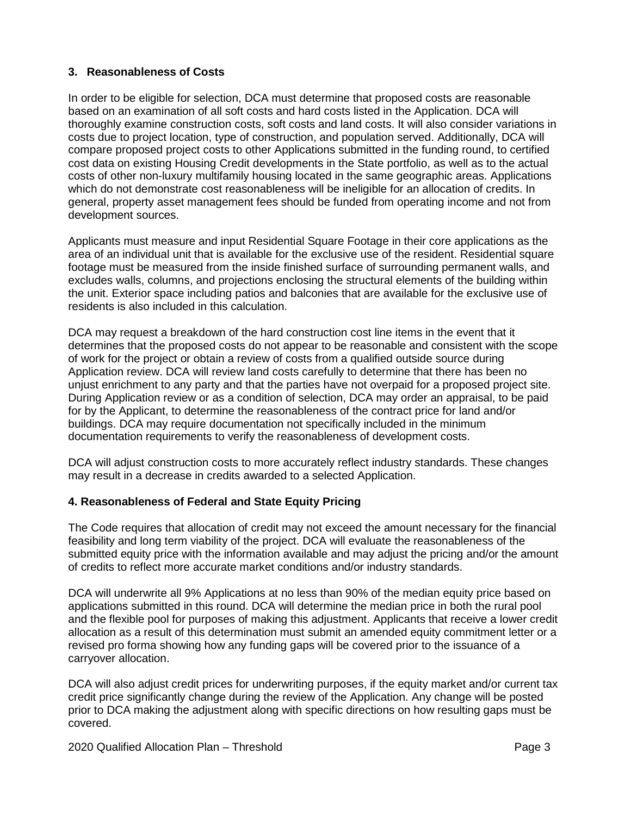## **3. Reasonableness of Costs**

In order to be eligible for selection, DCA must determine that proposed costs are reasonable based on an examination of all soft costs and hard costs listed in the Application. DCA will thoroughly examine construction costs, soft costs and land costs. It will also consider variations in costs due to project location, type of construction, and population served. Additionally, DCA will compare proposed project costs to other Applications submitted in the funding round, to certified cost data on existing Housing Credit developments in the State portfolio, as well as to the actual costs of other non-luxury multifamily housing located in the same geographic areas. Applications which do not demonstrate cost reasonableness will be ineligible for an allocation of credits. In general, property asset management fees should be funded from operating income and not from development sources.

Applicants must measure and input Residential Square Footage in their core applications as the area of an individual unit that is available for the exclusive use of the resident. Residential square footage must be measured from the inside finished surface of surrounding permanent walls, and excludes walls, columns, and projections enclosing the structural elements of the building within the unit. Exterior space including patios and balconies that are available for the exclusive use of residents is also included in this calculation.

DCA may request a breakdown of the hard construction cost line items in the event that it determines that the proposed costs do not appear to be reasonable and consistent with the scope of work for the project or obtain a review of costs from a qualified outside source during Application review. DCA will review land costs carefully to determine that there has been no unjust enrichment to any party and that the parties have not overpaid for a proposed project site. During Application review or as a condition of selection, DCA may order an appraisal, to be paid for by the Applicant, to determine the reasonableness of the contract price for land and/or buildings. DCA may require documentation not specifically included in the minimum documentation requirements to verify the reasonableness of development costs.

DCA will adjust construction costs to more accurately reflect industry standards. These changes may result in a decrease in credits awarded to a selected Application.

## **4. Reasonableness of Federal and State Equity Pricing**

The Code requires that allocation of credit may not exceed the amount necessary for the financial feasibility and long term viability of the project. DCA will evaluate the reasonableness of the submitted equity price with the information available and may adjust the pricing and/or the amount of credits to reflect more accurate market conditions and/or industry standards.

DCA will underwrite all 9% Applications at no less than 90% of the median equity price based on applications submitted in this round. DCA will determine the median price in both the rural pool and the flexible pool for purposes of making this adjustment. Applicants that receive a lower credit allocation as a result of this determination must submit an amended equity commitment letter or a revised pro forma showing how any funding gaps will be covered prior to the issuance of a carryover allocation.

DCA will also adjust credit prices for underwriting purposes, if the equity market and/or current tax credit price significantly change during the review of the Application. Any change will be posted prior to DCA making the adjustment along with specific directions on how resulting gaps must be covered.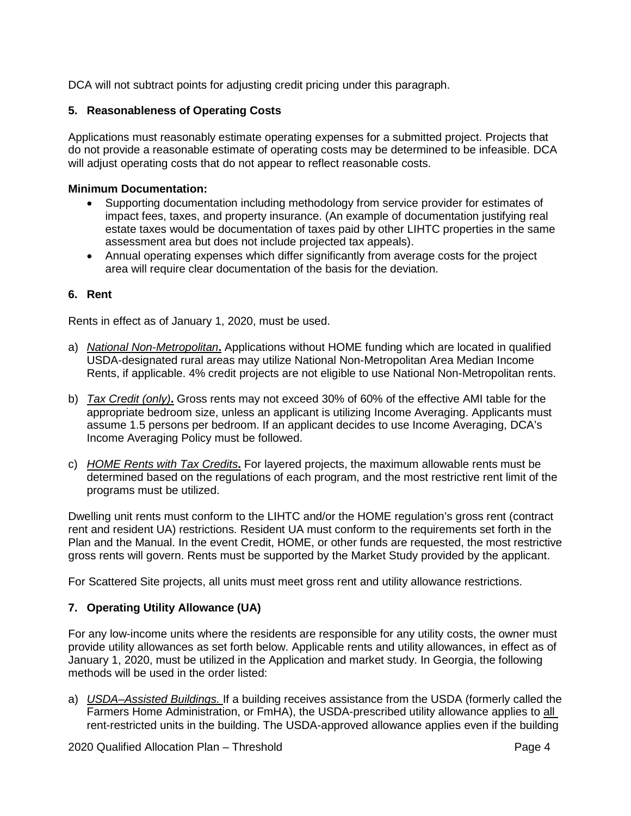DCA will not subtract points for adjusting credit pricing under this paragraph.

## **5. Reasonableness of Operating Costs**

Applications must reasonably estimate operating expenses for a submitted project. Projects that do not provide a reasonable estimate of operating costs may be determined to be infeasible. DCA will adjust operating costs that do not appear to reflect reasonable costs.

### **Minimum Documentation:**

- Supporting documentation including methodology from service provider for estimates of impact fees, taxes, and property insurance. (An example of documentation justifying real estate taxes would be documentation of taxes paid by other LIHTC properties in the same assessment area but does not include projected tax appeals).
- Annual operating expenses which differ significantly from average costs for the project area will require clear documentation of the basis for the deviation.

## **6. Rent**

Rents in effect as of January 1, 2020, must be used.

- a) *National Non-Metropolitan***.** Applications without HOME funding which are located in qualified USDA-designated rural areas may utilize National Non-Metropolitan Area Median Income Rents, if applicable. 4% credit projects are not eligible to use National Non-Metropolitan rents.
- b) *Tax Credit (only)***.** Gross rents may not exceed 30% of 60% of the effective AMI table for the appropriate bedroom size, unless an applicant is utilizing Income Averaging. Applicants must assume 1.5 persons per bedroom. If an applicant decides to use Income Averaging, DCA's Income Averaging Policy must be followed.
- c) *HOME Rents with Tax Credits***.** For layered projects, the maximum allowable rents must be determined based on the regulations of each program, and the most restrictive rent limit of the programs must be utilized.

Dwelling unit rents must conform to the LIHTC and/or the HOME regulation's gross rent (contract rent and resident UA) restrictions. Resident UA must conform to the requirements set forth in the Plan and the Manual. In the event Credit, HOME, or other funds are requested, the most restrictive gross rents will govern. Rents must be supported by the Market Study provided by the applicant.

For Scattered Site projects, all units must meet gross rent and utility allowance restrictions.

## **7. Operating Utility Allowance (UA)**

For any low-income units where the residents are responsible for any utility costs, the owner must provide utility allowances as set forth below. Applicable rents and utility allowances, in effect as of January 1, 2020, must be utilized in the Application and market study. In Georgia, the following methods will be used in the order listed:

a) *USDA–Assisted Buildings.* If a building receives assistance from the USDA (formerly called the Farmers Home Administration, or FmHA), the USDA-prescribed utility allowance applies to all rent-restricted units in the building. The USDA-approved allowance applies even if the building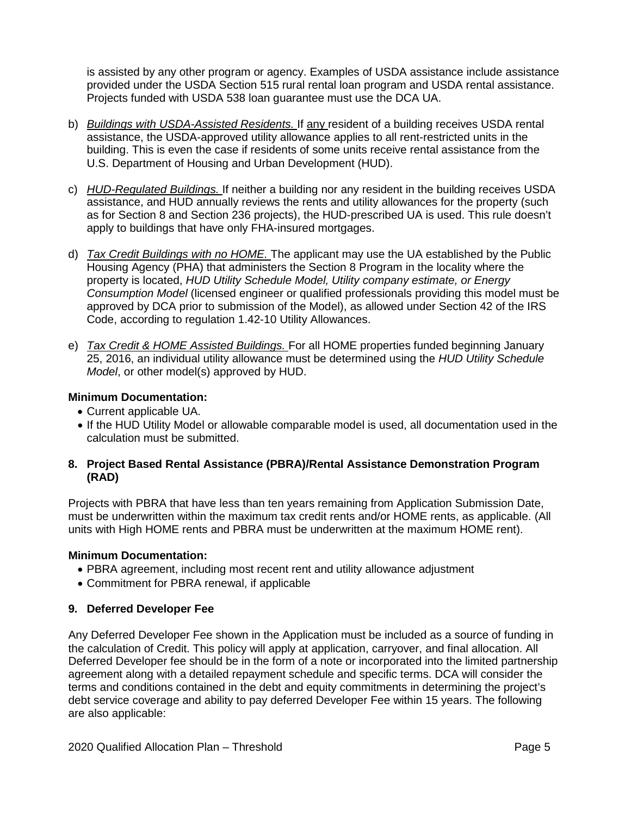is assisted by any other program or agency. Examples of USDA assistance include assistance provided under the USDA Section 515 rural rental loan program and USDA rental assistance. Projects funded with USDA 538 loan guarantee must use the DCA UA.

- b) *Buildings with USDA-Assisted Residents.* If any resident of a building receives USDA rental assistance, the USDA-approved utility allowance applies to all rent-restricted units in the building. This is even the case if residents of some units receive rental assistance from the U.S. Department of Housing and Urban Development (HUD).
- c) *HUD-Regulated Buildings.* If neither a building nor any resident in the building receives USDA assistance, and HUD annually reviews the rents and utility allowances for the property (such as for Section 8 and Section 236 projects), the HUD-prescribed UA is used. This rule doesn't apply to buildings that have only FHA-insured mortgages.
- d) *Tax Credit Buildings with no HOME.* The applicant may use the UA established by the Public Housing Agency (PHA) that administers the Section 8 Program in the locality where the property is located, *HUD Utility Schedule Model, Utility company estimate, or Energy Consumption Model* (licensed engineer or qualified professionals providing this model must be approved by DCA prior to submission of the Model), as allowed under Section 42 of the IRS Code, according to regulation 1.42-10 Utility Allowances.
- e) *Tax Credit & HOME Assisted Buildings.* For all HOME properties funded beginning January 25, 2016, an individual utility allowance must be determined using the *HUD Utility Schedule Model*, or other model(s) approved by HUD.

## **Minimum Documentation:**

- Current applicable UA.
- If the HUD Utility Model or allowable comparable model is used, all documentation used in the calculation must be submitted.

## **8. Project Based Rental Assistance (PBRA)/Rental Assistance Demonstration Program (RAD)**

Projects with PBRA that have less than ten years remaining from Application Submission Date, must be underwritten within the maximum tax credit rents and/or HOME rents, as applicable. (All units with High HOME rents and PBRA must be underwritten at the maximum HOME rent).

## **Minimum Documentation:**

- PBRA agreement, including most recent rent and utility allowance adjustment
- Commitment for PBRA renewal, if applicable

## **9. Deferred Developer Fee**

Any Deferred Developer Fee shown in the Application must be included as a source of funding in the calculation of Credit. This policy will apply at application, carryover, and final allocation. All Deferred Developer fee should be in the form of a note or incorporated into the limited partnership agreement along with a detailed repayment schedule and specific terms. DCA will consider the terms and conditions contained in the debt and equity commitments in determining the project's debt service coverage and ability to pay deferred Developer Fee within 15 years. The following are also applicable: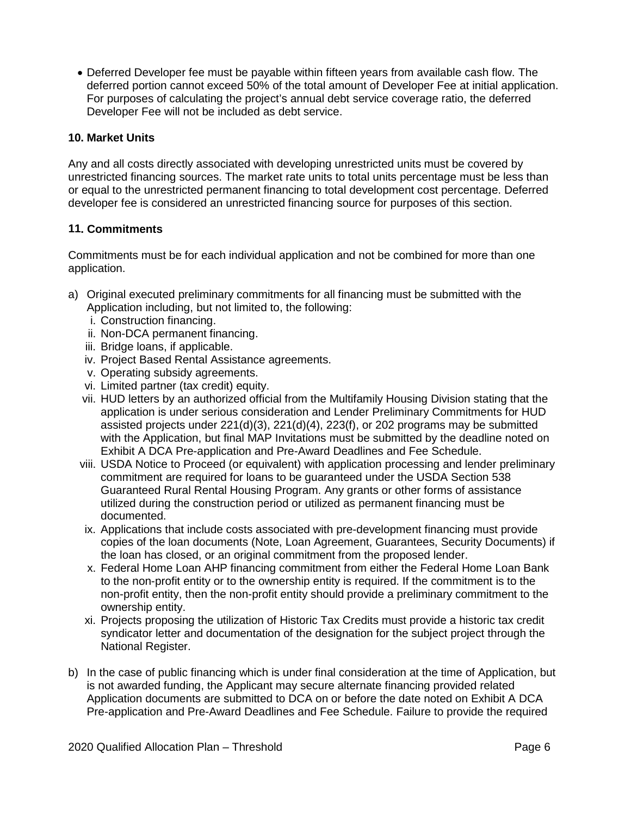• Deferred Developer fee must be payable within fifteen years from available cash flow. The deferred portion cannot exceed 50% of the total amount of Developer Fee at initial application. For purposes of calculating the project's annual debt service coverage ratio, the deferred Developer Fee will not be included as debt service.

## **10. Market Units**

Any and all costs directly associated with developing unrestricted units must be covered by unrestricted financing sources. The market rate units to total units percentage must be less than or equal to the unrestricted permanent financing to total development cost percentage. Deferred developer fee is considered an unrestricted financing source for purposes of this section.

## **11. Commitments**

Commitments must be for each individual application and not be combined for more than one application.

- a) Original executed preliminary commitments for all financing must be submitted with the Application including, but not limited to, the following:
	- i. Construction financing.
	- ii. Non-DCA permanent financing.
	- iii. Bridge loans, if applicable.
	- iv. Project Based Rental Assistance agreements.
	- v. Operating subsidy agreements.
	- vi. Limited partner (tax credit) equity.
	- vii. HUD letters by an authorized official from the Multifamily Housing Division stating that the application is under serious consideration and Lender Preliminary Commitments for HUD assisted projects under 221(d)(3), 221(d)(4), 223(f), or 202 programs may be submitted with the Application, but final MAP Invitations must be submitted by the deadline noted on Exhibit A DCA Pre-application and Pre-Award Deadlines and Fee Schedule.
	- viii. USDA Notice to Proceed (or equivalent) with application processing and lender preliminary commitment are required for loans to be guaranteed under the USDA Section 538 Guaranteed Rural Rental Housing Program. Any grants or other forms of assistance utilized during the construction period or utilized as permanent financing must be documented.
	- ix. Applications that include costs associated with pre-development financing must provide copies of the loan documents (Note, Loan Agreement, Guarantees, Security Documents) if the loan has closed, or an original commitment from the proposed lender.
	- x. Federal Home Loan AHP financing commitment from either the Federal Home Loan Bank to the non-profit entity or to the ownership entity is required. If the commitment is to the non-profit entity, then the non-profit entity should provide a preliminary commitment to the ownership entity.
	- xi. Projects proposing the utilization of Historic Tax Credits must provide a historic tax credit syndicator letter and documentation of the designation for the subject project through the National Register.
- b) In the case of public financing which is under final consideration at the time of Application, but is not awarded funding, the Applicant may secure alternate financing provided related Application documents are submitted to DCA on or before the date noted on Exhibit A DCA Pre-application and Pre-Award Deadlines and Fee Schedule. Failure to provide the required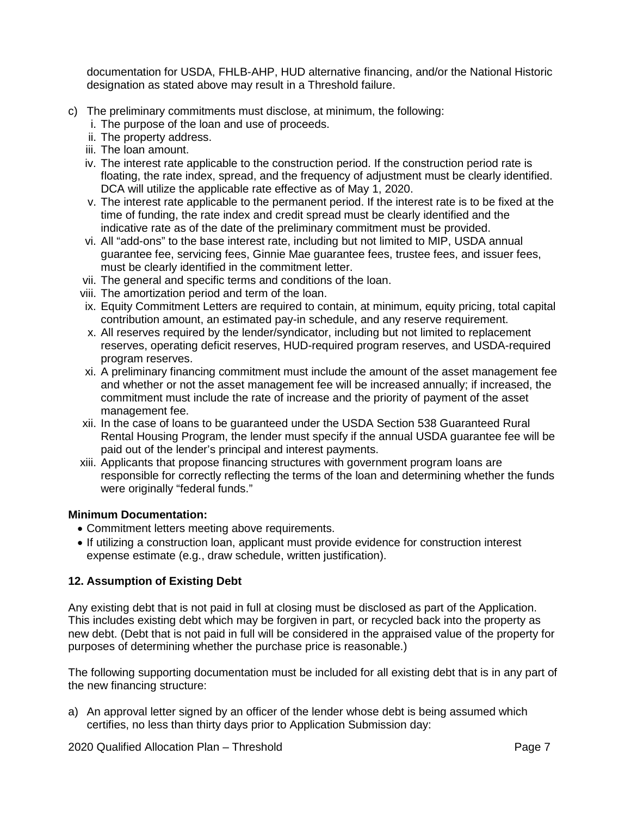documentation for USDA, FHLB-AHP, HUD alternative financing, and/or the National Historic designation as stated above may result in a Threshold failure.

- c) The preliminary commitments must disclose, at minimum, the following:
	- i. The purpose of the loan and use of proceeds.
	- ii. The property address.
	- iii. The loan amount.
	- iv. The interest rate applicable to the construction period. If the construction period rate is floating, the rate index, spread, and the frequency of adjustment must be clearly identified. DCA will utilize the applicable rate effective as of May 1, 2020.
	- v. The interest rate applicable to the permanent period. If the interest rate is to be fixed at the time of funding, the rate index and credit spread must be clearly identified and the indicative rate as of the date of the preliminary commitment must be provided.
	- vi. All "add-ons" to the base interest rate, including but not limited to MIP, USDA annual guarantee fee, servicing fees, Ginnie Mae guarantee fees, trustee fees, and issuer fees, must be clearly identified in the commitment letter.
	- vii. The general and specific terms and conditions of the loan.
	- viii. The amortization period and term of the loan.
	- ix. Equity Commitment Letters are required to contain, at minimum, equity pricing, total capital contribution amount, an estimated pay-in schedule, and any reserve requirement.
	- x. All reserves required by the lender/syndicator, including but not limited to replacement reserves, operating deficit reserves, HUD-required program reserves, and USDA-required program reserves.
	- xi. A preliminary financing commitment must include the amount of the asset management fee and whether or not the asset management fee will be increased annually; if increased, the commitment must include the rate of increase and the priority of payment of the asset management fee.
	- xii. In the case of loans to be guaranteed under the USDA Section 538 Guaranteed Rural Rental Housing Program, the lender must specify if the annual USDA guarantee fee will be paid out of the lender's principal and interest payments.
	- xiii. Applicants that propose financing structures with government program loans are responsible for correctly reflecting the terms of the loan and determining whether the funds were originally "federal funds."

## **Minimum Documentation:**

- Commitment letters meeting above requirements.
- If utilizing a construction loan, applicant must provide evidence for construction interest expense estimate (e.g., draw schedule, written justification).

# **12. Assumption of Existing Debt**

Any existing debt that is not paid in full at closing must be disclosed as part of the Application. This includes existing debt which may be forgiven in part, or recycled back into the property as new debt. (Debt that is not paid in full will be considered in the appraised value of the property for purposes of determining whether the purchase price is reasonable.)

The following supporting documentation must be included for all existing debt that is in any part of the new financing structure:

a) An approval letter signed by an officer of the lender whose debt is being assumed which certifies, no less than thirty days prior to Application Submission day: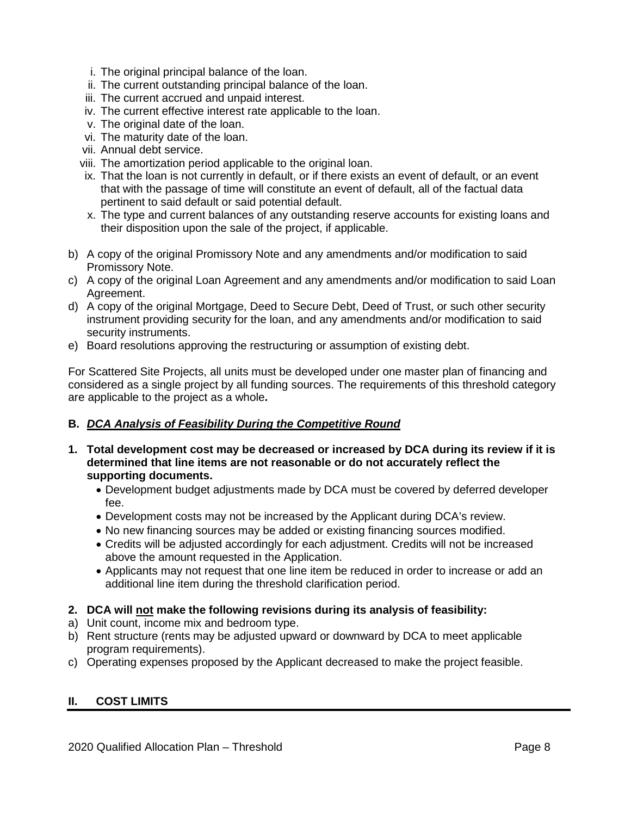- i. The original principal balance of the loan.
- ii. The current outstanding principal balance of the loan.
- iii. The current accrued and unpaid interest.
- iv. The current effective interest rate applicable to the loan.
- v. The original date of the loan.
- vi. The maturity date of the loan.
- vii. Annual debt service.
- viii. The amortization period applicable to the original loan.
- ix. That the loan is not currently in default, or if there exists an event of default, or an event that with the passage of time will constitute an event of default, all of the factual data pertinent to said default or said potential default.
- x. The type and current balances of any outstanding reserve accounts for existing loans and their disposition upon the sale of the project, if applicable.
- b) A copy of the original Promissory Note and any amendments and/or modification to said Promissory Note.
- c) A copy of the original Loan Agreement and any amendments and/or modification to said Loan Agreement.
- d) A copy of the original Mortgage, Deed to Secure Debt, Deed of Trust, or such other security instrument providing security for the loan, and any amendments and/or modification to said security instruments.
- e) Board resolutions approving the restructuring or assumption of existing debt.

For Scattered Site Projects, all units must be developed under one master plan of financing and considered as a single project by all funding sources. The requirements of this threshold category are applicable to the project as a whole**.**

## **B.** *DCA Analysis of Feasibility During the Competitive Round*

- **1. Total development cost may be decreased or increased by DCA during its review if it is determined that line items are not reasonable or do not accurately reflect the supporting documents.**
	- Development budget adjustments made by DCA must be covered by deferred developer fee.
	- Development costs may not be increased by the Applicant during DCA's review.
	- No new financing sources may be added or existing financing sources modified.
	- Credits will be adjusted accordingly for each adjustment. Credits will not be increased above the amount requested in the Application.
	- Applicants may not request that one line item be reduced in order to increase or add an additional line item during the threshold clarification period.
- **2. DCA will not make the following revisions during its analysis of feasibility:**
- a) Unit count, income mix and bedroom type.
- b) Rent structure (rents may be adjusted upward or downward by DCA to meet applicable program requirements).
- c) Operating expenses proposed by the Applicant decreased to make the project feasible.

## <span id="page-44-0"></span>**II. COST LIMITS**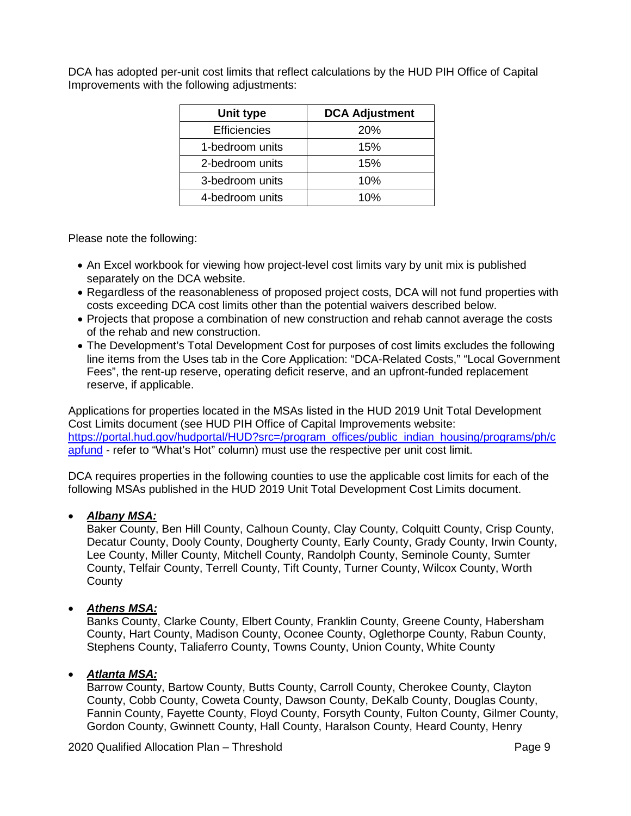DCA has adopted per-unit cost limits that reflect calculations by the HUD PIH Office of Capital Improvements with the following adjustments:

| Unit type           | <b>DCA Adjustment</b> |  |
|---------------------|-----------------------|--|
| <b>Efficiencies</b> | <b>20%</b>            |  |
| 1-bedroom units     | 15%                   |  |
| 2-bedroom units     | 15%                   |  |
| 3-bedroom units     | 10%                   |  |
| 4-bedroom units     | 10%                   |  |

Please note the following:

- An Excel workbook for viewing how project-level cost limits vary by unit mix is published separately on the DCA website.
- Regardless of the reasonableness of proposed project costs, DCA will not fund properties with costs exceeding DCA cost limits other than the potential waivers described below.
- Projects that propose a combination of new construction and rehab cannot average the costs of the rehab and new construction.
- The Development's Total Development Cost for purposes of cost limits excludes the following line items from the Uses tab in the Core Application: "DCA-Related Costs," "Local Government Fees", the rent-up reserve, operating deficit reserve, and an upfront-funded replacement reserve, if applicable.

Applications for properties located in the MSAs listed in the HUD 2019 Unit Total Development Cost Limits document (see HUD PIH Office of Capital Improvements website: [https://portal.hud.gov/hudportal/HUD?src=/program\\_offices/public\\_indian\\_housing/programs/ph/c](https://portal.hud.gov/hudportal/HUD?src=/program_offices/public_indian_housing/programs/ph/capfund) [apfund](https://portal.hud.gov/hudportal/HUD?src=/program_offices/public_indian_housing/programs/ph/capfund) - refer to "What's Hot" column) must use the respective per unit cost limit.

DCA requires properties in the following counties to use the applicable cost limits for each of the following MSAs published in the HUD 2019 Unit Total Development Cost Limits document.

## • *Albany MSA:*

Baker County, Ben Hill County, Calhoun County, Clay County, Colquitt County, Crisp County, Decatur County, Dooly County, Dougherty County, Early County, Grady County, Irwin County, Lee County, Miller County, Mitchell County, Randolph County, Seminole County, Sumter County, Telfair County, Terrell County, Tift County, Turner County, Wilcox County, Worth **County** 

# • *Athens MSA:*

Banks County, Clarke County, Elbert County, Franklin County, Greene County, Habersham County, Hart County, Madison County, Oconee County, Oglethorpe County, Rabun County, Stephens County, Taliaferro County, Towns County, Union County, White County

## • *Atlanta MSA:*

Barrow County, Bartow County, Butts County, Carroll County, Cherokee County, Clayton County, Cobb County, Coweta County, Dawson County, DeKalb County, Douglas County, Fannin County, Fayette County, Floyd County, Forsyth County, Fulton County, Gilmer County, Gordon County, Gwinnett County, Hall County, Haralson County, Heard County, Henry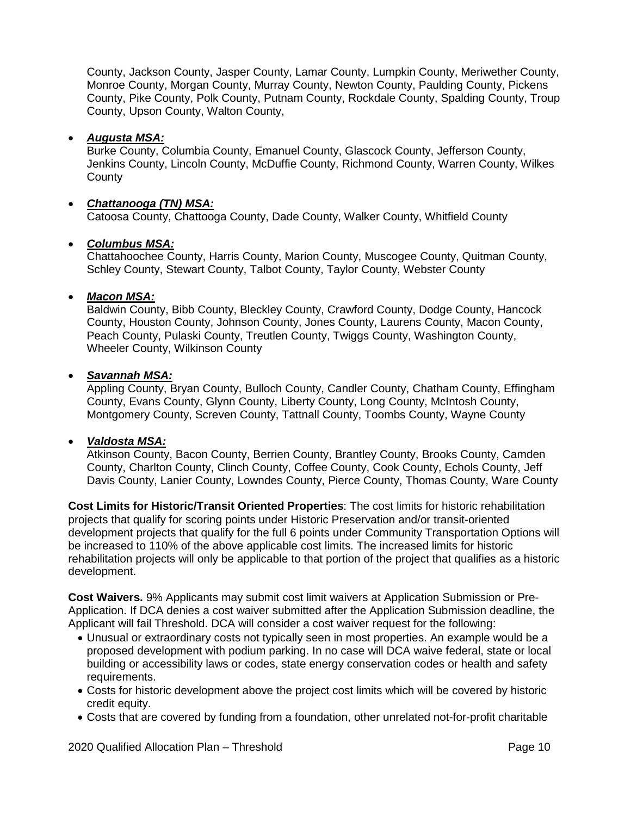County, Jackson County, Jasper County, Lamar County, Lumpkin County, Meriwether County, Monroe County, Morgan County, Murray County, Newton County, Paulding County, Pickens County, Pike County, Polk County, Putnam County, Rockdale County, Spalding County, Troup County, Upson County, Walton County,

## • *Augusta MSA:*

Burke County, Columbia County, Emanuel County, Glascock County, Jefferson County, Jenkins County, Lincoln County, McDuffie County, Richmond County, Warren County, Wilkes **County** 

## • *Chattanooga (TN) MSA:*

Catoosa County, Chattooga County, Dade County, Walker County, Whitfield County

## • *Columbus MSA:*

Chattahoochee County, Harris County, Marion County, Muscogee County, Quitman County, Schley County, Stewart County, Talbot County, Taylor County, Webster County

## • *Macon MSA:*

Baldwin County, Bibb County, Bleckley County, Crawford County, Dodge County, Hancock County, Houston County, Johnson County, Jones County, Laurens County, Macon County, Peach County, Pulaski County, Treutlen County, Twiggs County, Washington County, Wheeler County, Wilkinson County

## • *Savannah MSA:*

Appling County, Bryan County, Bulloch County, Candler County, Chatham County, Effingham County, Evans County, Glynn County, Liberty County, Long County, McIntosh County, Montgomery County, Screven County, Tattnall County, Toombs County, Wayne County

## • *Valdosta MSA:*

Atkinson County, Bacon County, Berrien County, Brantley County, Brooks County, Camden County, Charlton County, Clinch County, Coffee County, Cook County, Echols County, Jeff Davis County, Lanier County, Lowndes County, Pierce County, Thomas County, Ware County

**Cost Limits for Historic/Transit Oriented Properties**: The cost limits for historic rehabilitation projects that qualify for scoring points under Historic Preservation and/or transit-oriented development projects that qualify for the full 6 points under Community Transportation Options will be increased to 110% of the above applicable cost limits. The increased limits for historic rehabilitation projects will only be applicable to that portion of the project that qualifies as a historic development.

**Cost Waivers.** 9% Applicants may submit cost limit waivers at Application Submission or Pre-Application. If DCA denies a cost waiver submitted after the Application Submission deadline, the Applicant will fail Threshold. DCA will consider a cost waiver request for the following:

- Unusual or extraordinary costs not typically seen in most properties. An example would be a proposed development with podium parking. In no case will DCA waive federal, state or local building or accessibility laws or codes, state energy conservation codes or health and safety requirements.
- Costs for historic development above the project cost limits which will be covered by historic credit equity.
- Costs that are covered by funding from a foundation, other unrelated not-for-profit charitable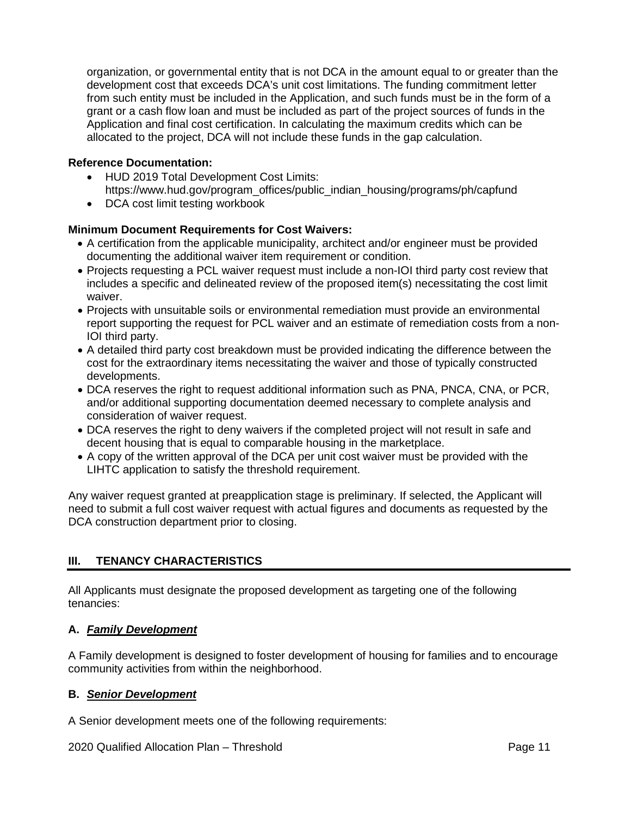organization, or governmental entity that is not DCA in the amount equal to or greater than the development cost that exceeds DCA's unit cost limitations. The funding commitment letter from such entity must be included in the Application, and such funds must be in the form of a grant or a cash flow loan and must be included as part of the project sources of funds in the Application and final cost certification. In calculating the maximum credits which can be allocated to the project, DCA will not include these funds in the gap calculation.

## **Reference Documentation:**

- HUD 2019 Total Development Cost Limits: https://www.hud.gov/program\_offices/public\_indian\_housing/programs/ph/capfund
- DCA cost limit testing workbook

#### **Minimum Document Requirements for Cost Waivers:**

- A certification from the applicable municipality, architect and/or engineer must be provided documenting the additional waiver item requirement or condition.
- Projects requesting a PCL waiver request must include a non-IOI third party cost review that includes a specific and delineated review of the proposed item(s) necessitating the cost limit waiver.
- Projects with unsuitable soils or environmental remediation must provide an environmental report supporting the request for PCL waiver and an estimate of remediation costs from a non-IOI third party.
- A detailed third party cost breakdown must be provided indicating the difference between the cost for the extraordinary items necessitating the waiver and those of typically constructed developments.
- DCA reserves the right to request additional information such as PNA, PNCA, CNA, or PCR, and/or additional supporting documentation deemed necessary to complete analysis and consideration of waiver request.
- DCA reserves the right to deny waivers if the completed project will not result in safe and decent housing that is equal to comparable housing in the marketplace.
- A copy of the written approval of the DCA per unit cost waiver must be provided with the LIHTC application to satisfy the threshold requirement.

Any waiver request granted at preapplication stage is preliminary. If selected, the Applicant will need to submit a full cost waiver request with actual figures and documents as requested by the DCA construction department prior to closing.

## <span id="page-47-0"></span>**III. TENANCY CHARACTERISTICS**

All Applicants must designate the proposed development as targeting one of the following tenancies:

#### **A.** *Family Development*

A Family development is designed to foster development of housing for families and to encourage community activities from within the neighborhood.

#### **B.** *Senior Development*

A Senior development meets one of the following requirements:

2020 Qualified Allocation Plan – Threshold **Page 11** Page 11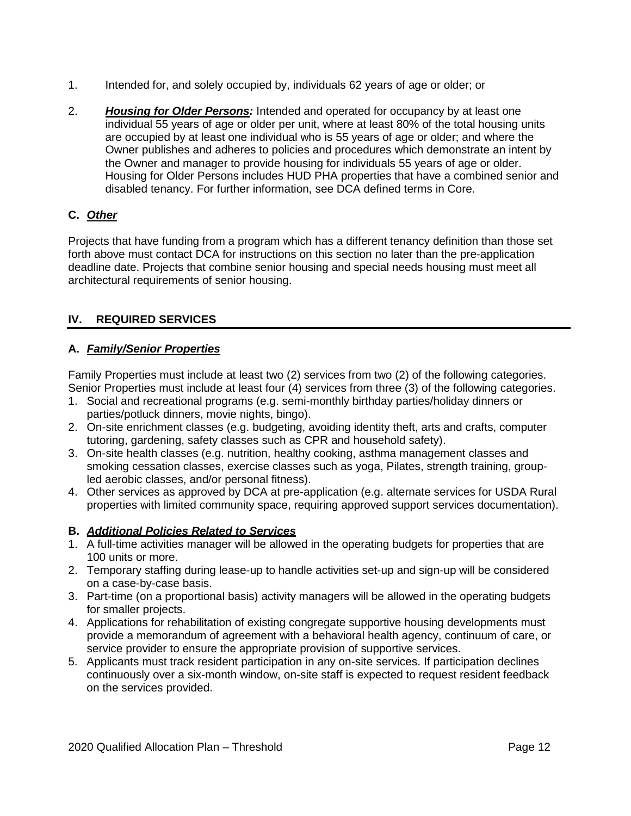- 1. Intended for, and solely occupied by, individuals 62 years of age or older; or
- 2. *Housing for Older Persons:* Intended and operated for occupancy by at least one individual 55 years of age or older per unit, where at least 80% of the total housing units are occupied by at least one individual who is 55 years of age or older; and where the Owner publishes and adheres to policies and procedures which demonstrate an intent by the Owner and manager to provide housing for individuals 55 years of age or older. Housing for Older Persons includes HUD PHA properties that have a combined senior and disabled tenancy. For further information, see DCA defined terms in Core.

# **C.** *Other*

Projects that have funding from a program which has a different tenancy definition than those set forth above must contact DCA for instructions on this section no later than the pre-application deadline date. Projects that combine senior housing and special needs housing must meet all architectural requirements of senior housing.

## <span id="page-48-0"></span>**IV. REQUIRED SERVICES**

## **A.** *Family/Senior Properties*

Family Properties must include at least two (2) services from two (2) of the following categories. Senior Properties must include at least four (4) services from three (3) of the following categories.

- 1. Social and recreational programs (e.g. semi-monthly birthday parties/holiday dinners or parties/potluck dinners, movie nights, bingo).
- 2. On-site enrichment classes (e.g. budgeting, avoiding identity theft, arts and crafts, computer tutoring, gardening, safety classes such as CPR and household safety).
- 3. On-site health classes (e.g. nutrition, healthy cooking, asthma management classes and smoking cessation classes, exercise classes such as yoga, Pilates, strength training, groupled aerobic classes, and/or personal fitness).
- 4. Other services as approved by DCA at pre-application (e.g. alternate services for USDA Rural properties with limited community space, requiring approved support services documentation).

## **B.** *Additional Policies Related to Services*

- 1. A full-time activities manager will be allowed in the operating budgets for properties that are 100 units or more.
- 2. Temporary staffing during lease-up to handle activities set-up and sign-up will be considered on a case-by-case basis.
- 3. Part-time (on a proportional basis) activity managers will be allowed in the operating budgets for smaller projects.
- 4. Applications for rehabilitation of existing congregate supportive housing developments must provide a memorandum of agreement with a behavioral health agency, continuum of care, or service provider to ensure the appropriate provision of supportive services.
- 5. Applicants must track resident participation in any on-site services. If participation declines continuously over a six-month window, on-site staff is expected to request resident feedback on the services provided.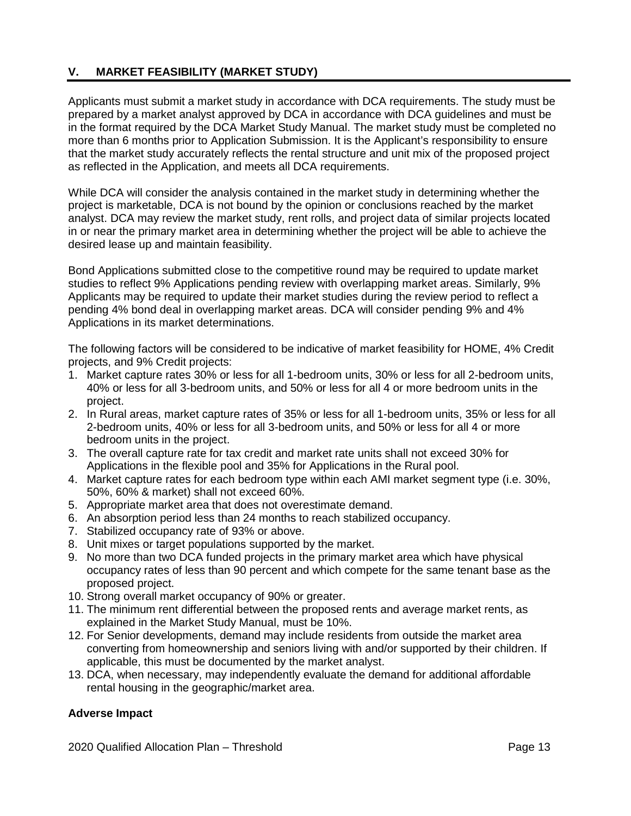# <span id="page-49-0"></span>**V. MARKET FEASIBILITY (MARKET STUDY)**

Applicants must submit a market study in accordance with DCA requirements. The study must be prepared by a market analyst approved by DCA in accordance with DCA guidelines and must be in the format required by the DCA Market Study Manual. The market study must be completed no more than 6 months prior to Application Submission. It is the Applicant's responsibility to ensure that the market study accurately reflects the rental structure and unit mix of the proposed project as reflected in the Application, and meets all DCA requirements.

While DCA will consider the analysis contained in the market study in determining whether the project is marketable, DCA is not bound by the opinion or conclusions reached by the market analyst. DCA may review the market study, rent rolls, and project data of similar projects located in or near the primary market area in determining whether the project will be able to achieve the desired lease up and maintain feasibility.

Bond Applications submitted close to the competitive round may be required to update market studies to reflect 9% Applications pending review with overlapping market areas. Similarly, 9% Applicants may be required to update their market studies during the review period to reflect a pending 4% bond deal in overlapping market areas. DCA will consider pending 9% and 4% Applications in its market determinations.

The following factors will be considered to be indicative of market feasibility for HOME, 4% Credit projects, and 9% Credit projects:

- 1. Market capture rates 30% or less for all 1-bedroom units, 30% or less for all 2-bedroom units, 40% or less for all 3-bedroom units, and 50% or less for all 4 or more bedroom units in the project.
- 2. In Rural areas, market capture rates of 35% or less for all 1-bedroom units, 35% or less for all 2-bedroom units, 40% or less for all 3-bedroom units, and 50% or less for all 4 or more bedroom units in the project.
- 3. The overall capture rate for tax credit and market rate units shall not exceed 30% for Applications in the flexible pool and 35% for Applications in the Rural pool.
- 4. Market capture rates for each bedroom type within each AMI market segment type (i.e. 30%, 50%, 60% & market) shall not exceed 60%.
- 5. Appropriate market area that does not overestimate demand.
- 6. An absorption period less than 24 months to reach stabilized occupancy.
- 7. Stabilized occupancy rate of 93% or above.
- 8. Unit mixes or target populations supported by the market.
- 9. No more than two DCA funded projects in the primary market area which have physical occupancy rates of less than 90 percent and which compete for the same tenant base as the proposed project.
- 10. Strong overall market occupancy of 90% or greater.
- 11. The minimum rent differential between the proposed rents and average market rents, as explained in the Market Study Manual, must be 10%.
- 12. For Senior developments, demand may include residents from outside the market area converting from homeownership and seniors living with and/or supported by their children. If applicable, this must be documented by the market analyst.
- 13. DCA, when necessary, may independently evaluate the demand for additional affordable rental housing in the geographic/market area.

## **Adverse Impact**

2020 Qualified Allocation Plan – Threshold **Page 13** Page 13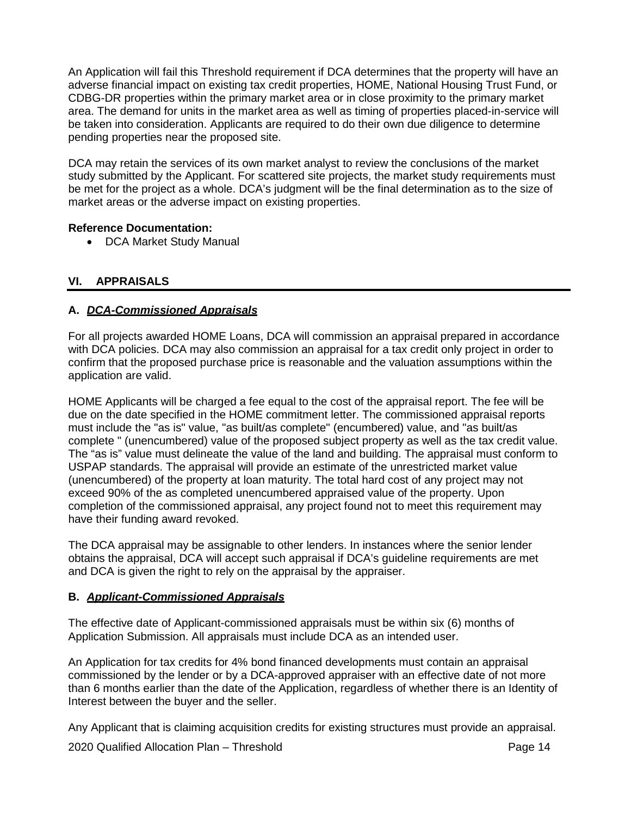An Application will fail this Threshold requirement if DCA determines that the property will have an adverse financial impact on existing tax credit properties, HOME, National Housing Trust Fund, or CDBG-DR properties within the primary market area or in close proximity to the primary market area. The demand for units in the market area as well as timing of properties placed-in-service will be taken into consideration. Applicants are required to do their own due diligence to determine pending properties near the proposed site.

DCA may retain the services of its own market analyst to review the conclusions of the market study submitted by the Applicant. For scattered site projects, the market study requirements must be met for the project as a whole. DCA's judgment will be the final determination as to the size of market areas or the adverse impact on existing properties.

## **Reference Documentation:**

• DCA Market Study Manual

# <span id="page-50-0"></span>**VI. APPRAISALS**

## **A.** *DCA-Commissioned Appraisals*

For all projects awarded HOME Loans, DCA will commission an appraisal prepared in accordance with DCA policies. DCA may also commission an appraisal for a tax credit only project in order to confirm that the proposed purchase price is reasonable and the valuation assumptions within the application are valid.

HOME Applicants will be charged a fee equal to the cost of the appraisal report. The fee will be due on the date specified in the HOME commitment letter. The commissioned appraisal reports must include the "as is" value, "as built/as complete" (encumbered) value, and "as built/as complete " (unencumbered) value of the proposed subject property as well as the tax credit value. The "as is" value must delineate the value of the land and building. The appraisal must conform to USPAP standards. The appraisal will provide an estimate of the unrestricted market value (unencumbered) of the property at loan maturity. The total hard cost of any project may not exceed 90% of the as completed unencumbered appraised value of the property. Upon completion of the commissioned appraisal, any project found not to meet this requirement may have their funding award revoked.

The DCA appraisal may be assignable to other lenders. In instances where the senior lender obtains the appraisal, DCA will accept such appraisal if DCA's guideline requirements are met and DCA is given the right to rely on the appraisal by the appraiser.

## **B.** *Applicant-Commissioned Appraisals*

The effective date of Applicant-commissioned appraisals must be within six (6) months of Application Submission. All appraisals must include DCA as an intended user.

An Application for tax credits for 4% bond financed developments must contain an appraisal commissioned by the lender or by a DCA-approved appraiser with an effective date of not more than 6 months earlier than the date of the Application, regardless of whether there is an Identity of Interest between the buyer and the seller.

Any Applicant that is claiming acquisition credits for existing structures must provide an appraisal.

2020 Qualified Allocation Plan – Threshold **Page 14** Page 14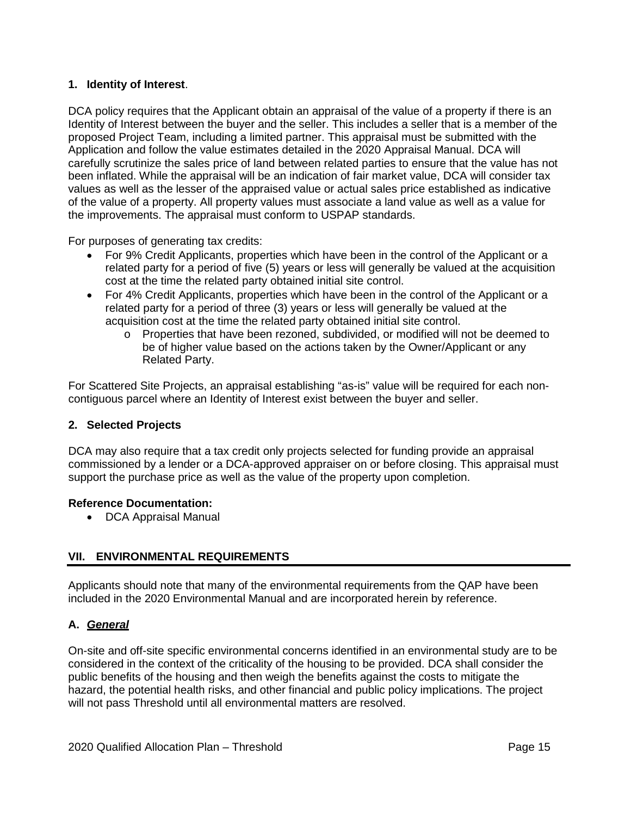## **1. Identity of Interest**.

DCA policy requires that the Applicant obtain an appraisal of the value of a property if there is an Identity of Interest between the buyer and the seller. This includes a seller that is a member of the proposed Project Team, including a limited partner. This appraisal must be submitted with the Application and follow the value estimates detailed in the 2020 Appraisal Manual. DCA will carefully scrutinize the sales price of land between related parties to ensure that the value has not been inflated. While the appraisal will be an indication of fair market value, DCA will consider tax values as well as the lesser of the appraised value or actual sales price established as indicative of the value of a property. All property values must associate a land value as well as a value for the improvements. The appraisal must conform to USPAP standards.

For purposes of generating tax credits:

- For 9% Credit Applicants, properties which have been in the control of the Applicant or a related party for a period of five (5) years or less will generally be valued at the acquisition cost at the time the related party obtained initial site control.
- For 4% Credit Applicants, properties which have been in the control of the Applicant or a related party for a period of three (3) years or less will generally be valued at the acquisition cost at the time the related party obtained initial site control.
	- o Properties that have been rezoned, subdivided, or modified will not be deemed to be of higher value based on the actions taken by the Owner/Applicant or any Related Party.

For Scattered Site Projects, an appraisal establishing "as-is" value will be required for each noncontiguous parcel where an Identity of Interest exist between the buyer and seller.

## **2. Selected Projects**

DCA may also require that a tax credit only projects selected for funding provide an appraisal commissioned by a lender or a DCA-approved appraiser on or before closing. This appraisal must support the purchase price as well as the value of the property upon completion.

#### **Reference Documentation:**

• DCA Appraisal Manual

## <span id="page-51-0"></span>**VII. ENVIRONMENTAL REQUIREMENTS**

Applicants should note that many of the environmental requirements from the QAP have been included in the 2020 Environmental Manual and are incorporated herein by reference.

## **A.** *General*

On-site and off-site specific environmental concerns identified in an environmental study are to be considered in the context of the criticality of the housing to be provided. DCA shall consider the public benefits of the housing and then weigh the benefits against the costs to mitigate the hazard, the potential health risks, and other financial and public policy implications. The project will not pass Threshold until all environmental matters are resolved.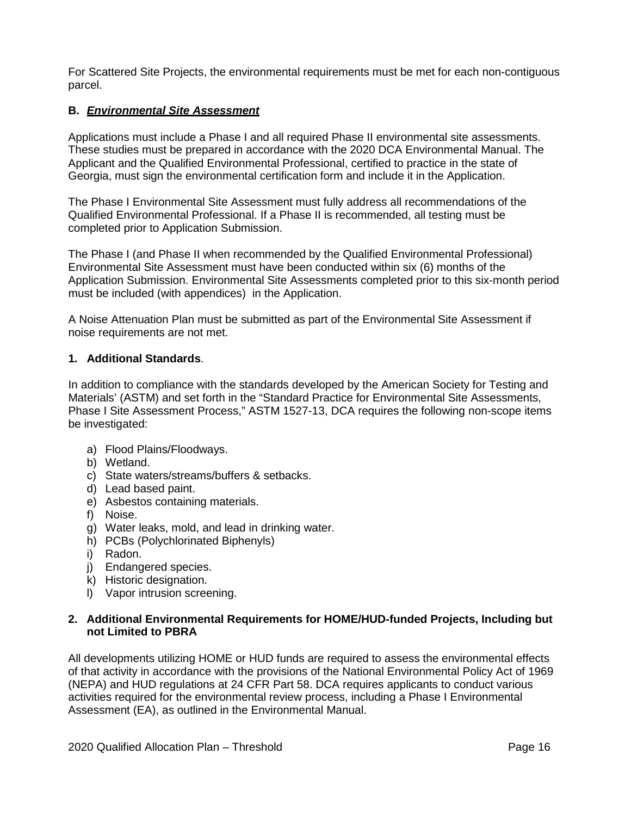For Scattered Site Projects, the environmental requirements must be met for each non-contiguous parcel.

## **B.** *Environmental Site Assessment*

Applications must include a Phase I and all required Phase II environmental site assessments. These studies must be prepared in accordance with the 2020 DCA Environmental Manual. The Applicant and the Qualified Environmental Professional, certified to practice in the state of Georgia, must sign the environmental certification form and include it in the Application.

The Phase I Environmental Site Assessment must fully address all recommendations of the Qualified Environmental Professional. If a Phase II is recommended, all testing must be completed prior to Application Submission.

The Phase I (and Phase II when recommended by the Qualified Environmental Professional) Environmental Site Assessment must have been conducted within six (6) months of the Application Submission. Environmental Site Assessments completed prior to this six-month period must be included (with appendices) in the Application.

A Noise Attenuation Plan must be submitted as part of the Environmental Site Assessment if noise requirements are not met.

## **1. Additional Standards**.

In addition to compliance with the standards developed by the American Society for Testing and Materials' (ASTM) and set forth in the "Standard Practice for Environmental Site Assessments, Phase I Site Assessment Process," ASTM 1527-13, DCA requires the following non-scope items be investigated:

- a) Flood Plains/Floodways.
- b) Wetland.
- c) State waters/streams/buffers & setbacks.
- d) Lead based paint.
- e) Asbestos containing materials.
- f) Noise.
- g) Water leaks, mold, and lead in drinking water.
- h) PCBs (Polychlorinated Biphenyls)
- i) Radon.
- j) Endangered species.
- k) Historic designation.
- l) Vapor intrusion screening.

#### **2. Additional Environmental Requirements for HOME/HUD-funded Projects, Including but not Limited to PBRA**

All developments utilizing HOME or HUD funds are required to assess the environmental effects of that activity in accordance with the provisions of the National Environmental Policy Act of 1969 (NEPA) and HUD regulations at 24 CFR Part 58. DCA requires applicants to conduct various activities required for the environmental review process, including a Phase I Environmental Assessment (EA), as outlined in the Environmental Manual.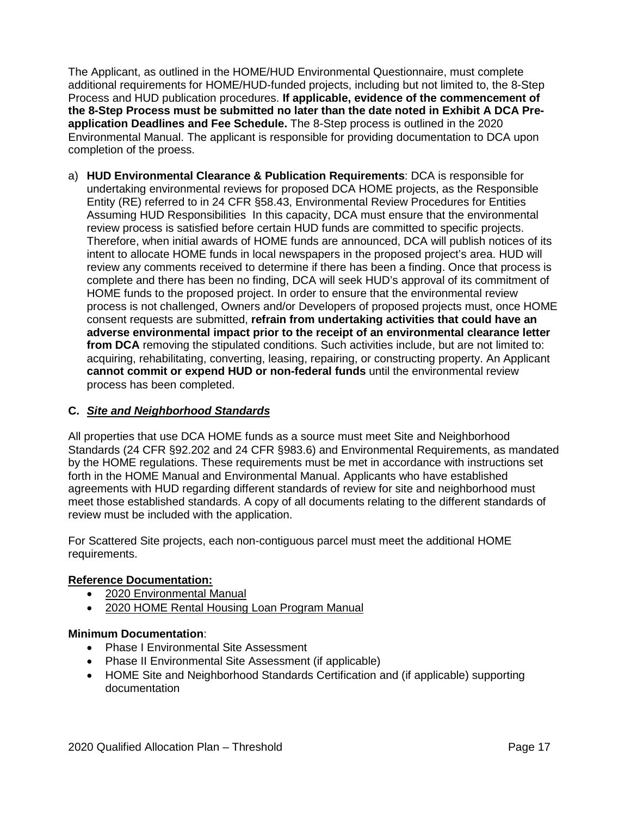The Applicant, as outlined in the HOME/HUD Environmental Questionnaire, must complete additional requirements for HOME/HUD-funded projects, including but not limited to, the 8-Step Process and HUD publication procedures. **If applicable, evidence of the commencement of the 8-Step Process must be submitted no later than the date noted in Exhibit A DCA Preapplication Deadlines and Fee Schedule.** The 8-Step process is outlined in the 2020 Environmental Manual. The applicant is responsible for providing documentation to DCA upon completion of the proess.

a) **HUD Environmental Clearance & Publication Requirements**: DCA is responsible for undertaking environmental reviews for proposed DCA HOME projects, as the Responsible Entity (RE) referred to in 24 CFR §58.43, Environmental Review Procedures for Entities Assuming HUD Responsibilities In this capacity, DCA must ensure that the environmental review process is satisfied before certain HUD funds are committed to specific projects. Therefore, when initial awards of HOME funds are announced, DCA will publish notices of its intent to allocate HOME funds in local newspapers in the proposed project's area. HUD will review any comments received to determine if there has been a finding. Once that process is complete and there has been no finding, DCA will seek HUD's approval of its commitment of HOME funds to the proposed project. In order to ensure that the environmental review process is not challenged, Owners and/or Developers of proposed projects must, once HOME consent requests are submitted, **refrain from undertaking activities that could have an adverse environmental impact prior to the receipt of an environmental clearance letter from DCA** removing the stipulated conditions. Such activities include, but are not limited to: acquiring, rehabilitating, converting, leasing, repairing, or constructing property. An Applicant **cannot commit or expend HUD or non-federal funds** until the environmental review process has been completed.

## **C.** *Site and Neighborhood Standards*

All properties that use DCA HOME funds as a source must meet Site and Neighborhood Standards (24 CFR §92.202 and 24 CFR §983.6) and Environmental Requirements, as mandated by the HOME regulations. These requirements must be met in accordance with instructions set forth in the HOME Manual and Environmental Manual. Applicants who have established agreements with HUD regarding different standards of review for site and neighborhood must meet those established standards. A copy of all documents relating to the different standards of review must be included with the application.

For Scattered Site projects, each non-contiguous parcel must meet the additional HOME requirements.

## **Reference Documentation:**

- 2020 Environmental Manual
- 2020 HOME Rental Housing Loan Program Manual

#### **Minimum Documentation**:

- Phase I Environmental Site Assessment
- Phase II Environmental Site Assessment (if applicable)
- HOME Site and Neighborhood Standards Certification and (if applicable) supporting documentation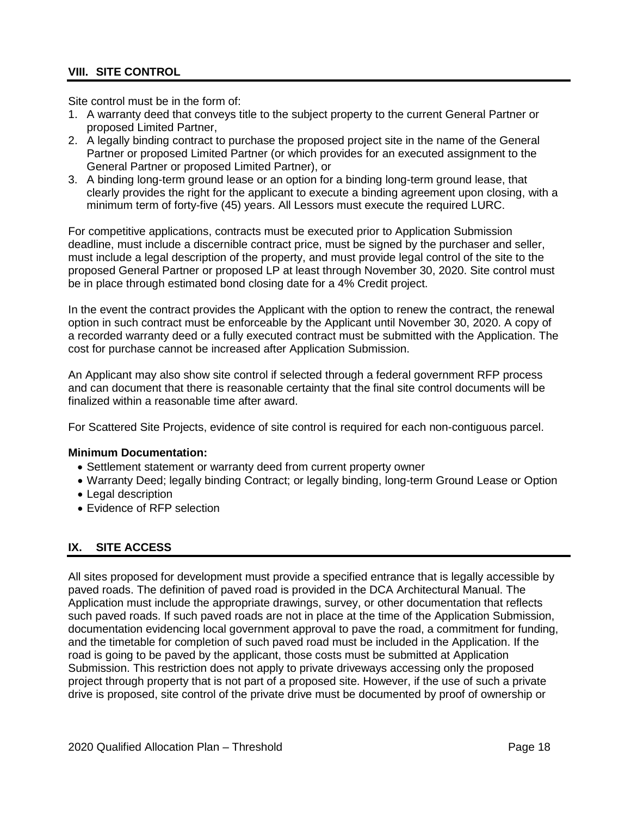## <span id="page-54-0"></span>**VIII. SITE CONTROL**

Site control must be in the form of:

- 1. A warranty deed that conveys title to the subject property to the current General Partner or proposed Limited Partner,
- 2. A legally binding contract to purchase the proposed project site in the name of the General Partner or proposed Limited Partner (or which provides for an executed assignment to the General Partner or proposed Limited Partner), or
- 3. A binding long-term ground lease or an option for a binding long-term ground lease, that clearly provides the right for the applicant to execute a binding agreement upon closing, with a minimum term of forty-five (45) years. All Lessors must execute the required LURC.

For competitive applications, contracts must be executed prior to Application Submission deadline, must include a discernible contract price, must be signed by the purchaser and seller, must include a legal description of the property, and must provide legal control of the site to the proposed General Partner or proposed LP at least through November 30, 2020. Site control must be in place through estimated bond closing date for a 4% Credit project.

In the event the contract provides the Applicant with the option to renew the contract, the renewal option in such contract must be enforceable by the Applicant until November 30, 2020. A copy of a recorded warranty deed or a fully executed contract must be submitted with the Application. The cost for purchase cannot be increased after Application Submission.

An Applicant may also show site control if selected through a federal government RFP process and can document that there is reasonable certainty that the final site control documents will be finalized within a reasonable time after award.

For Scattered Site Projects, evidence of site control is required for each non-contiguous parcel.

#### **Minimum Documentation:**

- Settlement statement or warranty deed from current property owner
- Warranty Deed; legally binding Contract; or legally binding, long-term Ground Lease or Option
- Legal description
- Evidence of RFP selection

# <span id="page-54-1"></span>**IX. SITE ACCESS**

All sites proposed for development must provide a specified entrance that is legally accessible by paved roads. The definition of paved road is provided in the DCA Architectural Manual. The Application must include the appropriate drawings, survey, or other documentation that reflects such paved roads. If such paved roads are not in place at the time of the Application Submission, documentation evidencing local government approval to pave the road, a commitment for funding, and the timetable for completion of such paved road must be included in the Application. If the road is going to be paved by the applicant, those costs must be submitted at Application Submission. This restriction does not apply to private driveways accessing only the proposed project through property that is not part of a proposed site. However, if the use of such a private drive is proposed, site control of the private drive must be documented by proof of ownership or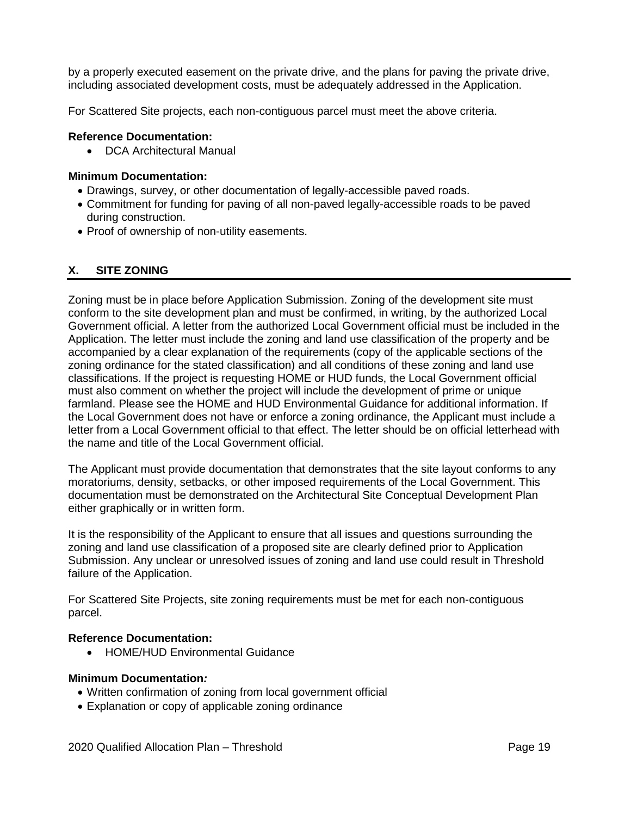by a properly executed easement on the private drive, and the plans for paving the private drive, including associated development costs, must be adequately addressed in the Application.

For Scattered Site projects, each non-contiguous parcel must meet the above criteria.

#### **Reference Documentation:**

• DCA Architectural Manual

#### **Minimum Documentation:**

- Drawings, survey, or other documentation of legally-accessible paved roads.
- Commitment for funding for paving of all non-paved legally-accessible roads to be paved during construction.
- Proof of ownership of non-utility easements.

## <span id="page-55-0"></span>**X. SITE ZONING**

Zoning must be in place before Application Submission. Zoning of the development site must conform to the site development plan and must be confirmed, in writing, by the authorized Local Government official. A letter from the authorized Local Government official must be included in the Application. The letter must include the zoning and land use classification of the property and be accompanied by a clear explanation of the requirements (copy of the applicable sections of the zoning ordinance for the stated classification) and all conditions of these zoning and land use classifications. If the project is requesting HOME or HUD funds, the Local Government official must also comment on whether the project will include the development of prime or unique farmland. Please see the HOME and HUD Environmental Guidance for additional information. If the Local Government does not have or enforce a zoning ordinance, the Applicant must include a letter from a Local Government official to that effect. The letter should be on official letterhead with the name and title of the Local Government official.

The Applicant must provide documentation that demonstrates that the site layout conforms to any moratoriums, density, setbacks, or other imposed requirements of the Local Government. This documentation must be demonstrated on the Architectural Site Conceptual Development Plan either graphically or in written form.

It is the responsibility of the Applicant to ensure that all issues and questions surrounding the zoning and land use classification of a proposed site are clearly defined prior to Application Submission. Any unclear or unresolved issues of zoning and land use could result in Threshold failure of the Application.

For Scattered Site Projects, site zoning requirements must be met for each non-contiguous parcel.

#### **Reference Documentation:**

• HOME/HUD Environmental Guidance

#### **Minimum Documentation***:*

- Written confirmation of zoning from local government official
- Explanation or copy of applicable zoning ordinance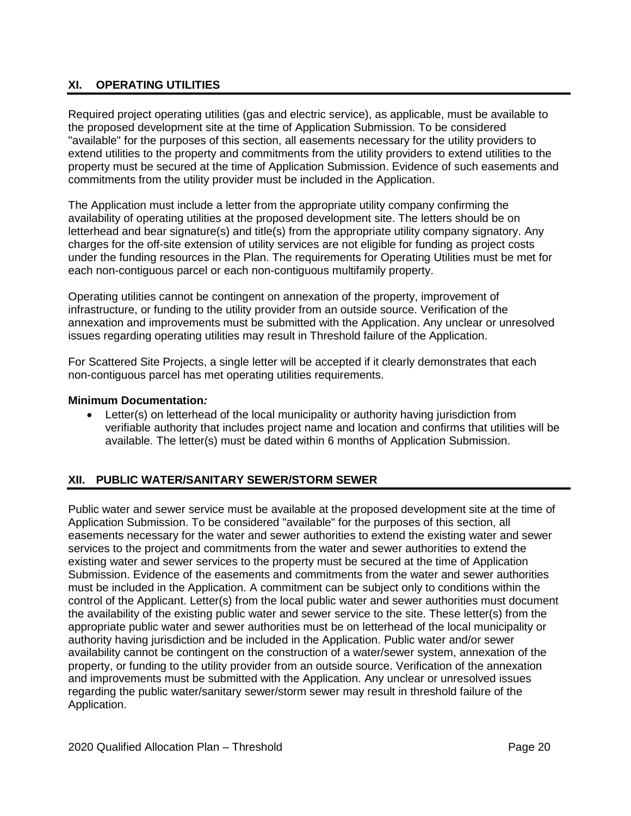# <span id="page-56-0"></span>**XI. OPERATING UTILITIES**

Required project operating utilities (gas and electric service), as applicable, must be available to the proposed development site at the time of Application Submission. To be considered "available" for the purposes of this section, all easements necessary for the utility providers to extend utilities to the property and commitments from the utility providers to extend utilities to the property must be secured at the time of Application Submission. Evidence of such easements and commitments from the utility provider must be included in the Application.

The Application must include a letter from the appropriate utility company confirming the availability of operating utilities at the proposed development site. The letters should be on letterhead and bear signature(s) and title(s) from the appropriate utility company signatory. Any charges for the off-site extension of utility services are not eligible for funding as project costs under the funding resources in the Plan. The requirements for Operating Utilities must be met for each non-contiguous parcel or each non-contiguous multifamily property.

Operating utilities cannot be contingent on annexation of the property, improvement of infrastructure, or funding to the utility provider from an outside source. Verification of the annexation and improvements must be submitted with the Application. Any unclear or unresolved issues regarding operating utilities may result in Threshold failure of the Application.

For Scattered Site Projects, a single letter will be accepted if it clearly demonstrates that each non-contiguous parcel has met operating utilities requirements.

#### **Minimum Documentation***:*

• Letter(s) on letterhead of the local municipality or authority having jurisdiction from verifiable authority that includes project name and location and confirms that utilities will be available. The letter(s) must be dated within 6 months of Application Submission.

# <span id="page-56-1"></span>**XII. PUBLIC WATER/SANITARY SEWER/STORM SEWER**

Public water and sewer service must be available at the proposed development site at the time of Application Submission. To be considered "available" for the purposes of this section, all easements necessary for the water and sewer authorities to extend the existing water and sewer services to the project and commitments from the water and sewer authorities to extend the existing water and sewer services to the property must be secured at the time of Application Submission. Evidence of the easements and commitments from the water and sewer authorities must be included in the Application. A commitment can be subject only to conditions within the control of the Applicant. Letter(s) from the local public water and sewer authorities must document the availability of the existing public water and sewer service to the site. These letter(s) from the appropriate public water and sewer authorities must be on letterhead of the local municipality or authority having jurisdiction and be included in the Application. Public water and/or sewer availability cannot be contingent on the construction of a water/sewer system, annexation of the property, or funding to the utility provider from an outside source. Verification of the annexation and improvements must be submitted with the Application. Any unclear or unresolved issues regarding the public water/sanitary sewer/storm sewer may result in threshold failure of the Application.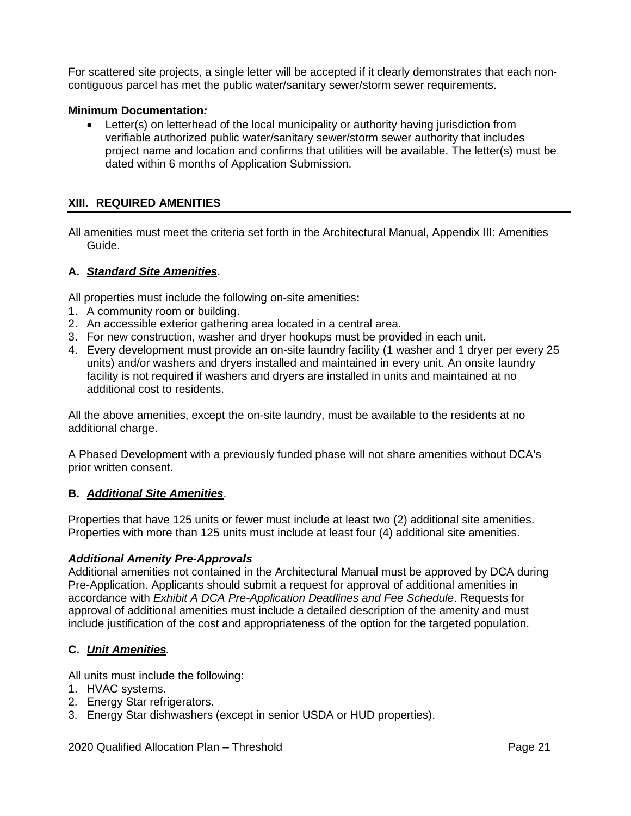For scattered site projects, a single letter will be accepted if it clearly demonstrates that each noncontiguous parcel has met the public water/sanitary sewer/storm sewer requirements.

#### **Minimum Documentation***:*

• Letter(s) on letterhead of the local municipality or authority having jurisdiction from verifiable authorized public water/sanitary sewer/storm sewer authority that includes project name and location and confirms that utilities will be available. The letter(s) must be dated within 6 months of Application Submission.

#### <span id="page-57-0"></span>**XIII. REQUIRED AMENITIES**

All amenities must meet the criteria set forth in the Architectural Manual, Appendix III: Amenities Guide.

#### **A.** *Standard Site Amenities*.

All properties must include the following on-site amenities**:**

- 1. A community room or building.
- 2. An accessible exterior gathering area located in a central area.
- 3. For new construction, washer and dryer hookups must be provided in each unit.
- 4. Every development must provide an on-site laundry facility (1 washer and 1 dryer per every 25 units) and/or washers and dryers installed and maintained in every unit. An onsite laundry facility is not required if washers and dryers are installed in units and maintained at no additional cost to residents.

All the above amenities, except the on-site laundry, must be available to the residents at no additional charge.

A Phased Development with a previously funded phase will not share amenities without DCA's prior written consent.

#### **B.** *Additional Site Amenities*.

Properties that have 125 units or fewer must include at least two (2) additional site amenities. Properties with more than 125 units must include at least four (4) additional site amenities.

#### *Additional Amenity Pre-Approvals*

Additional amenities not contained in the Architectural Manual must be approved by DCA during Pre-Application. Applicants should submit a request for approval of additional amenities in accordance with *Exhibit A DCA Pre-Application Deadlines and Fee Schedule*. Requests for approval of additional amenities must include a detailed description of the amenity and must include justification of the cost and appropriateness of the option for the targeted population.

## **C.** *Unit Amenities.*

All units must include the following:

- 1. HVAC systems.
- 2. Energy Star refrigerators.
- 3. Energy Star dishwashers (except in senior USDA or HUD properties).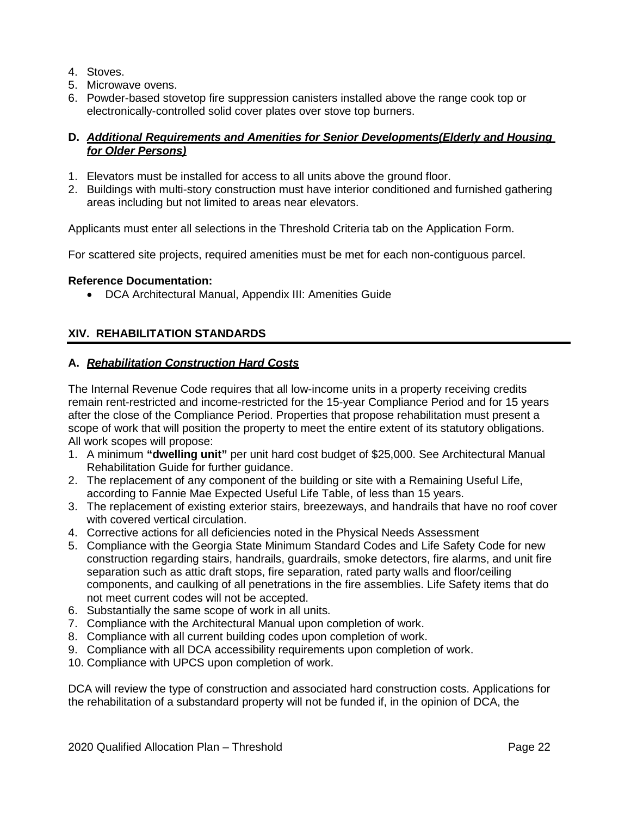- 4. Stoves.
- 5. Microwave ovens.
- 6. Powder-based stovetop fire suppression canisters installed above the range cook top or electronically-controlled solid cover plates over stove top burners.

## **D.** *Additional Requirements and Amenities for Senior Developments(Elderly and Housing for Older Persons)*

- 1. Elevators must be installed for access to all units above the ground floor.
- 2. Buildings with multi-story construction must have interior conditioned and furnished gathering areas including but not limited to areas near elevators.

Applicants must enter all selections in the Threshold Criteria tab on the Application Form.

For scattered site projects, required amenities must be met for each non-contiguous parcel.

#### **Reference Documentation:**

• DCA Architectural Manual, Appendix III: Amenities Guide

## <span id="page-58-0"></span>**XIV. REHABILITATION STANDARDS**

#### **A.** *Rehabilitation Construction Hard Costs*

The Internal Revenue Code requires that all low-income units in a property receiving credits remain rent-restricted and income-restricted for the 15-year Compliance Period and for 15 years after the close of the Compliance Period. Properties that propose rehabilitation must present a scope of work that will position the property to meet the entire extent of its statutory obligations. All work scopes will propose:

- 1. A minimum **"dwelling unit"** per unit hard cost budget of \$25,000. See Architectural Manual Rehabilitation Guide for further guidance.
- 2. The replacement of any component of the building or site with a Remaining Useful Life, according to Fannie Mae Expected Useful Life Table, of less than 15 years.
- 3. The replacement of existing exterior stairs, breezeways, and handrails that have no roof cover with covered vertical circulation.
- 4. Corrective actions for all deficiencies noted in the Physical Needs Assessment
- 5. Compliance with the Georgia State Minimum Standard Codes and Life Safety Code for new construction regarding stairs, handrails, guardrails, smoke detectors, fire alarms, and unit fire separation such as attic draft stops, fire separation, rated party walls and floor/ceiling components, and caulking of all penetrations in the fire assemblies. Life Safety items that do not meet current codes will not be accepted.
- 6. Substantially the same scope of work in all units.
- 7. Compliance with the Architectural Manual upon completion of work.
- 8. Compliance with all current building codes upon completion of work.
- 9. Compliance with all DCA accessibility requirements upon completion of work.
- 10. Compliance with UPCS upon completion of work.

DCA will review the type of construction and associated hard construction costs. Applications for the rehabilitation of a substandard property will not be funded if, in the opinion of DCA, the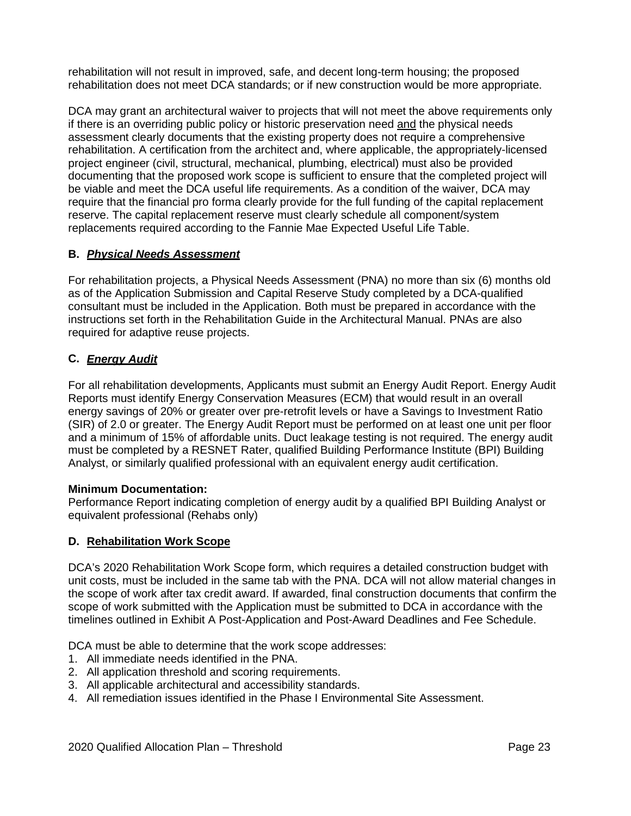rehabilitation will not result in improved, safe, and decent long-term housing; the proposed rehabilitation does not meet DCA standards; or if new construction would be more appropriate.

DCA may grant an architectural waiver to projects that will not meet the above requirements only if there is an overriding public policy or historic preservation need and the physical needs assessment clearly documents that the existing property does not require a comprehensive rehabilitation. A certification from the architect and, where applicable, the appropriately-licensed project engineer (civil, structural, mechanical, plumbing, electrical) must also be provided documenting that the proposed work scope is sufficient to ensure that the completed project will be viable and meet the DCA useful life requirements. As a condition of the waiver, DCA may require that the financial pro forma clearly provide for the full funding of the capital replacement reserve. The capital replacement reserve must clearly schedule all component/system replacements required according to the Fannie Mae Expected Useful Life Table.

## **B.** *Physical Needs Assessment*

For rehabilitation projects, a Physical Needs Assessment (PNA) no more than six (6) months old as of the Application Submission and Capital Reserve Study completed by a DCA-qualified consultant must be included in the Application. Both must be prepared in accordance with the instructions set forth in the Rehabilitation Guide in the Architectural Manual. PNAs are also required for adaptive reuse projects.

# **C.** *Energy Audit*

For all rehabilitation developments, Applicants must submit an Energy Audit Report. Energy Audit Reports must identify Energy Conservation Measures (ECM) that would result in an overall energy savings of 20% or greater over pre-retrofit levels or have a Savings to Investment Ratio (SIR) of 2.0 or greater. The Energy Audit Report must be performed on at least one unit per floor and a minimum of 15% of affordable units. Duct leakage testing is not required. The energy audit must be completed by a RESNET Rater, qualified Building Performance Institute (BPI) Building Analyst, or similarly qualified professional with an equivalent energy audit certification.

## **Minimum Documentation:**

Performance Report indicating completion of energy audit by a qualified BPI Building Analyst or equivalent professional (Rehabs only)

## **D. Rehabilitation Work Scope**

DCA's 2020 Rehabilitation Work Scope form, which requires a detailed construction budget with unit costs, must be included in the same tab with the PNA. DCA will not allow material changes in the scope of work after tax credit award. If awarded, final construction documents that confirm the scope of work submitted with the Application must be submitted to DCA in accordance with the timelines outlined in Exhibit A Post-Application and Post-Award Deadlines and Fee Schedule.

DCA must be able to determine that the work scope addresses:

- 1. All immediate needs identified in the PNA.
- 2. All application threshold and scoring requirements.
- 3. All applicable architectural and accessibility standards.
- 4. All remediation issues identified in the Phase I Environmental Site Assessment.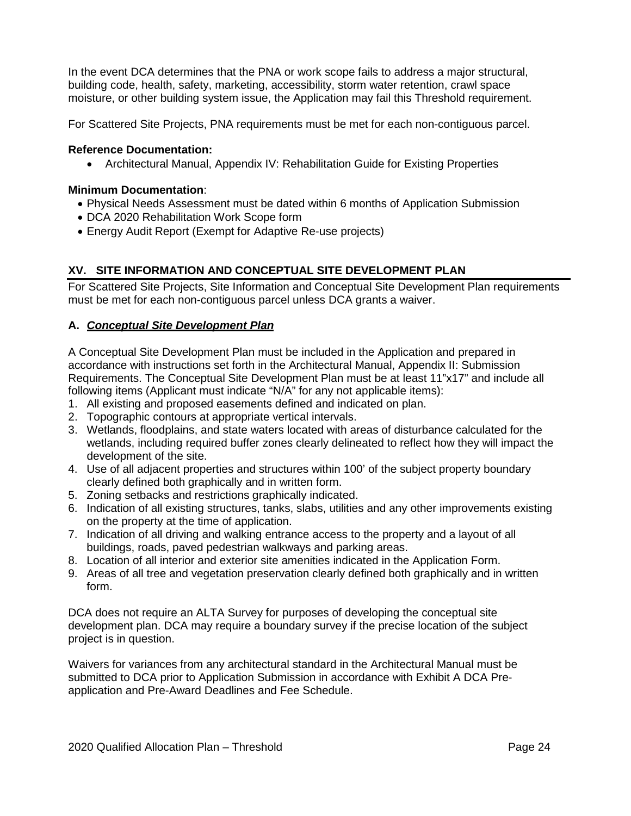In the event DCA determines that the PNA or work scope fails to address a major structural, building code, health, safety, marketing, accessibility, storm water retention, crawl space moisture, or other building system issue, the Application may fail this Threshold requirement.

For Scattered Site Projects, PNA requirements must be met for each non-contiguous parcel.

#### **Reference Documentation:**

• Architectural Manual, Appendix IV: Rehabilitation Guide for Existing Properties

#### **Minimum Documentation**:

- Physical Needs Assessment must be dated within 6 months of Application Submission
- DCA 2020 Rehabilitation Work Scope form
- Energy Audit Report (Exempt for Adaptive Re-use projects)

## <span id="page-60-0"></span>**XV. SITE INFORMATION AND CONCEPTUAL SITE DEVELOPMENT PLAN**

For Scattered Site Projects, Site Information and Conceptual Site Development Plan requirements must be met for each non-contiguous parcel unless DCA grants a waiver.

#### **A.** *Conceptual Site Development Plan*

A Conceptual Site Development Plan must be included in the Application and prepared in accordance with instructions set forth in the Architectural Manual, Appendix II: Submission Requirements. The Conceptual Site Development Plan must be at least 11"x17" and include all following items (Applicant must indicate "N/A" for any not applicable items):

- 1. All existing and proposed easements defined and indicated on plan.
- 2. Topographic contours at appropriate vertical intervals.
- 3. Wetlands, floodplains, and state waters located with areas of disturbance calculated for the wetlands, including required buffer zones clearly delineated to reflect how they will impact the development of the site.
- 4. Use of all adjacent properties and structures within 100' of the subject property boundary clearly defined both graphically and in written form.
- 5. Zoning setbacks and restrictions graphically indicated.
- 6. Indication of all existing structures, tanks, slabs, utilities and any other improvements existing on the property at the time of application.
- 7. Indication of all driving and walking entrance access to the property and a layout of all buildings, roads, paved pedestrian walkways and parking areas.
- 8. Location of all interior and exterior site amenities indicated in the Application Form.
- 9. Areas of all tree and vegetation preservation clearly defined both graphically and in written form.

DCA does not require an ALTA Survey for purposes of developing the conceptual site development plan. DCA may require a boundary survey if the precise location of the subject project is in question.

Waivers for variances from any architectural standard in the Architectural Manual must be submitted to DCA prior to Application Submission in accordance with Exhibit A DCA Preapplication and Pre-Award Deadlines and Fee Schedule.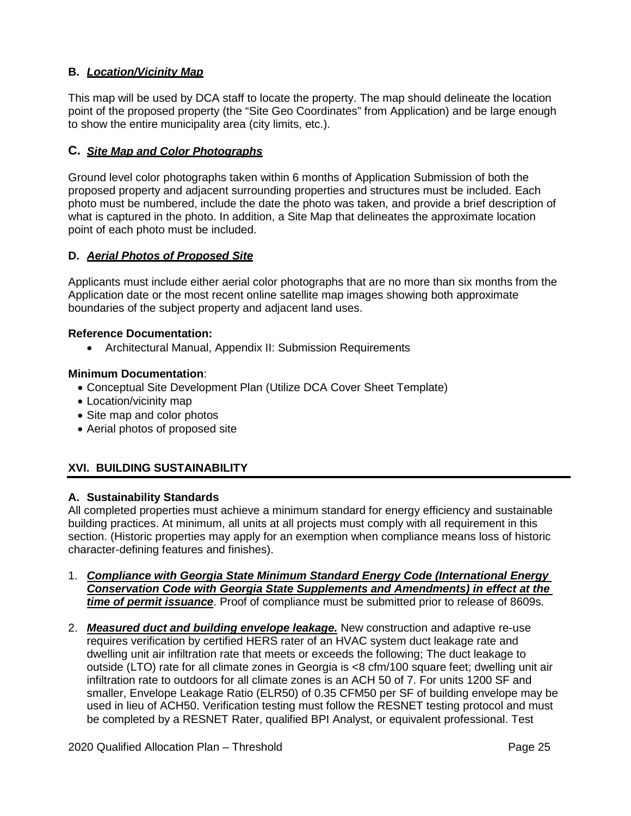# **B.** *Location/Vicinity Map*

This map will be used by DCA staff to locate the property. The map should delineate the location point of the proposed property (the "Site Geo Coordinates" from Application) and be large enough to show the entire municipality area (city limits, etc.).

## **C.** *Site Map and Color Photographs*

Ground level color photographs taken within 6 months of Application Submission of both the proposed property and adjacent surrounding properties and structures must be included. Each photo must be numbered, include the date the photo was taken, and provide a brief description of what is captured in the photo. In addition, a Site Map that delineates the approximate location point of each photo must be included.

## **D.** *Aerial Photos of Proposed Site*

Applicants must include either aerial color photographs that are no more than six months from the Application date or the most recent online satellite map images showing both approximate boundaries of the subject property and adjacent land uses.

#### **Reference Documentation:**

• Architectural Manual, Appendix II: Submission Requirements

### **Minimum Documentation**:

- Conceptual Site Development Plan (Utilize DCA Cover Sheet Template)
- Location/vicinity map
- Site map and color photos
- Aerial photos of proposed site

# <span id="page-61-0"></span>**XVI. BUILDING SUSTAINABILITY**

## **A. Sustainability Standards**

All completed properties must achieve a minimum standard for energy efficiency and sustainable building practices. At minimum, all units at all projects must comply with all requirement in this section. (Historic properties may apply for an exemption when compliance means loss of historic character-defining features and finishes).

- 1. *Compliance with Georgia State Minimum Standard Energy Code (International Energy Conservation Code with Georgia State Supplements and Amendments) in effect at the time of permit issuance*. Proof of compliance must be submitted prior to release of 8609s.
- 2. *Measured duct and building envelope leakage.* New construction and adaptive re-use requires verification by certified HERS rater of an HVAC system duct leakage rate and dwelling unit air infiltration rate that meets or exceeds the following; The duct leakage to outside (LTO) rate for all climate zones in Georgia is <8 cfm/100 square feet; dwelling unit air infiltration rate to outdoors for all climate zones is an ACH 50 of 7. For units 1200 SF and smaller, Envelope Leakage Ratio (ELR50) of 0.35 CFM50 per SF of building envelope may be used in lieu of ACH50. Verification testing must follow the RESNET testing protocol and must be completed by a RESNET Rater, qualified BPI Analyst, or equivalent professional. Test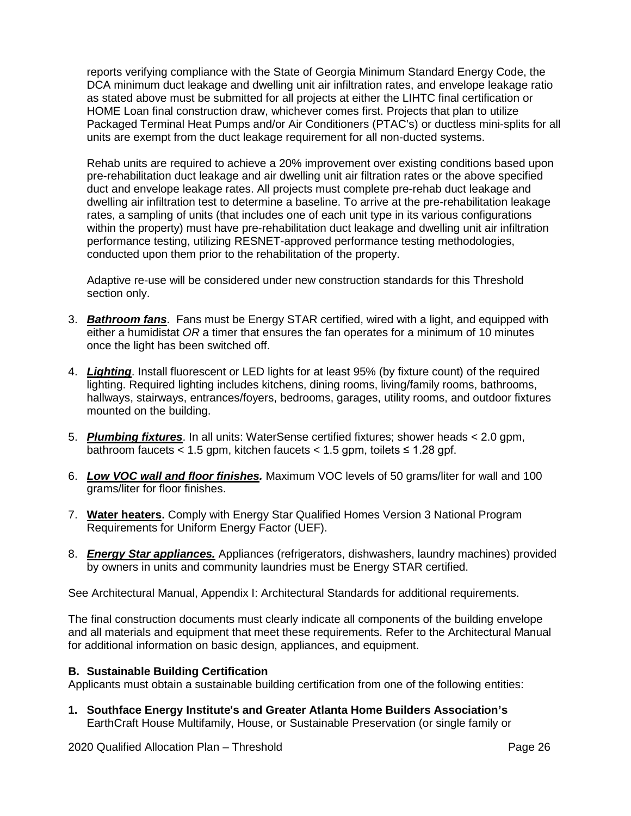reports verifying compliance with the State of Georgia Minimum Standard Energy Code, the DCA minimum duct leakage and dwelling unit air infiltration rates, and envelope leakage ratio as stated above must be submitted for all projects at either the LIHTC final certification or HOME Loan final construction draw, whichever comes first. Projects that plan to utilize Packaged Terminal Heat Pumps and/or Air Conditioners (PTAC's) or ductless mini-splits for all units are exempt from the duct leakage requirement for all non-ducted systems.

Rehab units are required to achieve a 20% improvement over existing conditions based upon pre-rehabilitation duct leakage and air dwelling unit air filtration rates or the above specified duct and envelope leakage rates. All projects must complete pre-rehab duct leakage and dwelling air infiltration test to determine a baseline. To arrive at the pre-rehabilitation leakage rates, a sampling of units (that includes one of each unit type in its various configurations within the property) must have pre-rehabilitation duct leakage and dwelling unit air infiltration performance testing, utilizing RESNET-approved performance testing methodologies, conducted upon them prior to the rehabilitation of the property.

Adaptive re-use will be considered under new construction standards for this Threshold section only.

- 3. *Bathroom fans*. Fans must be Energy STAR certified, wired with a light, and equipped with either a humidistat *OR* a timer that ensures the fan operates for a minimum of 10 minutes once the light has been switched off.
- 4. *Lighting*. Install fluorescent or LED lights for at least 95% (by fixture count) of the required lighting. Required lighting includes kitchens, dining rooms, living/family rooms, bathrooms, hallways, stairways, entrances/foyers, bedrooms, garages, utility rooms, and outdoor fixtures mounted on the building.
- 5. *Plumbing fixtures*. In all units: WaterSense certified fixtures; shower heads < 2.0 gpm, bathroom faucets < 1.5 gpm, kitchen faucets <  $1.5$  gpm, toilets  $\leq 1.28$  gpf.
- 6. *Low VOC wall and floor finishes.* Maximum VOC levels of 50 grams/liter for wall and 100 grams/liter for floor finishes.
- 7. **Water heaters.** Comply with Energy Star Qualified Homes Version 3 National Program Requirements for Uniform Energy Factor (UEF).
- 8. *Energy Star appliances.* Appliances (refrigerators, dishwashers, laundry machines) provided by owners in units and community laundries must be Energy STAR certified.

See Architectural Manual, Appendix I: Architectural Standards for additional requirements.

The final construction documents must clearly indicate all components of the building envelope and all materials and equipment that meet these requirements. Refer to the Architectural Manual for additional information on basic design, appliances, and equipment.

## **B. Sustainable Building Certification**

Applicants must obtain a sustainable building certification from one of the following entities:

**1. Southface Energy Institute's and Greater Atlanta Home Builders Association's** EarthCraft House Multifamily, House, or Sustainable Preservation (or single family or

2020 Qualified Allocation Plan – Threshold **Page 26** Page 26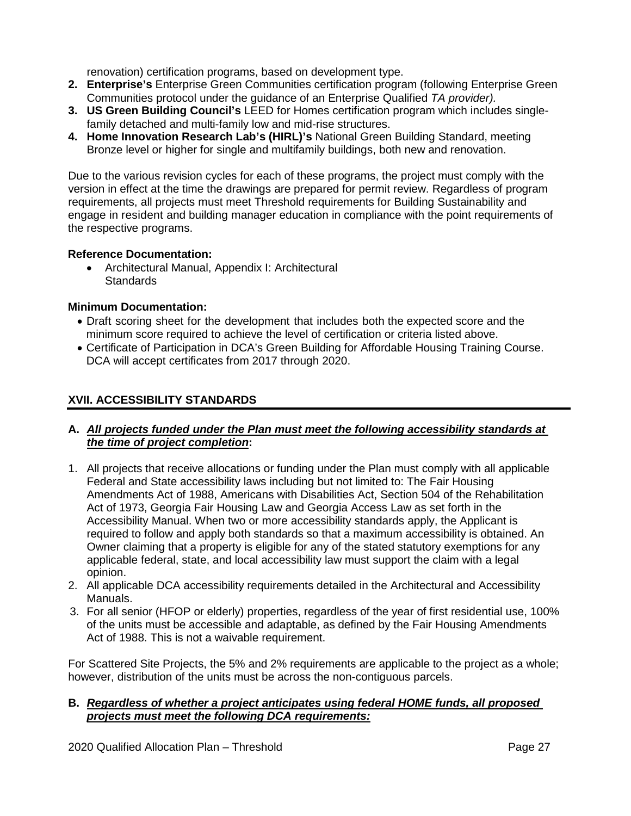renovation) certification programs, based on development type.

- **2. Enterprise's** Enterprise Green Communities certification program (following Enterprise Green Communities protocol under the guidance of an Enterprise Qualified *TA provider).*
- **3. US Green Building Council's** LEED for Homes certification program which includes singlefamily detached and multi-family low and mid-rise structures.
- **4. Home Innovation Research Lab's (HIRL)'s** National Green Building Standard, meeting Bronze level or higher for single and multifamily buildings, both new and renovation.

Due to the various revision cycles for each of these programs, the project must comply with the version in effect at the time the drawings are prepared for permit review. Regardless of program requirements, all projects must meet Threshold requirements for Building Sustainability and engage in resident and building manager education in compliance with the point requirements of the respective programs.

## **Reference Documentation:**

• Architectural Manual, Appendix I: Architectural **Standards** 

## **Minimum Documentation:**

- Draft scoring sheet for the development that includes both the expected score and the minimum score required to achieve the level of certification or criteria listed above.
- Certificate of Participation in DCA's Green Building for Affordable Housing Training Course. DCA will accept certificates from 2017 through 2020.

## <span id="page-63-0"></span>**XVII. ACCESSIBILITY STANDARDS**

## **A.** *All projects funded under the Plan must meet the following accessibility standards at the time of project completion***:**

- 1. All projects that receive allocations or funding under the Plan must comply with all applicable Federal and State accessibility laws including but not limited to: The Fair Housing Amendments Act of 1988, Americans with Disabilities Act, Section 504 of the Rehabilitation Act of 1973, Georgia Fair Housing Law and Georgia Access Law as set forth in the Accessibility Manual. When two or more accessibility standards apply, the Applicant is required to follow and apply both standards so that a maximum accessibility is obtained. An Owner claiming that a property is eligible for any of the stated statutory exemptions for any applicable federal, state, and local accessibility law must support the claim with a legal opinion.
- 2. All applicable DCA accessibility requirements detailed in the Architectural and Accessibility Manuals.
- 3. For all senior (HFOP or elderly) properties, regardless of the year of first residential use, 100% of the units must be accessible and adaptable, as defined by the Fair Housing Amendments Act of 1988. This is not a waivable requirement.

For Scattered Site Projects, the 5% and 2% requirements are applicable to the project as a whole; however, distribution of the units must be across the non-contiguous parcels.

## **B.** *Regardless of whether a project anticipates using federal HOME funds, all proposed projects must meet the following DCA requirements:*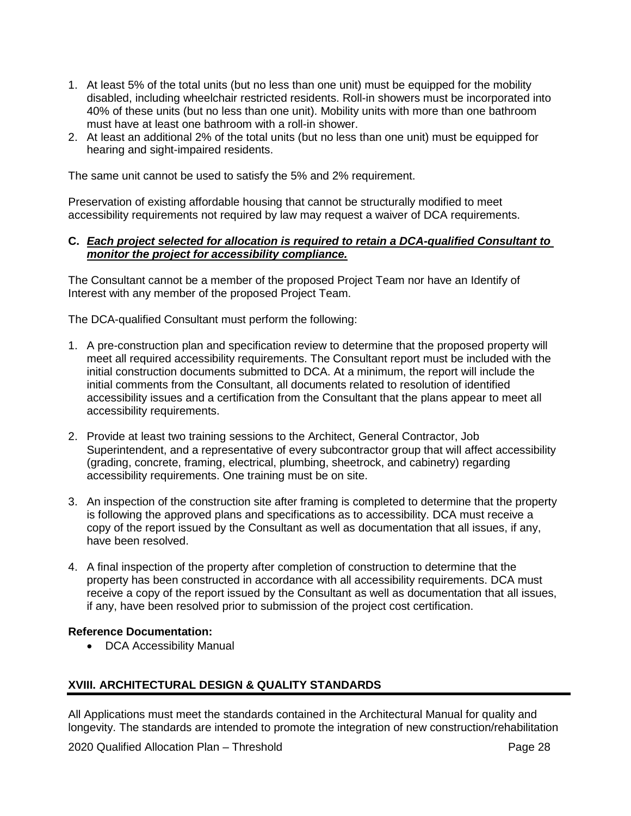- 1. At least 5% of the total units (but no less than one unit) must be equipped for the mobility disabled, including wheelchair restricted residents. Roll-in showers must be incorporated into 40% of these units (but no less than one unit). Mobility units with more than one bathroom must have at least one bathroom with a roll-in shower.
- 2. At least an additional 2% of the total units (but no less than one unit) must be equipped for hearing and sight-impaired residents.

The same unit cannot be used to satisfy the 5% and 2% requirement.

Preservation of existing affordable housing that cannot be structurally modified to meet accessibility requirements not required by law may request a waiver of DCA requirements.

### **C.** *Each project selected for allocation is required to retain a DCA-qualified Consultant to monitor the project for accessibility compliance.*

The Consultant cannot be a member of the proposed Project Team nor have an Identify of Interest with any member of the proposed Project Team.

The DCA-qualified Consultant must perform the following:

- 1. A pre-construction plan and specification review to determine that the proposed property will meet all required accessibility requirements. The Consultant report must be included with the initial construction documents submitted to DCA. At a minimum, the report will include the initial comments from the Consultant, all documents related to resolution of identified accessibility issues and a certification from the Consultant that the plans appear to meet all accessibility requirements.
- 2. Provide at least two training sessions to the Architect, General Contractor, Job Superintendent, and a representative of every subcontractor group that will affect accessibility (grading, concrete, framing, electrical, plumbing, sheetrock, and cabinetry) regarding accessibility requirements. One training must be on site.
- 3. An inspection of the construction site after framing is completed to determine that the property is following the approved plans and specifications as to accessibility. DCA must receive a copy of the report issued by the Consultant as well as documentation that all issues, if any, have been resolved.
- 4. A final inspection of the property after completion of construction to determine that the property has been constructed in accordance with all accessibility requirements. DCA must receive a copy of the report issued by the Consultant as well as documentation that all issues, if any, have been resolved prior to submission of the project cost certification.

## **Reference Documentation:**

• DCA Accessibility Manual

# <span id="page-64-0"></span>**XVIII. ARCHITECTURAL DESIGN & QUALITY STANDARDS**

All Applications must meet the standards contained in the Architectural Manual for quality and longevity. The standards are intended to promote the integration of new construction/rehabilitation

2020 Qualified Allocation Plan – Threshold **Page 28** Page 28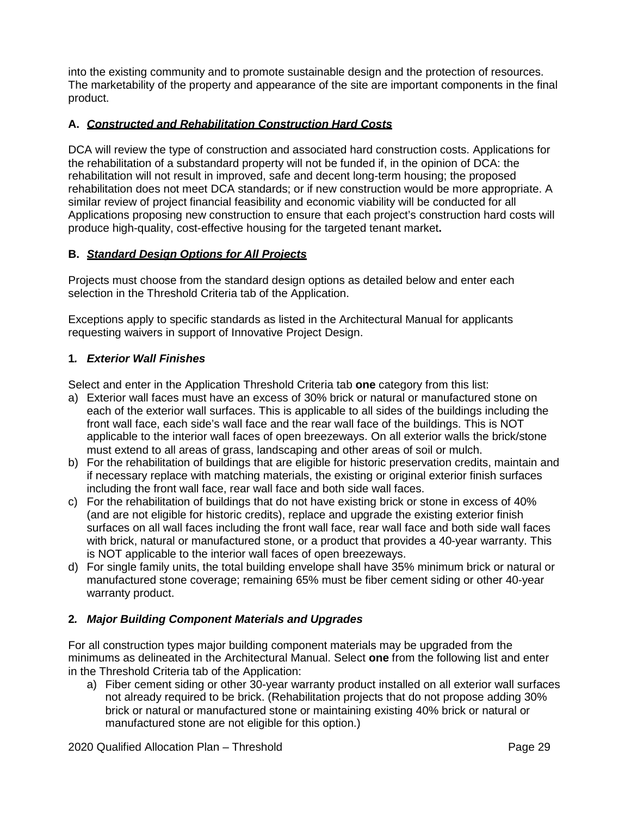into the existing community and to promote sustainable design and the protection of resources. The marketability of the property and appearance of the site are important components in the final product.

# **A.** *Constructed and Rehabilitation Construction Hard Costs*

DCA will review the type of construction and associated hard construction costs. Applications for the rehabilitation of a substandard property will not be funded if, in the opinion of DCA: the rehabilitation will not result in improved, safe and decent long-term housing; the proposed rehabilitation does not meet DCA standards; or if new construction would be more appropriate. A similar review of project financial feasibility and economic viability will be conducted for all Applications proposing new construction to ensure that each project's construction hard costs will produce high-quality, cost-effective housing for the targeted tenant market**.**

# **B.** *Standard Design Options for All Projects*

Projects must choose from the standard design options as detailed below and enter each selection in the Threshold Criteria tab of the Application.

Exceptions apply to specific standards as listed in the Architectural Manual for applicants requesting waivers in support of Innovative Project Design.

# **1***. Exterior Wall Finishes*

Select and enter in the Application Threshold Criteria tab **one** category from this list:

- a) Exterior wall faces must have an excess of 30% brick or natural or manufactured stone on each of the exterior wall surfaces. This is applicable to all sides of the buildings including the front wall face, each side's wall face and the rear wall face of the buildings. This is NOT applicable to the interior wall faces of open breezeways. On all exterior walls the brick/stone must extend to all areas of grass, landscaping and other areas of soil or mulch.
- b) For the rehabilitation of buildings that are eligible for historic preservation credits, maintain and if necessary replace with matching materials, the existing or original exterior finish surfaces including the front wall face, rear wall face and both side wall faces.
- c) For the rehabilitation of buildings that do not have existing brick or stone in excess of 40% (and are not eligible for historic credits), replace and upgrade the existing exterior finish surfaces on all wall faces including the front wall face, rear wall face and both side wall faces with brick, natural or manufactured stone, or a product that provides a 40-year warranty. This is NOT applicable to the interior wall faces of open breezeways.
- d) For single family units, the total building envelope shall have 35% minimum brick or natural or manufactured stone coverage; remaining 65% must be fiber cement siding or other 40-year warranty product.

# **2***. Major Building Component Materials and Upgrades*

For all construction types major building component materials may be upgraded from the minimums as delineated in the Architectural Manual. Select **one** from the following list and enter in the Threshold Criteria tab of the Application:

a) Fiber cement siding or other 30-year warranty product installed on all exterior wall surfaces not already required to be brick. (Rehabilitation projects that do not propose adding 30% brick or natural or manufactured stone or maintaining existing 40% brick or natural or manufactured stone are not eligible for this option.)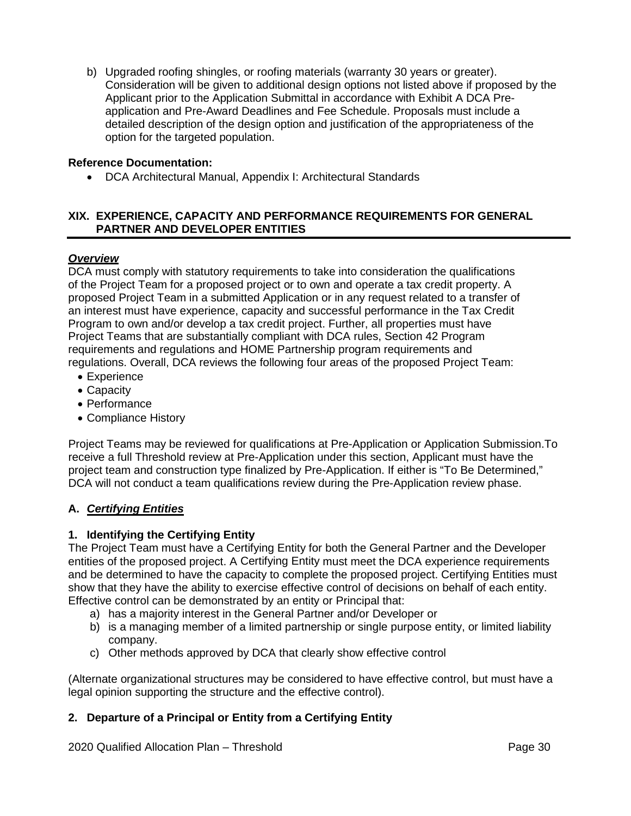b) Upgraded roofing shingles, or roofing materials (warranty 30 years or greater). Consideration will be given to additional design options not listed above if proposed by the Applicant prior to the Application Submittal in accordance with Exhibit A DCA Preapplication and Pre-Award Deadlines and Fee Schedule. Proposals must include a detailed description of the design option and justification of the appropriateness of the option for the targeted population.

## **Reference Documentation:**

• DCA Architectural Manual, Appendix I: Architectural Standards

## <span id="page-66-0"></span>**XIX. EXPERIENCE, CAPACITY AND PERFORMANCE REQUIREMENTS FOR GENERAL PARTNER AND DEVELOPER ENTITIES**

## *Overview*

DCA must comply with statutory requirements to take into consideration the qualifications of the Project Team for a proposed project or to own and operate a tax credit property. A proposed Project Team in a submitted Application or in any request related to a transfer of an interest must have experience, capacity and successful performance in the Tax Credit Program to own and/or develop a tax credit project. Further, all properties must have Project Teams that are substantially compliant with DCA rules, Section 42 Program requirements and regulations and HOME Partnership program requirements and regulations. Overall, DCA reviews the following four areas of the proposed Project Team:

- Experience
- Capacity
- Performance
- Compliance History

Project Teams may be reviewed for qualifications at Pre-Application or Application Submission.To receive a full Threshold review at Pre-Application under this section, Applicant must have the project team and construction type finalized by Pre-Application. If either is "To Be Determined," DCA will not conduct a team qualifications review during the Pre-Application review phase.

# **A.** *Certifying Entities*

# **1. Identifying the Certifying Entity**

The Project Team must have a Certifying Entity for both the General Partner and the Developer entities of the proposed project. A Certifying Entity must meet the DCA experience requirements and be determined to have the capacity to complete the proposed project. Certifying Entities must show that they have the ability to exercise effective control of decisions on behalf of each entity. Effective control can be demonstrated by an entity or Principal that:

- a) has a majority interest in the General Partner and/or Developer or
- b) is a managing member of a limited partnership or single purpose entity, or limited liability company.
- c) Other methods approved by DCA that clearly show effective control

(Alternate organizational structures may be considered to have effective control, but must have a legal opinion supporting the structure and the effective control).

# **2. Departure of a Principal or Entity from a Certifying Entity**

2020 Qualified Allocation Plan – Threshold **Page 30** Page 30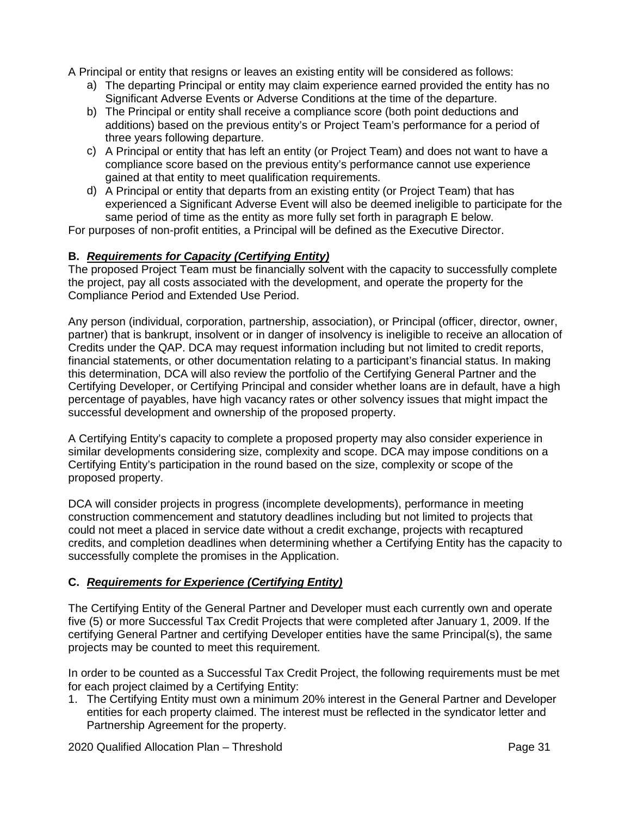A Principal or entity that resigns or leaves an existing entity will be considered as follows:

- a) The departing Principal or entity may claim experience earned provided the entity has no Significant Adverse Events or Adverse Conditions at the time of the departure.
- b) The Principal or entity shall receive a compliance score (both point deductions and additions) based on the previous entity's or Project Team's performance for a period of three years following departure.
- c) A Principal or entity that has left an entity (or Project Team) and does not want to have a compliance score based on the previous entity's performance cannot use experience gained at that entity to meet qualification requirements.
- d) A Principal or entity that departs from an existing entity (or Project Team) that has experienced a Significant Adverse Event will also be deemed ineligible to participate for the same period of time as the entity as more fully set forth in paragraph E below.

For purposes of non-profit entities, a Principal will be defined as the Executive Director.

## **B.** *Requirements for Capacity (Certifying Entity)*

The proposed Project Team must be financially solvent with the capacity to successfully complete the project, pay all costs associated with the development, and operate the property for the Compliance Period and Extended Use Period.

Any person (individual, corporation, partnership, association), or Principal (officer, director, owner, partner) that is bankrupt, insolvent or in danger of insolvency is ineligible to receive an allocation of Credits under the QAP. DCA may request information including but not limited to credit reports, financial statements, or other documentation relating to a participant's financial status. In making this determination, DCA will also review the portfolio of the Certifying General Partner and the Certifying Developer, or Certifying Principal and consider whether loans are in default, have a high percentage of payables, have high vacancy rates or other solvency issues that might impact the successful development and ownership of the proposed property.

A Certifying Entity's capacity to complete a proposed property may also consider experience in similar developments considering size, complexity and scope. DCA may impose conditions on a Certifying Entity's participation in the round based on the size, complexity or scope of the proposed property.

DCA will consider projects in progress (incomplete developments), performance in meeting construction commencement and statutory deadlines including but not limited to projects that could not meet a placed in service date without a credit exchange, projects with recaptured credits, and completion deadlines when determining whether a Certifying Entity has the capacity to successfully complete the promises in the Application.

# **C.** *Requirements for Experience (Certifying Entity)*

The Certifying Entity of the General Partner and Developer must each currently own and operate five (5) or more Successful Tax Credit Projects that were completed after January 1, 2009. If the certifying General Partner and certifying Developer entities have the same Principal(s), the same projects may be counted to meet this requirement.

In order to be counted as a Successful Tax Credit Project, the following requirements must be met for each project claimed by a Certifying Entity:

1. The Certifying Entity must own a minimum 20% interest in the General Partner and Developer entities for each property claimed. The interest must be reflected in the syndicator letter and Partnership Agreement for the property.

2020 Qualified Allocation Plan – Threshold **Page 31** Page 31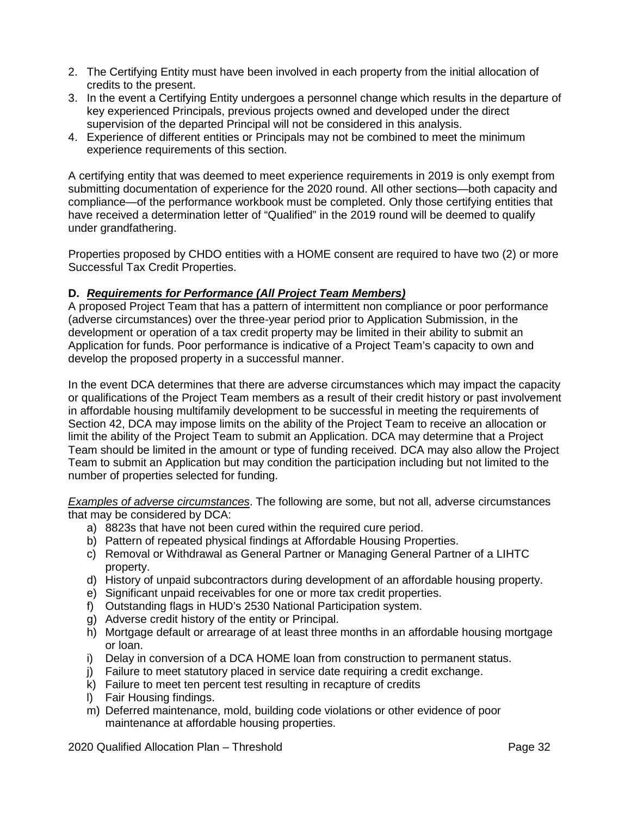- 2. The Certifying Entity must have been involved in each property from the initial allocation of credits to the present.
- 3. In the event a Certifying Entity undergoes a personnel change which results in the departure of key experienced Principals, previous projects owned and developed under the direct supervision of the departed Principal will not be considered in this analysis.
- 4. Experience of different entities or Principals may not be combined to meet the minimum experience requirements of this section.

A certifying entity that was deemed to meet experience requirements in 2019 is only exempt from submitting documentation of experience for the 2020 round. All other sections—both capacity and compliance—of the performance workbook must be completed. Only those certifying entities that have received a determination letter of "Qualified" in the 2019 round will be deemed to qualify under grandfathering.

Properties proposed by CHDO entities with a HOME consent are required to have two (2) or more Successful Tax Credit Properties.

## **D.** *Requirements for Performance (All Project Team Members)*

A proposed Project Team that has a pattern of intermittent non compliance or poor performance (adverse circumstances) over the three-year period prior to Application Submission, in the development or operation of a tax credit property may be limited in their ability to submit an Application for funds. Poor performance is indicative of a Project Team's capacity to own and develop the proposed property in a successful manner.

In the event DCA determines that there are adverse circumstances which may impact the capacity or qualifications of the Project Team members as a result of their credit history or past involvement in affordable housing multifamily development to be successful in meeting the requirements of Section 42, DCA may impose limits on the ability of the Project Team to receive an allocation or limit the ability of the Project Team to submit an Application. DCA may determine that a Project Team should be limited in the amount or type of funding received. DCA may also allow the Project Team to submit an Application but may condition the participation including but not limited to the number of properties selected for funding.

*Examples of adverse circumstances*. The following are some, but not all, adverse circumstances that may be considered by DCA:

- a) 8823s that have not been cured within the required cure period.
- b) Pattern of repeated physical findings at Affordable Housing Properties.
- c) Removal or Withdrawal as General Partner or Managing General Partner of a LIHTC property.
- d) History of unpaid subcontractors during development of an affordable housing property.
- e) Significant unpaid receivables for one or more tax credit properties.
- f) Outstanding flags in HUD's 2530 National Participation system.
- g) Adverse credit history of the entity or Principal.
- h) Mortgage default or arrearage of at least three months in an affordable housing mortgage or loan.
- i) Delay in conversion of a DCA HOME loan from construction to permanent status.
- j) Failure to meet statutory placed in service date requiring a credit exchange.
- k) Failure to meet ten percent test resulting in recapture of credits
- l) Fair Housing findings.
- m) Deferred maintenance, mold, building code violations or other evidence of poor maintenance at affordable housing properties.

2020 Qualified Allocation Plan – Threshold **Page 32** Page 32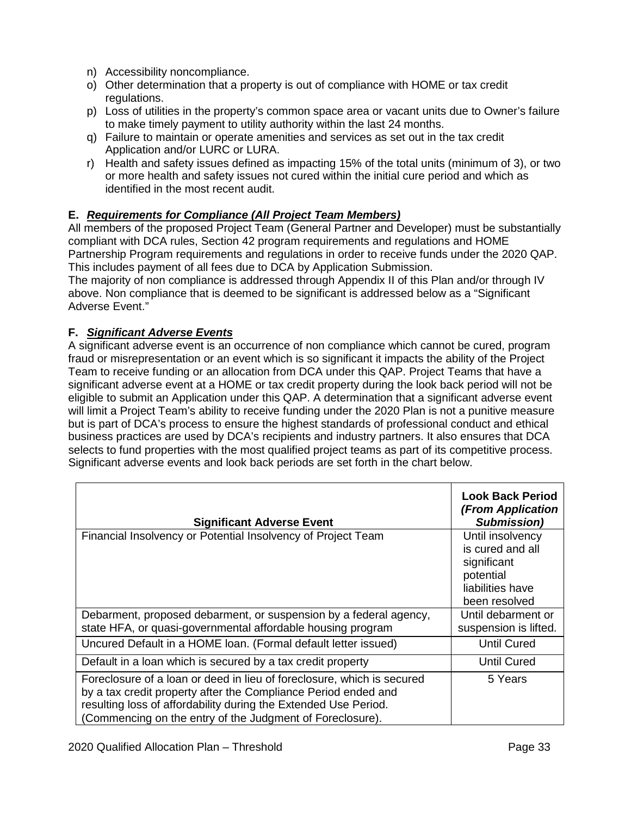- n) Accessibility noncompliance.
- o) Other determination that a property is out of compliance with HOME or tax credit regulations.
- p) Loss of utilities in the property's common space area or vacant units due to Owner's failure to make timely payment to utility authority within the last 24 months.
- q) Failure to maintain or operate amenities and services as set out in the tax credit Application and/or LURC or LURA.
- r) Health and safety issues defined as impacting 15% of the total units (minimum of 3), or two or more health and safety issues not cured within the initial cure period and which as identified in the most recent audit.

# **E.** *Requirements for Compliance (All Project Team Members)*

All members of the proposed Project Team (General Partner and Developer) must be substantially compliant with DCA rules, Section 42 program requirements and regulations and HOME Partnership Program requirements and regulations in order to receive funds under the 2020 QAP. This includes payment of all fees due to DCA by Application Submission.

The majority of non compliance is addressed through Appendix II of this Plan and/or through IV above. Non compliance that is deemed to be significant is addressed below as a "Significant Adverse Event."

# **F.** *Significant Adverse Events*

A significant adverse event is an occurrence of non compliance which cannot be cured, program fraud or misrepresentation or an event which is so significant it impacts the ability of the Project Team to receive funding or an allocation from DCA under this QAP. Project Teams that have a significant adverse event at a HOME or tax credit property during the look back period will not be eligible to submit an Application under this QAP. A determination that a significant adverse event will limit a Project Team's ability to receive funding under the 2020 Plan is not a punitive measure but is part of DCA's process to ensure the highest standards of professional conduct and ethical business practices are used by DCA's recipients and industry partners. It also ensures that DCA selects to fund properties with the most qualified project teams as part of its competitive process. Significant adverse events and look back periods are set forth in the chart below.

| <b>Significant Adverse Event</b>                                                                                                                                                                                                                                         | <b>Look Back Period</b><br>(From Application<br><b>Submission</b> )                                   |
|--------------------------------------------------------------------------------------------------------------------------------------------------------------------------------------------------------------------------------------------------------------------------|-------------------------------------------------------------------------------------------------------|
| Financial Insolvency or Potential Insolvency of Project Team                                                                                                                                                                                                             | Until insolvency<br>is cured and all<br>significant<br>potential<br>liabilities have<br>been resolved |
| Debarment, proposed debarment, or suspension by a federal agency,                                                                                                                                                                                                        | Until debarment or                                                                                    |
| state HFA, or quasi-governmental affordable housing program                                                                                                                                                                                                              | suspension is lifted.                                                                                 |
| Uncured Default in a HOME Ioan. (Formal default letter issued)                                                                                                                                                                                                           | <b>Until Cured</b>                                                                                    |
| Default in a loan which is secured by a tax credit property                                                                                                                                                                                                              | <b>Until Cured</b>                                                                                    |
| Foreclosure of a loan or deed in lieu of foreclosure, which is secured<br>by a tax credit property after the Compliance Period ended and<br>resulting loss of affordability during the Extended Use Period.<br>(Commencing on the entry of the Judgment of Foreclosure). | 5 Years                                                                                               |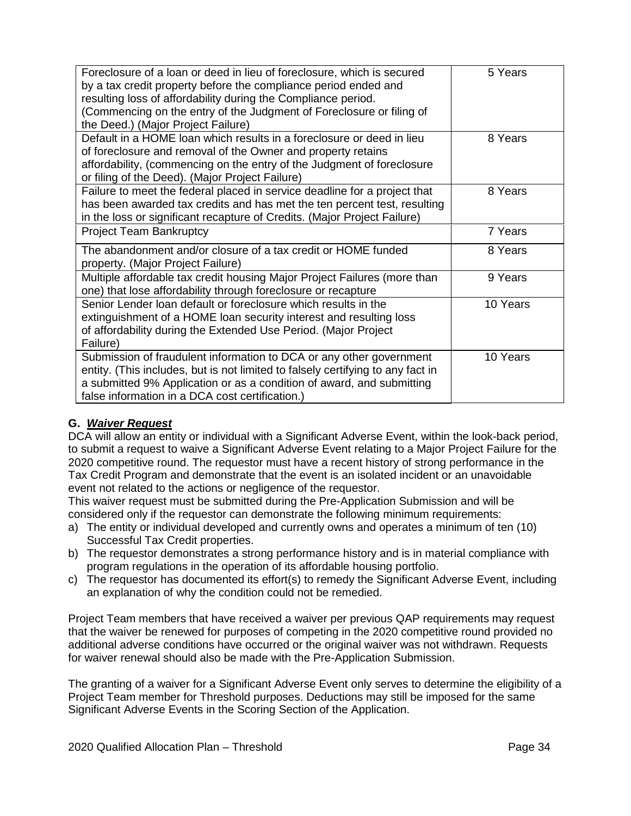| Foreclosure of a loan or deed in lieu of foreclosure, which is secured<br>by a tax credit property before the compliance period ended and<br>resulting loss of affordability during the Compliance period.<br>(Commencing on the entry of the Judgment of Foreclosure or filing of<br>the Deed.) (Major Project Failure) | 5 Years  |
|--------------------------------------------------------------------------------------------------------------------------------------------------------------------------------------------------------------------------------------------------------------------------------------------------------------------------|----------|
| Default in a HOME loan which results in a foreclosure or deed in lieu<br>of foreclosure and removal of the Owner and property retains<br>affordability, (commencing on the entry of the Judgment of foreclosure<br>or filing of the Deed). (Major Project Failure)                                                       | 8 Years  |
| Failure to meet the federal placed in service deadline for a project that<br>has been awarded tax credits and has met the ten percent test, resulting<br>in the loss or significant recapture of Credits. (Major Project Failure)                                                                                        | 8 Years  |
| <b>Project Team Bankruptcy</b>                                                                                                                                                                                                                                                                                           | 7 Years  |
| The abandonment and/or closure of a tax credit or HOME funded<br>property. (Major Project Failure)                                                                                                                                                                                                                       | 8 Years  |
| Multiple affordable tax credit housing Major Project Failures (more than<br>one) that lose affordability through foreclosure or recapture                                                                                                                                                                                | 9 Years  |
| Senior Lender loan default or foreclosure which results in the<br>extinguishment of a HOME loan security interest and resulting loss<br>of affordability during the Extended Use Period. (Major Project<br>Failure)                                                                                                      | 10 Years |
| Submission of fraudulent information to DCA or any other government<br>entity. (This includes, but is not limited to falsely certifying to any fact in<br>a submitted 9% Application or as a condition of award, and submitting<br>false information in a DCA cost certification.)                                       | 10 Years |

# **G.** *Waiver Request*

DCA will allow an entity or individual with a Significant Adverse Event, within the look-back period, to submit a request to waive a Significant Adverse Event relating to a Major Project Failure for the 2020 competitive round. The requestor must have a recent history of strong performance in the Tax Credit Program and demonstrate that the event is an isolated incident or an unavoidable event not related to the actions or negligence of the requestor.

This waiver request must be submitted during the Pre-Application Submission and will be considered only if the requestor can demonstrate the following minimum requirements:

- a) The entity or individual developed and currently owns and operates a minimum of ten (10) Successful Tax Credit properties.
- b) The requestor demonstrates a strong performance history and is in material compliance with program regulations in the operation of its affordable housing portfolio.
- c) The requestor has documented its effort(s) to remedy the Significant Adverse Event, including an explanation of why the condition could not be remedied.

Project Team members that have received a waiver per previous QAP requirements may request that the waiver be renewed for purposes of competing in the 2020 competitive round provided no additional adverse conditions have occurred or the original waiver was not withdrawn. Requests for waiver renewal should also be made with the Pre-Application Submission.

The granting of a waiver for a Significant Adverse Event only serves to determine the eligibility of a Project Team member for Threshold purposes. Deductions may still be imposed for the same Significant Adverse Events in the Scoring Section of the Application.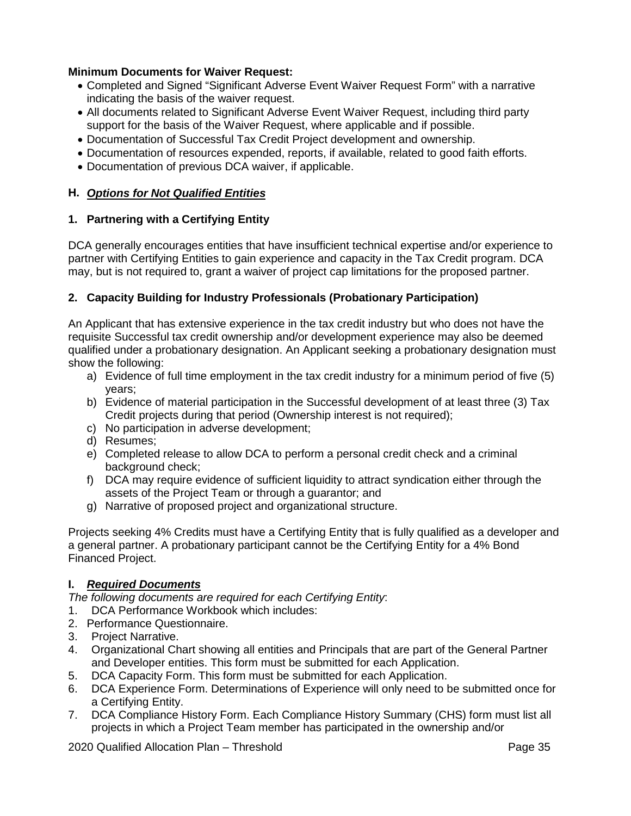## **Minimum Documents for Waiver Request:**

- Completed and Signed "Significant Adverse Event Waiver Request Form" with a narrative indicating the basis of the waiver request.
- All documents related to Significant Adverse Event Waiver Request, including third party support for the basis of the Waiver Request, where applicable and if possible.
- Documentation of Successful Tax Credit Project development and ownership.
- Documentation of resources expended, reports, if available, related to good faith efforts.
- Documentation of previous DCA waiver, if applicable.

## **H.** *Options for Not Qualified Entities*

## **1. Partnering with a Certifying Entity**

DCA generally encourages entities that have insufficient technical expertise and/or experience to partner with Certifying Entities to gain experience and capacity in the Tax Credit program. DCA may, but is not required to, grant a waiver of project cap limitations for the proposed partner.

## **2. Capacity Building for Industry Professionals (Probationary Participation)**

An Applicant that has extensive experience in the tax credit industry but who does not have the requisite Successful tax credit ownership and/or development experience may also be deemed qualified under a probationary designation. An Applicant seeking a probationary designation must show the following:

- a) Evidence of full time employment in the tax credit industry for a minimum period of five (5) years;
- b) Evidence of material participation in the Successful development of at least three (3) Tax Credit projects during that period (Ownership interest is not required);
- c) No participation in adverse development;
- d) Resumes;
- e) Completed release to allow DCA to perform a personal credit check and a criminal background check;
- f) DCA may require evidence of sufficient liquidity to attract syndication either through the assets of the Project Team or through a guarantor; and
- g) Narrative of proposed project and organizational structure.

Projects seeking 4% Credits must have a Certifying Entity that is fully qualified as a developer and a general partner. A probationary participant cannot be the Certifying Entity for a 4% Bond Financed Project.

## **I.** *Required Documents*

*The following documents are required for each Certifying Entity*:

- 1. DCA Performance Workbook which includes:
- 2. Performance Questionnaire.
- 3. Project Narrative.
- 4. Organizational Chart showing all entities and Principals that are part of the General Partner and Developer entities. This form must be submitted for each Application.
- 5. DCA Capacity Form. This form must be submitted for each Application.
- 6. DCA Experience Form. Determinations of Experience will only need to be submitted once for a Certifying Entity.
- 7. DCA Compliance History Form. Each Compliance History Summary (CHS) form must list all projects in which a Project Team member has participated in the ownership and/or

2020 Qualified Allocation Plan – Threshold **Page 35** Page 35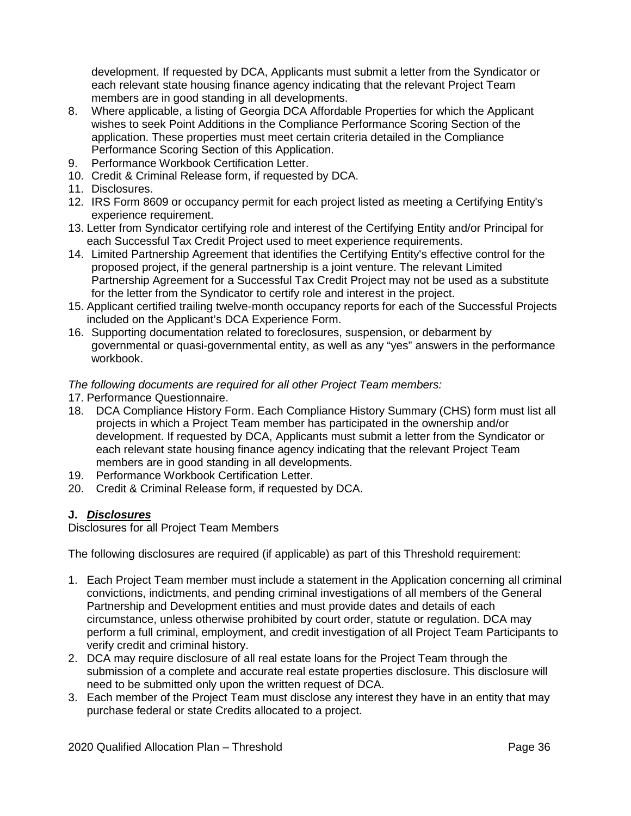development. If requested by DCA, Applicants must submit a letter from the Syndicator or each relevant state housing finance agency indicating that the relevant Project Team members are in good standing in all developments.

- 8. Where applicable, a listing of Georgia DCA Affordable Properties for which the Applicant wishes to seek Point Additions in the Compliance Performance Scoring Section of the application. These properties must meet certain criteria detailed in the Compliance Performance Scoring Section of this Application.
- 9. Performance Workbook Certification Letter.
- 10. Credit & Criminal Release form, if requested by DCA.
- 11. Disclosures.
- 12. IRS Form 8609 or occupancy permit for each project listed as meeting a Certifying Entity's experience requirement.
- 13. Letter from Syndicator certifying role and interest of the Certifying Entity and/or Principal for each Successful Tax Credit Project used to meet experience requirements.
- 14. Limited Partnership Agreement that identifies the Certifying Entity's effective control for the proposed project, if the general partnership is a joint venture. The relevant Limited Partnership Agreement for a Successful Tax Credit Project may not be used as a substitute for the letter from the Syndicator to certify role and interest in the project.
- 15. Applicant certified trailing twelve-month occupancy reports for each of the Successful Projects included on the Applicant's DCA Experience Form.
- 16. Supporting documentation related to foreclosures, suspension, or debarment by governmental or quasi-governmental entity, as well as any "yes" answers in the performance workbook.

# *The following documents are required for all other Project Team members:*

- 17. Performance Questionnaire.
- 18. DCA Compliance History Form. Each Compliance History Summary (CHS) form must list all projects in which a Project Team member has participated in the ownership and/or development. If requested by DCA, Applicants must submit a letter from the Syndicator or each relevant state housing finance agency indicating that the relevant Project Team members are in good standing in all developments.
- 19. Performance Workbook Certification Letter.
- 20. Credit & Criminal Release form, if requested by DCA.

# **J.** *Disclosures*

Disclosures for all Project Team Members

The following disclosures are required (if applicable) as part of this Threshold requirement:

- 1. Each Project Team member must include a statement in the Application concerning all criminal convictions, indictments, and pending criminal investigations of all members of the General Partnership and Development entities and must provide dates and details of each circumstance, unless otherwise prohibited by court order, statute or regulation. DCA may perform a full criminal, employment, and credit investigation of all Project Team Participants to verify credit and criminal history.
- 2. DCA may require disclosure of all real estate loans for the Project Team through the submission of a complete and accurate real estate properties disclosure. This disclosure will need to be submitted only upon the written request of DCA.
- 3. Each member of the Project Team must disclose any interest they have in an entity that may purchase federal or state Credits allocated to a project.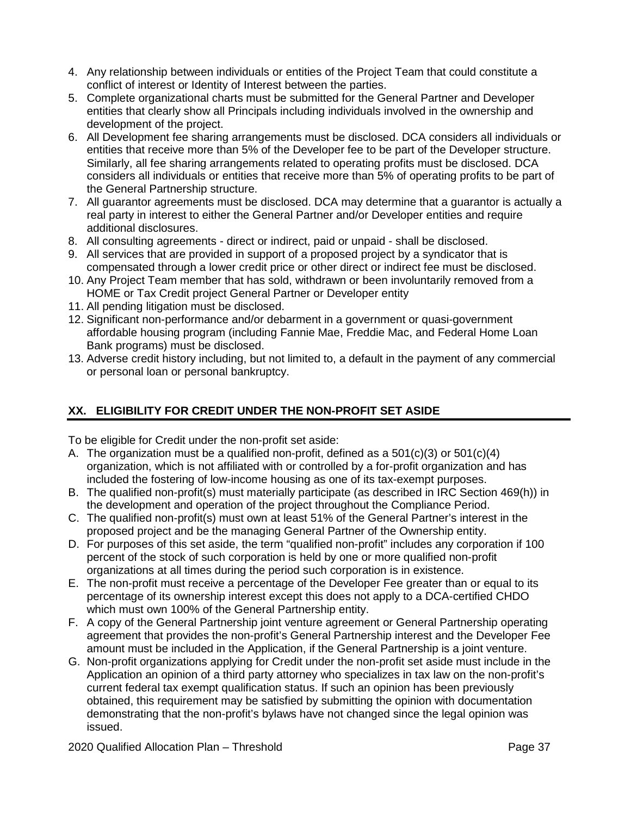- 4. Any relationship between individuals or entities of the Project Team that could constitute a conflict of interest or Identity of Interest between the parties.
- 5. Complete organizational charts must be submitted for the General Partner and Developer entities that clearly show all Principals including individuals involved in the ownership and development of the project.
- 6. All Development fee sharing arrangements must be disclosed. DCA considers all individuals or entities that receive more than 5% of the Developer fee to be part of the Developer structure. Similarly, all fee sharing arrangements related to operating profits must be disclosed. DCA considers all individuals or entities that receive more than 5% of operating profits to be part of the General Partnership structure.
- 7. All guarantor agreements must be disclosed. DCA may determine that a guarantor is actually a real party in interest to either the General Partner and/or Developer entities and require additional disclosures.
- 8. All consulting agreements direct or indirect, paid or unpaid shall be disclosed.
- 9. All services that are provided in support of a proposed project by a syndicator that is compensated through a lower credit price or other direct or indirect fee must be disclosed.
- 10. Any Project Team member that has sold, withdrawn or been involuntarily removed from a HOME or Tax Credit project General Partner or Developer entity
- 11. All pending litigation must be disclosed.
- 12. Significant non-performance and/or debarment in a government or quasi-government affordable housing program (including Fannie Mae, Freddie Mac, and Federal Home Loan Bank programs) must be disclosed.
- 13. Adverse credit history including, but not limited to, a default in the payment of any commercial or personal loan or personal bankruptcy.

# **XX. ELIGIBILITY FOR CREDIT UNDER THE NON-PROFIT SET ASIDE**

To be eligible for Credit under the non-profit set aside:

- A. The organization must be a qualified non-profit, defined as a 501(c)(3) or 501(c)(4) organization, which is not affiliated with or controlled by a for-profit organization and has included the fostering of low-income housing as one of its tax-exempt purposes.
- B. The qualified non-profit(s) must materially participate (as described in IRC Section 469(h)) in the development and operation of the project throughout the Compliance Period.
- C. The qualified non-profit(s) must own at least 51% of the General Partner's interest in the proposed project and be the managing General Partner of the Ownership entity.
- D. For purposes of this set aside, the term "qualified non-profit" includes any corporation if 100 percent of the stock of such corporation is held by one or more qualified non-profit organizations at all times during the period such corporation is in existence.
- E. The non-profit must receive a percentage of the Developer Fee greater than or equal to its percentage of its ownership interest except this does not apply to a DCA-certified CHDO which must own 100% of the General Partnership entity.
- F. A copy of the General Partnership joint venture agreement or General Partnership operating agreement that provides the non-profit's General Partnership interest and the Developer Fee amount must be included in the Application, if the General Partnership is a joint venture.
- G. Non-profit organizations applying for Credit under the non-profit set aside must include in the Application an opinion of a third party attorney who specializes in tax law on the non-profit's current federal tax exempt qualification status. If such an opinion has been previously obtained, this requirement may be satisfied by submitting the opinion with documentation demonstrating that the non-profit's bylaws have not changed since the legal opinion was issued.

2020 Qualified Allocation Plan – Threshold **Page 37** Page 37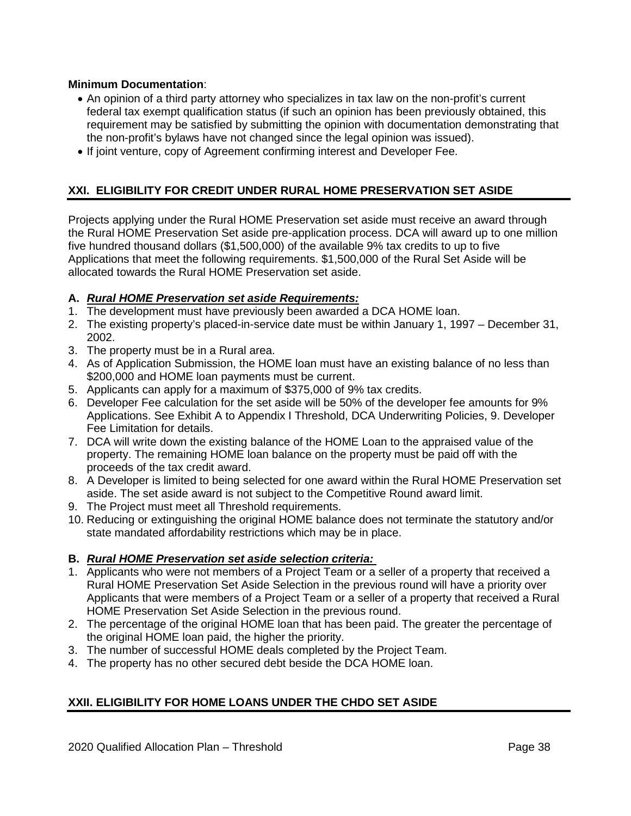# **Minimum Documentation**:

- An opinion of a third party attorney who specializes in tax law on the non-profit's current federal tax exempt qualification status (if such an opinion has been previously obtained, this requirement may be satisfied by submitting the opinion with documentation demonstrating that the non-profit's bylaws have not changed since the legal opinion was issued).
- If joint venture, copy of Agreement confirming interest and Developer Fee.

# **XXI. ELIGIBILITY FOR CREDIT UNDER RURAL HOME PRESERVATION SET ASIDE**

Projects applying under the Rural HOME Preservation set aside must receive an award through the Rural HOME Preservation Set aside pre-application process. DCA will award up to one million five hundred thousand dollars (\$1,500,000) of the available 9% tax credits to up to five Applications that meet the following requirements. \$1,500,000 of the Rural Set Aside will be allocated towards the Rural HOME Preservation set aside.

# **A.** *Rural HOME Preservation set aside Requirements:*

- 1. The development must have previously been awarded a DCA HOME loan.
- 2. The existing property's placed-in-service date must be within January 1, 1997 December 31, 2002.
- 3. The property must be in a Rural area.
- 4. As of Application Submission, the HOME loan must have an existing balance of no less than \$200,000 and HOME loan payments must be current.
- 5. Applicants can apply for a maximum of \$375,000 of 9% tax credits.
- 6. Developer Fee calculation for the set aside will be 50% of the developer fee amounts for 9% Applications. See Exhibit A to Appendix I Threshold, DCA Underwriting Policies, 9. Developer Fee Limitation for details.
- 7. DCA will write down the existing balance of the HOME Loan to the appraised value of the property. The remaining HOME loan balance on the property must be paid off with the proceeds of the tax credit award.
- 8. A Developer is limited to being selected for one award within the Rural HOME Preservation set aside. The set aside award is not subject to the Competitive Round award limit.
- 9. The Project must meet all Threshold requirements.
- 10. Reducing or extinguishing the original HOME balance does not terminate the statutory and/or state mandated affordability restrictions which may be in place.

# **B.** *Rural HOME Preservation set aside selection criteria:*

- 1. Applicants who were not members of a Project Team or a seller of a property that received a Rural HOME Preservation Set Aside Selection in the previous round will have a priority over Applicants that were members of a Project Team or a seller of a property that received a Rural HOME Preservation Set Aside Selection in the previous round.
- 2. The percentage of the original HOME loan that has been paid. The greater the percentage of the original HOME loan paid, the higher the priority.
- 3. The number of successful HOME deals completed by the Project Team.
- 4. The property has no other secured debt beside the DCA HOME loan.

# **XXII. ELIGIBILITY FOR HOME LOANS UNDER THE CHDO SET ASIDE**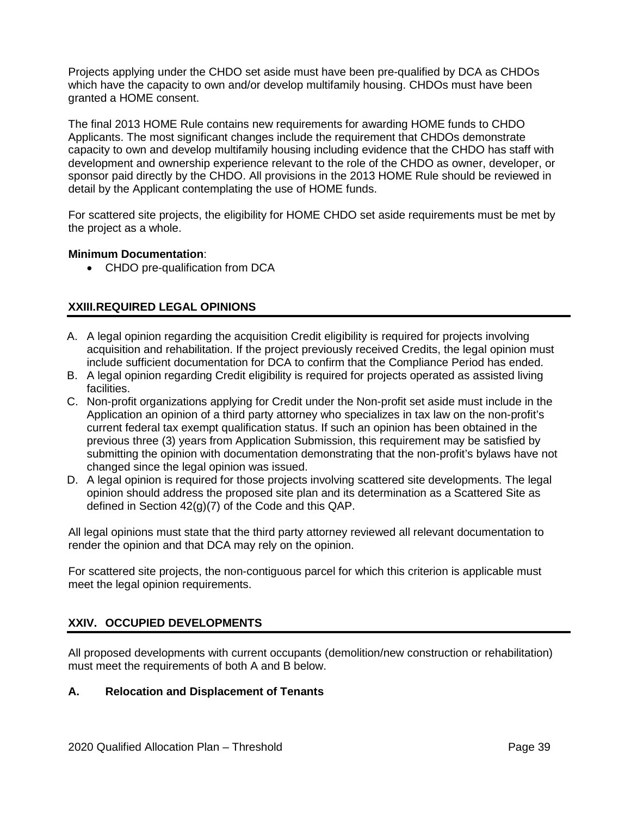Projects applying under the CHDO set aside must have been pre-qualified by DCA as CHDOs which have the capacity to own and/or develop multifamily housing. CHDOs must have been granted a HOME consent.

The final 2013 HOME Rule contains new requirements for awarding HOME funds to CHDO Applicants. The most significant changes include the requirement that CHDOs demonstrate capacity to own and develop multifamily housing including evidence that the CHDO has staff with development and ownership experience relevant to the role of the CHDO as owner, developer, or sponsor paid directly by the CHDO. All provisions in the 2013 HOME Rule should be reviewed in detail by the Applicant contemplating the use of HOME funds.

For scattered site projects, the eligibility for HOME CHDO set aside requirements must be met by the project as a whole.

# **Minimum Documentation**:

• CHDO pre-qualification from DCA

# **XXIII.REQUIRED LEGAL OPINIONS**

- A. A legal opinion regarding the acquisition Credit eligibility is required for projects involving acquisition and rehabilitation. If the project previously received Credits, the legal opinion must include sufficient documentation for DCA to confirm that the Compliance Period has ended.
- B. A legal opinion regarding Credit eligibility is required for projects operated as assisted living facilities.
- C. Non-profit organizations applying for Credit under the Non-profit set aside must include in the Application an opinion of a third party attorney who specializes in tax law on the non-profit's current federal tax exempt qualification status. If such an opinion has been obtained in the previous three (3) years from Application Submission, this requirement may be satisfied by submitting the opinion with documentation demonstrating that the non-profit's bylaws have not changed since the legal opinion was issued.
- D. A legal opinion is required for those projects involving scattered site developments. The legal opinion should address the proposed site plan and its determination as a Scattered Site as defined in Section 42(g)(7) of the Code and this QAP.

All legal opinions must state that the third party attorney reviewed all relevant documentation to render the opinion and that DCA may rely on the opinion.

For scattered site projects, the non-contiguous parcel for which this criterion is applicable must meet the legal opinion requirements.

# **XXIV. OCCUPIED DEVELOPMENTS**

All proposed developments with current occupants (demolition/new construction or rehabilitation) must meet the requirements of both A and B below.

# **A. Relocation and Displacement of Tenants**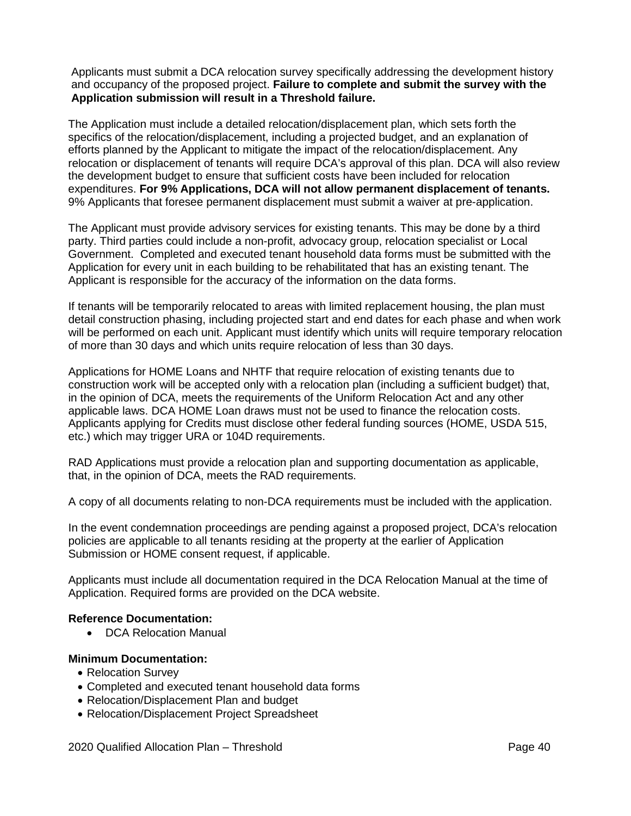Applicants must submit a DCA relocation survey specifically addressing the development history and occupancy of the proposed project. **Failure to complete and submit the survey with the Application submission will result in a Threshold failure.**

The Application must include a detailed relocation/displacement plan, which sets forth the specifics of the relocation/displacement, including a projected budget, and an explanation of efforts planned by the Applicant to mitigate the impact of the relocation/displacement. Any relocation or displacement of tenants will require DCA's approval of this plan. DCA will also review the development budget to ensure that sufficient costs have been included for relocation expenditures. **For 9% Applications, DCA will not allow permanent displacement of tenants.** 9% Applicants that foresee permanent displacement must submit a waiver at pre-application.

The Applicant must provide advisory services for existing tenants. This may be done by a third party. Third parties could include a non-profit, advocacy group, relocation specialist or Local Government. Completed and executed tenant household data forms must be submitted with the Application for every unit in each building to be rehabilitated that has an existing tenant. The Applicant is responsible for the accuracy of the information on the data forms.

If tenants will be temporarily relocated to areas with limited replacement housing, the plan must detail construction phasing, including projected start and end dates for each phase and when work will be performed on each unit. Applicant must identify which units will require temporary relocation of more than 30 days and which units require relocation of less than 30 days.

Applications for HOME Loans and NHTF that require relocation of existing tenants due to construction work will be accepted only with a relocation plan (including a sufficient budget) that, in the opinion of DCA, meets the requirements of the Uniform Relocation Act and any other applicable laws. DCA HOME Loan draws must not be used to finance the relocation costs. Applicants applying for Credits must disclose other federal funding sources (HOME, USDA 515, etc.) which may trigger URA or 104D requirements.

RAD Applications must provide a relocation plan and supporting documentation as applicable, that, in the opinion of DCA, meets the RAD requirements.

A copy of all documents relating to non-DCA requirements must be included with the application.

In the event condemnation proceedings are pending against a proposed project, DCA's relocation policies are applicable to all tenants residing at the property at the earlier of Application Submission or HOME consent request, if applicable.

Applicants must include all documentation required in the DCA Relocation Manual at the time of Application. Required forms are provided on the DCA website.

# **Reference Documentation:**

• DCA Relocation Manual

### **Minimum Documentation:**

- Relocation Survey
- Completed and executed tenant household data forms
- Relocation/Displacement Plan and budget
- Relocation/Displacement Project Spreadsheet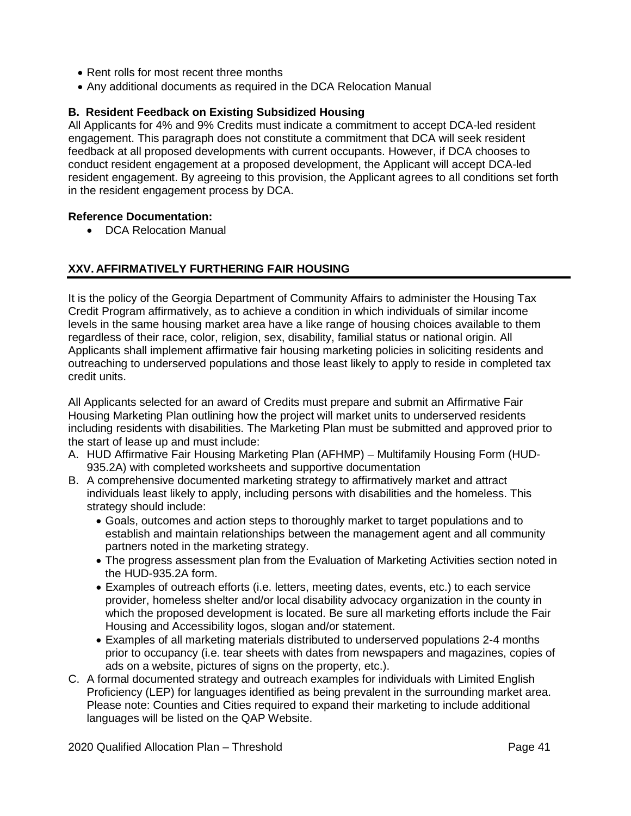- Rent rolls for most recent three months
- Any additional documents as required in the DCA Relocation Manual

# **B. Resident Feedback on Existing Subsidized Housing**

All Applicants for 4% and 9% Credits must indicate a commitment to accept DCA-led resident engagement. This paragraph does not constitute a commitment that DCA will seek resident feedback at all proposed developments with current occupants. However, if DCA chooses to conduct resident engagement at a proposed development, the Applicant will accept DCA-led resident engagement. By agreeing to this provision, the Applicant agrees to all conditions set forth in the resident engagement process by DCA.

# **Reference Documentation:**

• DCA Relocation Manual

# **XXV. AFFIRMATIVELY FURTHERING FAIR HOUSING**

It is the policy of the Georgia Department of Community Affairs to administer the Housing Tax Credit Program affirmatively, as to achieve a condition in which individuals of similar income levels in the same housing market area have a like range of housing choices available to them regardless of their race, color, religion, sex, disability, familial status or national origin. All Applicants shall implement affirmative fair housing marketing policies in soliciting residents and outreaching to underserved populations and those least likely to apply to reside in completed tax credit units.

All Applicants selected for an award of Credits must prepare and submit an Affirmative Fair Housing Marketing Plan outlining how the project will market units to underserved residents including residents with disabilities. The Marketing Plan must be submitted and approved prior to the start of lease up and must include:

- A. HUD Affirmative Fair Housing Marketing Plan (AFHMP) Multifamily Housing Form (HUD-935.2A) with completed worksheets and supportive documentation
- B. A comprehensive documented marketing strategy to affirmatively market and attract individuals least likely to apply, including persons with disabilities and the homeless. This strategy should include:
	- Goals, outcomes and action steps to thoroughly market to target populations and to establish and maintain relationships between the management agent and all community partners noted in the marketing strategy.
	- The progress assessment plan from the Evaluation of Marketing Activities section noted in the HUD-935.2A form.
	- Examples of outreach efforts (i.e. letters, meeting dates, events, etc.) to each service provider, homeless shelter and/or local disability advocacy organization in the county in which the proposed development is located. Be sure all marketing efforts include the Fair Housing and Accessibility logos, slogan and/or statement.
	- Examples of all marketing materials distributed to underserved populations 2-4 months prior to occupancy (i.e. tear sheets with dates from newspapers and magazines, copies of ads on a website, pictures of signs on the property, etc.).
- C. A formal documented strategy and outreach examples for individuals with Limited English Proficiency (LEP) for languages identified as being prevalent in the surrounding market area. Please note: Counties and Cities required to expand their marketing to include additional languages will be listed on the QAP Website.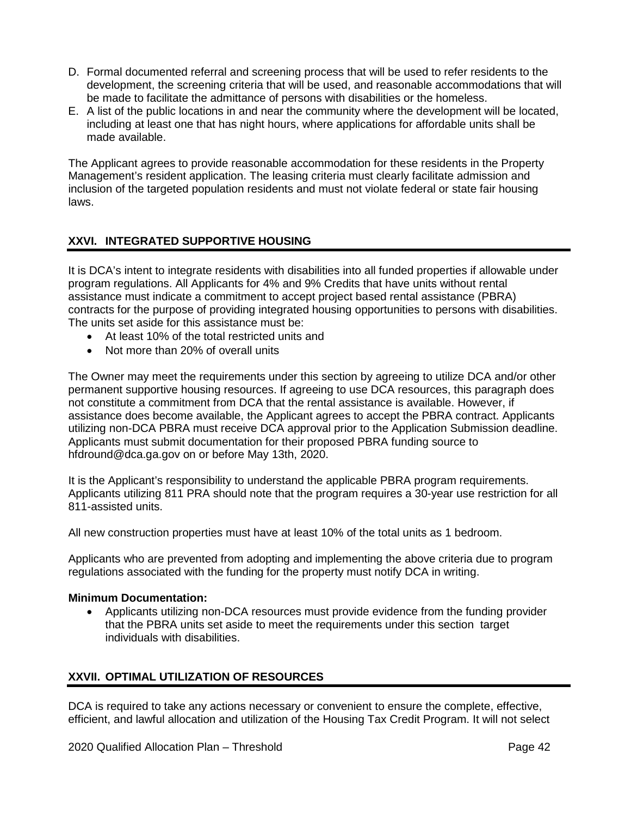- D. Formal documented referral and screening process that will be used to refer residents to the development, the screening criteria that will be used, and reasonable accommodations that will be made to facilitate the admittance of persons with disabilities or the homeless.
- E. A list of the public locations in and near the community where the development will be located, including at least one that has night hours, where applications for affordable units shall be made available.

The Applicant agrees to provide reasonable accommodation for these residents in the Property Management's resident application. The leasing criteria must clearly facilitate admission and inclusion of the targeted population residents and must not violate federal or state fair housing laws.

# **XXVI. INTEGRATED SUPPORTIVE HOUSING**

It is DCA's intent to integrate residents with disabilities into all funded properties if allowable under program regulations. All Applicants for 4% and 9% Credits that have units without rental assistance must indicate a commitment to accept project based rental assistance (PBRA) contracts for the purpose of providing integrated housing opportunities to persons with disabilities. The units set aside for this assistance must be:

- At least 10% of the total restricted units and
- Not more than 20% of overall units

The Owner may meet the requirements under this section by agreeing to utilize DCA and/or other permanent supportive housing resources. If agreeing to use DCA resources, this paragraph does not constitute a commitment from DCA that the rental assistance is available. However, if assistance does become available, the Applicant agrees to accept the PBRA contract. Applicants utilizing non-DCA PBRA must receive DCA approval prior to the Application Submission deadline. Applicants must submit documentation for their proposed PBRA funding source to hfdround@dca.ga.gov on or before May 13th, 2020.

It is the Applicant's responsibility to understand the applicable PBRA program requirements. Applicants utilizing 811 PRA should note that the program requires a 30-year use restriction for all 811-assisted units.

All new construction properties must have at least 10% of the total units as 1 bedroom.

Applicants who are prevented from adopting and implementing the above criteria due to program regulations associated with the funding for the property must notify DCA in writing.

# **Minimum Documentation:**

• Applicants utilizing non-DCA resources must provide evidence from the funding provider that the PBRA units set aside to meet the requirements under this section target individuals with disabilities.

# **XXVII. OPTIMAL UTILIZATION OF RESOURCES**

DCA is required to take any actions necessary or convenient to ensure the complete, effective, efficient, and lawful allocation and utilization of the Housing Tax Credit Program. It will not select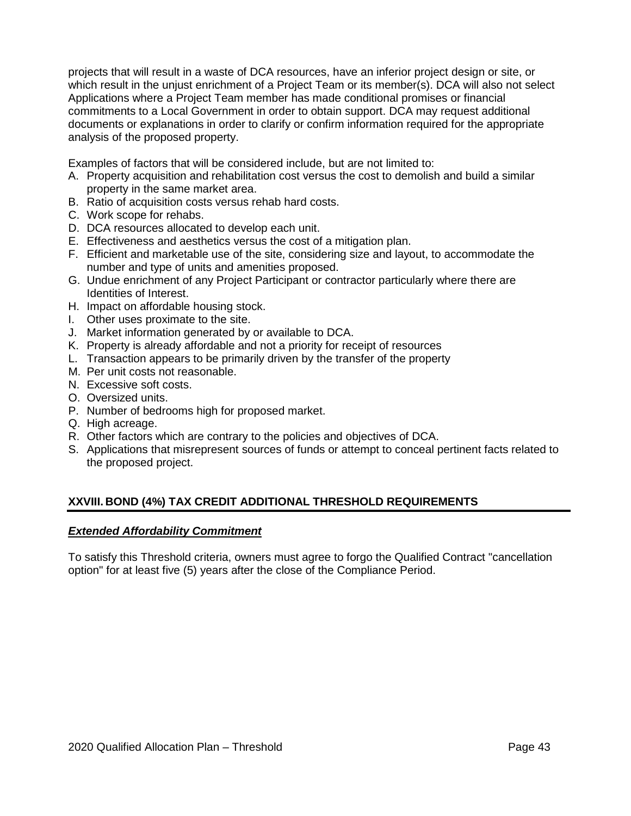projects that will result in a waste of DCA resources, have an inferior project design or site, or which result in the unjust enrichment of a Project Team or its member(s). DCA will also not select Applications where a Project Team member has made conditional promises or financial commitments to a Local Government in order to obtain support. DCA may request additional documents or explanations in order to clarify or confirm information required for the appropriate analysis of the proposed property.

Examples of factors that will be considered include, but are not limited to:

- A. Property acquisition and rehabilitation cost versus the cost to demolish and build a similar property in the same market area.
- B. Ratio of acquisition costs versus rehab hard costs.
- C. Work scope for rehabs.
- D. DCA resources allocated to develop each unit.
- E. Effectiveness and aesthetics versus the cost of a mitigation plan.
- F. Efficient and marketable use of the site, considering size and layout, to accommodate the number and type of units and amenities proposed.
- G. Undue enrichment of any Project Participant or contractor particularly where there are Identities of Interest.
- H. Impact on affordable housing stock.
- I. Other uses proximate to the site.
- J. Market information generated by or available to DCA.
- K. Property is already affordable and not a priority for receipt of resources
- L. Transaction appears to be primarily driven by the transfer of the property
- M. Per unit costs not reasonable.
- N. Excessive soft costs.
- O. Oversized units.
- P. Number of bedrooms high for proposed market.
- Q. High acreage.
- R. Other factors which are contrary to the policies and objectives of DCA.
- S. Applications that misrepresent sources of funds or attempt to conceal pertinent facts related to the proposed project.

# **XXVIII. BOND (4%) TAX CREDIT ADDITIONAL THRESHOLD REQUIREMENTS**

### *Extended Affordability Commitment*

To satisfy this Threshold criteria, owners must agree to forgo the Qualified Contract "cancellation option" for at least five (5) years after the close of the Compliance Period.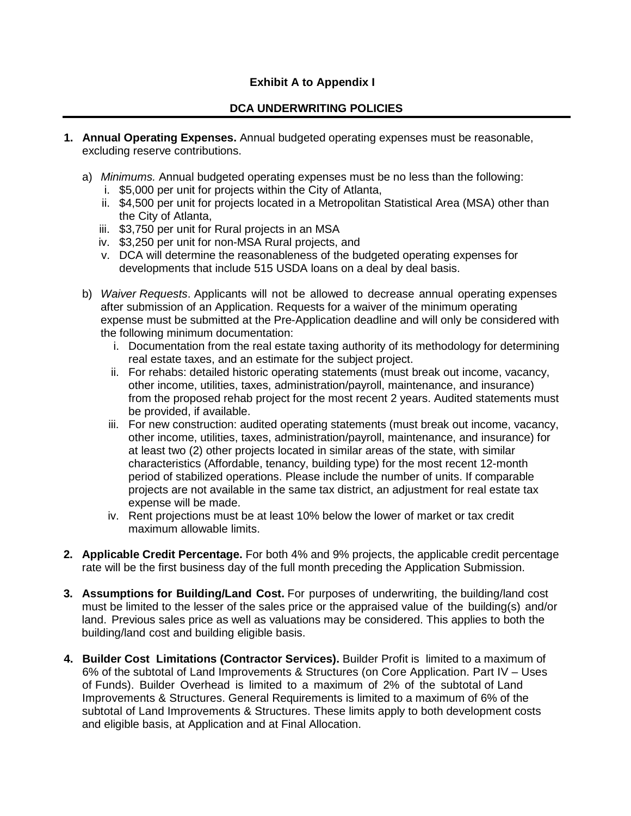# **Exhibit A to Appendix I**

# **DCA UNDERWRITING POLICIES**

- **1. Annual Operating Expenses.** Annual budgeted operating expenses must be reasonable, excluding reserve contributions.
	- a) *Minimums.* Annual budgeted operating expenses must be no less than the following:
		- i. \$5,000 per unit for projects within the City of Atlanta,
		- ii. \$4,500 per unit for projects located in a Metropolitan Statistical Area (MSA) other than the City of Atlanta,
		- iii. \$3,750 per unit for Rural projects in an MSA
		- iv. \$3,250 per unit for non-MSA Rural projects, and
		- v. DCA will determine the reasonableness of the budgeted operating expenses for developments that include 515 USDA loans on a deal by deal basis.
	- b) *Waiver Requests*. Applicants will not be allowed to decrease annual operating expenses after submission of an Application. Requests for a waiver of the minimum operating expense must be submitted at the Pre-Application deadline and will only be considered with the following minimum documentation:
		- i. Documentation from the real estate taxing authority of its methodology for determining real estate taxes, and an estimate for the subject project.
		- ii. For rehabs: detailed historic operating statements (must break out income, vacancy, other income, utilities, taxes, administration/payroll, maintenance, and insurance) from the proposed rehab project for the most recent 2 years. Audited statements must be provided, if available.
		- iii. For new construction: audited operating statements (must break out income, vacancy, other income, utilities, taxes, administration/payroll, maintenance, and insurance) for at least two (2) other projects located in similar areas of the state, with similar characteristics (Affordable, tenancy, building type) for the most recent 12-month period of stabilized operations. Please include the number of units. If comparable projects are not available in the same tax district, an adjustment for real estate tax expense will be made.
		- iv. Rent projections must be at least 10% below the lower of market or tax credit maximum allowable limits.
- **2. Applicable Credit Percentage.** For both 4% and 9% projects, the applicable credit percentage rate will be the first business day of the full month preceding the Application Submission.
- **3. Assumptions for Building/Land Cost.** For purposes of underwriting, the building/land cost must be limited to the lesser of the sales price or the appraised value of the building(s) and/or land. Previous sales price as well as valuations may be considered. This applies to both the building/land cost and building eligible basis.
- **4. Builder Cost Limitations (Contractor Services).** Builder Profit is limited to a maximum of 6% of the subtotal of Land Improvements & Structures (on Core Application. Part IV – Uses of Funds). Builder Overhead is limited to a maximum of 2% of the subtotal of Land Improvements & Structures. General Requirements is limited to a maximum of 6% of the subtotal of Land Improvements & Structures. These limits apply to both development costs and eligible basis, at Application and at Final Allocation.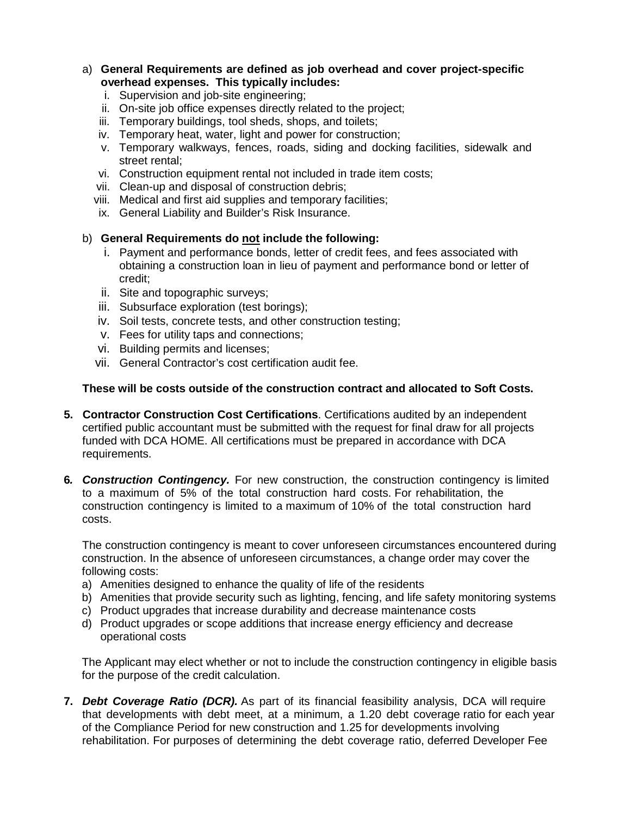# a) **General Requirements are defined as job overhead and cover project-specific overhead expenses. This typically includes:**

- i. Supervision and job-site engineering;
- ii. On-site job office expenses directly related to the project;
- iii. Temporary buildings, tool sheds, shops, and toilets;
- iv. Temporary heat, water, light and power for construction;
- v. Temporary walkways, fences, roads, siding and docking facilities, sidewalk and street rental;
- vi. Construction equipment rental not included in trade item costs;
- vii. Clean-up and disposal of construction debris;
- viii. Medical and first aid supplies and temporary facilities;
- ix. General Liability and Builder's Risk Insurance.

# b) **General Requirements do not include the following:**

- i. Payment and performance bonds, letter of credit fees, and fees associated with obtaining a construction loan in lieu of payment and performance bond or letter of credit;
- ii. Site and topographic surveys;
- iii. Subsurface exploration (test borings);
- iv. Soil tests, concrete tests, and other construction testing;
- v. Fees for utility taps and connections;
- vi. Building permits and licenses;
- vii. General Contractor's cost certification audit fee.

# **These will be costs outside of the construction contract and allocated to Soft Costs.**

- **5. Contractor Construction Cost Certifications**. Certifications audited by an independent certified public accountant must be submitted with the request for final draw for all projects funded with DCA HOME. All certifications must be prepared in accordance with DCA requirements.
- **6***. Construction Contingency.* For new construction, the construction contingency is limited to a maximum of 5% of the total construction hard costs. For rehabilitation, the construction contingency is limited to a maximum of 10% of the total construction hard costs.

The construction contingency is meant to cover unforeseen circumstances encountered during construction. In the absence of unforeseen circumstances, a change order may cover the following costs:

- a) Amenities designed to enhance the quality of life of the residents
- b) Amenities that provide security such as lighting, fencing, and life safety monitoring systems
- c) Product upgrades that increase durability and decrease maintenance costs
- d) Product upgrades or scope additions that increase energy efficiency and decrease operational costs

The Applicant may elect whether or not to include the construction contingency in eligible basis for the purpose of the credit calculation.

**7.** *Debt Coverage Ratio (DCR).* As part of its financial feasibility analysis, DCA will require that developments with debt meet, at a minimum, a 1.20 debt coverage ratio for each year of the Compliance Period for new construction and 1.25 for developments involving rehabilitation. For purposes of determining the debt coverage ratio, deferred Developer Fee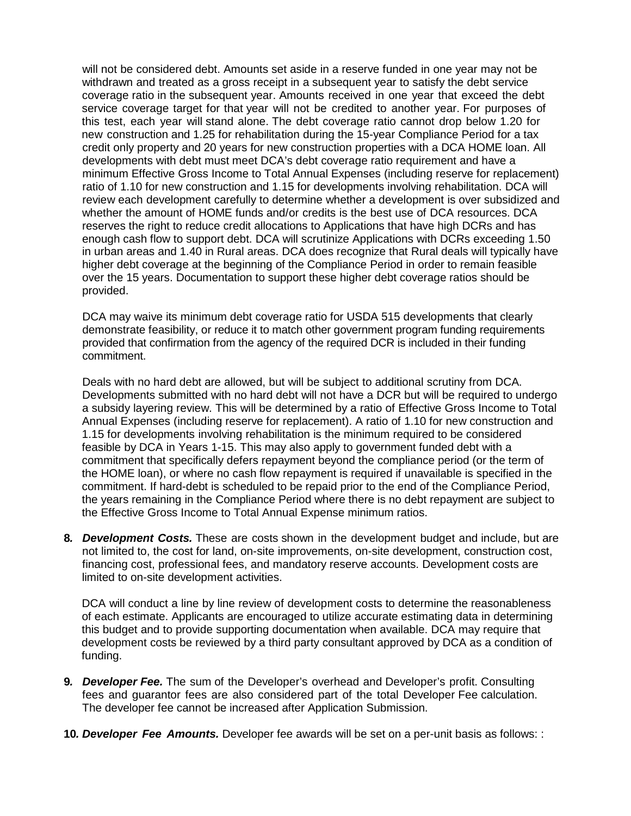will not be considered debt. Amounts set aside in a reserve funded in one year may not be withdrawn and treated as a gross receipt in a subsequent year to satisfy the debt service coverage ratio in the subsequent year. Amounts received in one year that exceed the debt service coverage target for that year will not be credited to another year. For purposes of this test, each year will stand alone. The debt coverage ratio cannot drop below 1.20 for new construction and 1.25 for rehabilitation during the 15-year Compliance Period for a tax credit only property and 20 years for new construction properties with a DCA HOME loan. All developments with debt must meet DCA's debt coverage ratio requirement and have a minimum Effective Gross Income to Total Annual Expenses (including reserve for replacement) ratio of 1.10 for new construction and 1.15 for developments involving rehabilitation. DCA will review each development carefully to determine whether a development is over subsidized and whether the amount of HOME funds and/or credits is the best use of DCA resources. DCA reserves the right to reduce credit allocations to Applications that have high DCRs and has enough cash flow to support debt. DCA will scrutinize Applications with DCRs exceeding 1.50 in urban areas and 1.40 in Rural areas. DCA does recognize that Rural deals will typically have higher debt coverage at the beginning of the Compliance Period in order to remain feasible over the 15 years. Documentation to support these higher debt coverage ratios should be provided.

DCA may waive its minimum debt coverage ratio for USDA 515 developments that clearly demonstrate feasibility, or reduce it to match other government program funding requirements provided that confirmation from the agency of the required DCR is included in their funding commitment.

Deals with no hard debt are allowed, but will be subject to additional scrutiny from DCA. Developments submitted with no hard debt will not have a DCR but will be required to undergo a subsidy layering review. This will be determined by a ratio of Effective Gross Income to Total Annual Expenses (including reserve for replacement). A ratio of 1.10 for new construction and 1.15 for developments involving rehabilitation is the minimum required to be considered feasible by DCA in Years 1-15. This may also apply to government funded debt with a commitment that specifically defers repayment beyond the compliance period (or the term of the HOME loan), or where no cash flow repayment is required if unavailable is specified in the commitment. If hard-debt is scheduled to be repaid prior to the end of the Compliance Period, the years remaining in the Compliance Period where there is no debt repayment are subject to the Effective Gross Income to Total Annual Expense minimum ratios.

**8***. Development Costs.* These are costs shown in the development budget and include, but are not limited to, the cost for land, on-site improvements, on-site development, construction cost, financing cost, professional fees, and mandatory reserve accounts. Development costs are limited to on-site development activities.

DCA will conduct a line by line review of development costs to determine the reasonableness of each estimate. Applicants are encouraged to utilize accurate estimating data in determining this budget and to provide supporting documentation when available. DCA may require that development costs be reviewed by a third party consultant approved by DCA as a condition of funding.

- **9***. Developer Fee.* The sum of the Developer's overhead and Developer's profit. Consulting fees and guarantor fees are also considered part of the total Developer Fee calculation. The developer fee cannot be increased after Application Submission.
- **10***. Developer Fee Amounts.* Developer fee awards will be set on a per-unit basis as follows: :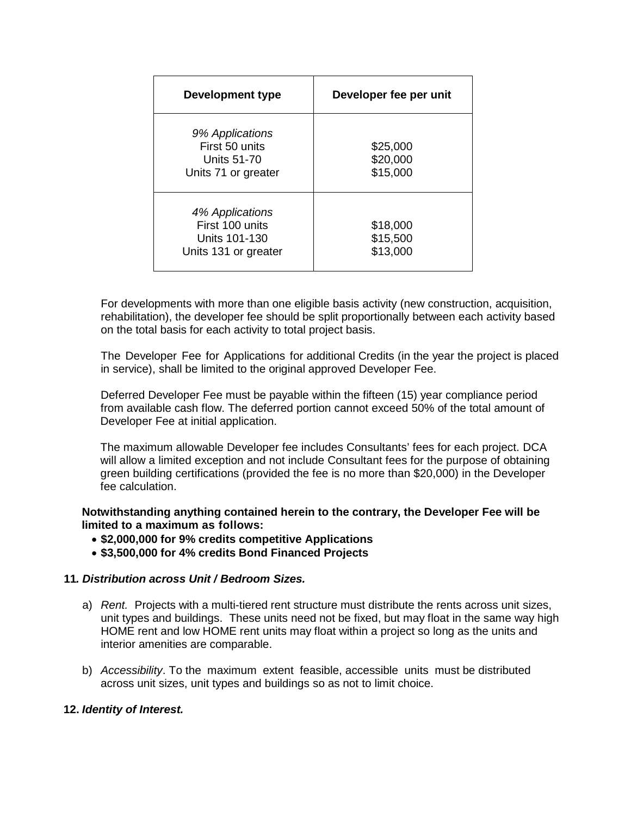| Development type                                                            | Developer fee per unit           |  |  |
|-----------------------------------------------------------------------------|----------------------------------|--|--|
| 9% Applications<br>First 50 units<br>Units 51-70<br>Units 71 or greater     | \$25,000<br>\$20,000<br>\$15,000 |  |  |
| 4% Applications<br>First 100 units<br>Units 101-130<br>Units 131 or greater | \$18,000<br>\$15,500<br>\$13,000 |  |  |

For developments with more than one eligible basis activity (new construction, acquisition, rehabilitation), the developer fee should be split proportionally between each activity based on the total basis for each activity to total project basis.

The Developer Fee for Applications for additional Credits (in the year the project is placed in service), shall be limited to the original approved Developer Fee.

Deferred Developer Fee must be payable within the fifteen (15) year compliance period from available cash flow. The deferred portion cannot exceed 50% of the total amount of Developer Fee at initial application.

The maximum allowable Developer fee includes Consultants' fees for each project. DCA will allow a limited exception and not include Consultant fees for the purpose of obtaining green building certifications (provided the fee is no more than \$20,000) in the Developer fee calculation.

**Notwithstanding anything contained herein to the contrary, the Developer Fee will be limited to a maximum as follows:**

- **\$2,000,000 for 9% credits competitive Applications**
- **\$3,500,000 for 4% credits Bond Financed Projects**

### **11***. Distribution across Unit / Bedroom Sizes.*

- a) *Rent.* Projects with a multi-tiered rent structure must distribute the rents across unit sizes, unit types and buildings. These units need not be fixed, but may float in the same way high HOME rent and low HOME rent units may float within a project so long as the units and interior amenities are comparable.
- b) *Accessibility*. To the maximum extent feasible, accessible units must be distributed across unit sizes, unit types and buildings so as not to limit choice.

### **12.** *Identity of Interest.*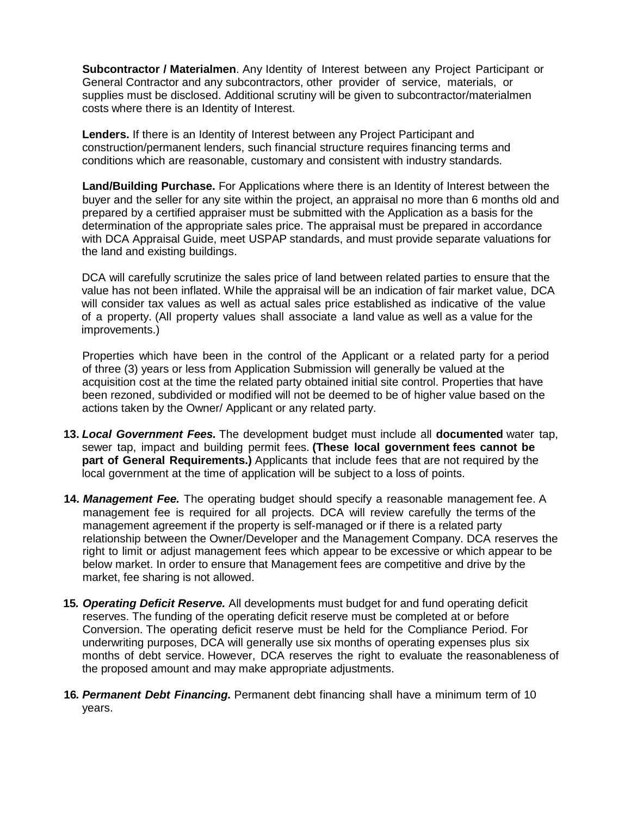**Subcontractor / Materialmen**. Any Identity of Interest between any Project Participant or General Contractor and any subcontractors, other provider of service, materials, or supplies must be disclosed. Additional scrutiny will be given to subcontractor/materialmen costs where there is an Identity of Interest.

**Lenders.** If there is an Identity of Interest between any Project Participant and construction/permanent lenders, such financial structure requires financing terms and conditions which are reasonable, customary and consistent with industry standards.

**Land/Building Purchase.** For Applications where there is an Identity of Interest between the buyer and the seller for any site within the project, an appraisal no more than 6 months old and prepared by a certified appraiser must be submitted with the Application as a basis for the determination of the appropriate sales price. The appraisal must be prepared in accordance with DCA Appraisal Guide, meet USPAP standards, and must provide separate valuations for the land and existing buildings.

DCA will carefully scrutinize the sales price of land between related parties to ensure that the value has not been inflated. While the appraisal will be an indication of fair market value, DCA will consider tax values as well as actual sales price established as indicative of the value of a property. (All property values shall associate a land value as well as a value for the improvements.)

Properties which have been in the control of the Applicant or a related party for a period of three (3) years or less from Application Submission will generally be valued at the acquisition cost at the time the related party obtained initial site control. Properties that have been rezoned, subdivided or modified will not be deemed to be of higher value based on the actions taken by the Owner/ Applicant or any related party.

- **13.** *Local Government Fees.* The development budget must include all **documented** water tap, sewer tap, impact and building permit fees. **(These local government fees cannot be part of General Requirements.)** Applicants that include fees that are not required by the local government at the time of application will be subject to a loss of points.
- **14.** *Management Fee.* The operating budget should specify a reasonable management fee. A management fee is required for all projects. DCA will review carefully the terms of the management agreement if the property is self-managed or if there is a related party relationship between the Owner/Developer and the Management Company. DCA reserves the right to limit or adjust management fees which appear to be excessive or which appear to be below market. In order to ensure that Management fees are competitive and drive by the market, fee sharing is not allowed.
- **15***. Operating Deficit Reserve.* All developments must budget for and fund operating deficit reserves. The funding of the operating deficit reserve must be completed at or before Conversion. The operating deficit reserve must be held for the Compliance Period. For underwriting purposes, DCA will generally use six months of operating expenses plus six months of debt service. However, DCA reserves the right to evaluate the reasonableness of the proposed amount and may make appropriate adjustments.
- **16***. Permanent Debt Financing.* Permanent debt financing shall have a minimum term of 10 years.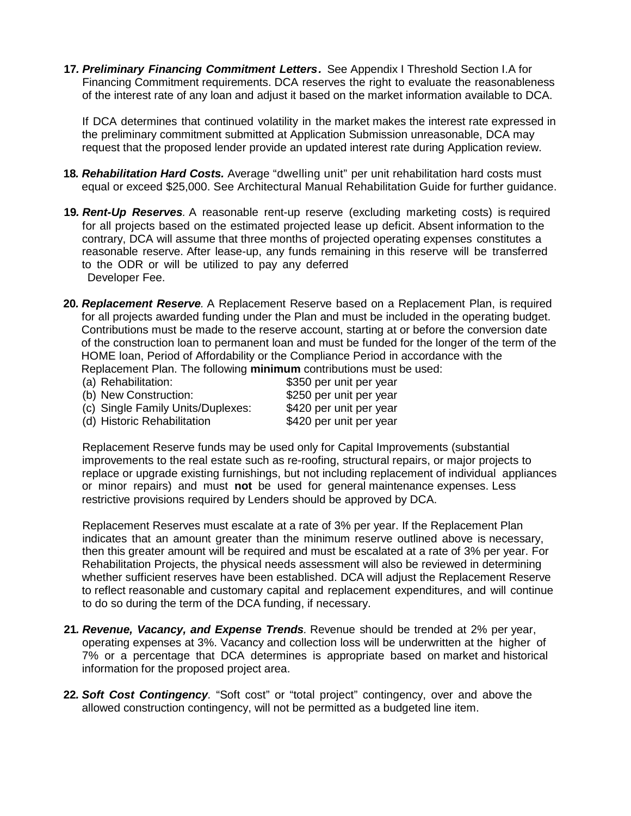**17***. Preliminary Financing Commitment Letters.* See Appendix I Threshold Section I.A for Financing Commitment requirements. DCA reserves the right to evaluate the reasonableness of the interest rate of any loan and adjust it based on the market information available to DCA.

If DCA determines that continued volatility in the market makes the interest rate expressed in the preliminary commitment submitted at Application Submission unreasonable, DCA may request that the proposed lender provide an updated interest rate during Application review.

- **18***. Rehabilitation Hard Costs.* Average "dwelling unit" per unit rehabilitation hard costs must equal or exceed \$25,000. See Architectural Manual Rehabilitation Guide for further guidance.
- **19***. Rent-Up Reserves.* A reasonable rent-up reserve (excluding marketing costs) is required for all projects based on the estimated projected lease up deficit. Absent information to the contrary, DCA will assume that three months of projected operating expenses constitutes a reasonable reserve. After lease-up, any funds remaining in this reserve will be transferred to the ODR or will be utilized to pay any deferred Developer Fee.
- **20***. Replacement Reserve.* A Replacement Reserve based on a Replacement Plan, is required for all projects awarded funding under the Plan and must be included in the operating budget. Contributions must be made to the reserve account, starting at or before the conversion date of the construction loan to permanent loan and must be funded for the longer of the term of the HOME loan, Period of Affordability or the Compliance Period in accordance with the Replacement Plan. The following **minimum** contributions must be used:
	- (a) Rehabilitation:  $$350$  per unit per year (b) New Construction: \$250 per unit per year<br>(c) Single Family Units/Duplexes: \$420 per unit per year (c) Single Family Units/Duplexes: (d) Historic Rehabilitation \$420 per unit per year

Replacement Reserve funds may be used only for Capital Improvements (substantial improvements to the real estate such as re-roofing, structural repairs, or major projects to replace or upgrade existing furnishings, but not including replacement of individual appliances or minor repairs) and must **not** be used for general maintenance expenses. Less restrictive provisions required by Lenders should be approved by DCA.

Replacement Reserves must escalate at a rate of 3% per year. If the Replacement Plan indicates that an amount greater than the minimum reserve outlined above is necessary, then this greater amount will be required and must be escalated at a rate of 3% per year. For Rehabilitation Projects, the physical needs assessment will also be reviewed in determining whether sufficient reserves have been established. DCA will adjust the Replacement Reserve to reflect reasonable and customary capital and replacement expenditures, and will continue to do so during the term of the DCA funding, if necessary.

- **21***. Revenue, Vacancy, and Expense Trends.* Revenue should be trended at 2% per year, operating expenses at 3%. Vacancy and collection loss will be underwritten at the higher of 7% or a percentage that DCA determines is appropriate based on market and historical information for the proposed project area.
- **22***. Soft Cost Contingency.* "Soft cost" or "total project" contingency, over and above the allowed construction contingency, will not be permitted as a budgeted line item.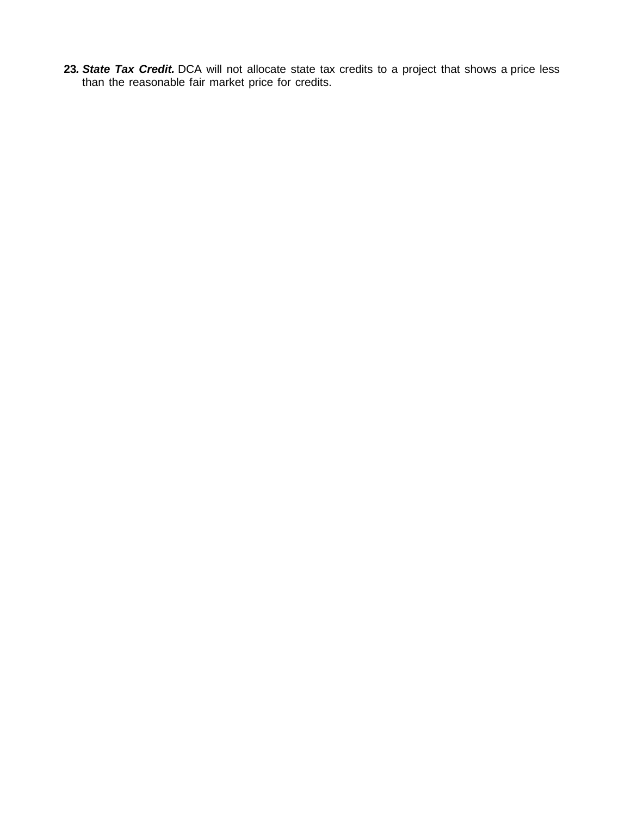**23***. State Tax Credit.* DCA will not allocate state tax credits to a project that shows a price less than the reasonable fair market price for credits.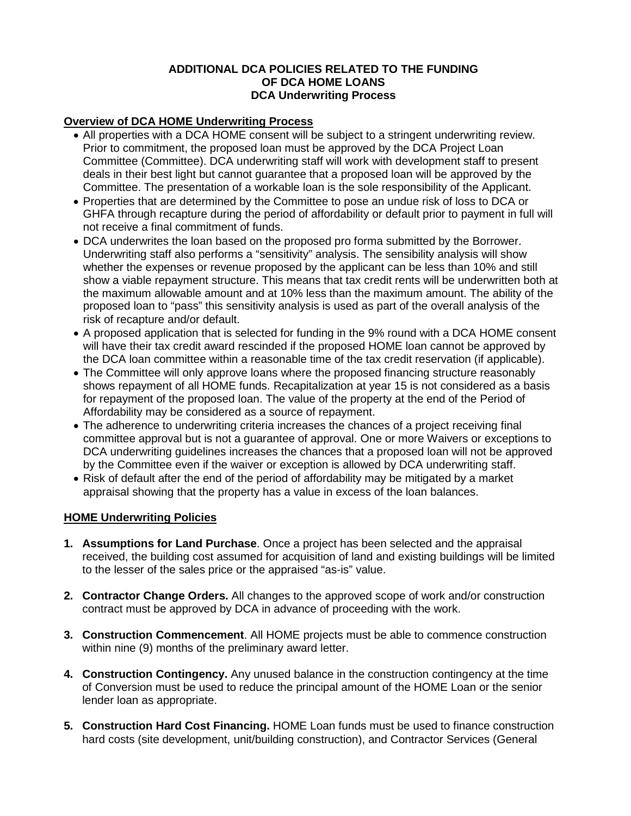# **ADDITIONAL DCA POLICIES RELATED TO THE FUNDING OF DCA HOME LOANS DCA Underwriting Process**

# **Overview of DCA HOME Underwriting Process**

- All properties with a DCA HOME consent will be subject to a stringent underwriting review. Prior to commitment, the proposed loan must be approved by the DCA Project Loan Committee (Committee). DCA underwriting staff will work with development staff to present deals in their best light but cannot guarantee that a proposed loan will be approved by the Committee. The presentation of a workable loan is the sole responsibility of the Applicant.
- Properties that are determined by the Committee to pose an undue risk of loss to DCA or GHFA through recapture during the period of affordability or default prior to payment in full will not receive a final commitment of funds.
- DCA underwrites the loan based on the proposed pro forma submitted by the Borrower. Underwriting staff also performs a "sensitivity" analysis. The sensibility analysis will show whether the expenses or revenue proposed by the applicant can be less than 10% and still show a viable repayment structure. This means that tax credit rents will be underwritten both at the maximum allowable amount and at 10% less than the maximum amount. The ability of the proposed loan to "pass" this sensitivity analysis is used as part of the overall analysis of the risk of recapture and/or default.
- A proposed application that is selected for funding in the 9% round with a DCA HOME consent will have their tax credit award rescinded if the proposed HOME loan cannot be approved by the DCA loan committee within a reasonable time of the tax credit reservation (if applicable).
- The Committee will only approve loans where the proposed financing structure reasonably shows repayment of all HOME funds. Recapitalization at year 15 is not considered as a basis for repayment of the proposed loan. The value of the property at the end of the Period of Affordability may be considered as a source of repayment.
- The adherence to underwriting criteria increases the chances of a project receiving final committee approval but is not a guarantee of approval. One or more Waivers or exceptions to DCA underwriting guidelines increases the chances that a proposed loan will not be approved by the Committee even if the waiver or exception is allowed by DCA underwriting staff.
- Risk of default after the end of the period of affordability may be mitigated by a market appraisal showing that the property has a value in excess of the loan balances.

# **HOME Underwriting Policies**

- **1. Assumptions for Land Purchase**. Once a project has been selected and the appraisal received, the building cost assumed for acquisition of land and existing buildings will be limited to the lesser of the sales price or the appraised "as-is" value.
- **2. Contractor Change Orders.** All changes to the approved scope of work and/or construction contract must be approved by DCA in advance of proceeding with the work.
- **3. Construction Commencement**. All HOME projects must be able to commence construction within nine (9) months of the preliminary award letter.
- **4. Construction Contingency.** Any unused balance in the construction contingency at the time of Conversion must be used to reduce the principal amount of the HOME Loan or the senior lender loan as appropriate.
- **5. Construction Hard Cost Financing.** HOME Loan funds must be used to finance construction hard costs (site development, unit/building construction), and Contractor Services (General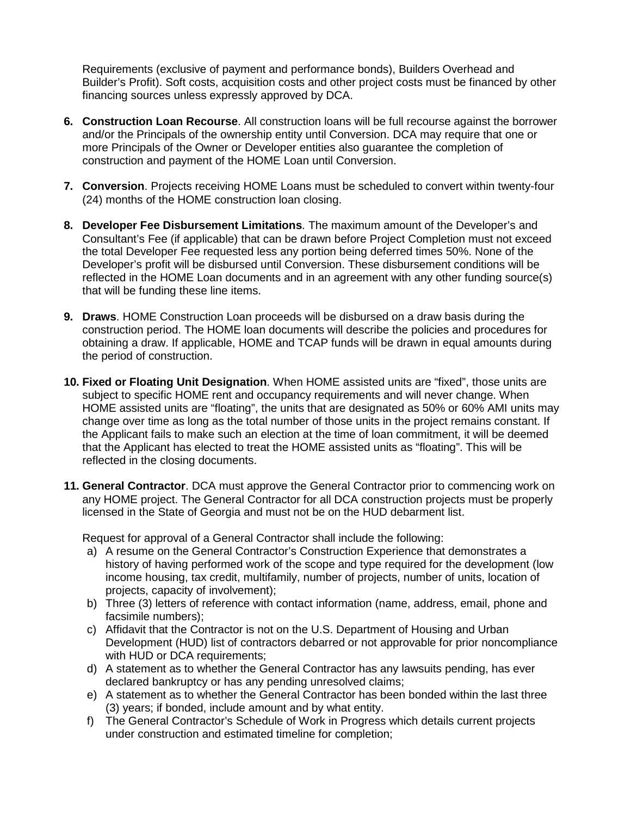Requirements (exclusive of payment and performance bonds), Builders Overhead and Builder's Profit). Soft costs, acquisition costs and other project costs must be financed by other financing sources unless expressly approved by DCA.

- **6. Construction Loan Recourse**. All construction loans will be full recourse against the borrower and/or the Principals of the ownership entity until Conversion. DCA may require that one or more Principals of the Owner or Developer entities also guarantee the completion of construction and payment of the HOME Loan until Conversion.
- **7. Conversion**. Projects receiving HOME Loans must be scheduled to convert within twenty-four (24) months of the HOME construction loan closing.
- **8. Developer Fee Disbursement Limitations**. The maximum amount of the Developer's and Consultant's Fee (if applicable) that can be drawn before Project Completion must not exceed the total Developer Fee requested less any portion being deferred times 50%. None of the Developer's profit will be disbursed until Conversion. These disbursement conditions will be reflected in the HOME Loan documents and in an agreement with any other funding source(s) that will be funding these line items.
- **9. Draws**. HOME Construction Loan proceeds will be disbursed on a draw basis during the construction period. The HOME loan documents will describe the policies and procedures for obtaining a draw. If applicable, HOME and TCAP funds will be drawn in equal amounts during the period of construction.
- **10. Fixed or Floating Unit Designation**. When HOME assisted units are "fixed", those units are subject to specific HOME rent and occupancy requirements and will never change. When HOME assisted units are "floating", the units that are designated as 50% or 60% AMI units may change over time as long as the total number of those units in the project remains constant. If the Applicant fails to make such an election at the time of loan commitment, it will be deemed that the Applicant has elected to treat the HOME assisted units as "floating". This will be reflected in the closing documents.
- **11. General Contractor**. DCA must approve the General Contractor prior to commencing work on any HOME project. The General Contractor for all DCA construction projects must be properly licensed in the State of Georgia and must not be on the HUD debarment list.

Request for approval of a General Contractor shall include the following:

- a) A resume on the General Contractor's Construction Experience that demonstrates a history of having performed work of the scope and type required for the development (low income housing, tax credit, multifamily, number of projects, number of units, location of projects, capacity of involvement);
- b) Three (3) letters of reference with contact information (name, address, email, phone and facsimile numbers);
- c) Affidavit that the Contractor is not on the U.S. Department of Housing and Urban Development (HUD) list of contractors debarred or not approvable for prior noncompliance with HUD or DCA requirements;
- d) A statement as to whether the General Contractor has any lawsuits pending, has ever declared bankruptcy or has any pending unresolved claims;
- e) A statement as to whether the General Contractor has been bonded within the last three (3) years; if bonded, include amount and by what entity.
- f) The General Contractor's Schedule of Work in Progress which details current projects under construction and estimated timeline for completion;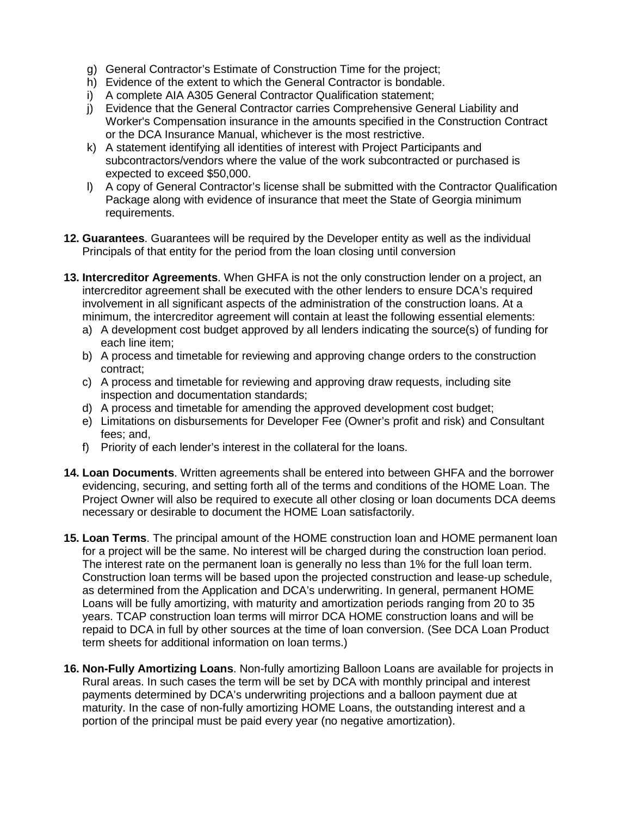- g) General Contractor's Estimate of Construction Time for the project;
- h) Evidence of the extent to which the General Contractor is bondable.
- i) A complete AIA A305 General Contractor Qualification statement;
- j) Evidence that the General Contractor carries Comprehensive General Liability and Worker's Compensation insurance in the amounts specified in the Construction Contract or the DCA Insurance Manual, whichever is the most restrictive.
- k) A statement identifying all identities of interest with Project Participants and subcontractors/vendors where the value of the work subcontracted or purchased is expected to exceed \$50,000.
- l) A copy of General Contractor's license shall be submitted with the Contractor Qualification Package along with evidence of insurance that meet the State of Georgia minimum requirements.
- **12. Guarantees**. Guarantees will be required by the Developer entity as well as the individual Principals of that entity for the period from the loan closing until conversion
- **13. Intercreditor Agreements**. When GHFA is not the only construction lender on a project, an intercreditor agreement shall be executed with the other lenders to ensure DCA's required involvement in all significant aspects of the administration of the construction loans. At a minimum, the intercreditor agreement will contain at least the following essential elements:
	- a) A development cost budget approved by all lenders indicating the source(s) of funding for each line item;
	- b) A process and timetable for reviewing and approving change orders to the construction contract;
	- c) A process and timetable for reviewing and approving draw requests, including site inspection and documentation standards;
	- d) A process and timetable for amending the approved development cost budget;
	- e) Limitations on disbursements for Developer Fee (Owner's profit and risk) and Consultant fees; and,
	- f) Priority of each lender's interest in the collateral for the loans.
- **14. Loan Documents**. Written agreements shall be entered into between GHFA and the borrower evidencing, securing, and setting forth all of the terms and conditions of the HOME Loan. The Project Owner will also be required to execute all other closing or loan documents DCA deems necessary or desirable to document the HOME Loan satisfactorily.
- **15. Loan Terms**. The principal amount of the HOME construction loan and HOME permanent loan for a project will be the same. No interest will be charged during the construction loan period. The interest rate on the permanent loan is generally no less than 1% for the full loan term. Construction loan terms will be based upon the projected construction and lease-up schedule, as determined from the Application and DCA's underwriting. In general, permanent HOME Loans will be fully amortizing, with maturity and amortization periods ranging from 20 to 35 years. TCAP construction loan terms will mirror DCA HOME construction loans and will be repaid to DCA in full by other sources at the time of loan conversion. (See DCA Loan Product term sheets for additional information on loan terms.)
- **16. Non-Fully Amortizing Loans**. Non-fully amortizing Balloon Loans are available for projects in Rural areas. In such cases the term will be set by DCA with monthly principal and interest payments determined by DCA's underwriting projections and a balloon payment due at maturity. In the case of non-fully amortizing HOME Loans, the outstanding interest and a portion of the principal must be paid every year (no negative amortization).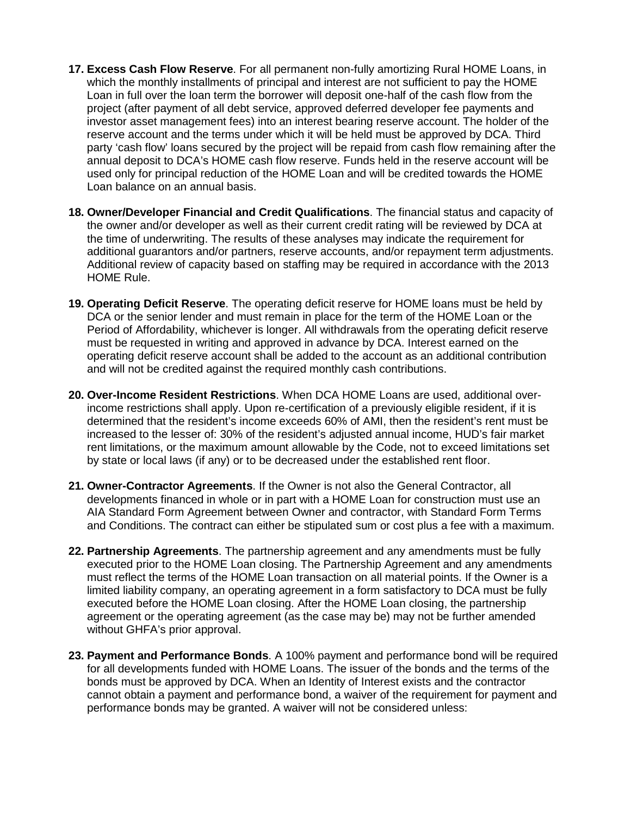- **17. Excess Cash Flow Reserve**. For all permanent non-fully amortizing Rural HOME Loans, in which the monthly installments of principal and interest are not sufficient to pay the HOME Loan in full over the loan term the borrower will deposit one-half of the cash flow from the project (after payment of all debt service, approved deferred developer fee payments and investor asset management fees) into an interest bearing reserve account. The holder of the reserve account and the terms under which it will be held must be approved by DCA. Third party 'cash flow' loans secured by the project will be repaid from cash flow remaining after the annual deposit to DCA's HOME cash flow reserve. Funds held in the reserve account will be used only for principal reduction of the HOME Loan and will be credited towards the HOME Loan balance on an annual basis.
- **18. Owner/Developer Financial and Credit Qualifications**. The financial status and capacity of the owner and/or developer as well as their current credit rating will be reviewed by DCA at the time of underwriting. The results of these analyses may indicate the requirement for additional guarantors and/or partners, reserve accounts, and/or repayment term adjustments. Additional review of capacity based on staffing may be required in accordance with the 2013 HOME Rule.
- **19. Operating Deficit Reserve**. The operating deficit reserve for HOME loans must be held by DCA or the senior lender and must remain in place for the term of the HOME Loan or the Period of Affordability, whichever is longer. All withdrawals from the operating deficit reserve must be requested in writing and approved in advance by DCA. Interest earned on the operating deficit reserve account shall be added to the account as an additional contribution and will not be credited against the required monthly cash contributions.
- **20. Over-Income Resident Restrictions**. When DCA HOME Loans are used, additional overincome restrictions shall apply. Upon re-certification of a previously eligible resident, if it is determined that the resident's income exceeds 60% of AMI, then the resident's rent must be increased to the lesser of: 30% of the resident's adjusted annual income, HUD's fair market rent limitations, or the maximum amount allowable by the Code, not to exceed limitations set by state or local laws (if any) or to be decreased under the established rent floor.
- **21. Owner-Contractor Agreements**. If the Owner is not also the General Contractor, all developments financed in whole or in part with a HOME Loan for construction must use an AIA Standard Form Agreement between Owner and contractor, with Standard Form Terms and Conditions. The contract can either be stipulated sum or cost plus a fee with a maximum.
- **22. Partnership Agreements**. The partnership agreement and any amendments must be fully executed prior to the HOME Loan closing. The Partnership Agreement and any amendments must reflect the terms of the HOME Loan transaction on all material points. If the Owner is a limited liability company, an operating agreement in a form satisfactory to DCA must be fully executed before the HOME Loan closing. After the HOME Loan closing, the partnership agreement or the operating agreement (as the case may be) may not be further amended without GHFA's prior approval.
- **23. Payment and Performance Bonds**. A 100% payment and performance bond will be required for all developments funded with HOME Loans. The issuer of the bonds and the terms of the bonds must be approved by DCA. When an Identity of Interest exists and the contractor cannot obtain a payment and performance bond, a waiver of the requirement for payment and performance bonds may be granted. A waiver will not be considered unless: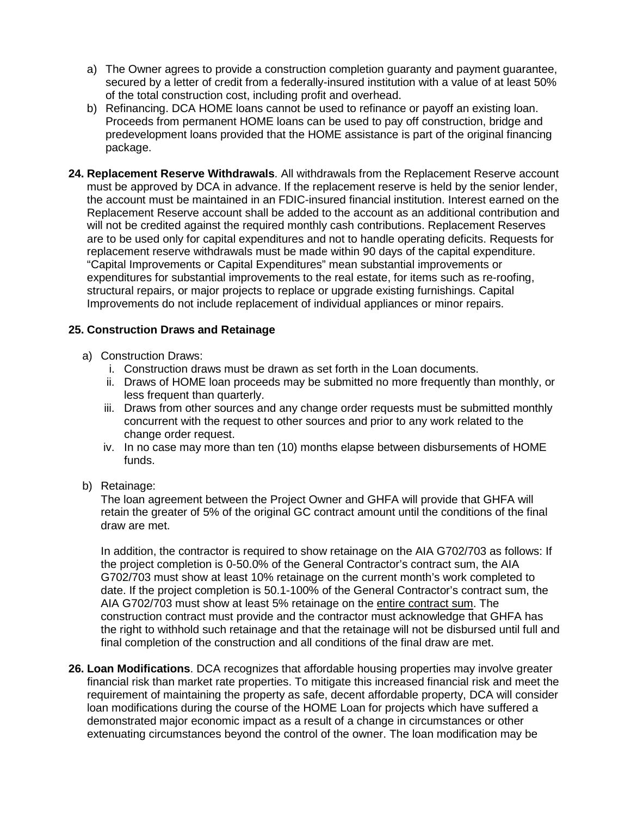- a) The Owner agrees to provide a construction completion guaranty and payment guarantee, secured by a letter of credit from a federally-insured institution with a value of at least 50% of the total construction cost, including profit and overhead.
- b) Refinancing. DCA HOME loans cannot be used to refinance or payoff an existing loan. Proceeds from permanent HOME loans can be used to pay off construction, bridge and predevelopment loans provided that the HOME assistance is part of the original financing package.
- **24. Replacement Reserve Withdrawals**. All withdrawals from the Replacement Reserve account must be approved by DCA in advance. If the replacement reserve is held by the senior lender, the account must be maintained in an FDIC-insured financial institution. Interest earned on the Replacement Reserve account shall be added to the account as an additional contribution and will not be credited against the required monthly cash contributions. Replacement Reserves are to be used only for capital expenditures and not to handle operating deficits. Requests for replacement reserve withdrawals must be made within 90 days of the capital expenditure. "Capital Improvements or Capital Expenditures" mean substantial improvements or expenditures for substantial improvements to the real estate, for items such as re-roofing, structural repairs, or major projects to replace or upgrade existing furnishings. Capital Improvements do not include replacement of individual appliances or minor repairs.

# **25. Construction Draws and Retainage**

- a) Construction Draws:
	- i. Construction draws must be drawn as set forth in the Loan documents.
	- ii. Draws of HOME loan proceeds may be submitted no more frequently than monthly, or less frequent than quarterly.
	- iii. Draws from other sources and any change order requests must be submitted monthly concurrent with the request to other sources and prior to any work related to the change order request.
	- iv. In no case may more than ten (10) months elapse between disbursements of HOME funds.
- b) Retainage:

The loan agreement between the Project Owner and GHFA will provide that GHFA will retain the greater of 5% of the original GC contract amount until the conditions of the final draw are met.

In addition, the contractor is required to show retainage on the AIA G702/703 as follows: If the project completion is 0-50.0% of the General Contractor's contract sum, the AIA G702/703 must show at least 10% retainage on the current month's work completed to date. If the project completion is 50.1-100% of the General Contractor's contract sum, the AIA G702/703 must show at least 5% retainage on the entire contract sum. The construction contract must provide and the contractor must acknowledge that GHFA has the right to withhold such retainage and that the retainage will not be disbursed until full and final completion of the construction and all conditions of the final draw are met.

**26. Loan Modifications**. DCA recognizes that affordable housing properties may involve greater financial risk than market rate properties. To mitigate this increased financial risk and meet the requirement of maintaining the property as safe, decent affordable property, DCA will consider loan modifications during the course of the HOME Loan for projects which have suffered a demonstrated major economic impact as a result of a change in circumstances or other extenuating circumstances beyond the control of the owner. The loan modification may be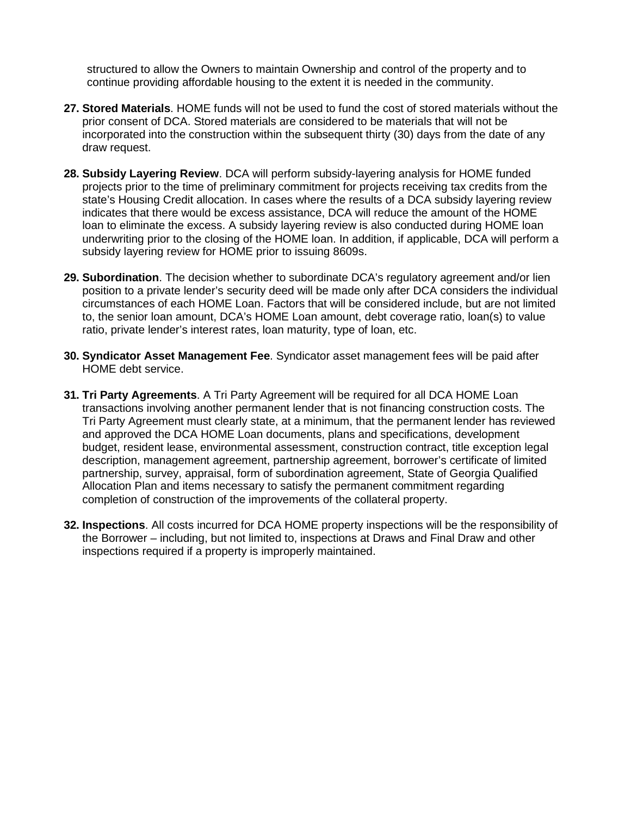structured to allow the Owners to maintain Ownership and control of the property and to continue providing affordable housing to the extent it is needed in the community.

- **27. Stored Materials**. HOME funds will not be used to fund the cost of stored materials without the prior consent of DCA. Stored materials are considered to be materials that will not be incorporated into the construction within the subsequent thirty (30) days from the date of any draw request.
- **28. Subsidy Layering Review**. DCA will perform subsidy-layering analysis for HOME funded projects prior to the time of preliminary commitment for projects receiving tax credits from the state's Housing Credit allocation. In cases where the results of a DCA subsidy layering review indicates that there would be excess assistance, DCA will reduce the amount of the HOME loan to eliminate the excess. A subsidy layering review is also conducted during HOME loan underwriting prior to the closing of the HOME loan. In addition, if applicable, DCA will perform a subsidy layering review for HOME prior to issuing 8609s.
- **29. Subordination**. The decision whether to subordinate DCA's regulatory agreement and/or lien position to a private lender's security deed will be made only after DCA considers the individual circumstances of each HOME Loan. Factors that will be considered include, but are not limited to, the senior loan amount, DCA's HOME Loan amount, debt coverage ratio, loan(s) to value ratio, private lender's interest rates, loan maturity, type of loan, etc.
- **30. Syndicator Asset Management Fee**. Syndicator asset management fees will be paid after HOME debt service.
- **31. Tri Party Agreements**. A Tri Party Agreement will be required for all DCA HOME Loan transactions involving another permanent lender that is not financing construction costs. The Tri Party Agreement must clearly state, at a minimum, that the permanent lender has reviewed and approved the DCA HOME Loan documents, plans and specifications, development budget, resident lease, environmental assessment, construction contract, title exception legal description, management agreement, partnership agreement, borrower's certificate of limited partnership, survey, appraisal, form of subordination agreement, State of Georgia Qualified Allocation Plan and items necessary to satisfy the permanent commitment regarding completion of construction of the improvements of the collateral property.
- **32. Inspections**. All costs incurred for DCA HOME property inspections will be the responsibility of the Borrower – including, but not limited to, inspections at Draws and Final Draw and other inspections required if a property is improperly maintained.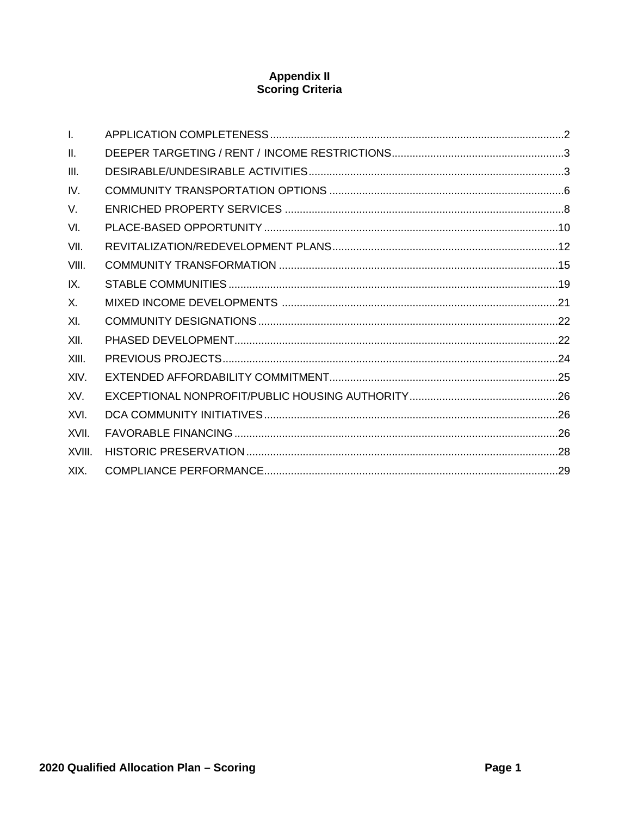# **Appendix II**<br>Scoring Criteria

| $\mathbf{L}$    |  |
|-----------------|--|
| $\mathbf{II}$ . |  |
| III.            |  |
| IV.             |  |
| V.              |  |
| VI.             |  |
| VII.            |  |
| VIII.           |  |
| IX.             |  |
| X.              |  |
| XI.             |  |
| XII.            |  |
| XIII.           |  |
| XIV.            |  |
| XV.             |  |
| XVI.            |  |
| XVII.           |  |
| XVIII.          |  |
| XIX.            |  |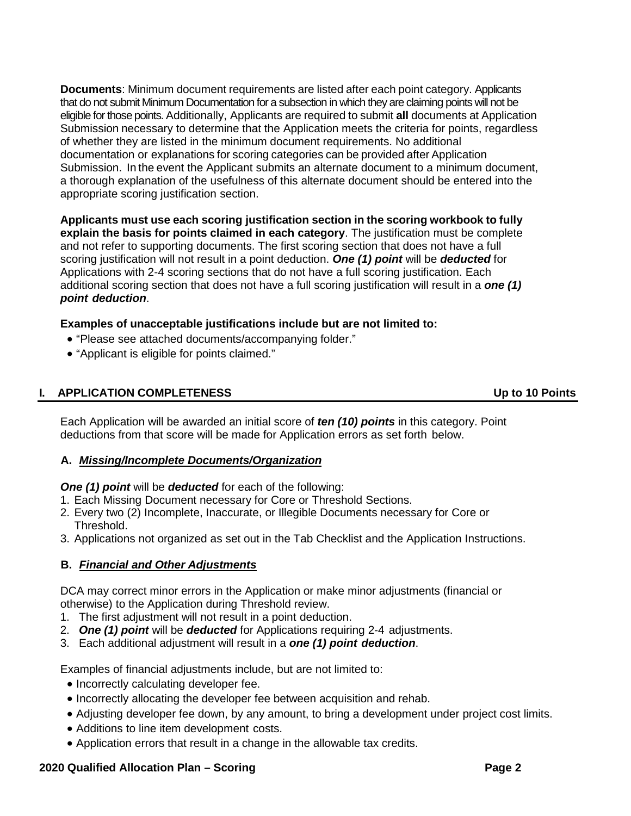**Documents**: Minimum document requirements are listed after each point category. Applicants that do not submit Minimum Documentation for a subsection in which they are claiming points will not be eligible for those points. Additionally, Applicants are required to submit **all** documents at Application Submission necessary to determine that the Application meets the criteria for points, regardless of whether they are listed in the minimum document requirements. No additional documentation or explanations for scoring categories can be provided after Application Submission. In the event the Applicant submits an alternate document to a minimum document, a thorough explanation of the usefulness of this alternate document should be entered into the appropriate scoring justification section.

**Applicants must use each scoring justification section in the scoring workbook to fully explain the basis for points claimed in each category**. The justification must be complete and not refer to supporting documents. The first scoring section that does not have a full scoring justification will not result in a point deduction. *One (1) point* will be *deducted* for Applications with 2-4 scoring sections that do not have a full scoring justification. Each additional scoring section that does not have a full scoring justification will result in a *one (1) point deduction*.

# **Examples of unacceptable justifications include but are not limited to:**

- "Please see attached documents/accompanying folder."
- "Applicant is eligible for points claimed."

# <span id="page-94-0"></span>**I. APPLICATION COMPLETENESS Up to 10 Points**

Each Application will be awarded an initial score of *ten (10) points* in this category. Point deductions from that score will be made for Application errors as set forth below.

# **A.** *Missing/Incomplete Documents/Organization*

# *One (1) point* will be *deducted* for each of the following:

- 1. Each Missing Document necessary for Core or Threshold Sections.
- 2. Every two (2) Incomplete, Inaccurate, or Illegible Documents necessary for Core or Threshold.
- 3. Applications not organized as set out in the Tab Checklist and the Application Instructions.

# **B.** *Financial and Other Adjustments*

DCA may correct minor errors in the Application or make minor adjustments (financial or otherwise) to the Application during Threshold review.

- 1. The first adjustment will not result in a point deduction.
- 2. *One (1) point* will be *deducted* for Applications requiring 2-4 adjustments.
- 3. Each additional adjustment will result in a *one (1) point deduction*.

Examples of financial adjustments include, but are not limited to:

- Incorrectly calculating developer fee.
- Incorrectly allocating the developer fee between acquisition and rehab.
- Adjusting developer fee down, by any amount, to bring a development under project cost limits.
- Additions to line item development costs.
- Application errors that result in a change in the allowable tax credits.

# **2020 Qualified Allocation Plan – Scoring Page 2**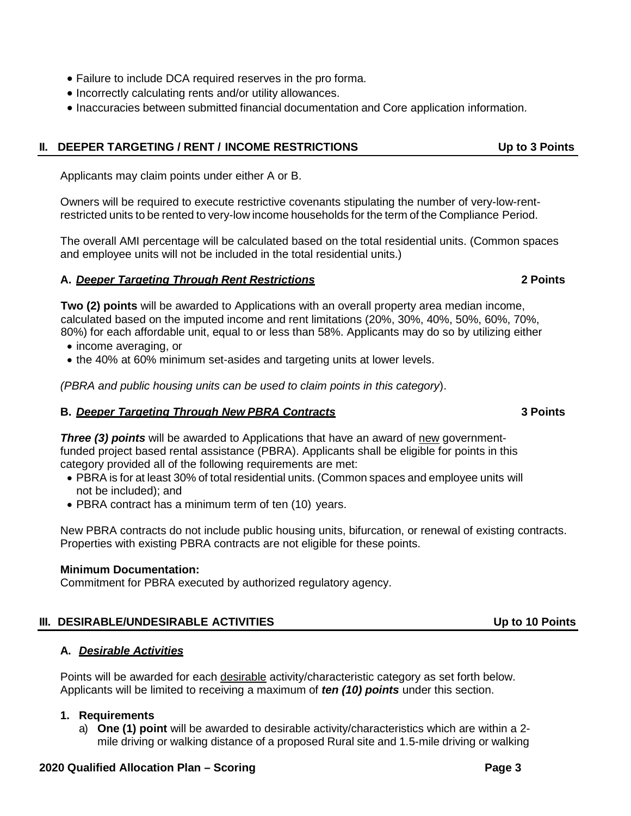- **2020 Qualified Allocation Plan – Scoring Page 3**
- 

# **A.** *Desirable Activities*

Points will be awarded for each desirable activity/characteristic category as set forth below. Applicants will be limited to receiving a maximum of *ten (10) points* under this section.

# **1. Requirements**

a) **One (1) point** will be awarded to desirable activity/characteristics which are within a 2 mile driving or walking distance of a proposed Rural site and 1.5-mile driving or walking

# <span id="page-95-0"></span>**II. DEEPER TARGETING / RENT / INCOME RESTRICTIONS Up to 3 Points**

• Failure to include DCA required reserves in the pro forma. • Incorrectly calculating rents and/or utility allowances.

Applicants may claim points under either A or B.

Owners will be required to execute restrictive covenants stipulating the number of very-low-rentrestricted units to be rented to very-low income households for the term of the Compliance Period.

• Inaccuracies between submitted financial documentation and Core application information.

The overall AMI percentage will be calculated based on the total residential units. (Common spaces and employee units will not be included in the total residential units.)

# **A.** *Deeper Targeting Through Rent Restrictions* **2 Points**

**Two (2) points** will be awarded to Applications with an overall property area median income, calculated based on the imputed income and rent limitations (20%, 30%, 40%, 50%, 60%, 70%, 80%) for each affordable unit, equal to or less than 58%. Applicants may do so by utilizing either

- income averaging, or
- the 40% at 60% minimum set-asides and targeting units at lower levels.

*(PBRA and public housing units can be used to claim points in this category*).

# **B.** *Deeper Targeting Through New PBRA Contracts* **3 Points**

*Three (3) points* will be awarded to Applications that have an award of new governmentfunded project based rental assistance (PBRA). Applicants shall be eligible for points in this category provided all of the following requirements are met:

- PBRA is for at least 30% of total residential units. (Common spaces and employee units will not be included); and
- PBRA contract has a minimum term of ten (10) years.

New PBRA contracts do not include public housing units, bifurcation, or renewal of existing contracts. Properties with existing PBRA contracts are not eligible for these points.

<span id="page-95-1"></span>**III. DESIRABLE/UNDESIRABLE ACTIVITIES Up to 10 Points**

# **Minimum Documentation:**

Commitment for PBRA executed by authorized regulatory agency.

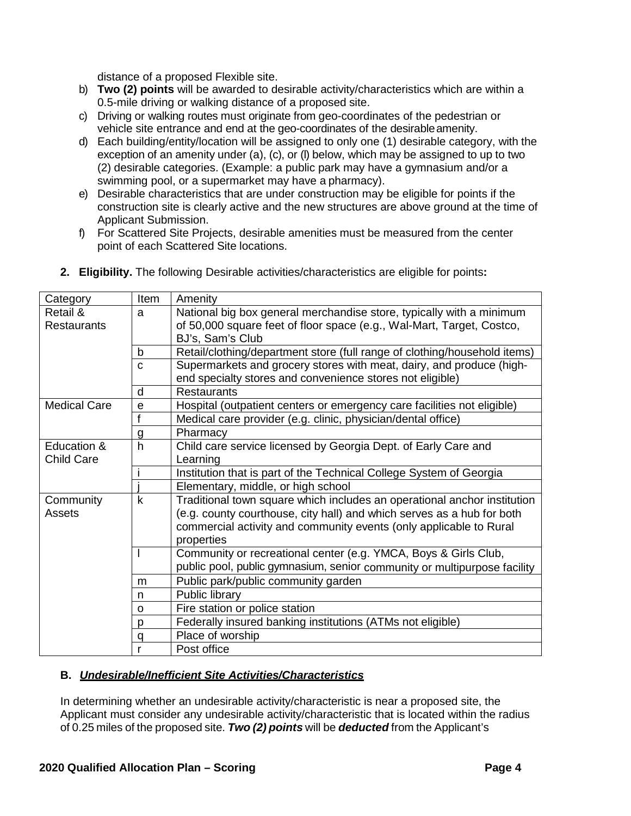distance of a proposed Flexible site.

- b) **Two (2) points** will be awarded to desirable activity/characteristics which are within a 0.5-mile driving or walking distance of a proposed site.
- c) Driving or walking routes must originate from geo-coordinates of the pedestrian or vehicle site entrance and end at the geo-coordinates of the desirableamenity.
- d) Each building/entity/location will be assigned to only one (1) desirable category, with the exception of an amenity under (a), (c), or (l) below, which may be assigned to up to two (2) desirable categories. (Example: a public park may have a gymnasium and/or a swimming pool, or a supermarket may have a pharmacy).
- e) Desirable characteristics that are under construction may be eligible for points if the construction site is clearly active and the new structures are above ground at the time of Applicant Submission.
- f) For Scattered Site Projects, desirable amenities must be measured from the center point of each Scattered Site locations.

| Category            | Item | Amenity                                                                   |
|---------------------|------|---------------------------------------------------------------------------|
| Retail &            | a    | National big box general merchandise store, typically with a minimum      |
| <b>Restaurants</b>  |      | of 50,000 square feet of floor space (e.g., Wal-Mart, Target, Costco,     |
|                     |      | BJ's, Sam's Club                                                          |
|                     | b    | Retail/clothing/department store (full range of clothing/household items) |
|                     | C    | Supermarkets and grocery stores with meat, dairy, and produce (high-      |
|                     |      | end specialty stores and convenience stores not eligible)                 |
|                     | d    | <b>Restaurants</b>                                                        |
| <b>Medical Care</b> | e    | Hospital (outpatient centers or emergency care facilities not eligible)   |
|                     | f    | Medical care provider (e.g. clinic, physician/dental office)              |
|                     | g    | Pharmacy                                                                  |
| Education &         | h    | Child care service licensed by Georgia Dept. of Early Care and            |
| <b>Child Care</b>   |      | Learning                                                                  |
|                     |      | Institution that is part of the Technical College System of Georgia       |
|                     |      | Elementary, middle, or high school                                        |
| Community           | k    | Traditional town square which includes an operational anchor institution  |
| Assets              |      | (e.g. county courthouse, city hall) and which serves as a hub for both    |
|                     |      | commercial activity and community events (only applicable to Rural        |
|                     |      | properties                                                                |
|                     |      | Community or recreational center (e.g. YMCA, Boys & Girls Club,           |
|                     |      | public pool, public gymnasium, senior community or multipurpose facility  |
|                     | m    | Public park/public community garden                                       |
|                     | n    | Public library                                                            |
|                     | O    | Fire station or police station                                            |
|                     | p    | Federally insured banking institutions (ATMs not eligible)                |
|                     | q    | Place of worship                                                          |
|                     | r    | Post office                                                               |

**2. Eligibility.** The following Desirable activities/characteristics are eligible for points**:**

# **B.** *Undesirable/Inefficient Site Activities/Characteristics*

In determining whether an undesirable activity/characteristic is near a proposed site, the Applicant must consider any undesirable activity/characteristic that is located within the radius of 0.25 miles of the proposed site. *Two (2) points* will be *deducted* from the Applicant's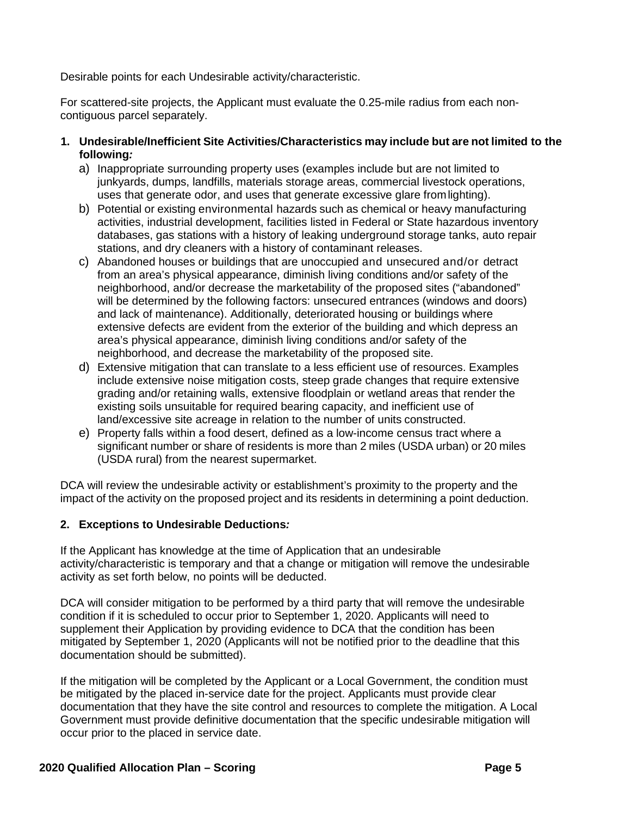Desirable points for each Undesirable activity/characteristic.

For scattered-site projects, the Applicant must evaluate the 0.25-mile radius from each noncontiguous parcel separately.

- **1. Undesirable/Inefficient Site Activities/Characteristics may include but are not limited to the following***:*
	- a) Inappropriate surrounding property uses (examples include but are not limited to junkyards, dumps, landfills, materials storage areas, commercial livestock operations, uses that generate odor, and uses that generate excessive glare fromlighting).
	- b) Potential or existing environmental hazards such as chemical or heavy manufacturing activities, industrial development, facilities listed in Federal or State hazardous inventory databases, gas stations with a history of leaking underground storage tanks, auto repair stations, and dry cleaners with a history of contaminant releases.
	- c) Abandoned houses or buildings that are unoccupied and unsecured and/or detract from an area's physical appearance, diminish living conditions and/or safety of the neighborhood, and/or decrease the marketability of the proposed sites ("abandoned" will be determined by the following factors: unsecured entrances (windows and doors) and lack of maintenance). Additionally, deteriorated housing or buildings where extensive defects are evident from the exterior of the building and which depress an area's physical appearance, diminish living conditions and/or safety of the neighborhood, and decrease the marketability of the proposed site.
	- d) Extensive mitigation that can translate to a less efficient use of resources. Examples include extensive noise mitigation costs, steep grade changes that require extensive grading and/or retaining walls, extensive floodplain or wetland areas that render the existing soils unsuitable for required bearing capacity, and inefficient use of land/excessive site acreage in relation to the number of units constructed.
	- e) Property falls within a food desert, defined as a low-income census tract where a significant number or share of residents is more than 2 miles (USDA urban) or 20 miles (USDA rural) from the nearest supermarket.

DCA will review the undesirable activity or establishment's proximity to the property and the impact of the activity on the proposed project and its residents in determining a point deduction.

# **2. Exceptions to Undesirable Deductions***:*

If the Applicant has knowledge at the time of Application that an undesirable activity/characteristic is temporary and that a change or mitigation will remove the undesirable activity as set forth below, no points will be deducted.

DCA will consider mitigation to be performed by a third party that will remove the undesirable condition if it is scheduled to occur prior to September 1, 2020. Applicants will need to supplement their Application by providing evidence to DCA that the condition has been mitigated by September 1, 2020 (Applicants will not be notified prior to the deadline that this documentation should be submitted).

If the mitigation will be completed by the Applicant or a Local Government, the condition must be mitigated by the placed in-service date for the project. Applicants must provide clear documentation that they have the site control and resources to complete the mitigation. A Local Government must provide definitive documentation that the specific undesirable mitigation will occur prior to the placed in service date.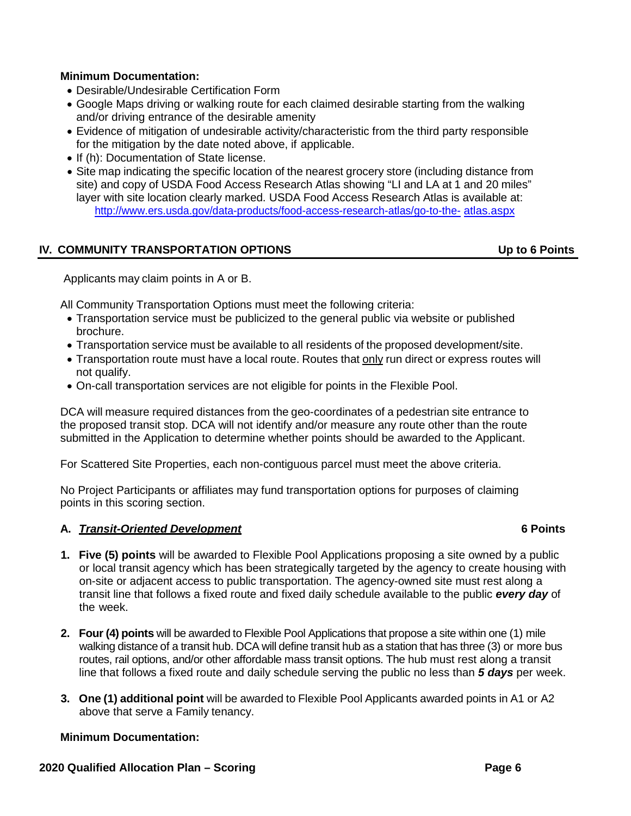# **Minimum Documentation:**

- Desirable/Undesirable Certification Form
- Google Maps driving or walking route for each claimed desirable starting from the walking and/or driving entrance of the desirable amenity
- Evidence of mitigation of undesirable activity/characteristic from the third party responsible for the mitigation by the date noted above, if applicable.
- If (h): Documentation of State license.
- Site map indicating the specific location of the nearest grocery store (including distance from site) and copy of USDA Food Access Research Atlas showing "LI and LA at 1 and 20 miles" layer with site location clearly marked. USDA Food Access Research Atlas is available at: [http://www.ers.usda.gov/data-products/food-access-research-atlas/go-to-the-](http://www.ers.usda.gov/data-products/food-access-research-atlas/go-to-the-atlas.aspx) [atlas.aspx](http://www.ers.usda.gov/data-products/food-access-research-atlas/go-to-the-atlas.aspx)

# <span id="page-98-0"></span>**IV. COMMUNITY TRANSPORTATION OPTIONS Up to 6 Points**

Applicants may claim points in A or B.

All Community Transportation Options must meet the following criteria:

- Transportation service must be publicized to the general public via website or published brochure.
- Transportation service must be available to all residents of the proposed development/site.
- Transportation route must have a local route. Routes that only run direct or express routes will not qualify.
- On-call transportation services are not eligible for points in the Flexible Pool.

DCA will measure required distances from the geo-coordinates of a pedestrian site entrance to the proposed transit stop. DCA will not identify and/or measure any route other than the route submitted in the Application to determine whether points should be awarded to the Applicant.

For Scattered Site Properties, each non-contiguous parcel must meet the above criteria.

No Project Participants or affiliates may fund transportation options for purposes of claiming points in this scoring section.

# **A.** *Transit-Oriented Development* **6 Points**

- **1. Five (5) points** will be awarded to Flexible Pool Applications proposing a site owned by a public or local transit agency which has been strategically targeted by the agency to create housing with on-site or adjacent access to public transportation. The agency-owned site must rest along a transit line that follows a fixed route and fixed daily schedule available to the public *every day* of the week.
- **2. Four (4) points** will be awarded to Flexible Pool Applications that propose a site within one (1) mile walking distance of a transit hub. DCA will define transit hub as a station that has three (3) or more bus routes, rail options, and/or other affordable mass transit options. The hub must rest along a transit line that follows a fixed route and daily schedule serving the public no less than *5 days* per week.
- **3. One (1) additional point** will be awarded to Flexible Pool Applicants awarded points in A1 or A2 above that serve a Family tenancy.

# **Minimum Documentation:**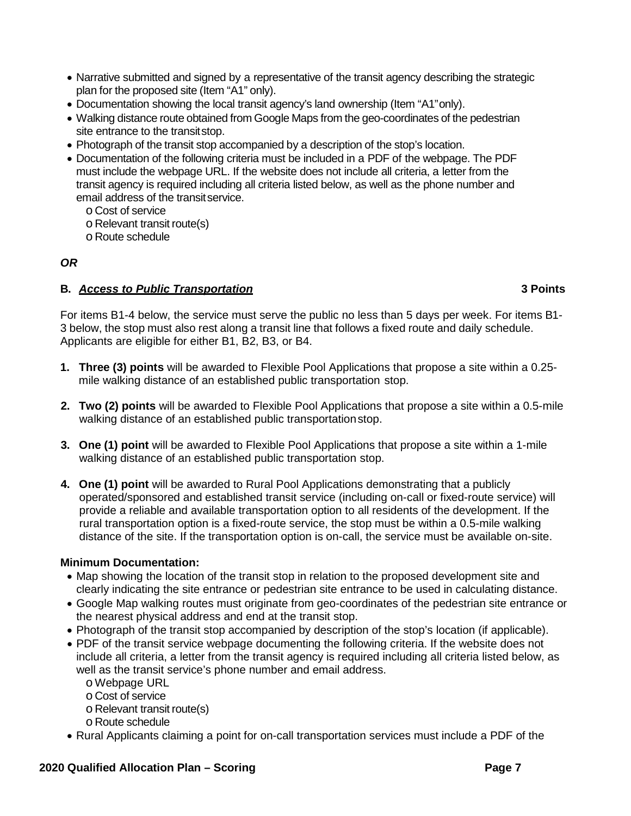- Narrative submitted and signed by a representative of the transit agency describing the strategic plan for the proposed site (Item "A1" only).
- Documentation showing the local transit agency's land ownership (Item "A1"only).
- Walking distance route obtained from Google Maps from the geo-coordinates of the pedestrian site entrance to the transitstop.
- Photograph of the transit stop accompanied by a description of the stop's location.
- Documentation of the following criteria must be included in a PDF of the webpage. The PDF must include the webpage URL. If the website does not include all criteria, a letter from the transit agency is required including all criteria listed below, as well as the phone number and email address of the transitservice.
	- o Cost of service

o Relevant transit route(s)

o Route schedule

# *OR*

# **B.** *Access to Public Transportation* **3 Points**

For items B1-4 below, the service must serve the public no less than 5 days per week. For items B1- 3 below, the stop must also rest along a transit line that follows a fixed route and daily schedule. Applicants are eligible for either B1, B2, B3, or B4.

- **1. Three (3) points** will be awarded to Flexible Pool Applications that propose a site within a 0.25 mile walking distance of an established public transportation stop.
- **2. Two (2) points** will be awarded to Flexible Pool Applications that propose a site within a 0.5-mile walking distance of an established public transportationstop.
- **3. One (1) point** will be awarded to Flexible Pool Applications that propose a site within a 1-mile walking distance of an established public transportation stop.
- **4. One (1) point** will be awarded to Rural Pool Applications demonstrating that a publicly operated/sponsored and established transit service (including on-call or fixed-route service) will provide a reliable and available transportation option to all residents of the development. If the rural transportation option is a fixed-route service, the stop must be within a 0.5-mile walking distance of the site. If the transportation option is on-call, the service must be available on-site.

# **Minimum Documentation:**

- Map showing the location of the transit stop in relation to the proposed development site and clearly indicating the site entrance or pedestrian site entrance to be used in calculating distance.
- Google Map walking routes must originate from geo-coordinates of the pedestrian site entrance or the nearest physical address and end at the transit stop.
- Photograph of the transit stop accompanied by description of the stop's location (if applicable).
- PDF of the transit service webpage documenting the following criteria. If the website does not include all criteria, a letter from the transit agency is required including all criteria listed below, as well as the transit service's phone number and email address.
	- o Webpage URL
	- o Cost of service
	- o Relevant transit route(s)
	- o Route schedule
- Rural Applicants claiming a point for on-call transportation services must include a PDF of the

# **2020 Qualified Allocation Plan – Scoring Page 7**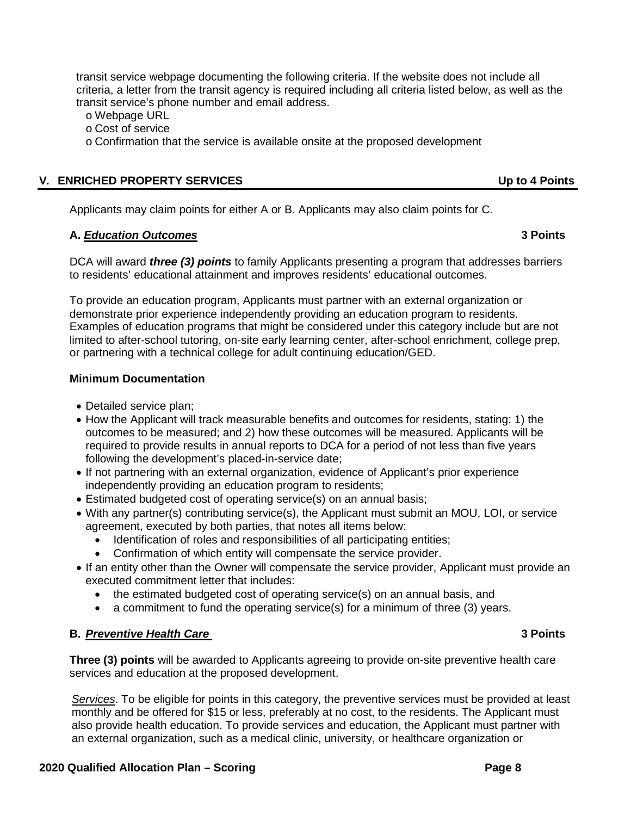transit service webpage documenting the following criteria. If the website does not include all criteria, a letter from the transit agency is required including all criteria listed below, as well as the transit service's phone number and email address.

- o Webpage URL
- o Cost of service
- o Confirmation that the service is available onsite at the proposed development

# <span id="page-100-0"></span>**V. ENRICHED PROPERTY SERVICES Up to 4 Points**

Applicants may claim points for either A or B. Applicants may also claim points for C.

# **A.** *Education Outcomes* **3 Points**

DCA will award *three (3) points* to family Applicants presenting a program that addresses barriers to residents' educational attainment and improves residents' educational outcomes.

To provide an education program, Applicants must partner with an external organization or demonstrate prior experience independently providing an education program to residents. Examples of education programs that might be considered under this category include but are not limited to after-school tutoring, on-site early learning center, after-school enrichment, college prep, or partnering with a technical college for adult continuing education/GED.

# **Minimum Documentation**

- Detailed service plan:
- How the Applicant will track measurable benefits and outcomes for residents, stating: 1) the outcomes to be measured; and 2) how these outcomes will be measured. Applicants will be required to provide results in annual reports to DCA for a period of not less than five years following the development's placed-in-service date;
- If not partnering with an external organization, evidence of Applicant's prior experience independently providing an education program to residents;
- Estimated budgeted cost of operating service(s) on an annual basis;
- With any partner(s) contributing service(s), the Applicant must submit an MOU, LOI, or service agreement, executed by both parties, that notes all items below:
	- Identification of roles and responsibilities of all participating entities;
	- Confirmation of which entity will compensate the service provider.
- If an entity other than the Owner will compensate the service provider, Applicant must provide an executed commitment letter that includes:
	- the estimated budgeted cost of operating service(s) on an annual basis, and
	- a commitment to fund the operating service(s) for a minimum of three (3) years.

# **B.** *Preventive Health Care* **3 Points**

**Three (3) points** will be awarded to Applicants agreeing to provide on-site preventive health care services and education at the proposed development.

*Services*. To be eligible for points in this category, the preventive services must be provided at least monthly and be offered for \$15 or less, preferably at no cost, to the residents. The Applicant must also provide health education. To provide services and education, the Applicant must partner with an external organization, such as a medical clinic, university, or healthcare organization or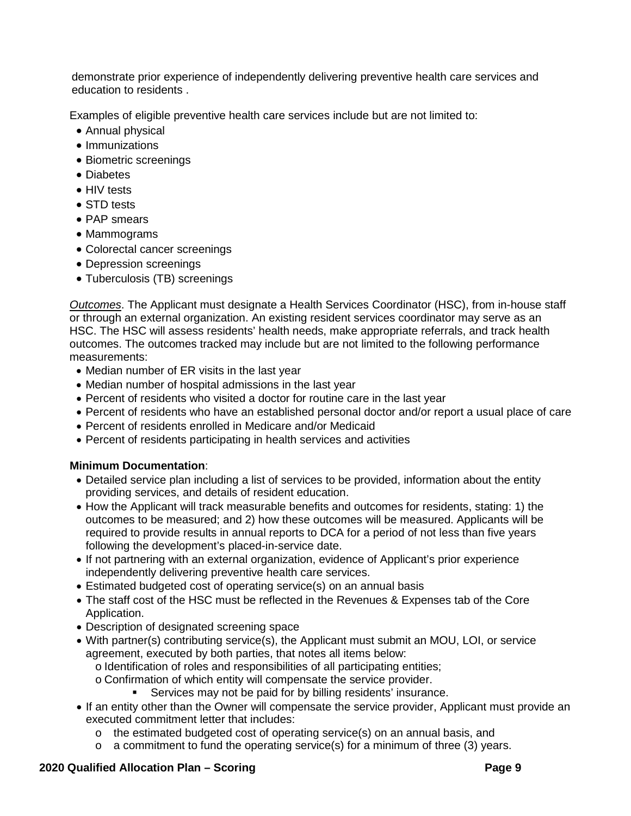demonstrate prior experience of independently delivering preventive health care services and education to residents .

Examples of eligible preventive health care services include but are not limited to:

- Annual physical
- Immunizations
- Biometric screenings
- Diabetes
- HIV tests
- STD tests
- PAP smears
- Mammograms
- Colorectal cancer screenings
- Depression screenings
- Tuberculosis (TB) screenings

*Outcomes*. The Applicant must designate a Health Services Coordinator (HSC), from in-house staff or through an external organization. An existing resident services coordinator may serve as an HSC. The HSC will assess residents' health needs, make appropriate referrals, and track health outcomes. The outcomes tracked may include but are not limited to the following performance measurements:

- Median number of ER visits in the last year
- Median number of hospital admissions in the last year
- Percent of residents who visited a doctor for routine care in the last year
- Percent of residents who have an established personal doctor and/or report a usual place of care
- Percent of residents enrolled in Medicare and/or Medicaid
- Percent of residents participating in health services and activities

# **Minimum Documentation**:

- Detailed service plan including a list of services to be provided, information about the entity providing services, and details of resident education.
- How the Applicant will track measurable benefits and outcomes for residents, stating: 1) the outcomes to be measured; and 2) how these outcomes will be measured. Applicants will be required to provide results in annual reports to DCA for a period of not less than five years following the development's placed-in-service date.
- If not partnering with an external organization, evidence of Applicant's prior experience independently delivering preventive health care services.
- Estimated budgeted cost of operating service(s) on an annual basis
- The staff cost of the HSC must be reflected in the Revenues & Expenses tab of the Core Application.
- Description of designated screening space
- With partner(s) contributing service(s), the Applicant must submit an MOU, LOI, or service agreement, executed by both parties, that notes all items below:
	- o Identification of roles and responsibilities of all participating entities;
	- o Confirmation of which entity will compensate the service provider.<br>Services may not be paid for by billing residents' insurance
		- Services may not be paid for by billing residents' insurance.
- If an entity other than the Owner will compensate the service provider, Applicant must provide an executed commitment letter that includes:
	- $\circ$  the estimated budgeted cost of operating service(s) on an annual basis, and
	- $\circ$  a commitment to fund the operating service(s) for a minimum of three (3) years.

# **2020 Qualified Allocation Plan – Scoring Page 9**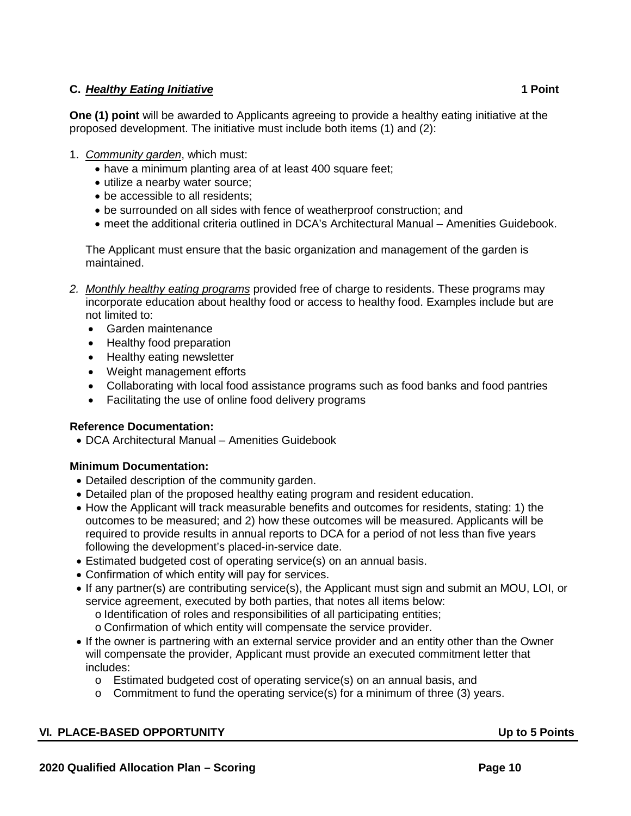# **C.** *Healthy Eating Initiative* **1 Point**

**One (1) point** will be awarded to Applicants agreeing to provide a healthy eating initiative at the proposed development. The initiative must include both items (1) and (2):

- 1. *Community garden*, which must:
	- have a minimum planting area of at least 400 square feet;
	- utilize a nearby water source;
	- be accessible to all residents;
	- be surrounded on all sides with fence of weatherproof construction; and
	- meet the additional criteria outlined in DCA's Architectural Manual Amenities Guidebook.

The Applicant must ensure that the basic organization and management of the garden is maintained.

- *2. Monthly healthy eating programs* provided free of charge to residents. These programs may incorporate education about healthy food or access to healthy food. Examples include but are not limited to:
	- Garden maintenance
	- Healthy food preparation
	- Healthy eating newsletter
	- Weight management efforts
	- Collaborating with local food assistance programs such as food banks and food pantries
	- Facilitating the use of online food delivery programs

# **Reference Documentation:**

• DCA Architectural Manual – Amenities Guidebook

# **Minimum Documentation:**

- Detailed description of the community garden.
- Detailed plan of the proposed healthy eating program and resident education.
- How the Applicant will track measurable benefits and outcomes for residents, stating: 1) the outcomes to be measured; and 2) how these outcomes will be measured. Applicants will be required to provide results in annual reports to DCA for a period of not less than five years following the development's placed-in-service date.
- Estimated budgeted cost of operating service(s) on an annual basis.
- Confirmation of which entity will pay for services.
- If any partner(s) are contributing service(s), the Applicant must sign and submit an MOU, LOI, or service agreement, executed by both parties, that notes all items below:
	- o Identification of roles and responsibilities of all participating entities;
	- o Confirmation of which entity will compensate the service provider.
- If the owner is partnering with an external service provider and an entity other than the Owner will compensate the provider, Applicant must provide an executed commitment letter that includes:
	- o Estimated budgeted cost of operating service(s) on an annual basis, and
	- $\circ$  Commitment to fund the operating service(s) for a minimum of three (3) years.

# <span id="page-102-0"></span>**VI. PLACE-BASED OPPORTUNITY Up to 5 Points**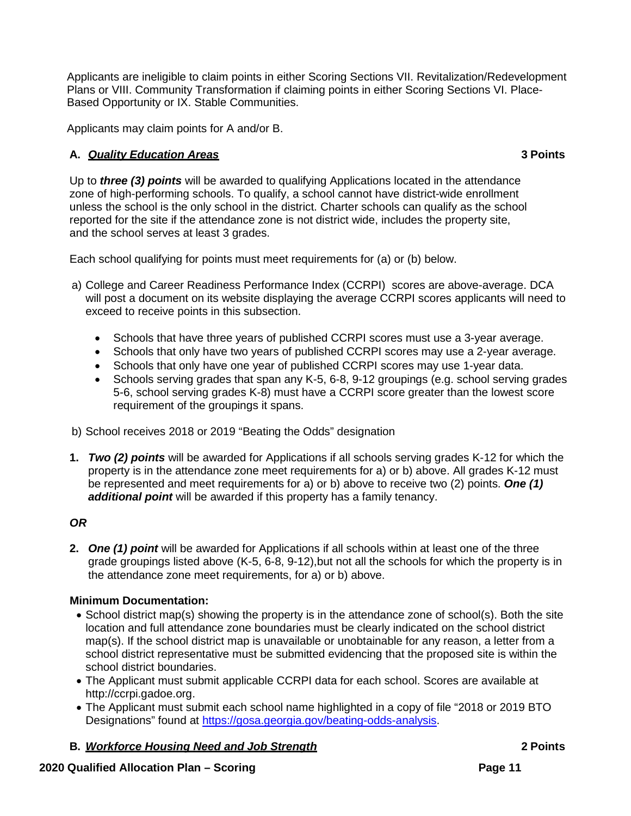Applicants are ineligible to claim points in either Scoring Sections VII. Revitalization/Redevelopment Plans or VIII. Community Transformation if claiming points in either Scoring Sections VI. Place-Based Opportunity or IX. Stable Communities.

Applicants may claim points for A and/or B.

# **A.** *Quality Education Areas* **3 Points**

Up to *three (3) points* will be awarded to qualifying Applications located in the attendance zone of high-performing schools. To qualify, a school cannot have district-wide enrollment unless the school is the only school in the district. Charter schools can qualify as the school reported for the site if the attendance zone is not district wide, includes the property site, and the school serves at least 3 grades.

Each school qualifying for points must meet requirements for (a) or (b) below.

- a) College and Career Readiness Performance Index (CCRPI) scores are above-average. DCA will post a document on its website displaying the average CCRPI scores applicants will need to exceed to receive points in this subsection.
	- Schools that have three years of published CCRPI scores must use a 3-year average.
	- Schools that only have two years of published CCRPI scores may use a 2-year average.
	- Schools that only have one year of published CCRPI scores may use 1-year data.
	- Schools serving grades that span any K-5, 6-8, 9-12 groupings (e.g. school serving grades 5-6, school serving grades K-8) must have a CCRPI score greater than the lowest score requirement of the groupings it spans.
- b) School receives 2018 or 2019 "Beating the Odds" designation
- **1.** *Two (2) points* will be awarded for Applications if all schools serving grades K-12 for which the property is in the attendance zone meet requirements for a) or b) above. All grades K-12 must be represented and meet requirements for a) or b) above to receive two (2) points. *One (1) additional point* will be awarded if this property has a family tenancy.

# *OR*

**2.** *One (1) point* will be awarded for Applications if all schools within at least one of the three grade groupings listed above (K-5, 6-8, 9-12),but not all the schools for which the property is in the attendance zone meet requirements, for a) or b) above.

# **Minimum Documentation:**

- School district map(s) showing the property is in the attendance zone of school(s). Both the site location and full attendance zone boundaries must be clearly indicated on the school district map(s). If the school district map is unavailable or unobtainable for any reason, a letter from a school district representative must be submitted evidencing that the proposed site is within the school district boundaries.
- The Applicant must submit applicable CCRPI data for each school. Scores are available at http://ccrpi.gadoe.org.
- The Applicant must submit each school name highlighted in a copy of file "2018 or 2019 BTO Designations" found at [https://gosa.georgia.gov/beating-odds-analysis.](https://gosa.georgia.gov/beating-odds-analysis)
- **B.** *Workforce Housing Need and Job Strength* **2 Points**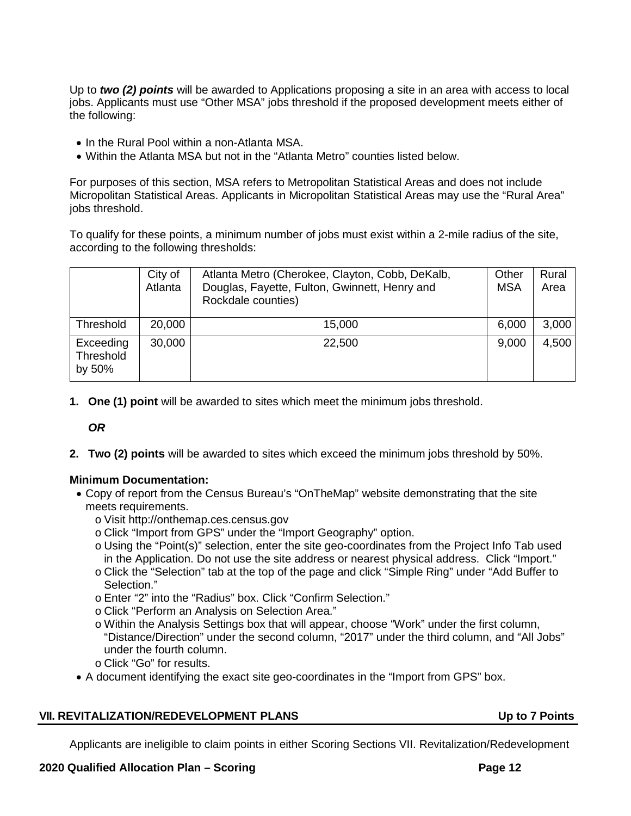Up to *two (2) points* will be awarded to Applications proposing a site in an area with access to local jobs. Applicants must use "Other MSA" jobs threshold if the proposed development meets either of the following:

- In the Rural Pool within a non-Atlanta MSA.
- Within the Atlanta MSA but not in the "Atlanta Metro" counties listed below.

For purposes of this section, MSA refers to Metropolitan Statistical Areas and does not include Micropolitan Statistical Areas. Applicants in Micropolitan Statistical Areas may use the "Rural Area" jobs threshold.

To qualify for these points, a minimum number of jobs must exist within a 2-mile radius of the site, according to the following thresholds:

|                                  | City of<br>Atlanta | Atlanta Metro (Cherokee, Clayton, Cobb, DeKalb,<br>Douglas, Fayette, Fulton, Gwinnett, Henry and<br>Rockdale counties) | Other<br><b>MSA</b> | Rural<br>Area |
|----------------------------------|--------------------|------------------------------------------------------------------------------------------------------------------------|---------------------|---------------|
| Threshold                        | 20,000             | 15,000                                                                                                                 | 6,000               | 3,000         |
| Exceeding<br>Threshold<br>by 50% | 30,000             | 22,500                                                                                                                 | 9,000               | 4,500         |

**1. One (1) point** will be awarded to sites which meet the minimum jobs threshold.

*OR*

**2. Two (2) points** will be awarded to sites which exceed the minimum jobs threshold by 50%.

# **Minimum Documentation:**

- Copy of report from the Census Bureau's "OnTheMap" website demonstrating that the site meets requirements.
	- o Visit [http://onthemap.ces.census.gov](http://onthemap.ces.census.gov/)
	- o Click "Import from GPS" under the "Import Geography" option.
	- o Using the "Point(s)" selection, enter the site geo-coordinates from the Project Info Tab used in the Application. Do not use the site address or nearest physical address. Click "Import."
	- o Click the "Selection" tab at the top of the page and click "Simple Ring" under "Add Buffer to Selection."
	- o Enter "2" into the "Radius" box. Click "Confirm Selection."
	- o Click "Perform an Analysis on Selection Area."
	- o Within the Analysis Settings box that will appear, choose "Work" under the first column, "Distance/Direction" under the second column, "2017" under the third column, and "All Jobs" under the fourth column.
	- o Click "Go" for results.
- A document identifying the exact site geo-coordinates in the "Import from GPS" box.

# <span id="page-104-0"></span>**VII. REVITALIZATION/REDEVELOPMENT PLANS Up to 7 Points**

Applicants are ineligible to claim points in either Scoring Sections VII. Revitalization/Redevelopment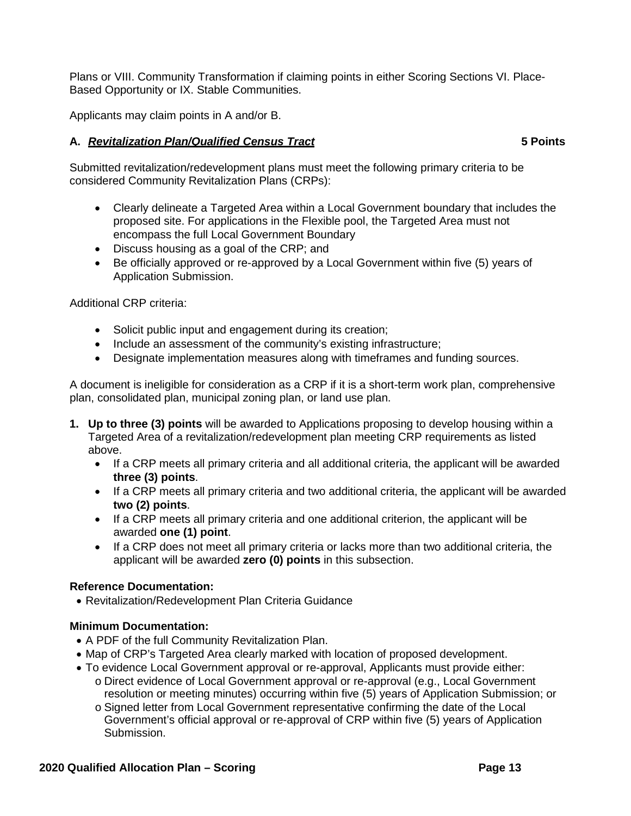Plans or VIII. Community Transformation if claiming points in either Scoring Sections VI. Place-Based Opportunity or IX. Stable Communities.

Applicants may claim points in A and/or B.

# **A.** *Revitalization Plan/Qualified Census Tract* **5 Points**

Submitted revitalization/redevelopment plans must meet the following primary criteria to be considered Community Revitalization Plans (CRPs):

- Clearly delineate a Targeted Area within a Local Government boundary that includes the proposed site. For applications in the Flexible pool, the Targeted Area must not encompass the full Local Government Boundary
- Discuss housing as a goal of the CRP; and
- Be officially approved or re-approved by a Local Government within five (5) years of Application Submission.

Additional CRP criteria:

- Solicit public input and engagement during its creation;
- Include an assessment of the community's existing infrastructure;
- Designate implementation measures along with timeframes and funding sources.

A document is ineligible for consideration as a CRP if it is a short-term work plan, comprehensive plan, consolidated plan, municipal zoning plan, or land use plan.

- **1. Up to three (3) points** will be awarded to Applications proposing to develop housing within a Targeted Area of a revitalization/redevelopment plan meeting CRP requirements as listed above.
	- If a CRP meets all primary criteria and all additional criteria, the applicant will be awarded **three (3) points**.
	- If a CRP meets all primary criteria and two additional criteria, the applicant will be awarded **two (2) points**.
	- If a CRP meets all primary criteria and one additional criterion, the applicant will be awarded **one (1) point**.
	- If a CRP does not meet all primary criteria or lacks more than two additional criteria, the applicant will be awarded **zero (0) points** in this subsection.

# **Reference Documentation:**

• Revitalization/Redevelopment Plan Criteria Guidance

# **Minimum Documentation:**

- A PDF of the full Community Revitalization Plan.
- Map of CRP's Targeted Area clearly marked with location of proposed development.
- To evidence Local Government approval or re-approval, Applicants must provide either:
	- o Direct evidence of Local Government approval or re-approval (e.g., Local Government resolution or meeting minutes) occurring within five (5) years of Application Submission; or
	- o Signed letter from Local Government representative confirming the date of the Local Government's official approval or re-approval of CRP within five (5) years of Application Submission.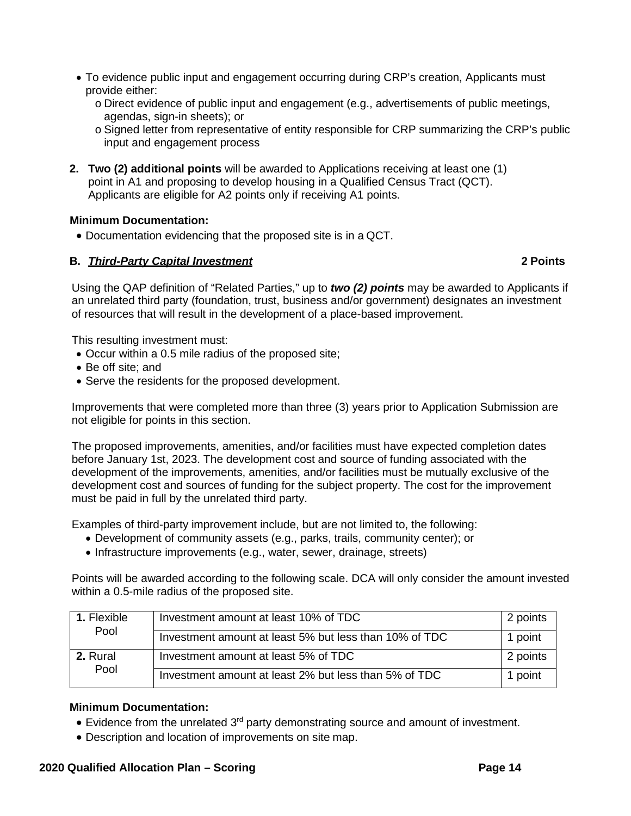- To evidence public input and engagement occurring during CRP's creation, Applicants must provide either:
	- o Direct evidence of public input and engagement (e.g., advertisements of public meetings, agendas, sign-in sheets); or
	- o Signed letter from representative of entity responsible for CRP summarizing the CRP's public input and engagement process
- **2. Two (2) additional points** will be awarded to Applications receiving at least one (1) point in A1 and proposing to develop housing in a Qualified Census Tract (QCT). Applicants are eligible for A2 points only if receiving A1 points.

# **Minimum Documentation:**

• Documentation evidencing that the proposed site is in a QCT.

# **B.** *Third-Party Capital Investment* **2 Points**

Using the QAP definition of "Related Parties," up to *two (2) points* may be awarded to Applicants if an unrelated third party (foundation, trust, business and/or government) designates an investment of resources that will result in the development of a place-based improvement.

This resulting investment must:

- Occur within a 0.5 mile radius of the proposed site;
- Be off site; and
- Serve the residents for the proposed development.

Improvements that were completed more than three (3) years prior to Application Submission are not eligible for points in this section.

The proposed improvements, amenities, and/or facilities must have expected completion dates before January 1st, 2023. The development cost and source of funding associated with the development of the improvements, amenities, and/or facilities must be mutually exclusive of the development cost and sources of funding for the subject property. The cost for the improvement must be paid in full by the unrelated third party.

Examples of third-party improvement include, but are not limited to, the following:

- Development of community assets (e.g., parks, trails, community center); or
- Infrastructure improvements (e.g., water, sewer, drainage, streets)

Points will be awarded according to the following scale. DCA will only consider the amount invested within a 0.5-mile radius of the proposed site.

| 1. Flexible<br>Pool | Investment amount at least 10% of TDC                  | 2 points |
|---------------------|--------------------------------------------------------|----------|
|                     | Investment amount at least 5% but less than 10% of TDC | 1 point  |
| 2. Rural            | Investment amount at least 5% of TDC                   | 2 points |
| Pool                | Investment amount at least 2% but less than 5% of TDC  | 1 point  |

# **Minimum Documentation:**

- Evidence from the unrelated  $3<sup>rd</sup>$  party demonstrating source and amount of investment.
- Description and location of improvements on site map.

### **2020 Qualified Allocation Plan – Scoring Page 14**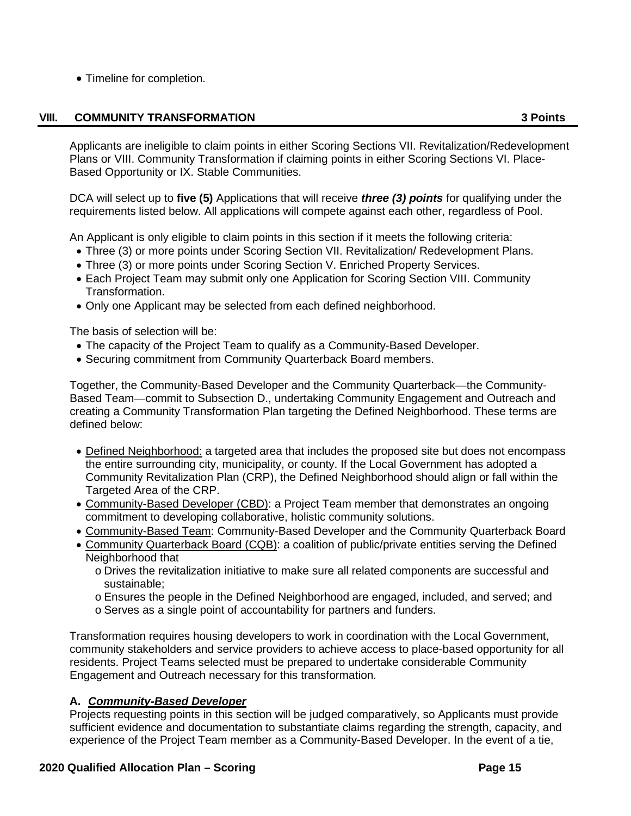• Timeline for completion.

# **VIII. COMMUNITY TRANSFORMATION 3 Points**

<span id="page-107-0"></span>Applicants are ineligible to claim points in either Scoring Sections VII. Revitalization/Redevelopment Plans or VIII. Community Transformation if claiming points in either Scoring Sections VI. Place-Based Opportunity or IX. Stable Communities.

DCA will select up to **five (5)** Applications that will receive *three (3) points* for qualifying under the requirements listed below. All applications will compete against each other, regardless of Pool.

An Applicant is only eligible to claim points in this section if it meets the following criteria:

- Three (3) or more points under Scoring Section VII. Revitalization/ Redevelopment Plans.
- Three (3) or more points under Scoring Section V. Enriched Property Services.
- Each Project Team may submit only one Application for Scoring Section VIII. Community Transformation.
- Only one Applicant may be selected from each defined neighborhood.

The basis of selection will be:

- The capacity of the Project Team to qualify as a Community-Based Developer.
- Securing commitment from Community Quarterback Board members.

Together, the Community-Based Developer and the Community Quarterback—the Community-Based Team—commit to Subsection D., undertaking Community Engagement and Outreach and creating a Community Transformation Plan targeting the Defined Neighborhood. These terms are defined below:

- Defined Neighborhood: a targeted area that includes the proposed site but does not encompass the entire surrounding city, municipality, or county. If the Local Government has adopted a Community Revitalization Plan (CRP), the Defined Neighborhood should align or fall within the Targeted Area of the CRP.
- Community-Based Developer (CBD): a Project Team member that demonstrates an ongoing commitment to developing collaborative, holistic community solutions.
- Community-Based Team: Community-Based Developer and the Community Quarterback Board
- Community Quarterback Board (CQB): a coalition of public/private entities serving the Defined Neighborhood that
	- o Drives the revitalization initiative to make sure all related components are successful and sustainable;
	- o Ensures the people in the Defined Neighborhood are engaged, included, and served; and
	- o Serves as a single point of accountability for partners and funders.

Transformation requires housing developers to work in coordination with the Local Government, community stakeholders and service providers to achieve access to place-based opportunity for all residents. Project Teams selected must be prepared to undertake considerable Community Engagement and Outreach necessary for this transformation.

# **A.** *Community-Based Developer*

Projects requesting points in this section will be judged comparatively, so Applicants must provide sufficient evidence and documentation to substantiate claims regarding the strength, capacity, and experience of the Project Team member as a Community-Based Developer. In the event of a tie,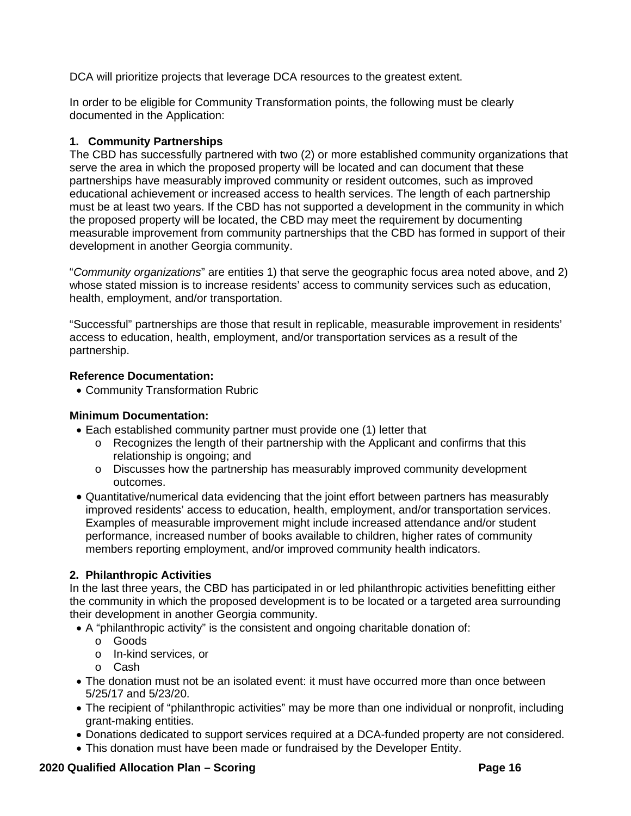DCA will prioritize projects that leverage DCA resources to the greatest extent.

In order to be eligible for Community Transformation points, the following must be clearly documented in the Application:

## **1. Community Partnerships**

The CBD has successfully partnered with two (2) or more established community organizations that serve the area in which the proposed property will be located and can document that these partnerships have measurably improved community or resident outcomes, such as improved educational achievement or increased access to health services. The length of each partnership must be at least two years. If the CBD has not supported a development in the community in which the proposed property will be located, the CBD may meet the requirement by documenting measurable improvement from community partnerships that the CBD has formed in support of their development in another Georgia community.

"*Community organizations*" are entities 1) that serve the geographic focus area noted above, and 2) whose stated mission is to increase residents' access to community services such as education, health, employment, and/or transportation.

"Successful" partnerships are those that result in replicable, measurable improvement in residents' access to education, health, employment, and/or transportation services as a result of the partnership.

## **Reference Documentation:**

• Community Transformation Rubric

# **Minimum Documentation:**

- Each established community partner must provide one (1) letter that
	- o Recognizes the length of their partnership with the Applicant and confirms that this relationship is ongoing; and
	- o Discusses how the partnership has measurably improved community development outcomes.
- Quantitative/numerical data evidencing that the joint effort between partners has measurably improved residents' access to education, health, employment, and/or transportation services. Examples of measurable improvement might include increased attendance and/or student performance, increased number of books available to children, higher rates of community members reporting employment, and/or improved community health indicators.

# **2. Philanthropic Activities**

In the last three years, the CBD has participated in or led philanthropic activities benefitting either the community in which the proposed development is to be located or a targeted area surrounding their development in another Georgia community.

- A "philanthropic activity" is the consistent and ongoing charitable donation of:
	- o Goods
	- o In-kind services, or
	- o Cash
- The donation must not be an isolated event: it must have occurred more than once between 5/25/17 and 5/23/20.
- The recipient of "philanthropic activities" may be more than one individual or nonprofit, including grant-making entities.
- Donations dedicated to support services required at a DCA-funded property are not considered.
- This donation must have been made or fundraised by the Developer Entity.

# **2020 Qualified Allocation Plan – Scoring Page 16**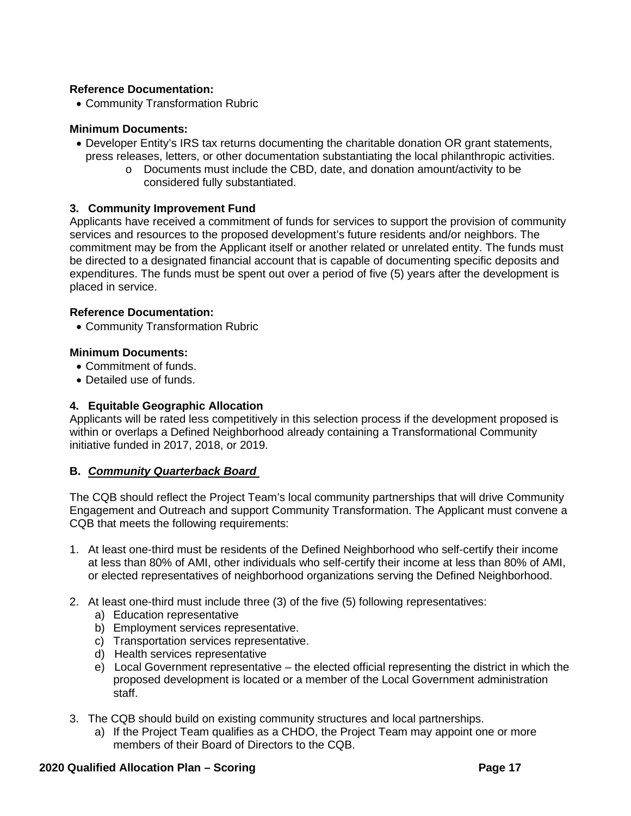## **Reference Documentation:**

• Community Transformation Rubric

## **Minimum Documents:**

- Developer Entity's IRS tax returns documenting the charitable donation OR grant statements, press releases, letters, or other documentation substantiating the local philanthropic activities.
	- o Documents must include the CBD, date, and donation amount/activity to be considered fully substantiated.

## **3. Community Improvement Fund**

Applicants have received a commitment of funds for services to support the provision of community services and resources to the proposed development's future residents and/or neighbors. The commitment may be from the Applicant itself or another related or unrelated entity. The funds must be directed to a designated financial account that is capable of documenting specific deposits and expenditures. The funds must be spent out over a period of five (5) years after the development is placed in service.

### **Reference Documentation:**

• Community Transformation Rubric

### **Minimum Documents:**

- Commitment of funds.
- Detailed use of funds.

## **4. Equitable Geographic Allocation**

Applicants will be rated less competitively in this selection process if the development proposed is within or overlaps a Defined Neighborhood already containing a Transformational Community initiative funded in 2017, 2018, or 2019.

### **B.** *Community Quarterback Board*

The CQB should reflect the Project Team's local community partnerships that will drive Community Engagement and Outreach and support Community Transformation. The Applicant must convene a CQB that meets the following requirements:

- 1. At least one-third must be residents of the Defined Neighborhood who self-certify their income at less than 80% of AMI, other individuals who self-certify their income at less than 80% of AMI, or elected representatives of neighborhood organizations serving the Defined Neighborhood.
- 2. At least one-third must include three (3) of the five (5) following representatives:
	- a) Education representative
	- b) Employment services representative.
	- c) Transportation services representative.
	- d) Health services representative
	- e) Local Government representative the elected official representing the district in which the proposed development is located or a member of the Local Government administration staff.
- 3. The CQB should build on existing community structures and local partnerships.
	- a) If the Project Team qualifies as a CHDO, the Project Team may appoint one or more members of their Board of Directors to the CQB.

## **2020 Qualified Allocation Plan – Scoring Page 17**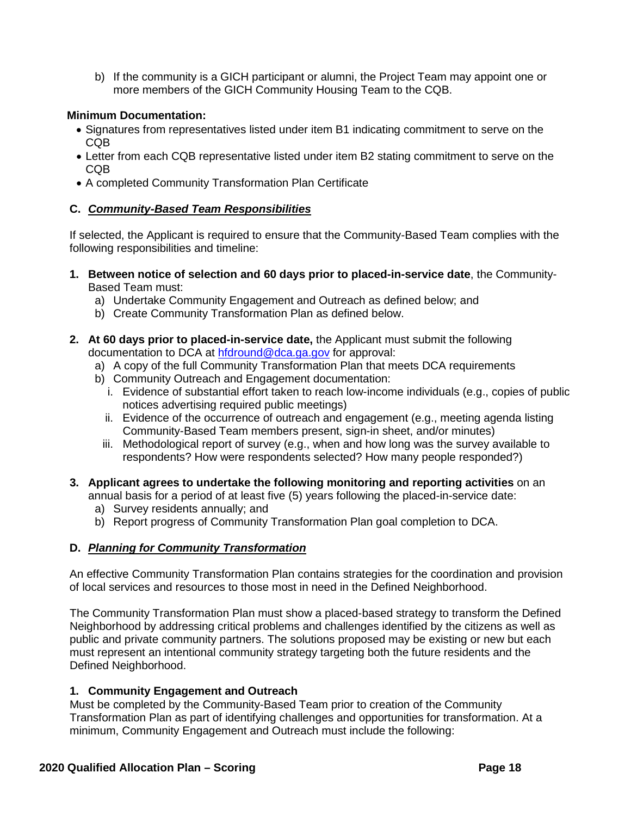b) If the community is a GICH participant or alumni, the Project Team may appoint one or more members of the GICH Community Housing Team to the CQB.

## **Minimum Documentation:**

- Signatures from representatives listed under item B1 indicating commitment to serve on the CQB
- Letter from each CQB representative listed under item B2 stating commitment to serve on the CQB
- A completed Community Transformation Plan Certificate

## **C.** *Community-Based Team Responsibilities*

If selected, the Applicant is required to ensure that the Community-Based Team complies with the following responsibilities and timeline:

- **1. Between notice of selection and 60 days prior to placed-in-service date**, the Community-Based Team must:
	- a) Undertake Community Engagement and Outreach as defined below; and
	- b) Create Community Transformation Plan as defined below.
- **2. At 60 days prior to placed-in-service date,** the Applicant must submit the following documentation to DCA at [hfdround@dca.ga.gov](mailto:hfdround@dca.ga.gov) for approval:
	- a) A copy of the full Community Transformation Plan that meets DCA requirements
	- b) Community Outreach and Engagement documentation:
		- i. Evidence of substantial effort taken to reach low-income individuals (e.g., copies of public notices advertising required public meetings)
		- ii. Evidence of the occurrence of outreach and engagement (e.g., meeting agenda listing Community-Based Team members present, sign-in sheet, and/or minutes)
		- iii. Methodological report of survey (e.g., when and how long was the survey available to respondents? How were respondents selected? How many people responded?)
- **3. Applicant agrees to undertake the following monitoring and reporting activities** on an annual basis for a period of at least five (5) years following the placed-in-service date:
	- a) Survey residents annually; and
	- b) Report progress of Community Transformation Plan goal completion to DCA.

# **D.** *Planning for Community Transformation*

An effective Community Transformation Plan contains strategies for the coordination and provision of local services and resources to those most in need in the Defined Neighborhood.

The Community Transformation Plan must show a placed-based strategy to transform the Defined Neighborhood by addressing critical problems and challenges identified by the citizens as well as public and private community partners. The solutions proposed may be existing or new but each must represent an intentional community strategy targeting both the future residents and the Defined Neighborhood.

## **1. Community Engagement and Outreach**

Must be completed by the Community-Based Team prior to creation of the Community Transformation Plan as part of identifying challenges and opportunities for transformation. At a minimum, Community Engagement and Outreach must include the following: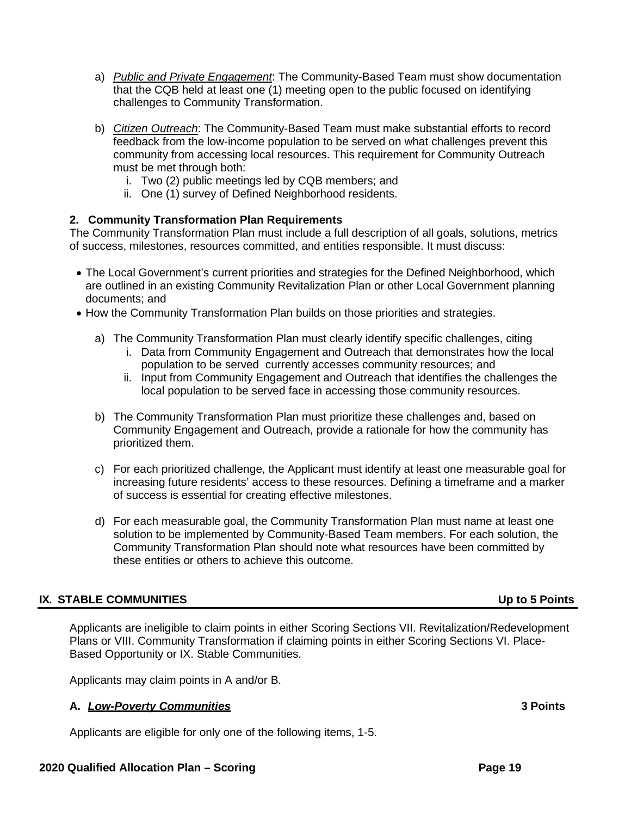- a) *Public and Private Engagement*: The Community-Based Team must show documentation that the CQB held at least one (1) meeting open to the public focused on identifying challenges to Community Transformation.
- b) *Citizen Outreach*: The Community-Based Team must make substantial efforts to record feedback from the low-income population to be served on what challenges prevent this community from accessing local resources. This requirement for Community Outreach must be met through both:
	- i. Two (2) public meetings led by CQB members; and
	- ii. One (1) survey of Defined Neighborhood residents.

### **2. Community Transformation Plan Requirements**

The Community Transformation Plan must include a full description of all goals, solutions, metrics of success, milestones, resources committed, and entities responsible. It must discuss:

- The Local Government's current priorities and strategies for the Defined Neighborhood, which are outlined in an existing Community Revitalization Plan or other Local Government planning documents; and
- How the Community Transformation Plan builds on those priorities and strategies.
	- a) The Community Transformation Plan must clearly identify specific challenges, citing
		- i. Data from Community Engagement and Outreach that demonstrates how the local population to be served currently accesses community resources; and
		- ii. Input from Community Engagement and Outreach that identifies the challenges the local population to be served face in accessing those community resources.
	- b) The Community Transformation Plan must prioritize these challenges and, based on Community Engagement and Outreach, provide a rationale for how the community has prioritized them.
	- c) For each prioritized challenge, the Applicant must identify at least one measurable goal for increasing future residents' access to these resources. Defining a timeframe and a marker of success is essential for creating effective milestones.
	- d) For each measurable goal, the Community Transformation Plan must name at least one solution to be implemented by Community-Based Team members. For each solution, the Community Transformation Plan should note what resources have been committed by these entities or others to achieve this outcome.

## **IX. STABLE COMMUNITIES Up to 5 Points**

Applicants are ineligible to claim points in either Scoring Sections VII. Revitalization/Redevelopment Plans or VIII. Community Transformation if claiming points in either Scoring Sections VI. Place-Based Opportunity or IX. Stable Communities.

Applicants may claim points in A and/or B.

## **A.** *Low-Poverty Communities* **3 Points**

Applicants are eligible for only one of the following items, 1-5.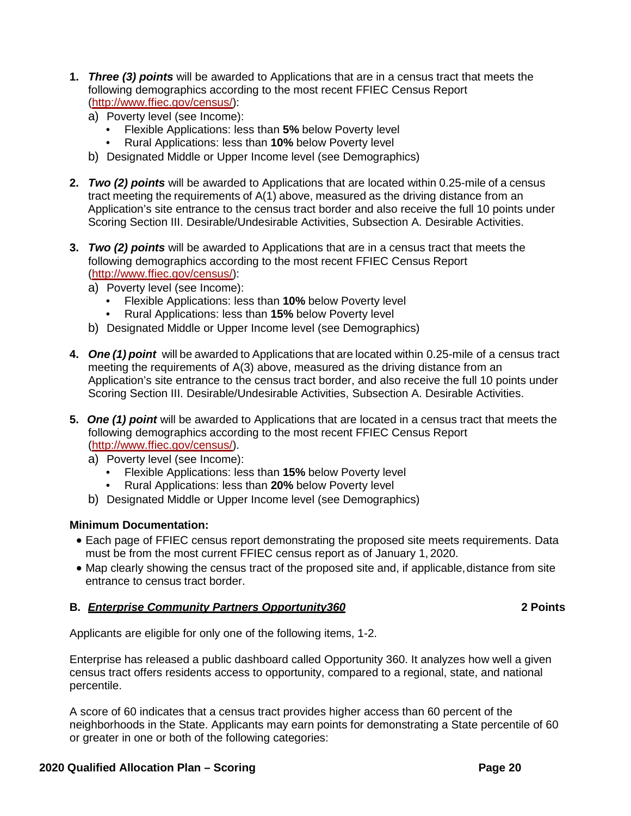- **1.** *Three (3) points* will be awarded to Applications that are in a census tract that meets the following demographics according to the most recent FFIEC Census Report [\(http://www.ffiec.gov/census/\)](http://www.ffiec.gov/census/):
	- a) Poverty level (see Income):
		- Flexible Applications: less than **5%** below Poverty level
		- Rural Applications: less than **10%** below Poverty level
	- b) Designated Middle or Upper Income level (see Demographics)
- **2.** *Two (2) points* will be awarded to Applications that are located within 0.25-mile of a census tract meeting the requirements of A(1) above, measured as the driving distance from an Application's site entrance to the census tract border and also receive the full 10 points under Scoring Section III. Desirable/Undesirable Activities, Subsection A. Desirable Activities.
- **3.** *Two (2) points* will be awarded to Applications that are in a census tract that meets the following demographics according to the most recent FFIEC Census Report [\(http://www.ffiec.gov/census/\)](http://www.ffiec.gov/census/):
	- a) Poverty level (see Income):
		- Flexible Applications: less than **10%** below Poverty level
		- Rural Applications: less than **15%** below Poverty level
	- b) Designated Middle or Upper Income level (see Demographics)
- **4.** *One (1) point* will be awarded to Applications that are located within 0.25-mile of a census tract meeting the requirements of A(3) above, measured as the driving distance from an Application's site entrance to the census tract border, and also receive the full 10 points under Scoring Section III. Desirable/Undesirable Activities, Subsection A. Desirable Activities.
- **5.** *One (1) point* will be awarded to Applications that are located in a census tract that meets the following demographics according to the most recent FFIEC Census Report [\(http://www.ffiec.gov/census/\)](http://www.ffiec.gov/census/).
	- a) Poverty level (see Income):
		- Flexible Applications: less than **15%** below Poverty level
		- Rural Applications: less than **20%** below Poverty level
	- b) Designated Middle or Upper Income level (see Demographics)

## **Minimum Documentation:**

- Each page of FFIEC census report demonstrating the proposed site meets requirements. Data must be from the most current FFIEC census report as of January 1, 2020.
- Map clearly showing the census tract of the proposed site and, if applicable, distance from site entrance to census tract border.

## **B.** *Enterprise Community Partners Opportunity360* **2 Points**

Applicants are eligible for only one of the following items, 1-2.

Enterprise has released a public dashboard called Opportunity 360. It analyzes how well a given census tract offers residents access to opportunity, compared to a regional, state, and national percentile.

A score of 60 indicates that a census tract provides higher access than 60 percent of the neighborhoods in the State. Applicants may earn points for demonstrating a State percentile of 60 or greater in one or both of the following categories: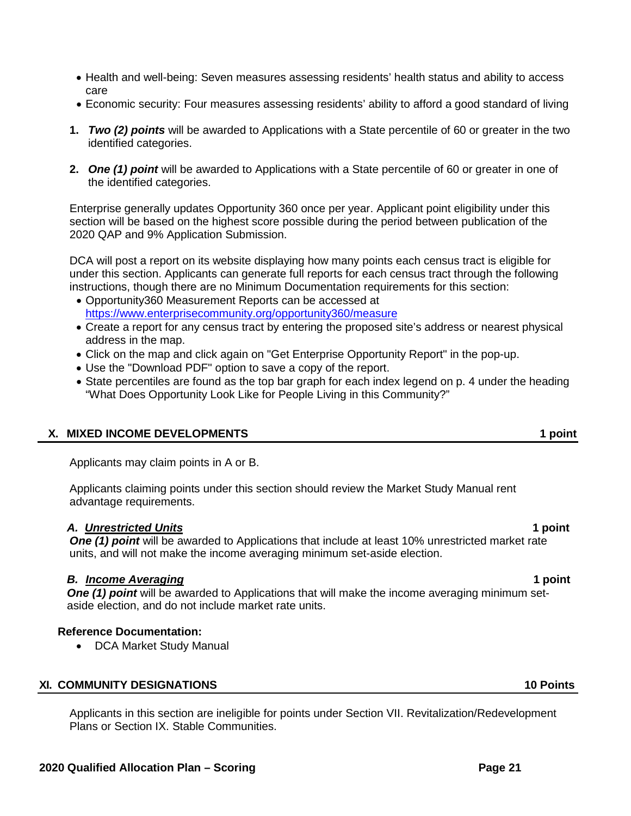- Health and well-being: Seven measures assessing residents' health status and ability to access care
- Economic security: Four measures assessing residents' ability to afford a good standard of living
- **1.** *Two (2) points* will be awarded to Applications with a State percentile of 60 or greater in the two identified categories.
- **2.** *One (1) point* will be awarded to Applications with a State percentile of 60 or greater in one of the identified categories.

Enterprise generally updates Opportunity 360 once per year. Applicant point eligibility under this section will be based on the highest score possible during the period between publication of the 2020 QAP and 9% Application Submission.

DCA will post a report on its website displaying how many points each census tract is eligible for under this section. Applicants can generate full reports for each census tract through the following instructions, though there are no Minimum Documentation requirements for this section:

- Opportunity360 Measurement Reports can be accessed at <https://www.enterprisecommunity.org/opportunity360/measure>
- Create a report for any census tract by entering the proposed site's address or nearest physical address in the map.
- Click on the map and click again on "Get Enterprise Opportunity Report" in the pop-up.
- Use the "Download PDF" option to save a copy of the report.
- State percentiles are found as the top bar graph for each index legend on p. 4 under the heading "What Does Opportunity Look Like for People Living in this Community?"

### **X. MIXED INCOME DEVELOPMENTS 1 point**

Applicants may claim points in A or B.

Applicants claiming points under this section should review the Market Study Manual rent advantage requirements.

### *A. Unrestricted Units* **1 point**

**One (1) point** will be awarded to Applications that include at least 10% unrestricted market rate units, and will not make the income averaging minimum set-aside election.

## *B. Income Averaging* **1 point**

*One (1) point* will be awarded to Applications that will make the income averaging minimum setaside election, and do not include market rate units.

### **Reference Documentation:**

• DCA Market Study Manual

### **XI. COMMUNITY DESIGNATIONS 10 Points**

Applicants in this section are ineligible for points under Section VII. Revitalization/Redevelopment Plans or Section IX. Stable Communities.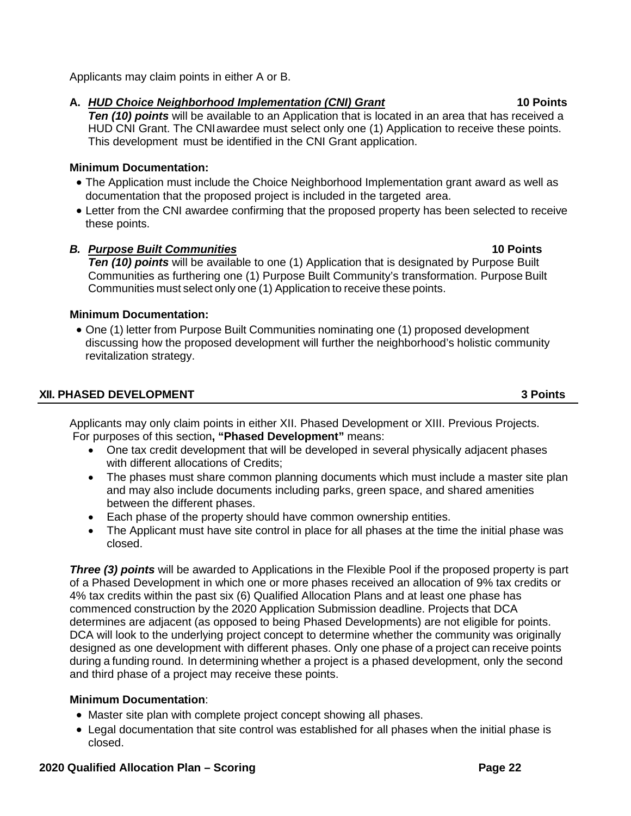Applicants may claim points in either A or B.

# **A.** *HUD Choice Neighborhood Implementation (CNI) Grant* **10 Points**

**Ten (10) points** will be available to an Application that is located in an area that has received a HUD CNI Grant. The CNIawardee must select only one (1) Application to receive these points. This development must be identified in the CNI Grant application.

# **Minimum Documentation:**

- The Application must include the Choice Neighborhood Implementation grant award as well as documentation that the proposed project is included in the targeted area.
- Letter from the CNI awardee confirming that the proposed property has been selected to receive these points.

# *B. Purpose Built Communities* **10 Points**

**Ten (10) points** will be available to one (1) Application that is designated by Purpose Built Communities as furthering one (1) Purpose Built Community's transformation. Purpose Built Communities must select only one (1) Application to receive these points.

# **Minimum Documentation:**

• One (1) letter from Purpose Built Communities nominating one (1) proposed development discussing how the proposed development will further the neighborhood's holistic community revitalization strategy.

# **XII. PHASED DEVELOPMENT 3 Points**

Applicants may only claim points in either XII. Phased Development or XIII. Previous Projects. For purposes of this section**, "Phased Development"** means:

- One tax credit development that will be developed in several physically adjacent phases with different allocations of Credits;
- The phases must share common planning documents which must include a master site plan and may also include documents including parks, green space, and shared amenities between the different phases.
- Each phase of the property should have common ownership entities.
- The Applicant must have site control in place for all phases at the time the initial phase was closed.

**Three (3) points** will be awarded to Applications in the Flexible Pool if the proposed property is part of a Phased Development in which one or more phases received an allocation of 9% tax credits or 4% tax credits within the past six (6) Qualified Allocation Plans and at least one phase has commenced construction by the 2020 Application Submission deadline. Projects that DCA determines are adjacent (as opposed to being Phased Developments) are not eligible for points. DCA will look to the underlying project concept to determine whether the community was originally designed as one development with different phases. Only one phase of a project can receive points during a funding round. In determining whether a project is a phased development, only the second and third phase of a project may receive these points.

# **Minimum Documentation**:

- Master site plan with complete project concept showing all phases.
- Legal documentation that site control was established for all phases when the initial phase is closed.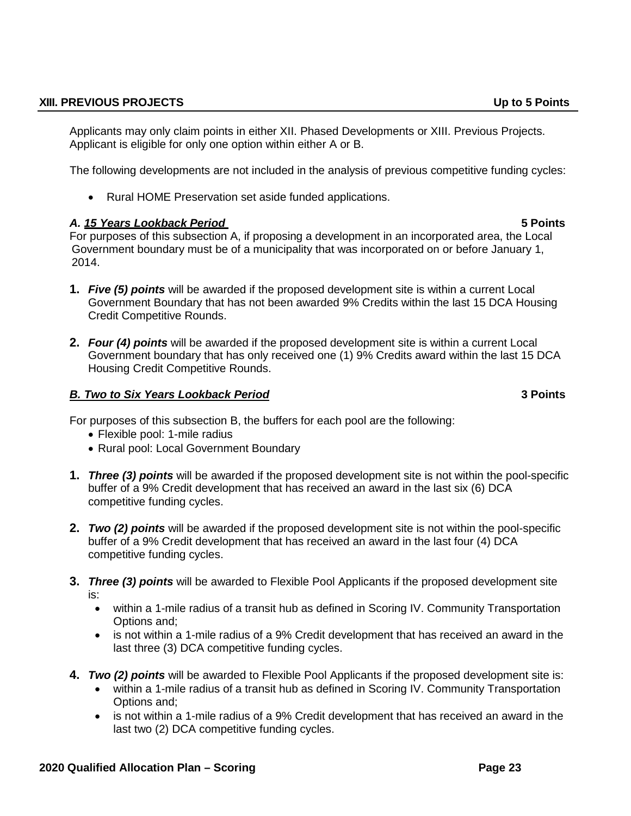### **XIII. PREVIOUS PROJECTS Up to 5 Points**

Applicants may only claim points in either XII. Phased Developments or XIII. Previous Projects. Applicant is eligible for only one option within either A or B.

The following developments are not included in the analysis of previous competitive funding cycles:

• Rural HOME Preservation set aside funded applications.

## *A. 15 Years Lookback Period* **5 Points**

For purposes of this subsection A, if proposing a development in an incorporated area, the Local Government boundary must be of a municipality that was incorporated on or before January 1, 2014.

- **1.** *Five (5) points* will be awarded if the proposed development site is within a current Local Government Boundary that has not been awarded 9% Credits within the last 15 DCA Housing Credit Competitive Rounds.
- **2.** *Four (4) points* will be awarded if the proposed development site is within a current Local Government boundary that has only received one (1) 9% Credits award within the last 15 DCA Housing Credit Competitive Rounds.

## *B. Two to Six Years Lookback Period* **3 Points**

For purposes of this subsection B, the buffers for each pool are the following:

- Flexible pool: 1-mile radius
- Rural pool: Local Government Boundary
- **1.** *Three (3) points* will be awarded if the proposed development site is not within the pool-specific buffer of a 9% Credit development that has received an award in the last six (6) DCA competitive funding cycles.
- **2.** *Two (2) points* will be awarded if the proposed development site is not within the pool-specific buffer of a 9% Credit development that has received an award in the last four (4) DCA competitive funding cycles.
- **3.** *Three (3) points* will be awarded to Flexible Pool Applicants if the proposed development site is:
	- within a 1-mile radius of a transit hub as defined in Scoring IV. Community Transportation Options and;
	- is not within a 1-mile radius of a 9% Credit development that has received an award in the last three (3) DCA competitive funding cycles.
- **4.** *Two (2) points* will be awarded to Flexible Pool Applicants if the proposed development site is:
	- within a 1-mile radius of a transit hub as defined in Scoring IV. Community Transportation Options and;
	- is not within a 1-mile radius of a 9% Credit development that has received an award in the last two (2) DCA competitive funding cycles.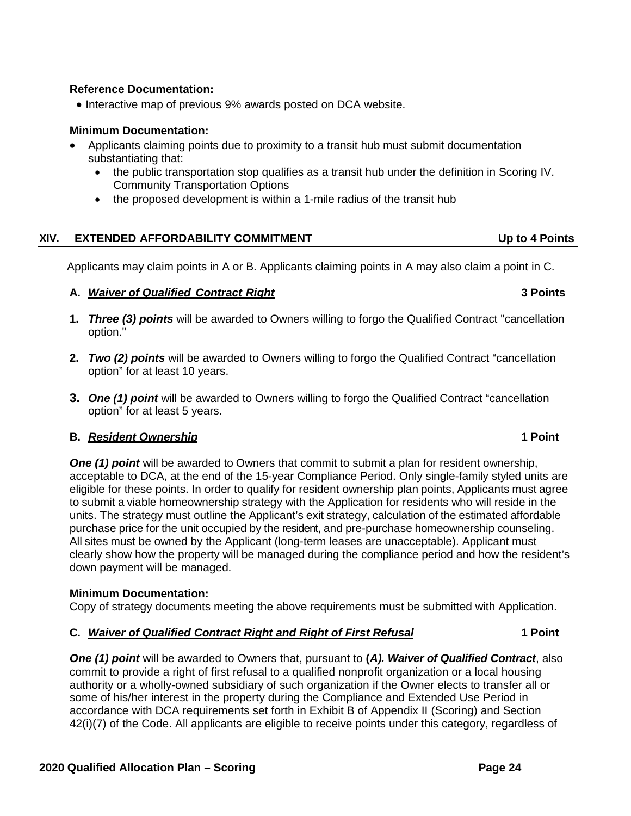## **Reference Documentation:**

• Interactive map of previous 9% awards posted on DCA website.

### **Minimum Documentation:**

- Applicants claiming points due to proximity to a transit hub must submit documentation substantiating that:
	- the public transportation stop qualifies as a transit hub under the definition in Scoring IV. Community Transportation Options
	- the proposed development is within a 1-mile radius of the transit hub

## **XIV. EXTENDED AFFORDABILITY COMMITMENT Up to 4 Points**

Applicants may claim points in A or B. Applicants claiming points in A may also claim a point in C.

### **A.** *Waiver of Qualified Contract Right* **3 Points**

- **1.** *Three (3) points* will be awarded to Owners willing to forgo the Qualified Contract "cancellation option."
- **2.** *Two (2) points* will be awarded to Owners willing to forgo the Qualified Contract "cancellation option" for at least 10 years.
- **3.** *One (1) point* will be awarded to Owners willing to forgo the Qualified Contract "cancellation option" for at least 5 years.

## **B.** *Resident Ownership* **1 Point**

**One (1) point** will be awarded to Owners that commit to submit a plan for resident ownership, acceptable to DCA, at the end of the 15-year Compliance Period. Only single-family styled units are eligible for these points. In order to qualify for resident ownership plan points, Applicants must agree to submit a viable homeownership strategy with the Application for residents who will reside in the units. The strategy must outline the Applicant's exit strategy, calculation of the estimated affordable purchase price for the unit occupied by the resident, and pre-purchase homeownership counseling. All sites must be owned by the Applicant (long-term leases are unacceptable). Applicant must clearly show how the property will be managed during the compliance period and how the resident's down payment will be managed.

### **Minimum Documentation:**

Copy of strategy documents meeting the above requirements must be submitted with Application.

## **C.** *Waiver of Qualified Contract Right and Right of First Refusal* **1 Point**

*One (1) point* will be awarded to Owners that, pursuant to **(***A). Waiver of Qualified Contract*, also commit to provide a right of first refusal to a qualified nonprofit organization or a local housing authority or a wholly-owned subsidiary of such organization if the Owner elects to transfer all or some of his/her interest in the property during the Compliance and Extended Use Period in accordance with DCA requirements set forth in Exhibit B of Appendix II (Scoring) and Section 42(i)(7) of the Code. All applicants are eligible to receive points under this category, regardless of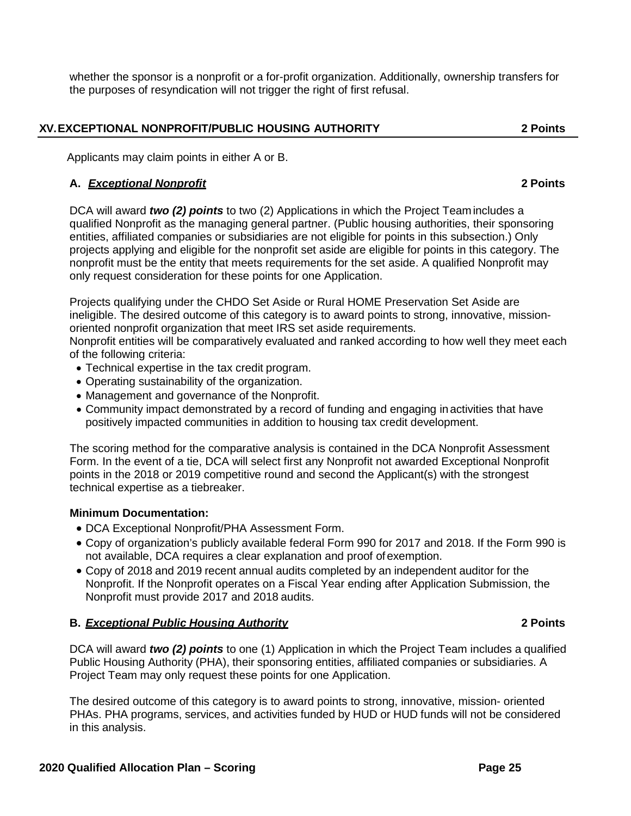whether the sponsor is a nonprofit or a for-profit organization. Additionally, ownership transfers for the purposes of resyndication will not trigger the right of first refusal.

# **XV.EXCEPTIONAL NONPROFIT/PUBLIC HOUSING AUTHORITY 2 Points**

Applicants may claim points in either A or B.

## **A.** *Exceptional Nonprofit* **2 Points**

DCA will award *two (2) points* to two (2) Applications in which the Project Teamincludes a qualified Nonprofit as the managing general partner. (Public housing authorities, their sponsoring entities, affiliated companies or subsidiaries are not eligible for points in this subsection.) Only projects applying and eligible for the nonprofit set aside are eligible for points in this category. The nonprofit must be the entity that meets requirements for the set aside. A qualified Nonprofit may only request consideration for these points for one Application.

Projects qualifying under the CHDO Set Aside or Rural HOME Preservation Set Aside are ineligible. The desired outcome of this category is to award points to strong, innovative, missionoriented nonprofit organization that meet IRS set aside requirements.

Nonprofit entities will be comparatively evaluated and ranked according to how well they meet each of the following criteria:

- Technical expertise in the tax credit program.
- Operating sustainability of the organization.
- Management and governance of the Nonprofit.
- Community impact demonstrated by a record of funding and engaging in activities that have positively impacted communities in addition to housing tax credit development.

The scoring method for the comparative analysis is contained in the DCA Nonprofit Assessment Form. In the event of a tie, DCA will select first any Nonprofit not awarded Exceptional Nonprofit points in the 2018 or 2019 competitive round and second the Applicant(s) with the strongest technical expertise as a tiebreaker.

## **Minimum Documentation:**

- DCA Exceptional Nonprofit/PHA Assessment Form.
- Copy of organization's publicly available federal Form 990 for 2017 and 2018. If the Form 990 is not available, DCA requires a clear explanation and proof of exemption.
- Copy of 2018 and 2019 recent annual audits completed by an independent auditor for the Nonprofit. If the Nonprofit operates on a Fiscal Year ending after Application Submission, the Nonprofit must provide 2017 and 2018 audits.

## **B.** *Exceptional Public Housing Authority* **2 Points**

DCA will award *two (2) points* to one (1) Application in which the Project Team includes a qualified Public Housing Authority (PHA), their sponsoring entities, affiliated companies or subsidiaries. A Project Team may only request these points for one Application.

The desired outcome of this category is to award points to strong, innovative, mission- oriented PHAs. PHA programs, services, and activities funded by HUD or HUD funds will not be considered in this analysis.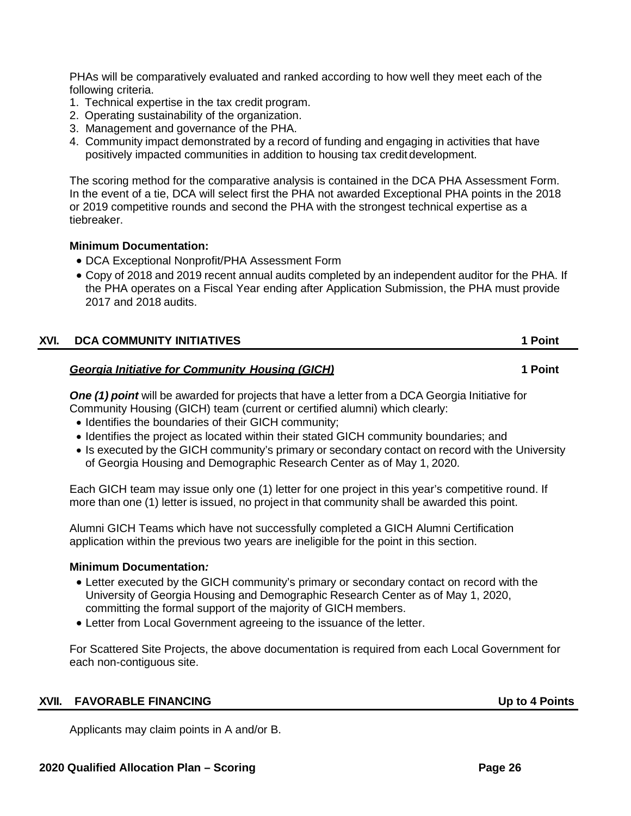PHAs will be comparatively evaluated and ranked according to how well they meet each of the following criteria.

- 1. Technical expertise in the tax credit program.
- 2. Operating sustainability of the organization.
- 3. Management and governance of the PHA.
- 4. Community impact demonstrated by a record of funding and engaging in activities that have positively impacted communities in addition to housing tax credit development.

The scoring method for the comparative analysis is contained in the DCA PHA Assessment Form. In the event of a tie, DCA will select first the PHA not awarded Exceptional PHA points in the 2018 or 2019 competitive rounds and second the PHA with the strongest technical expertise as a tiebreaker.

### **Minimum Documentation:**

- DCA Exceptional Nonprofit/PHA Assessment Form
- Copy of 2018 and 2019 recent annual audits completed by an independent auditor for the PHA. If the PHA operates on a Fiscal Year ending after Application Submission, the PHA must provide 2017 and 2018 audits.

| XVI. | <b>DCA COMMUNITY INITIATIVES</b> | 1 Point |
|------|----------------------------------|---------|
|      |                                  |         |

## *Georgia Initiative for Community Housing (GICH)* **1 Point**

*One (1) point* will be awarded for projects that have a letter from a DCA Georgia Initiative for Community Housing (GICH) team (current or certified alumni) which clearly:

- Identifies the boundaries of their GICH community;
- Identifies the project as located within their stated GICH community boundaries; and
- Is executed by the GICH community's primary or secondary contact on record with the University of Georgia Housing and Demographic Research Center as of May 1, 2020.

Each GICH team may issue only one (1) letter for one project in this year's competitive round. If more than one (1) letter is issued, no project in that community shall be awarded this point.

Alumni GICH Teams which have not successfully completed a GICH Alumni Certification application within the previous two years are ineligible for the point in this section.

### **Minimum Documentation***:*

- Letter executed by the GICH community's primary or secondary contact on record with the University of Georgia Housing and Demographic Research Center as of May 1, 2020, committing the formal support of the majority of GICH members.
- Letter from Local Government agreeing to the issuance of the letter.

For Scattered Site Projects, the above documentation is required from each Local Government for each non-contiguous site.

## **XVII. FAVORABLE FINANCING Up to 4 Points**

Applicants may claim points in A and/or B.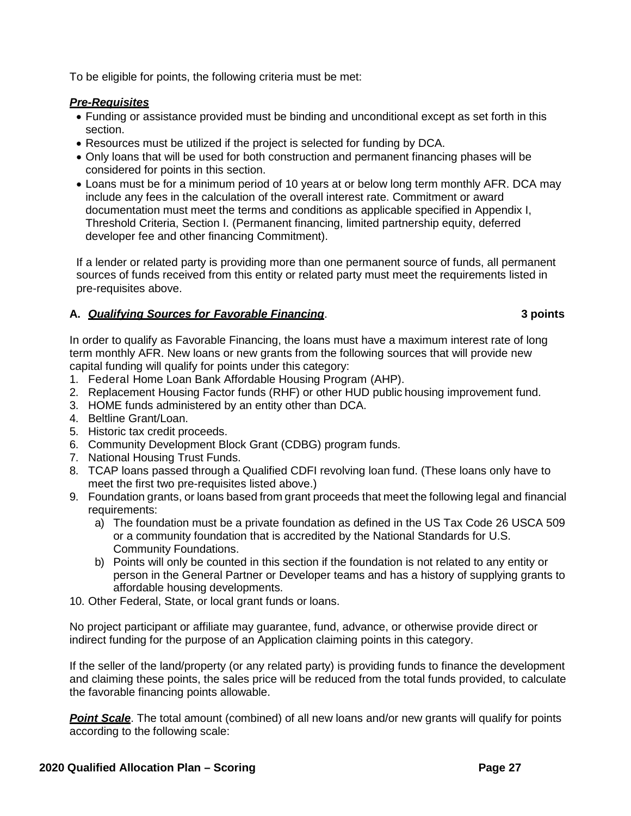To be eligible for points, the following criteria must be met:

### *Pre-Requisites*

- Funding or assistance provided must be binding and unconditional except as set forth in this section.
- Resources must be utilized if the project is selected for funding by DCA.
- Only loans that will be used for both construction and permanent financing phases will be considered for points in this section.
- Loans must be for a minimum period of 10 years at or below long term monthly AFR. DCA may include any fees in the calculation of the overall interest rate. Commitment or award documentation must meet the terms and conditions as applicable specified in Appendix I, Threshold Criteria, Section I. (Permanent financing, limited partnership equity, deferred developer fee and other financing Commitment).

If a lender or related party is providing more than one permanent source of funds, all permanent sources of funds received from this entity or related party must meet the requirements listed in pre-requisites above.

## **A.** *Qualifying Sources for Favorable Financing*. **3 points**

In order to qualify as Favorable Financing, the loans must have a maximum interest rate of long term monthly AFR. New loans or new grants from the following sources that will provide new capital funding will qualify for points under this category:

- 1. Federal Home Loan Bank Affordable Housing Program (AHP).
- 2. Replacement Housing Factor funds (RHF) or other HUD public housing improvement fund.
- 3. HOME funds administered by an entity other than DCA.
- 4. Beltline Grant/Loan.
- 5. Historic tax credit proceeds.
- 6. Community Development Block Grant (CDBG) program funds.
- 7. National Housing Trust Funds.
- 8. TCAP loans passed through a Qualified CDFI revolving loan fund. (These loans only have to meet the first two pre-requisites listed above.)
- 9. Foundation grants, or loans based from grant proceeds that meet the following legal and financial requirements:
	- a) The foundation must be a private foundation as defined in the US Tax Code 26 USCA 509 or a community foundation that is accredited by the National Standards for U.S. Community Foundations.
	- b) Points will only be counted in this section if the foundation is not related to any entity or person in the General Partner or Developer teams and has a history of supplying grants to affordable housing developments.
- 10. Other Federal, State, or local grant funds or loans.

No project participant or affiliate may guarantee, fund, advance, or otherwise provide direct or indirect funding for the purpose of an Application claiming points in this category.

If the seller of the land/property (or any related party) is providing funds to finance the development and claiming these points, the sales price will be reduced from the total funds provided, to calculate the favorable financing points allowable.

*Point Scale*. The total amount (combined) of all new loans and/or new grants will qualify for points according to the following scale: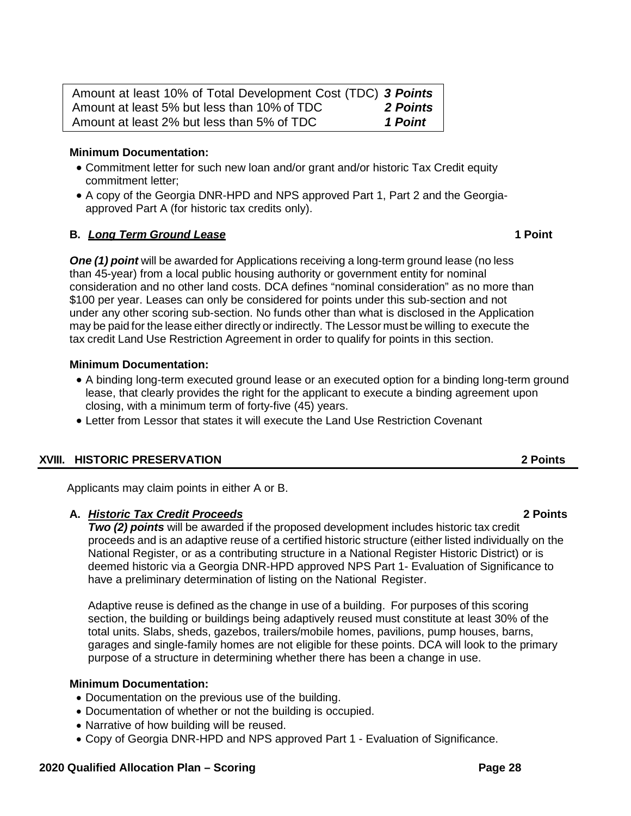| Amount at least 10% of Total Development Cost (TDC) 3 Points |          |
|--------------------------------------------------------------|----------|
| Amount at least 5% but less than 10% of TDC                  | 2 Points |
| Amount at least 2% but less than 5% of TDC                   | 1 Point  |

### **Minimum Documentation:**

- Commitment letter for such new loan and/or grant and/or historic Tax Credit equity commitment letter;
- A copy of the Georgia DNR-HPD and NPS approved Part 1, Part 2 and the Georgiaapproved Part A (for historic tax credits only).

### **B.** *Long Term Ground Lease* **1 Point**

*One (1) point* will be awarded for Applications receiving a long-term ground lease (no less than 45-year) from a local public housing authority or government entity for nominal consideration and no other land costs. DCA defines "nominal consideration" as no more than \$100 per year. Leases can only be considered for points under this sub-section and not under any other scoring sub-section. No funds other than what is disclosed in the Application may be paid for the lease either directly or indirectly. The Lessor must be willing to execute the tax credit Land Use Restriction Agreement in order to qualify for points in this section.

### **Minimum Documentation:**

- A binding long-term executed ground lease or an executed option for a binding long-term ground lease, that clearly provides the right for the applicant to execute a binding agreement upon closing, with a minimum term of forty-five (45) years.
- Letter from Lessor that states it will execute the Land Use Restriction Covenant

## **XVIII. HISTORIC PRESERVATION 2 Points**

Applicants may claim points in either A or B.

## **A.** *Historic Tax Credit Proceeds* **2 Points**

*Two (2) points* will be awarded if the proposed development includes historic tax credit proceeds and is an adaptive reuse of a certified historic structure (either listed individually on the National Register, or as a contributing structure in a National Register Historic District) or is deemed historic via a Georgia DNR-HPD approved NPS Part 1- Evaluation of Significance to have a preliminary determination of listing on the National Register.

Adaptive reuse is defined as the change in use of a building. For purposes of this scoring section, the building or buildings being adaptively reused must constitute at least 30% of the total units. Slabs, sheds, gazebos, trailers/mobile homes, pavilions, pump houses, barns, garages and single-family homes are not eligible for these points. DCA will look to the primary purpose of a structure in determining whether there has been a change in use.

### **Minimum Documentation:**

- Documentation on the previous use of the building.
- Documentation of whether or not the building is occupied.
- Narrative of how building will be reused.
- Copy of Georgia DNR-HPD and NPS approved Part 1 Evaluation of Significance.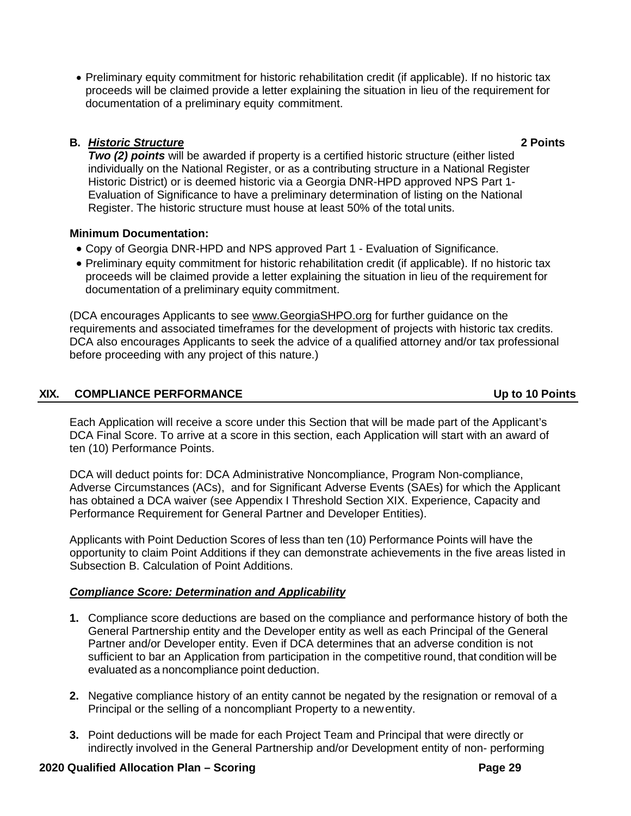• Preliminary equity commitment for historic rehabilitation credit (if applicable). If no historic tax proceeds will be claimed provide a letter explaining the situation in lieu of the requirement for documentation of a preliminary equity commitment.

## **B.** *Historic Structure* **2 Points**

*Two (2) points* will be awarded if property is a certified historic structure (either listed individually on the National Register, or as a contributing structure in a National Register Historic District) or is deemed historic via a Georgia DNR-HPD approved NPS Part 1- Evaluation of Significance to have a preliminary determination of listing on the National Register. The historic structure must house at least 50% of the total units.

## **Minimum Documentation:**

- Copy of Georgia DNR-HPD and NPS approved Part 1 Evaluation of Significance.
- Preliminary equity commitment for historic rehabilitation credit (if applicable). If no historic tax proceeds will be claimed provide a letter explaining the situation in lieu of the requirement for documentation of a preliminary equity commitment.

(DCA encourages Applicants to see [www.GeorgiaSHPO.org](http://www.georgiashpo.org/) for further guidance on the requirements and associated timeframes for the development of projects with historic tax credits. DCA also encourages Applicants to seek the advice of a qualified attorney and/or tax professional before proceeding with any project of this nature.)

# **XIX. COMPLIANCE PERFORMANCE Up to 10 Points**

Each Application will receive a score under this Section that will be made part of the Applicant's DCA Final Score. To arrive at a score in this section, each Application will start with an award of ten (10) Performance Points.

DCA will deduct points for: DCA Administrative Noncompliance, Program Non-compliance, Adverse Circumstances (ACs), and for Significant Adverse Events (SAEs) for which the Applicant has obtained a DCA waiver (see Appendix I Threshold Section XIX. Experience, Capacity and Performance Requirement for General Partner and Developer Entities).

Applicants with Point Deduction Scores of less than ten (10) Performance Points will have the opportunity to claim Point Additions if they can demonstrate achievements in the five areas listed in Subsection B. Calculation of Point Additions.

# *Compliance Score: Determination and Applicability*

- **1.** Compliance score deductions are based on the compliance and performance history of both the General Partnership entity and the Developer entity as well as each Principal of the General Partner and/or Developer entity. Even if DCA determines that an adverse condition is not sufficient to bar an Application from participation in the competitive round, that condition will be evaluated as a noncompliance point deduction.
- **2.** Negative compliance history of an entity cannot be negated by the resignation or removal of a Principal or the selling of a noncompliant Property to a newentity.
- **3.** Point deductions will be made for each Project Team and Principal that were directly or indirectly involved in the General Partnership and/or Development entity of non- performing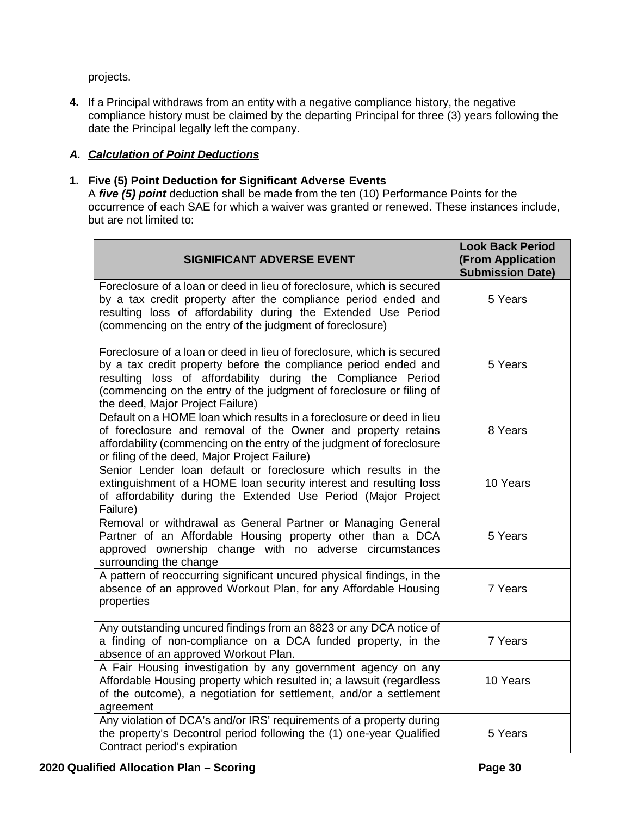projects.

**4.** If a Principal withdraws from an entity with a negative compliance history, the negative compliance history must be claimed by the departing Principal for three (3) years following the date the Principal legally left the company.

# *A. Calculation of Point Deductions*

## **1. Five (5) Point Deduction for Significant Adverse Events**

A *five (5) point* deduction shall be made from the ten (10) Performance Points for the occurrence of each SAE for which a waiver was granted or renewed. These instances include, but are not limited to:

| <b>SIGNIFICANT ADVERSE EVENT</b>                                                                                                                                                                                                                                                                                      | <b>Look Back Period</b><br><b>(From Application</b><br><b>Submission Date)</b> |
|-----------------------------------------------------------------------------------------------------------------------------------------------------------------------------------------------------------------------------------------------------------------------------------------------------------------------|--------------------------------------------------------------------------------|
| Foreclosure of a loan or deed in lieu of foreclosure, which is secured<br>by a tax credit property after the compliance period ended and<br>resulting loss of affordability during the Extended Use Period<br>(commencing on the entry of the judgment of foreclosure)                                                | 5 Years                                                                        |
| Foreclosure of a loan or deed in lieu of foreclosure, which is secured<br>by a tax credit property before the compliance period ended and<br>resulting loss of affordability during the Compliance Period<br>(commencing on the entry of the judgment of foreclosure or filing of<br>the deed, Major Project Failure) | 5 Years                                                                        |
| Default on a HOME loan which results in a foreclosure or deed in lieu<br>of foreclosure and removal of the Owner and property retains<br>affordability (commencing on the entry of the judgment of foreclosure<br>or filing of the deed, Major Project Failure)                                                       | 8 Years                                                                        |
| Senior Lender loan default or foreclosure which results in the<br>extinguishment of a HOME loan security interest and resulting loss<br>of affordability during the Extended Use Period (Major Project<br>Failure)                                                                                                    | 10 Years                                                                       |
| Removal or withdrawal as General Partner or Managing General<br>Partner of an Affordable Housing property other than a DCA<br>approved ownership change with no adverse circumstances<br>surrounding the change                                                                                                       | 5 Years                                                                        |
| A pattern of reoccurring significant uncured physical findings, in the<br>absence of an approved Workout Plan, for any Affordable Housing<br>properties                                                                                                                                                               | 7 Years                                                                        |
| Any outstanding uncured findings from an 8823 or any DCA notice of<br>a finding of non-compliance on a DCA funded property, in the<br>absence of an approved Workout Plan.                                                                                                                                            | 7 Years                                                                        |
| A Fair Housing investigation by any government agency on any<br>Affordable Housing property which resulted in; a lawsuit (regardless<br>of the outcome), a negotiation for settlement, and/or a settlement<br>agreement                                                                                               | 10 Years                                                                       |
| Any violation of DCA's and/or IRS' requirements of a property during<br>the property's Decontrol period following the (1) one-year Qualified<br>Contract period's expiration                                                                                                                                          | 5 Years                                                                        |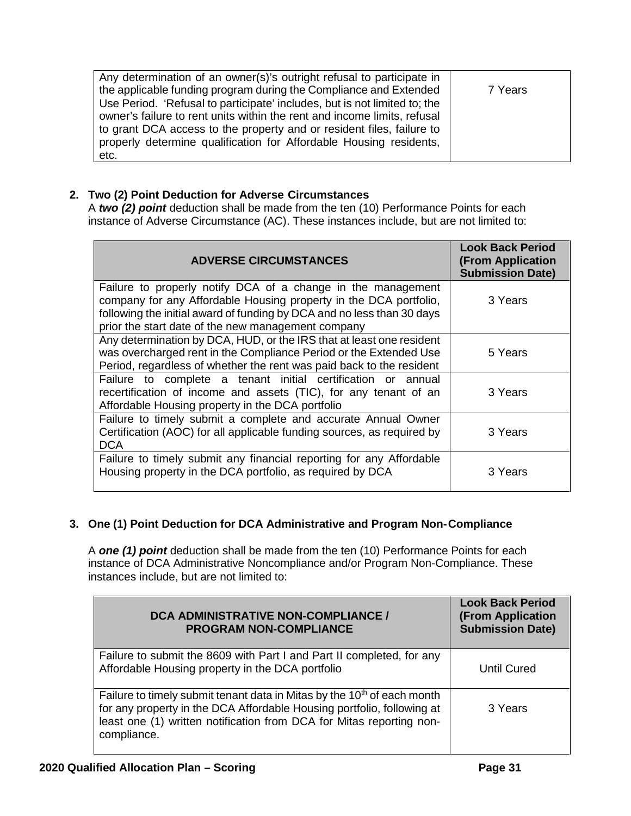| Any determination of an owner(s)'s outright refusal to participate in     |         |
|---------------------------------------------------------------------------|---------|
| the applicable funding program during the Compliance and Extended         | 7 Years |
| Use Period. 'Refusal to participate' includes, but is not limited to; the |         |
| owner's failure to rent units within the rent and income limits, refusal  |         |
| to grant DCA access to the property and or resident files, failure to     |         |
| properly determine qualification for Affordable Housing residents,        |         |
| etc.                                                                      |         |

# **2. Two (2) Point Deduction for Adverse Circumstances**

A *two (2) point* deduction shall be made from the ten (10) Performance Points for each instance of Adverse Circumstance (AC). These instances include, but are not limited to:

| <b>ADVERSE CIRCUMSTANCES</b>                                                                                                                                                                                                                                      | <b>Look Back Period</b><br><b>(From Application</b><br><b>Submission Date)</b> |
|-------------------------------------------------------------------------------------------------------------------------------------------------------------------------------------------------------------------------------------------------------------------|--------------------------------------------------------------------------------|
| Failure to properly notify DCA of a change in the management<br>company for any Affordable Housing property in the DCA portfolio,<br>following the initial award of funding by DCA and no less than 30 days<br>prior the start date of the new management company | 3 Years                                                                        |
| Any determination by DCA, HUD, or the IRS that at least one resident<br>was overcharged rent in the Compliance Period or the Extended Use<br>Period, regardless of whether the rent was paid back to the resident                                                 | 5 Years                                                                        |
| Failure to complete a tenant initial certification or annual<br>recertification of income and assets (TIC), for any tenant of an<br>Affordable Housing property in the DCA portfolio                                                                              | 3 Years                                                                        |
| Failure to timely submit a complete and accurate Annual Owner<br>Certification (AOC) for all applicable funding sources, as required by<br><b>DCA</b>                                                                                                             | 3 Years                                                                        |
| Failure to timely submit any financial reporting for any Affordable<br>Housing property in the DCA portfolio, as required by DCA                                                                                                                                  | 3 Years                                                                        |

# **3. One (1) Point Deduction for DCA Administrative and Program Non-Compliance**

A *one (1) point* deduction shall be made from the ten (10) Performance Points for each instance of DCA Administrative Noncompliance and/or Program Non-Compliance. These instances include, but are not limited to:

| <b>DCA ADMINISTRATIVE NON-COMPLIANCE /</b><br><b>PROGRAM NON-COMPLIANCE</b>                                                                                                                                                                          | <b>Look Back Period</b><br><b>(From Application</b><br><b>Submission Date)</b> |  |
|------------------------------------------------------------------------------------------------------------------------------------------------------------------------------------------------------------------------------------------------------|--------------------------------------------------------------------------------|--|
| Failure to submit the 8609 with Part I and Part II completed, for any<br>Affordable Housing property in the DCA portfolio                                                                                                                            | Until Cured                                                                    |  |
| Failure to timely submit tenant data in Mitas by the 10 <sup>th</sup> of each month<br>for any property in the DCA Affordable Housing portfolio, following at<br>least one (1) written notification from DCA for Mitas reporting non-<br>compliance. | 3 Years                                                                        |  |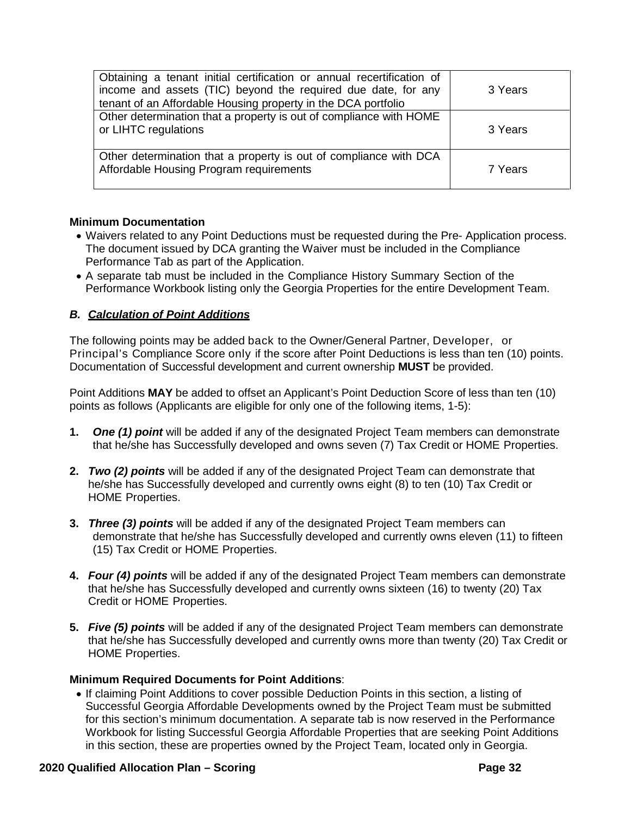| Obtaining a tenant initial certification or annual recertification of<br>income and assets (TIC) beyond the required due date, for any<br>tenant of an Affordable Housing property in the DCA portfolio | 3 Years |
|---------------------------------------------------------------------------------------------------------------------------------------------------------------------------------------------------------|---------|
| Other determination that a property is out of compliance with HOME<br>or LIHTC regulations                                                                                                              | 3 Years |
| Other determination that a property is out of compliance with DCA<br>Affordable Housing Program requirements                                                                                            | 7 Years |

### **Minimum Documentation**

- Waivers related to any Point Deductions must be requested during the Pre- Application process. The document issued by DCA granting the Waiver must be included in the Compliance Performance Tab as part of the Application.
- A separate tab must be included in the Compliance History Summary Section of the Performance Workbook listing only the Georgia Properties for the entire Development Team.

## *B. Calculation of Point Additions*

The following points may be added back to the Owner/General Partner, Developer, or Principal's Compliance Score only if the score after Point Deductions is less than ten (10) points. Documentation of Successful development and current ownership **MUST** be provided.

Point Additions **MAY** be added to offset an Applicant's Point Deduction Score of less than ten (10) points as follows (Applicants are eligible for only one of the following items, 1-5):

- **1.** *One (1) point* will be added if any of the designated Project Team members can demonstrate that he/she has Successfully developed and owns seven (7) Tax Credit or HOME Properties.
- **2.** *Two (2) points* will be added if any of the designated Project Team can demonstrate that he/she has Successfully developed and currently owns eight (8) to ten (10) Tax Credit or HOME Properties.
- **3.** *Three (3) points* will be added if any of the designated Project Team members can demonstrate that he/she has Successfully developed and currently owns eleven (11) to fifteen (15) Tax Credit or HOME Properties.
- **4.** *Four (4) points* will be added if any of the designated Project Team members can demonstrate that he/she has Successfully developed and currently owns sixteen (16) to twenty (20) Tax Credit or HOME Properties.
- **5.** *Five (5) points* will be added if any of the designated Project Team members can demonstrate that he/she has Successfully developed and currently owns more than twenty (20) Tax Credit or HOME Properties.

### **Minimum Required Documents for Point Additions**:

• If claiming Point Additions to cover possible Deduction Points in this section, a listing of Successful Georgia Affordable Developments owned by the Project Team must be submitted for this section's minimum documentation. A separate tab is now reserved in the Performance Workbook for listing Successful Georgia Affordable Properties that are seeking Point Additions in this section, these are properties owned by the Project Team, located only in Georgia.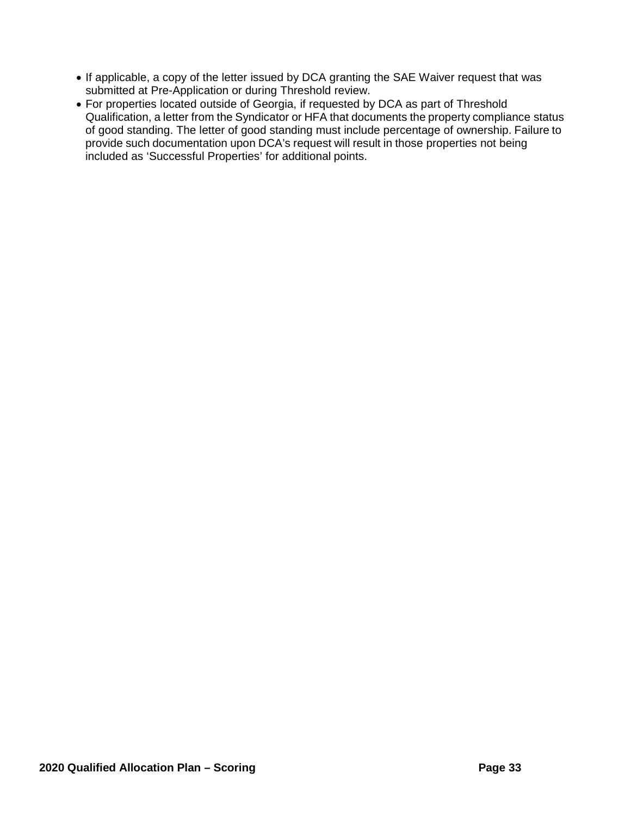- If applicable, a copy of the letter issued by DCA granting the SAE Waiver request that was submitted at Pre-Application or during Threshold review.
- For properties located outside of Georgia, if requested by DCA as part of Threshold Qualification, a letter from the Syndicator or HFA that documents the property compliance status of good standing. The letter of good standing must include percentage of ownership. Failure to provide such documentation upon DCA's request will result in those properties not being included as 'Successful Properties' for additional points.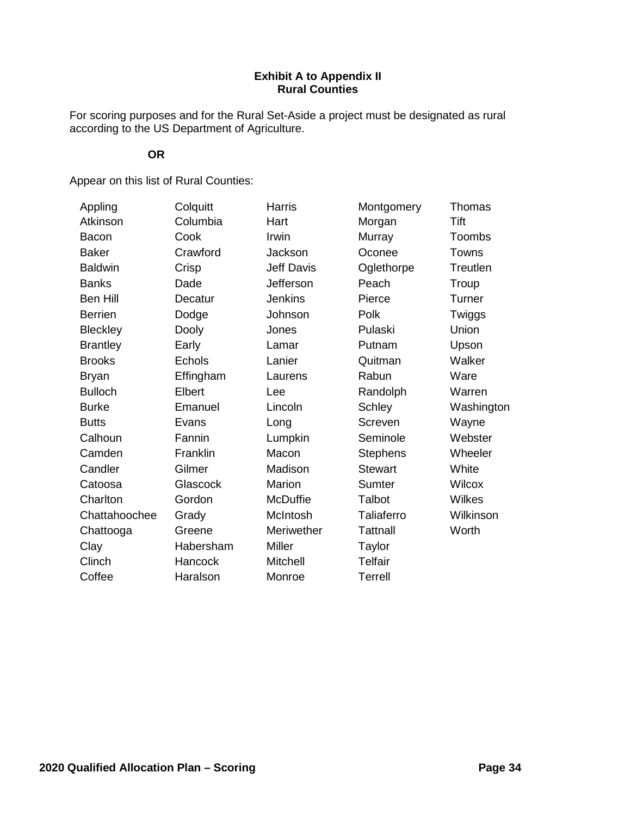## **Exhibit A to Appendix II Rural Counties**

For scoring purposes and for the Rural Set-Aside a project must be designated as rural according to the US Department of Agriculture.

# **OR**

Appear on this list of Rural Counties:

| Appling         | Colquitt  | <b>Harris</b>     | Montgomery        | Thomas        |
|-----------------|-----------|-------------------|-------------------|---------------|
| Atkinson        | Columbia  | Hart              | Morgan            | Tift          |
| <b>Bacon</b>    | Cook      | Irwin             | Murray            | <b>Toombs</b> |
| <b>Baker</b>    | Crawford  | Jackson           | Oconee            | Towns         |
| <b>Baldwin</b>  | Crisp     | <b>Jeff Davis</b> | Oglethorpe        | Treutlen      |
| <b>Banks</b>    | Dade      | Jefferson         | Peach             | Troup         |
| Ben Hill        | Decatur   | <b>Jenkins</b>    | Pierce            | Turner        |
| <b>Berrien</b>  | Dodge     | Johnson           | Polk              | Twiggs        |
| <b>Bleckley</b> | Dooly     | Jones             | Pulaski           | Union         |
| <b>Brantley</b> | Early     | Lamar             | Putnam            | Upson         |
| <b>Brooks</b>   | Echols    | Lanier            | Quitman           | Walker        |
| <b>Bryan</b>    | Effingham | Laurens           | Rabun             | Ware          |
| <b>Bulloch</b>  | Elbert    | Lee               | Randolph          | Warren        |
| <b>Burke</b>    | Emanuel   | Lincoln           | <b>Schley</b>     | Washington    |
| <b>Butts</b>    | Evans     | Long              | Screven           | Wayne         |
| Calhoun         | Fannin    | Lumpkin           | Seminole          | Webster       |
| Camden          | Franklin  | Macon             | <b>Stephens</b>   | Wheeler       |
| Candler         | Gilmer    | Madison           | <b>Stewart</b>    | White         |
| Catoosa         | Glascock  | Marion            | Sumter            | <b>Wilcox</b> |
| Charlton        | Gordon    | <b>McDuffie</b>   | Talbot            | Wilkes        |
| Chattahoochee   | Grady     | McIntosh          | <b>Taliaferro</b> | Wilkinson     |
| Chattooga       | Greene    | Meriwether        | <b>Tattnall</b>   | Worth         |
| Clay            | Habersham | Miller            | Taylor            |               |
| Clinch          | Hancock   | Mitchell          | <b>Telfair</b>    |               |
| Coffee          | Haralson  | Monroe            | <b>Terrell</b>    |               |
|                 |           |                   |                   |               |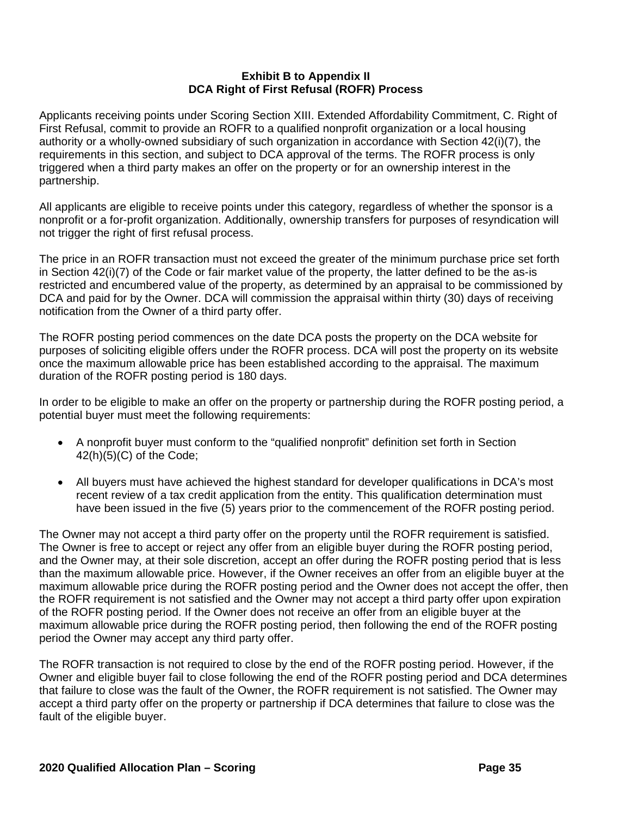## **Exhibit B to Appendix II DCA Right of First Refusal (ROFR) Process**

Applicants receiving points under Scoring Section XIII. Extended Affordability Commitment, C. Right of First Refusal, commit to provide an ROFR to a qualified nonprofit organization or a local housing authority or a wholly-owned subsidiary of such organization in accordance with Section 42(i)(7), the requirements in this section, and subject to DCA approval of the terms. The ROFR process is only triggered when a third party makes an offer on the property or for an ownership interest in the partnership.

All applicants are eligible to receive points under this category, regardless of whether the sponsor is a nonprofit or a for-profit organization. Additionally, ownership transfers for purposes of resyndication will not trigger the right of first refusal process.

The price in an ROFR transaction must not exceed the greater of the minimum purchase price set forth in Section 42(i)(7) of the Code or fair market value of the property, the latter defined to be the as-is restricted and encumbered value of the property, as determined by an appraisal to be commissioned by DCA and paid for by the Owner. DCA will commission the appraisal within thirty (30) days of receiving notification from the Owner of a third party offer.

The ROFR posting period commences on the date DCA posts the property on the DCA website for purposes of soliciting eligible offers under the ROFR process. DCA will post the property on its website once the maximum allowable price has been established according to the appraisal. The maximum duration of the ROFR posting period is 180 days.

In order to be eligible to make an offer on the property or partnership during the ROFR posting period, a potential buyer must meet the following requirements:

- A nonprofit buyer must conform to the "qualified nonprofit" definition set forth in Section 42(h)(5)(C) of the Code;
- All buyers must have achieved the highest standard for developer qualifications in DCA's most recent review of a tax credit application from the entity. This qualification determination must have been issued in the five (5) years prior to the commencement of the ROFR posting period.

The Owner may not accept a third party offer on the property until the ROFR requirement is satisfied. The Owner is free to accept or reject any offer from an eligible buyer during the ROFR posting period, and the Owner may, at their sole discretion, accept an offer during the ROFR posting period that is less than the maximum allowable price. However, if the Owner receives an offer from an eligible buyer at the maximum allowable price during the ROFR posting period and the Owner does not accept the offer, then the ROFR requirement is not satisfied and the Owner may not accept a third party offer upon expiration of the ROFR posting period. If the Owner does not receive an offer from an eligible buyer at the maximum allowable price during the ROFR posting period, then following the end of the ROFR posting period the Owner may accept any third party offer.

The ROFR transaction is not required to close by the end of the ROFR posting period. However, if the Owner and eligible buyer fail to close following the end of the ROFR posting period and DCA determines that failure to close was the fault of the Owner, the ROFR requirement is not satisfied. The Owner may accept a third party offer on the property or partnership if DCA determines that failure to close was the fault of the eligible buyer.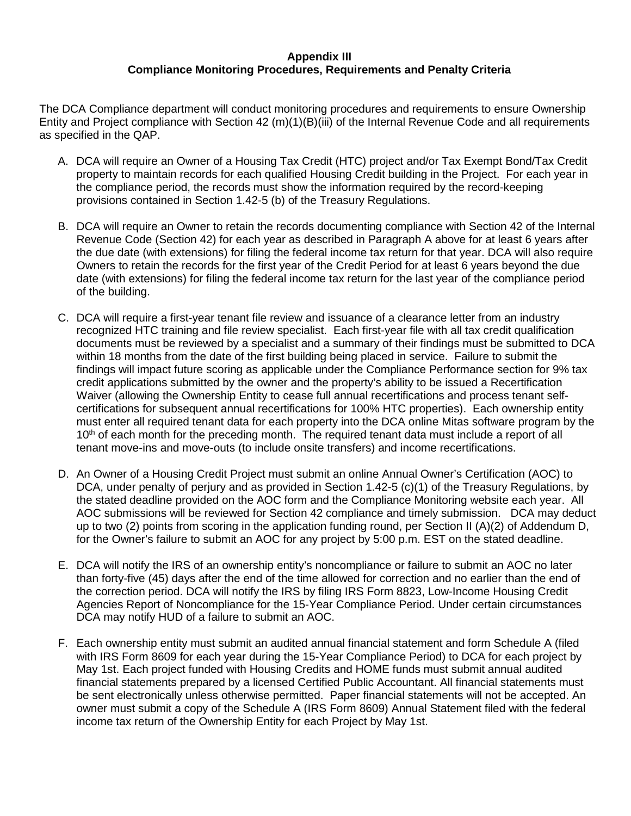## **Appendix III Compliance Monitoring Procedures, Requirements and Penalty Criteria**

The DCA Compliance department will conduct monitoring procedures and requirements to ensure Ownership Entity and Project compliance with Section 42 (m)(1)(B)(iii) of the Internal Revenue Code and all requirements as specified in the QAP.

- A. DCA will require an Owner of a Housing Tax Credit (HTC) project and/or Tax Exempt Bond/Tax Credit property to maintain records for each qualified Housing Credit building in the Project. For each year in the compliance period, the records must show the information required by the record-keeping provisions contained in Section 1.42-5 (b) of the Treasury Regulations.
- B. DCA will require an Owner to retain the records documenting compliance with Section 42 of the Internal Revenue Code (Section 42) for each year as described in Paragraph A above for at least 6 years after the due date (with extensions) for filing the federal income tax return for that year. DCA will also require Owners to retain the records for the first year of the Credit Period for at least 6 years beyond the due date (with extensions) for filing the federal income tax return for the last year of the compliance period of the building.
- C. DCA will require a first-year tenant file review and issuance of a clearance letter from an industry recognized HTC training and file review specialist. Each first-year file with all tax credit qualification documents must be reviewed by a specialist and a summary of their findings must be submitted to DCA within 18 months from the date of the first building being placed in service. Failure to submit the findings will impact future scoring as applicable under the Compliance Performance section for 9% tax credit applications submitted by the owner and the property's ability to be issued a Recertification Waiver (allowing the Ownership Entity to cease full annual recertifications and process tenant selfcertifications for subsequent annual recertifications for 100% HTC properties). Each ownership entity must enter all required tenant data for each property into the DCA online Mitas software program by the 10<sup>th</sup> of each month for the preceding month. The required tenant data must include a report of all tenant move-ins and move-outs (to include onsite transfers) and income recertifications.
- D. An Owner of a Housing Credit Project must submit an online Annual Owner's Certification (AOC) to DCA, under penalty of perjury and as provided in Section 1.42-5 (c)(1) of the Treasury Regulations, by the stated deadline provided on the AOC form and the Compliance Monitoring website each year. All AOC submissions will be reviewed for Section 42 compliance and timely submission. DCA may deduct up to two (2) points from scoring in the application funding round, per Section II (A)(2) of Addendum D, for the Owner's failure to submit an AOC for any project by 5:00 p.m. EST on the stated deadline.
- E. DCA will notify the IRS of an ownership entity's noncompliance or failure to submit an AOC no later than forty-five (45) days after the end of the time allowed for correction and no earlier than the end of the correction period. DCA will notify the IRS by filing IRS Form 8823, Low-Income Housing Credit Agencies Report of Noncompliance for the 15-Year Compliance Period. Under certain circumstances DCA may notify HUD of a failure to submit an AOC.
- F. Each ownership entity must submit an audited annual financial statement and form Schedule A (filed with IRS Form 8609 for each year during the 15-Year Compliance Period) to DCA for each project by May 1st. Each project funded with Housing Credits and HOME funds must submit annual audited financial statements prepared by a licensed Certified Public Accountant. All financial statements must be sent electronically unless otherwise permitted. Paper financial statements will not be accepted. An owner must submit a copy of the Schedule A (IRS Form 8609) Annual Statement filed with the federal income tax return of the Ownership Entity for each Project by May 1st.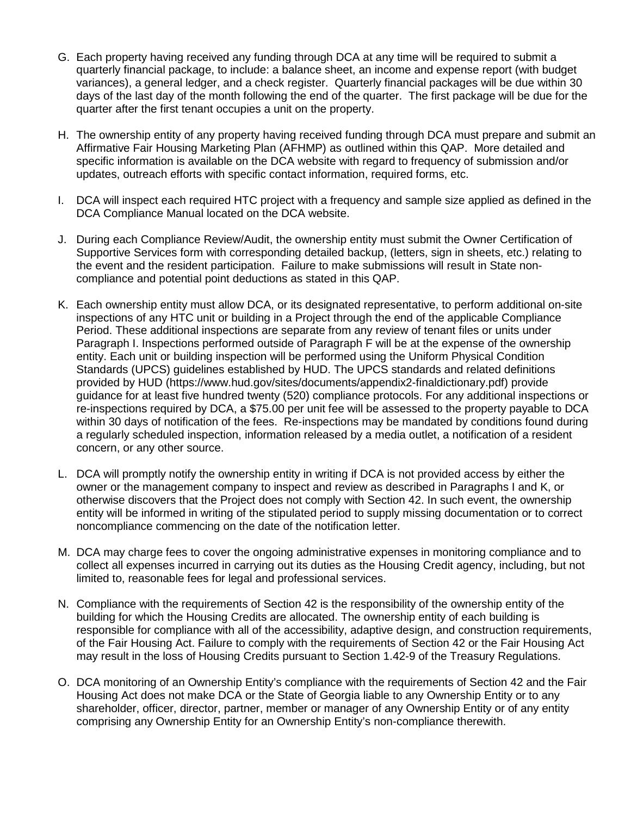- G. Each property having received any funding through DCA at any time will be required to submit a quarterly financial package, to include: a balance sheet, an income and expense report (with budget variances), a general ledger, and a check register. Quarterly financial packages will be due within 30 days of the last day of the month following the end of the quarter. The first package will be due for the quarter after the first tenant occupies a unit on the property.
- H. The ownership entity of any property having received funding through DCA must prepare and submit an Affirmative Fair Housing Marketing Plan (AFHMP) as outlined within this QAP. More detailed and specific information is available on the DCA website with regard to frequency of submission and/or updates, outreach efforts with specific contact information, required forms, etc.
- I. DCA will inspect each required HTC project with a frequency and sample size applied as defined in the DCA Compliance Manual located on the DCA website.
- J. During each Compliance Review/Audit, the ownership entity must submit the Owner Certification of Supportive Services form with corresponding detailed backup, (letters, sign in sheets, etc.) relating to the event and the resident participation. Failure to make submissions will result in State noncompliance and potential point deductions as stated in this QAP.
- K. Each ownership entity must allow DCA, or its designated representative, to perform additional on-site inspections of any HTC unit or building in a Project through the end of the applicable Compliance Period. These additional inspections are separate from any review of tenant files or units under Paragraph I. Inspections performed outside of Paragraph F will be at the expense of the ownership entity. Each unit or building inspection will be performed using the Uniform Physical Condition Standards (UPCS) guidelines established by HUD. The UPCS standards and related definitions provided by HUD (https://www.hud.gov/sites/documents/appendix2-finaldictionary.pdf) provide guidance for at least five hundred twenty (520) compliance protocols. For any additional inspections or re-inspections required by DCA, a \$75.00 per unit fee will be assessed to the property payable to DCA within 30 days of notification of the fees. Re-inspections may be mandated by conditions found during a regularly scheduled inspection, information released by a media outlet, a notification of a resident concern, or any other source.
- L. DCA will promptly notify the ownership entity in writing if DCA is not provided access by either the owner or the management company to inspect and review as described in Paragraphs I and K, or otherwise discovers that the Project does not comply with Section 42. In such event, the ownership entity will be informed in writing of the stipulated period to supply missing documentation or to correct noncompliance commencing on the date of the notification letter.
- M. DCA may charge fees to cover the ongoing administrative expenses in monitoring compliance and to collect all expenses incurred in carrying out its duties as the Housing Credit agency, including, but not limited to, reasonable fees for legal and professional services.
- N. Compliance with the requirements of Section 42 is the responsibility of the ownership entity of the building for which the Housing Credits are allocated. The ownership entity of each building is responsible for compliance with all of the accessibility, adaptive design, and construction requirements, of the Fair Housing Act. Failure to comply with the requirements of Section 42 or the Fair Housing Act may result in the loss of Housing Credits pursuant to Section 1.42-9 of the Treasury Regulations.
- O. DCA monitoring of an Ownership Entity's compliance with the requirements of Section 42 and the Fair Housing Act does not make DCA or the State of Georgia liable to any Ownership Entity or to any shareholder, officer, director, partner, member or manager of any Ownership Entity or of any entity comprising any Ownership Entity for an Ownership Entity's non-compliance therewith.